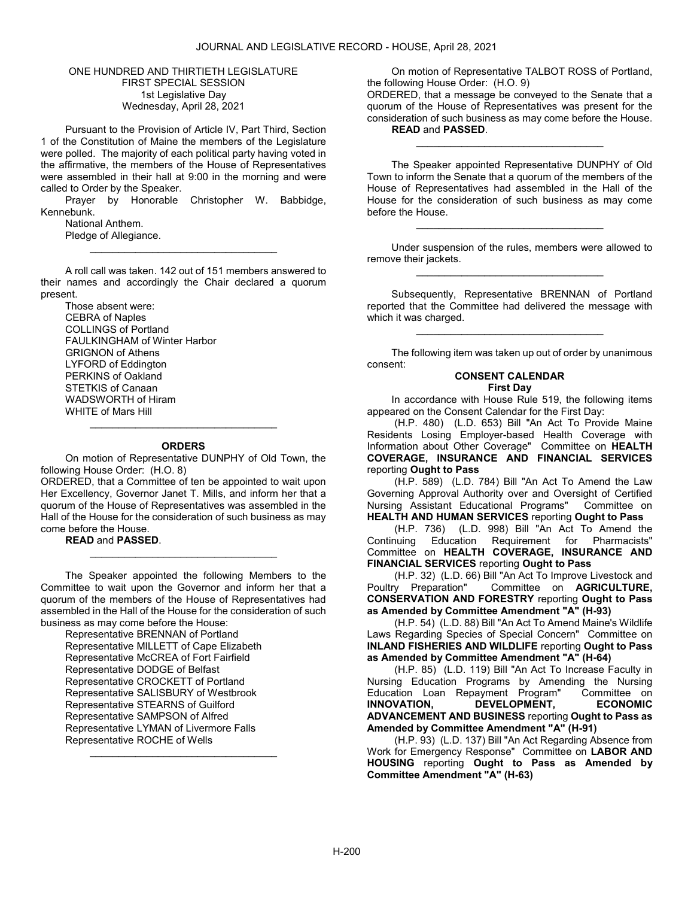### ONE HUNDRED AND THIRTIETH LEGISLATURE FIRST SPECIAL SESSION 1st Legislative Day Wednesday, April 28, 2021

 Pursuant to the Provision of Article IV, Part Third, Section 1 of the Constitution of Maine the members of the Legislature were polled. The majority of each political party having voted in the affirmative, the members of the House of Representatives were assembled in their hall at 9:00 in the morning and were called to Order by the Speaker.

 Prayer by Honorable Christopher W. Babbidge, Kennebunk.

 National Anthem. Pledge of Allegiance.

 A roll call was taken. 142 out of 151 members answered to their names and accordingly the Chair declared a quorum present.

\_\_\_\_\_\_\_\_\_\_\_\_\_\_\_\_\_\_\_\_\_\_\_\_\_\_\_\_\_\_\_\_\_

Those absent were: CEBRA of Naples COLLINGS of Portland FAULKINGHAM of Winter Harbor GRIGNON of Athens LYFORD of Eddington PERKINS of Oakland STETKIS of Canaan WADSWORTH of Hiram WHITE of Mars Hill

# \_\_\_\_\_\_\_\_\_\_\_\_\_\_\_\_\_\_\_\_\_\_\_\_\_\_\_\_\_\_\_\_\_ **ORDERS**

 On motion of Representative DUNPHY of Old Town, the following House Order: (H.O. 8)

ORDERED, that a Committee of ten be appointed to wait upon Her Excellency, Governor Janet T. Mills, and inform her that a quorum of the House of Representatives was assembled in the Hall of the House for the consideration of such business as may come before the House.

READ and PASSED.

 The Speaker appointed the following Members to the Committee to wait upon the Governor and inform her that a quorum of the members of the House of Representatives had assembled in the Hall of the House for the consideration of such business as may come before the House:

\_\_\_\_\_\_\_\_\_\_\_\_\_\_\_\_\_\_\_\_\_\_\_\_\_\_\_\_\_\_\_\_\_

Representative BRENNAN of Portland Representative MILLETT of Cape Elizabeth Representative McCREA of Fort Fairfield Representative DODGE of Belfast Representative CROCKETT of Portland Representative SALISBURY of Westbrook Representative STEARNS of Guilford Representative SAMPSON of Alfred Representative LYMAN of Livermore Falls Representative ROCHE of Wells \_\_\_\_\_\_\_\_\_\_\_\_\_\_\_\_\_\_\_\_\_\_\_\_\_\_\_\_\_\_\_\_\_

 On motion of Representative TALBOT ROSS of Portland, the following House Order: (H.O. 9)

ORDERED, that a message be conveyed to the Senate that a quorum of the House of Representatives was present for the consideration of such business as may come before the House. READ and PASSED.

\_\_\_\_\_\_\_\_\_\_\_\_\_\_\_\_\_\_\_\_\_\_\_\_\_\_\_\_\_\_\_\_\_

 The Speaker appointed Representative DUNPHY of Old Town to inform the Senate that a quorum of the members of the House of Representatives had assembled in the Hall of the House for the consideration of such business as may come before the House.

 Under suspension of the rules, members were allowed to remove their jackets. \_\_\_\_\_\_\_\_\_\_\_\_\_\_\_\_\_\_\_\_\_\_\_\_\_\_\_\_\_\_\_\_\_

\_\_\_\_\_\_\_\_\_\_\_\_\_\_\_\_\_\_\_\_\_\_\_\_\_\_\_\_\_\_\_\_\_

 Subsequently, Representative BRENNAN of Portland reported that the Committee had delivered the message with which it was charged.

\_\_\_\_\_\_\_\_\_\_\_\_\_\_\_\_\_\_\_\_\_\_\_\_\_\_\_\_\_\_\_\_\_

 The following item was taken up out of order by unanimous consent:

# CONSENT CALENDAR

### First Day

 In accordance with House Rule 519, the following items appeared on the Consent Calendar for the First Day:

 (H.P. 480) (L.D. 653) Bill "An Act To Provide Maine Residents Losing Employer-based Health Coverage with Information about Other Coverage" Committee on HEALTH COVERAGE, INSURANCE AND FINANCIAL SERVICES reporting Ought to Pass

 (H.P. 589) (L.D. 784) Bill "An Act To Amend the Law Governing Approval Authority over and Oversight of Certified Nursing Assistant Educational Programs" Committee on HEALTH AND HUMAN SERVICES reporting Ought to Pass

 (H.P. 736) (L.D. 998) Bill "An Act To Amend the Continuing Education Requirement for Pharmacists" Committee on HEALTH COVERAGE, INSURANCE AND FINANCIAL SERVICES reporting Ought to Pass

 (H.P. 32) (L.D. 66) Bill "An Act To Improve Livestock and Poultry Preparation" Committee on **AGRICULTURE**, CONSERVATION AND FORESTRY reporting Ought to Pass as Amended by Committee Amendment "A" (H-93)

 (H.P. 54) (L.D. 88) Bill "An Act To Amend Maine's Wildlife Laws Regarding Species of Special Concern" Committee on INLAND FISHERIES AND WILDLIFE reporting Ought to Pass as Amended by Committee Amendment "A" (H-64)

 (H.P. 85) (L.D. 119) Bill "An Act To Increase Faculty in Nursing Education Programs by Amending the Nursing Education Loan Repayment Program" Committee on DEVELOPMENT, ADVANCEMENT AND BUSINESS reporting Ought to Pass as Amended by Committee Amendment "A" (H-91)

 (H.P. 93) (L.D. 137) Bill "An Act Regarding Absence from Work for Emergency Response" Committee on LABOR AND HOUSING reporting Ought to Pass as Amended by Committee Amendment "A" (H-63)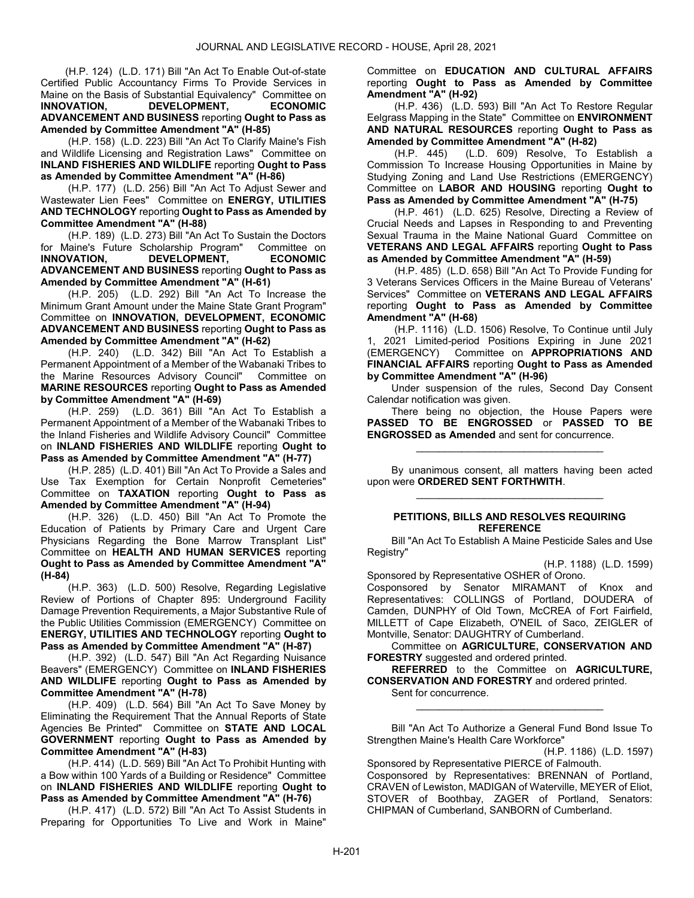(H.P. 124) (L.D. 171) Bill "An Act To Enable Out-of-state Certified Public Accountancy Firms To Provide Services in Maine on the Basis of Substantial Equivalency" Committee on<br> **INNOVATION.** DEVELOPMENT. ECONOMIC DEVELOPMENT, ECONOMIC ADVANCEMENT AND BUSINESS reporting Ought to Pass as Amended by Committee Amendment "A" (H-85)

 (H.P. 158) (L.D. 223) Bill "An Act To Clarify Maine's Fish and Wildlife Licensing and Registration Laws" Committee on INLAND FISHERIES AND WILDLIFE reporting Ought to Pass as Amended by Committee Amendment "A" (H-86)

 (H.P. 177) (L.D. 256) Bill "An Act To Adjust Sewer and Wastewater Lien Fees" Committee on ENERGY, UTILITIES AND TECHNOLOGY reporting Ought to Pass as Amended by Committee Amendment "A" (H-88)

 (H.P. 189) (L.D. 273) Bill "An Act To Sustain the Doctors for Maine's Future Scholarship Program" Committee on<br> **INNOVATION.** DEVELOPMENT. ECONOMIC DEVELOPMENT, ADVANCEMENT AND BUSINESS reporting Ought to Pass as Amended by Committee Amendment "A" (H-61)

 (H.P. 205) (L.D. 292) Bill "An Act To Increase the Minimum Grant Amount under the Maine State Grant Program" Committee on INNOVATION, DEVELOPMENT, ECONOMIC ADVANCEMENT AND BUSINESS reporting Ought to Pass as Amended by Committee Amendment "A" (H-62)

 (H.P. 240) (L.D. 342) Bill "An Act To Establish a Permanent Appointment of a Member of the Wabanaki Tribes to the Marine Resources Advisory Council" Committee on MARINE RESOURCES reporting Ought to Pass as Amended by Committee Amendment "A" (H-69)

 (H.P. 259) (L.D. 361) Bill "An Act To Establish a Permanent Appointment of a Member of the Wabanaki Tribes to the Inland Fisheries and Wildlife Advisory Council" Committee on INLAND FISHERIES AND WILDLIFE reporting Ought to Pass as Amended by Committee Amendment "A" (H-77)

 (H.P. 285) (L.D. 401) Bill "An Act To Provide a Sales and Use Tax Exemption for Certain Nonprofit Cemeteries" Committee on TAXATION reporting Ought to Pass as Amended by Committee Amendment "A" (H-94)

 (H.P. 326) (L.D. 450) Bill "An Act To Promote the Education of Patients by Primary Care and Urgent Care Physicians Regarding the Bone Marrow Transplant List" Committee on HEALTH AND HUMAN SERVICES reporting Ought to Pass as Amended by Committee Amendment "A" (H-84)

 (H.P. 363) (L.D. 500) Resolve, Regarding Legislative Review of Portions of Chapter 895: Underground Facility Damage Prevention Requirements, a Major Substantive Rule of the Public Utilities Commission (EMERGENCY) Committee on ENERGY, UTILITIES AND TECHNOLOGY reporting Ought to Pass as Amended by Committee Amendment "A" (H-87)

 (H.P. 392) (L.D. 547) Bill "An Act Regarding Nuisance Beavers" (EMERGENCY) Committee on INLAND FISHERIES AND WILDLIFE reporting Ought to Pass as Amended by Committee Amendment "A" (H-78)

 (H.P. 409) (L.D. 564) Bill "An Act To Save Money by Eliminating the Requirement That the Annual Reports of State Agencies Be Printed" Committee on STATE AND LOCAL GOVERNMENT reporting Ought to Pass as Amended by Committee Amendment "A" (H-83)

 (H.P. 414) (L.D. 569) Bill "An Act To Prohibit Hunting with a Bow within 100 Yards of a Building or Residence" Committee on INLAND FISHERIES AND WILDLIFE reporting Ought to Pass as Amended by Committee Amendment "A" (H-76)

 (H.P. 417) (L.D. 572) Bill "An Act To Assist Students in Preparing for Opportunities To Live and Work in Maine"

Committee on EDUCATION AND CULTURAL AFFAIRS reporting Ought to Pass as Amended by Committee Amendment "A" (H-92)

 (H.P. 436) (L.D. 593) Bill "An Act To Restore Regular Eelgrass Mapping in the State" Committee on ENVIRONMENT AND NATURAL RESOURCES reporting Ought to Pass as Amended by Committee Amendment "A" (H-82)

 (H.P. 445) (L.D. 609) Resolve, To Establish a Commission To Increase Housing Opportunities in Maine by Studying Zoning and Land Use Restrictions (EMERGENCY) Committee on LABOR AND HOUSING reporting Ought to Pass as Amended by Committee Amendment "A" (H-75)

 (H.P. 461) (L.D. 625) Resolve, Directing a Review of Crucial Needs and Lapses in Responding to and Preventing Sexual Trauma in the Maine National Guard Committee on VETERANS AND LEGAL AFFAIRS reporting Ought to Pass as Amended by Committee Amendment "A" (H-59)

 (H.P. 485) (L.D. 658) Bill "An Act To Provide Funding for 3 Veterans Services Officers in the Maine Bureau of Veterans' Services" Committee on VETERANS AND LEGAL AFFAIRS reporting Ought to Pass as Amended by Committee Amendment "A" (H-68)

 (H.P. 1116) (L.D. 1506) Resolve, To Continue until July 1, 2021 Limited-period Positions Expiring in June 2021 (EMERGENCY) Committee on APPROPRIATIONS AND FINANCIAL AFFAIRS reporting Ought to Pass as Amended by Committee Amendment "A" (H-96)

 Under suspension of the rules, Second Day Consent Calendar notification was given.

 There being no objection, the House Papers were PASSED TO BE ENGROSSED or PASSED TO BE ENGROSSED as Amended and sent for concurrence.

 By unanimous consent, all matters having been acted upon were ORDERED SENT FORTHWITH. \_\_\_\_\_\_\_\_\_\_\_\_\_\_\_\_\_\_\_\_\_\_\_\_\_\_\_\_\_\_\_\_\_

\_\_\_\_\_\_\_\_\_\_\_\_\_\_\_\_\_\_\_\_\_\_\_\_\_\_\_\_\_\_\_\_\_

## PETITIONS, BILLS AND RESOLVES REQUIRING **REFERENCE**

 Bill "An Act To Establish A Maine Pesticide Sales and Use Registry"

(H.P. 1188) (L.D. 1599)

Sponsored by Representative OSHER of Orono. Cosponsored by Senator MIRAMANT of Knox and Representatives: COLLINGS of Portland, DOUDERA of Camden, DUNPHY of Old Town, McCREA of Fort Fairfield, MILLETT of Cape Elizabeth, O'NEIL of Saco, ZEIGLER of Montville, Senator: DAUGHTRY of Cumberland.

 Committee on AGRICULTURE, CONSERVATION AND FORESTRY suggested and ordered printed.

REFERRED to the Committee on AGRICULTURE, CONSERVATION AND FORESTRY and ordered printed.

Sent for concurrence.

 Bill "An Act To Authorize a General Fund Bond Issue To Strengthen Maine's Health Care Workforce"

\_\_\_\_\_\_\_\_\_\_\_\_\_\_\_\_\_\_\_\_\_\_\_\_\_\_\_\_\_\_\_\_\_

(H.P. 1186) (L.D. 1597)

Sponsored by Representative PIERCE of Falmouth. Cosponsored by Representatives: BRENNAN of Portland, CRAVEN of Lewiston, MADIGAN of Waterville, MEYER of Eliot, STOVER of Boothbay, ZAGER of Portland, Senators: CHIPMAN of Cumberland, SANBORN of Cumberland.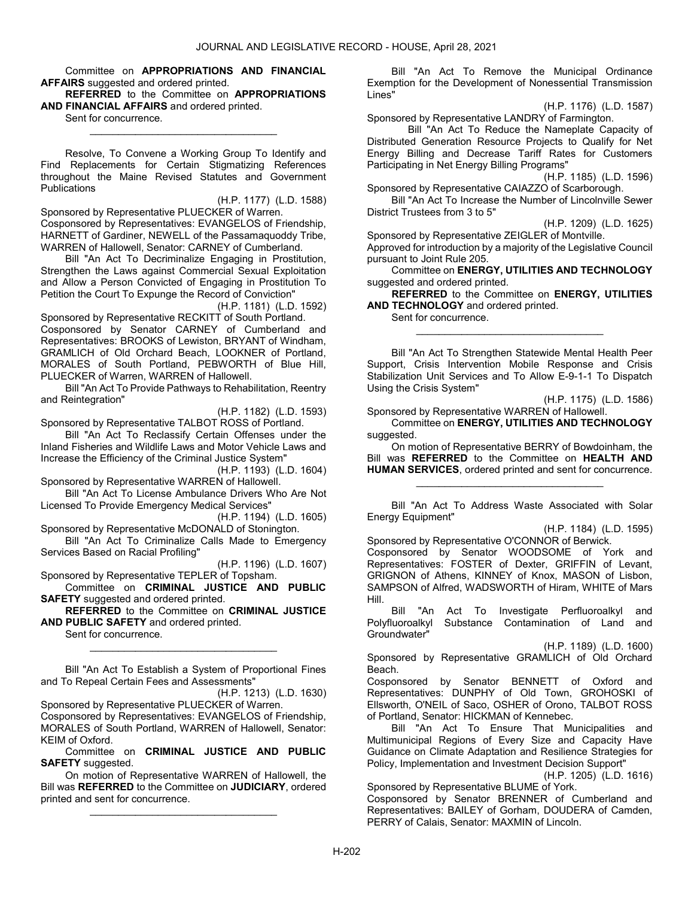Committee on APPROPRIATIONS AND FINANCIAL AFFAIRS suggested and ordered printed.

REFERRED to the Committee on APPROPRIATIONS AND FINANCIAL AFFAIRS and ordered printed.

\_\_\_\_\_\_\_\_\_\_\_\_\_\_\_\_\_\_\_\_\_\_\_\_\_\_\_\_\_\_\_\_\_

Sent for concurrence.

 Resolve, To Convene a Working Group To Identify and Find Replacements for Certain Stigmatizing References throughout the Maine Revised Statutes and Government **Publications** 

(H.P. 1177) (L.D. 1588)

Sponsored by Representative PLUECKER of Warren. Cosponsored by Representatives: EVANGELOS of Friendship, HARNETT of Gardiner, NEWELL of the Passamaquoddy Tribe, WARREN of Hallowell, Senator: CARNEY of Cumberland.

 Bill "An Act To Decriminalize Engaging in Prostitution, Strengthen the Laws against Commercial Sexual Exploitation and Allow a Person Convicted of Engaging in Prostitution To Petition the Court To Expunge the Record of Conviction"

(H.P. 1181) (L.D. 1592)

Sponsored by Representative RECKITT of South Portland. Cosponsored by Senator CARNEY of Cumberland and Representatives: BROOKS of Lewiston, BRYANT of Windham, GRAMLICH of Old Orchard Beach, LOOKNER of Portland, MORALES of South Portland, PEBWORTH of Blue Hill, PLUECKER of Warren, WARREN of Hallowell.

 Bill "An Act To Provide Pathways to Rehabilitation, Reentry and Reintegration"

(H.P. 1182) (L.D. 1593)

Sponsored by Representative TALBOT ROSS of Portland. Bill "An Act To Reclassify Certain Offenses under the Inland Fisheries and Wildlife Laws and Motor Vehicle Laws and Increase the Efficiency of the Criminal Justice System"

(H.P. 1193) (L.D. 1604) Sponsored by Representative WARREN of Hallowell.

 Bill "An Act To License Ambulance Drivers Who Are Not Licensed To Provide Emergency Medical Services"

(H.P. 1194) (L.D. 1605) Sponsored by Representative McDONALD of Stonington.

 Bill "An Act To Criminalize Calls Made to Emergency Services Based on Racial Profiling"

(H.P. 1196) (L.D. 1607)

Sponsored by Representative TEPLER of Topsham. Committee on CRIMINAL JUSTICE AND PUBLIC SAFETY suggested and ordered printed.

REFERRED to the Committee on CRIMINAL JUSTICE AND PUBLIC SAFETY and ordered printed.

Sent for concurrence.

 Bill "An Act To Establish a System of Proportional Fines and To Repeal Certain Fees and Assessments"

\_\_\_\_\_\_\_\_\_\_\_\_\_\_\_\_\_\_\_\_\_\_\_\_\_\_\_\_\_\_\_\_\_

(H.P. 1213) (L.D. 1630) Sponsored by Representative PLUECKER of Warren. Cosponsored by Representatives: EVANGELOS of Friendship, MORALES of South Portland, WARREN of Hallowell, Senator: KEIM of Oxford.

 Committee on CRIMINAL JUSTICE AND PUBLIC SAFETY suggested.

 On motion of Representative WARREN of Hallowell, the Bill was REFERRED to the Committee on JUDICIARY, ordered printed and sent for concurrence.

\_\_\_\_\_\_\_\_\_\_\_\_\_\_\_\_\_\_\_\_\_\_\_\_\_\_\_\_\_\_\_\_\_

 Bill "An Act To Remove the Municipal Ordinance Exemption for the Development of Nonessential Transmission Lines"

(H.P. 1176) (L.D. 1587)

Sponsored by Representative LANDRY of Farmington. Bill "An Act To Reduce the Nameplate Capacity of

Distributed Generation Resource Projects to Qualify for Net Energy Billing and Decrease Tariff Rates for Customers Participating in Net Energy Billing Programs"

(H.P. 1185) (L.D. 1596)

Sponsored by Representative CAIAZZO of Scarborough.

 Bill "An Act To Increase the Number of Lincolnville Sewer District Trustees from 3 to 5"

(H.P. 1209) (L.D. 1625)

Sponsored by Representative ZEIGLER of Montville. Approved for introduction by a majority of the Legislative Council pursuant to Joint Rule 205.

 Committee on ENERGY, UTILITIES AND TECHNOLOGY suggested and ordered printed.

REFERRED to the Committee on ENERGY, UTILITIES AND TECHNOLOGY and ordered printed.

\_\_\_\_\_\_\_\_\_\_\_\_\_\_\_\_\_\_\_\_\_\_\_\_\_\_\_\_\_\_\_\_\_

Sent for concurrence.

 Bill "An Act To Strengthen Statewide Mental Health Peer Support, Crisis Intervention Mobile Response and Crisis Stabilization Unit Services and To Allow E-9-1-1 To Dispatch Using the Crisis System"

(H.P. 1175) (L.D. 1586)

Sponsored by Representative WARREN of Hallowell. Committee on ENERGY, UTILITIES AND TECHNOLOGY suggested.

 On motion of Representative BERRY of Bowdoinham, the Bill was **REFERRED** to the Committee on HEALTH AND HUMAN SERVICES, ordered printed and sent for concurrence.

\_\_\_\_\_\_\_\_\_\_\_\_\_\_\_\_\_\_\_\_\_\_\_\_\_\_\_\_\_\_\_\_\_

 Bill "An Act To Address Waste Associated with Solar Energy Equipment"

(H.P. 1184) (L.D. 1595)

Sponsored by Representative O'CONNOR of Berwick. Cosponsored by Senator WOODSOME of York and Representatives: FOSTER of Dexter, GRIFFIN of Levant, GRIGNON of Athens, KINNEY of Knox, MASON of Lisbon, SAMPSON of Alfred, WADSWORTH of Hiram, WHITE of Mars Hill.

 Bill "An Act To Investigate Perfluoroalkyl and Polyfluoroalkyl Substance Contamination of Land and Groundwater"

(H.P. 1189) (L.D. 1600)

Sponsored by Representative GRAMLICH of Old Orchard Beach.

Cosponsored by Senator BENNETT of Oxford and Representatives: DUNPHY of Old Town, GROHOSKI of Ellsworth, O'NEIL of Saco, OSHER of Orono, TALBOT ROSS of Portland, Senator: HICKMAN of Kennebec.

 Bill "An Act To Ensure That Municipalities and Multimunicipal Regions of Every Size and Capacity Have Guidance on Climate Adaptation and Resilience Strategies for Policy, Implementation and Investment Decision Support"

(H.P. 1205) (L.D. 1616)

Sponsored by Representative BLUME of York.

Cosponsored by Senator BRENNER of Cumberland and Representatives: BAILEY of Gorham, DOUDERA of Camden, PERRY of Calais, Senator: MAXMIN of Lincoln.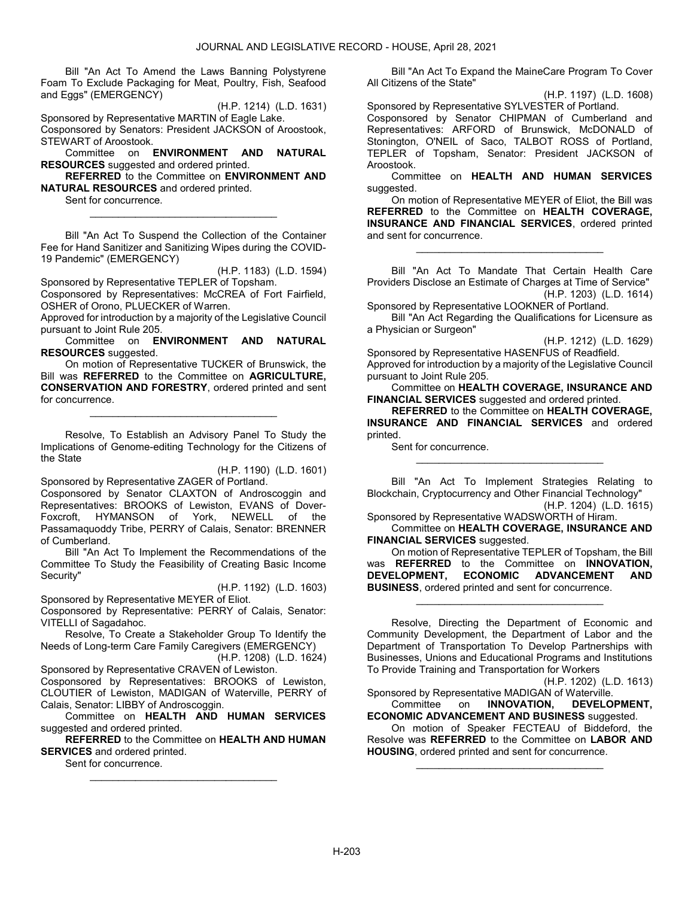Bill "An Act To Amend the Laws Banning Polystyrene Foam To Exclude Packaging for Meat, Poultry, Fish, Seafood and Eggs" (EMERGENCY)

(H.P. 1214) (L.D. 1631)

Sponsored by Representative MARTIN of Eagle Lake. Cosponsored by Senators: President JACKSON of Aroostook,

STEWART of Aroostook.

 Committee on ENVIRONMENT AND NATURAL RESOURCES suggested and ordered printed.

REFERRED to the Committee on ENVIRONMENT AND NATURAL RESOURCES and ordered printed.

 Sent for concurrence. \_\_\_\_\_\_\_\_\_\_\_\_\_\_\_\_\_\_\_\_\_\_\_\_\_\_\_\_\_\_\_\_\_

 Bill "An Act To Suspend the Collection of the Container Fee for Hand Sanitizer and Sanitizing Wipes during the COVID-19 Pandemic" (EMERGENCY)

(H.P. 1183) (L.D. 1594)

Sponsored by Representative TEPLER of Topsham. Cosponsored by Representatives: McCREA of Fort Fairfield, OSHER of Orono, PLUECKER of Warren.

Approved for introduction by a majority of the Legislative Council pursuant to Joint Rule 205.

 Committee on ENVIRONMENT AND NATURAL RESOURCES suggested.

 On motion of Representative TUCKER of Brunswick, the Bill was REFERRED to the Committee on AGRICULTURE, CONSERVATION AND FORESTRY, ordered printed and sent for concurrence.

\_\_\_\_\_\_\_\_\_\_\_\_\_\_\_\_\_\_\_\_\_\_\_\_\_\_\_\_\_\_\_\_\_

 Resolve, To Establish an Advisory Panel To Study the Implications of Genome-editing Technology for the Citizens of the State

(H.P. 1190) (L.D. 1601)

Sponsored by Representative ZAGER of Portland. Cosponsored by Senator CLAXTON of Androscoggin and Representatives: BROOKS of Lewiston, EVANS of Dover-Foxcroft, HYMANSON of York, NEWELL of the Passamaquoddy Tribe, PERRY of Calais, Senator: BRENNER of Cumberland.

 Bill "An Act To Implement the Recommendations of the Committee To Study the Feasibility of Creating Basic Income Security"

(H.P. 1192) (L.D. 1603)

Sponsored by Representative MEYER of Eliot.

Cosponsored by Representative: PERRY of Calais, Senator: VITELLI of Sagadahoc.

 Resolve, To Create a Stakeholder Group To Identify the Needs of Long-term Care Family Caregivers (EMERGENCY)

(H.P. 1208) (L.D. 1624)

Sponsored by Representative CRAVEN of Lewiston. Cosponsored by Representatives: BROOKS of Lewiston, CLOUTIER of Lewiston, MADIGAN of Waterville, PERRY of Calais, Senator: LIBBY of Androscoggin.

 Committee on HEALTH AND HUMAN SERVICES suggested and ordered printed.

REFERRED to the Committee on HEALTH AND HUMAN SERVICES and ordered printed.

\_\_\_\_\_\_\_\_\_\_\_\_\_\_\_\_\_\_\_\_\_\_\_\_\_\_\_\_\_\_\_\_\_

Sent for concurrence.

 Bill "An Act To Expand the MaineCare Program To Cover All Citizens of the State"

(H.P. 1197) (L.D. 1608)

Sponsored by Representative SYLVESTER of Portland. Cosponsored by Senator CHIPMAN of Cumberland and Representatives: ARFORD of Brunswick, McDONALD of Stonington, O'NEIL of Saco, TALBOT ROSS of Portland, TEPLER of Topsham, Senator: President JACKSON of Aroostook.

 Committee on HEALTH AND HUMAN SERVICES suggested.

 On motion of Representative MEYER of Eliot, the Bill was REFERRED to the Committee on HEALTH COVERAGE, INSURANCE AND FINANCIAL SERVICES, ordered printed and sent for concurrence.

\_\_\_\_\_\_\_\_\_\_\_\_\_\_\_\_\_\_\_\_\_\_\_\_\_\_\_\_\_\_\_\_\_

 Bill "An Act To Mandate That Certain Health Care Providers Disclose an Estimate of Charges at Time of Service" (H.P. 1203) (L.D. 1614)

Sponsored by Representative LOOKNER of Portland.

 Bill "An Act Regarding the Qualifications for Licensure as a Physician or Surgeon"

(H.P. 1212) (L.D. 1629)

Sponsored by Representative HASENFUS of Readfield. Approved for introduction by a majority of the Legislative Council pursuant to Joint Rule 205.

 Committee on HEALTH COVERAGE, INSURANCE AND FINANCIAL SERVICES suggested and ordered printed.

REFERRED to the Committee on HEALTH COVERAGE, INSURANCE AND FINANCIAL SERVICES and ordered printed.

Sent for concurrence.

|                                                            |  |  |  |  | Bill "An Act To Implement Strategies Relating to |                         |  |  |
|------------------------------------------------------------|--|--|--|--|--------------------------------------------------|-------------------------|--|--|
| Blockchain, Cryptocurrency and Other Financial Technology" |  |  |  |  |                                                  |                         |  |  |
|                                                            |  |  |  |  |                                                  | (H.P. 1204) (L.D. 1615) |  |  |

\_\_\_\_\_\_\_\_\_\_\_\_\_\_\_\_\_\_\_\_\_\_\_\_\_\_\_\_\_\_\_\_\_

Sponsored by Representative WADSWORTH of Hiram. Committee on HEALTH COVERAGE, INSURANCE AND FINANCIAL SERVICES suggested.

 On motion of Representative TEPLER of Topsham, the Bill was REFERRED to the Committee on INNOVATION, DEVELOPMENT, ECONOMIC ADVANCEMENT AND BUSINESS, ordered printed and sent for concurrence.

\_\_\_\_\_\_\_\_\_\_\_\_\_\_\_\_\_\_\_\_\_\_\_\_\_\_\_\_\_\_\_\_\_

 Resolve, Directing the Department of Economic and Community Development, the Department of Labor and the Department of Transportation To Develop Partnerships with Businesses, Unions and Educational Programs and Institutions To Provide Training and Transportation for Workers

(H.P. 1202) (L.D. 1613)

Sponsored by Representative MADIGAN of Waterville.<br>Committee on **INNOVATION, DEVELO** Committee on INNOVATION, DEVELOPMENT,

ECONOMIC ADVANCEMENT AND BUSINESS suggested.

 On motion of Speaker FECTEAU of Biddeford, the Resolve was REFERRED to the Committee on LABOR AND HOUSING, ordered printed and sent for concurrence.

\_\_\_\_\_\_\_\_\_\_\_\_\_\_\_\_\_\_\_\_\_\_\_\_\_\_\_\_\_\_\_\_\_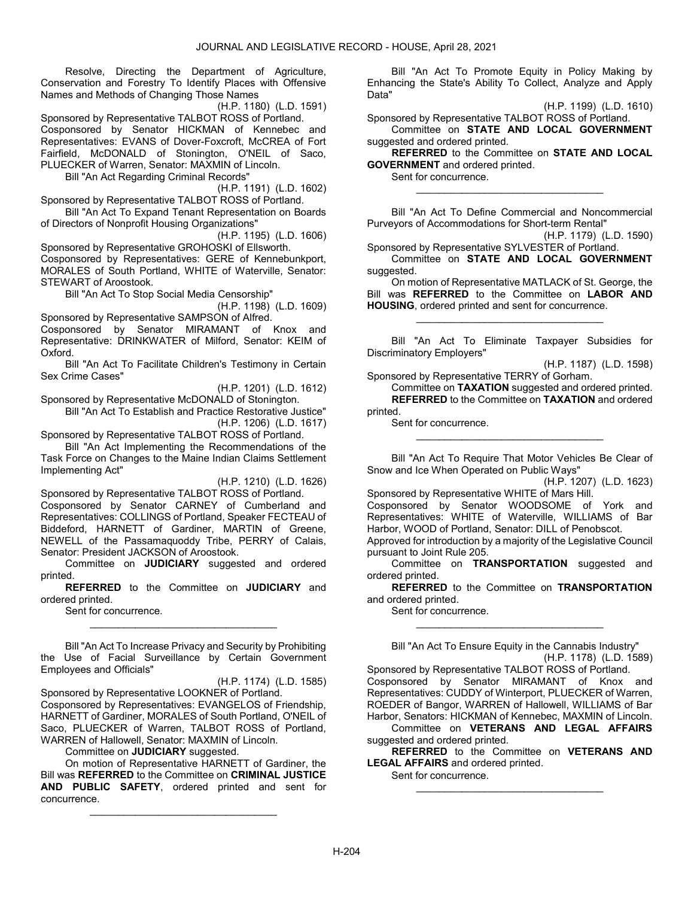Resolve, Directing the Department of Agriculture, Conservation and Forestry To Identify Places with Offensive Names and Methods of Changing Those Names

(H.P. 1180) (L.D. 1591) Sponsored by Representative TALBOT ROSS of Portland.

Cosponsored by Senator HICKMAN of Kennebec and Representatives: EVANS of Dover-Foxcroft, McCREA of Fort Fairfield, McDONALD of Stonington, O'NEIL of Saco, PLUECKER of Warren, Senator: MAXMIN of Lincoln.

Bill "An Act Regarding Criminal Records"

(H.P. 1191) (L.D. 1602)

Sponsored by Representative TALBOT ROSS of Portland. Bill "An Act To Expand Tenant Representation on Boards of Directors of Nonprofit Housing Organizations"

(H.P. 1195) (L.D. 1606)

Sponsored by Representative GROHOSKI of Ellsworth. Cosponsored by Representatives: GERE of Kennebunkport, MORALES of South Portland, WHITE of Waterville, Senator: STEWART of Aroostook.

Bill "An Act To Stop Social Media Censorship"

(H.P. 1198) (L.D. 1609) Sponsored by Representative SAMPSON of Alfred.

Cosponsored by Senator MIRAMANT of Knox and Representative: DRINKWATER of Milford, Senator: KEIM of Oxford.

 Bill "An Act To Facilitate Children's Testimony in Certain Sex Crime Cases"

(H.P. 1201) (L.D. 1612)

Sponsored by Representative McDONALD of Stonington. Bill "An Act To Establish and Practice Restorative Justice"

(H.P. 1206) (L.D. 1617)

Sponsored by Representative TALBOT ROSS of Portland.

 Bill "An Act Implementing the Recommendations of the Task Force on Changes to the Maine Indian Claims Settlement Implementing Act"

(H.P. 1210) (L.D. 1626)

Sponsored by Representative TALBOT ROSS of Portland. Cosponsored by Senator CARNEY of Cumberland and Representatives: COLLINGS of Portland, Speaker FECTEAU of Biddeford, HARNETT of Gardiner, MARTIN of Greene, NEWELL of the Passamaquoddy Tribe, PERRY of Calais, Senator: President JACKSON of Aroostook.

 Committee on JUDICIARY suggested and ordered printed.

REFERRED to the Committee on JUDICIARY and ordered printed.

\_\_\_\_\_\_\_\_\_\_\_\_\_\_\_\_\_\_\_\_\_\_\_\_\_\_\_\_\_\_\_\_\_

Sent for concurrence.

 Bill "An Act To Increase Privacy and Security by Prohibiting the Use of Facial Surveillance by Certain Government Employees and Officials"

(H.P. 1174) (L.D. 1585)

Sponsored by Representative LOOKNER of Portland. Cosponsored by Representatives: EVANGELOS of Friendship, HARNETT of Gardiner, MORALES of South Portland, O'NEIL of Saco, PLUECKER of Warren, TALBOT ROSS of Portland, WARREN of Hallowell, Senator: MAXMIN of Lincoln.

Committee on **JUDICIARY** suggested.

 On motion of Representative HARNETT of Gardiner, the Bill was REFERRED to the Committee on CRIMINAL JUSTICE AND PUBLIC SAFETY, ordered printed and sent for concurrence.

\_\_\_\_\_\_\_\_\_\_\_\_\_\_\_\_\_\_\_\_\_\_\_\_\_\_\_\_\_\_\_\_\_

 Bill "An Act To Promote Equity in Policy Making by Enhancing the State's Ability To Collect, Analyze and Apply Data"

(H.P. 1199) (L.D. 1610)

Sponsored by Representative TALBOT ROSS of Portland. Committee on STATE AND LOCAL GOVERNMENT suggested and ordered printed.

REFERRED to the Committee on STATE AND LOCAL GOVERNMENT and ordered printed.

\_\_\_\_\_\_\_\_\_\_\_\_\_\_\_\_\_\_\_\_\_\_\_\_\_\_\_\_\_\_\_\_\_

Sent for concurrence.

 Bill "An Act To Define Commercial and Noncommercial Purveyors of Accommodations for Short-term Rental"

(H.P. 1179) (L.D. 1590)

Sponsored by Representative SYLVESTER of Portland. Committee on STATE AND LOCAL GOVERNMENT suggested.

 On motion of Representative MATLACK of St. George, the Bill was REFERRED to the Committee on LABOR AND HOUSING, ordered printed and sent for concurrence.

\_\_\_\_\_\_\_\_\_\_\_\_\_\_\_\_\_\_\_\_\_\_\_\_\_\_\_\_\_\_\_\_\_

 Bill "An Act To Eliminate Taxpayer Subsidies for Discriminatory Employers"

(H.P. 1187) (L.D. 1598) Sponsored by Representative TERRY of Gorham.

 Committee on TAXATION suggested and ordered printed. REFERRED to the Committee on TAXATION and ordered printed.

Sent for concurrence.

 Bill "An Act To Require That Motor Vehicles Be Clear of Snow and Ice When Operated on Public Ways"

\_\_\_\_\_\_\_\_\_\_\_\_\_\_\_\_\_\_\_\_\_\_\_\_\_\_\_\_\_\_\_\_\_

(H.P. 1207) (L.D. 1623) Sponsored by Representative WHITE of Mars Hill.

Cosponsored by Senator WOODSOME of York and Representatives: WHITE of Waterville, WILLIAMS of Bar Harbor, WOOD of Portland, Senator: DILL of Penobscot.

Approved for introduction by a majority of the Legislative Council pursuant to Joint Rule 205.

 Committee on TRANSPORTATION suggested and ordered printed.

REFERRED to the Committee on TRANSPORTATION and ordered printed.

\_\_\_\_\_\_\_\_\_\_\_\_\_\_\_\_\_\_\_\_\_\_\_\_\_\_\_\_\_\_\_\_\_

Sent for concurrence.

 Bill "An Act To Ensure Equity in the Cannabis Industry" (H.P. 1178) (L.D. 1589)

Sponsored by Representative TALBOT ROSS of Portland. Cosponsored by Senator MIRAMANT of Knox and Representatives: CUDDY of Winterport, PLUECKER of Warren, ROEDER of Bangor, WARREN of Hallowell, WILLIAMS of Bar Harbor, Senators: HICKMAN of Kennebec, MAXMIN of Lincoln.

 Committee on VETERANS AND LEGAL AFFAIRS suggested and ordered printed.

REFERRED to the Committee on VETERANS AND LEGAL AFFAIRS and ordered printed.

\_\_\_\_\_\_\_\_\_\_\_\_\_\_\_\_\_\_\_\_\_\_\_\_\_\_\_\_\_\_\_\_\_

Sent for concurrence.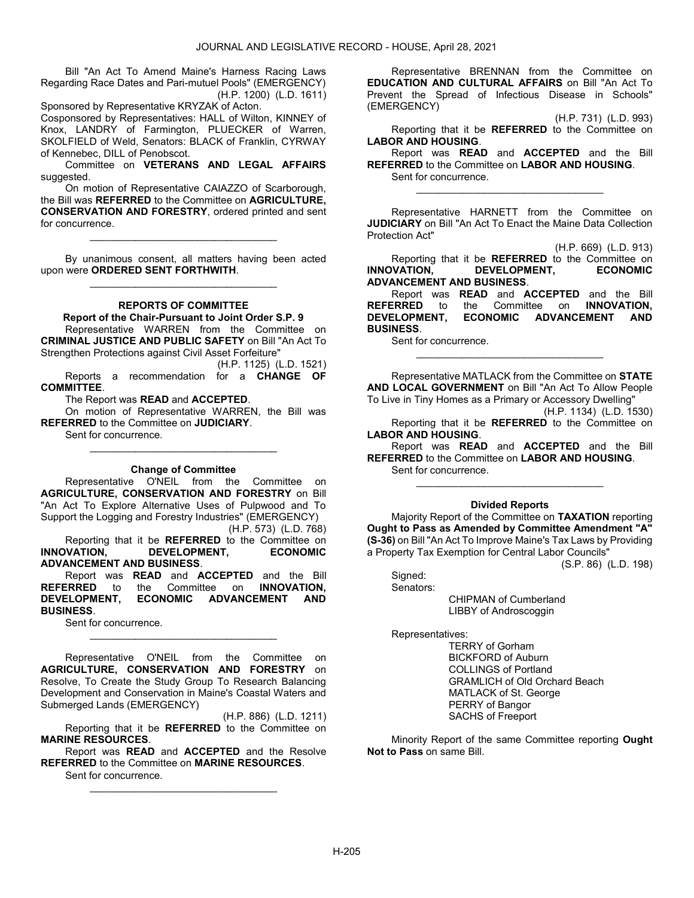Bill "An Act To Amend Maine's Harness Racing Laws Regarding Race Dates and Pari-mutuel Pools" (EMERGENCY) (H.P. 1200) (L.D. 1611)

Sponsored by Representative KRYZAK of Acton. Cosponsored by Representatives: HALL of Wilton, KINNEY of Knox, LANDRY of Farmington, PLUECKER of Warren, SKOLFIELD of Weld, Senators: BLACK of Franklin, CYRWAY of Kennebec, DILL of Penobscot.

 Committee on VETERANS AND LEGAL AFFAIRS suggested.

 On motion of Representative CAIAZZO of Scarborough, the Bill was REFERRED to the Committee on AGRICULTURE, CONSERVATION AND FORESTRY, ordered printed and sent for concurrence.

\_\_\_\_\_\_\_\_\_\_\_\_\_\_\_\_\_\_\_\_\_\_\_\_\_\_\_\_\_\_\_\_\_

 By unanimous consent, all matters having been acted upon were ORDERED SENT FORTHWITH. \_\_\_\_\_\_\_\_\_\_\_\_\_\_\_\_\_\_\_\_\_\_\_\_\_\_\_\_\_\_\_\_\_

### REPORTS OF COMMITTEE

Report of the Chair-Pursuant to Joint Order S.P. 9

 Representative WARREN from the Committee on CRIMINAL JUSTICE AND PUBLIC SAFETY on Bill "An Act To Strengthen Protections against Civil Asset Forfeiture"

(H.P. 1125) (L.D. 1521) Reports a recommendation for a CHANGE OF COMMITTEE.

The Report was READ and ACCEPTED.

 On motion of Representative WARREN, the Bill was REFERRED to the Committee on JUDICIARY.

\_\_\_\_\_\_\_\_\_\_\_\_\_\_\_\_\_\_\_\_\_\_\_\_\_\_\_\_\_\_\_\_\_

Sent for concurrence.

#### Change of Committee

 Representative O'NEIL from the Committee on AGRICULTURE, CONSERVATION AND FORESTRY on Bill "An Act To Explore Alternative Uses of Pulpwood and To Support the Logging and Forestry Industries" (EMERGENCY) (H.P. 573) (L.D. 768)

Reporting that it be **REFERRED** to the Committee on<br> **ECONOMIC BEVELOPMENT.** FCONOMIC INNOVATION. DEVELOPMENT. ADVANCEMENT AND BUSINESS.

 Report was READ and ACCEPTED and the Bill REFERRED to the Committee on INNOVATION,<br>DEVELOPMENT, ECONOMIC ADVANCEMENT AND DEVELOPMENT, ECONOMIC ADVANCEMENT AND BUSINESS.

\_\_\_\_\_\_\_\_\_\_\_\_\_\_\_\_\_\_\_\_\_\_\_\_\_\_\_\_\_\_\_\_\_

Sent for concurrence.

 Representative O'NEIL from the Committee on AGRICULTURE, CONSERVATION AND FORESTRY on Resolve, To Create the Study Group To Research Balancing Development and Conservation in Maine's Coastal Waters and Submerged Lands (EMERGENCY)

(H.P. 886) (L.D. 1211) Reporting that it be REFERRED to the Committee on MARINE RESOURCES.

 Report was READ and ACCEPTED and the Resolve REFERRED to the Committee on MARINE RESOURCES.

\_\_\_\_\_\_\_\_\_\_\_\_\_\_\_\_\_\_\_\_\_\_\_\_\_\_\_\_\_\_\_\_\_

Sent for concurrence.

 Representative BRENNAN from the Committee on EDUCATION AND CULTURAL AFFAIRS on Bill "An Act To Prevent the Spread of Infectious Disease in Schools" (EMERGENCY)

(H.P. 731) (L.D. 993)

 Reporting that it be REFERRED to the Committee on LABOR AND HOUSING.

 Report was READ and ACCEPTED and the Bill REFERRED to the Committee on LABOR AND HOUSING. Sent for concurrence.

\_\_\_\_\_\_\_\_\_\_\_\_\_\_\_\_\_\_\_\_\_\_\_\_\_\_\_\_\_\_\_\_\_

 Representative HARNETT from the Committee on JUDICIARY on Bill "An Act To Enact the Maine Data Collection Protection Act"

(H.P. 669) (L.D. 913)

Reporting that it be **REFERRED** to the Committee on<br> **VATION.** DEVELOPMENT. ECONOMIC INNOVATION, DEVELOPMENT, ADVANCEMENT AND BUSINESS.

Report was READ and ACCEPTED and the Bill<br>ERRED to the Committee on INNOVATION, **REFERRED** to the Committee on DEVELOPMENT, ECONOMIC ADVANCEMENT AND BUSINESS.

Sent for concurrence.

 Representative MATLACK from the Committee on STATE AND LOCAL GOVERNMENT on Bill "An Act To Allow People To Live in Tiny Homes as a Primary or Accessory Dwelling"

\_\_\_\_\_\_\_\_\_\_\_\_\_\_\_\_\_\_\_\_\_\_\_\_\_\_\_\_\_\_\_\_\_

(H.P. 1134) (L.D. 1530)

 Reporting that it be REFERRED to the Committee on LABOR AND HOUSING.

 Report was READ and ACCEPTED and the Bill REFERRED to the Committee on LABOR AND HOUSING. Sent for concurrence.

# \_\_\_\_\_\_\_\_\_\_\_\_\_\_\_\_\_\_\_\_\_\_\_\_\_\_\_\_\_\_\_\_\_ Divided Reports

 Majority Report of the Committee on TAXATION reporting Ought to Pass as Amended by Committee Amendment "A" (S-36) on Bill "An Act To Improve Maine's Tax Laws by Providing a Property Tax Exemption for Central Labor Councils"

(S.P. 86) (L.D. 198)

 Signed: Senators:

> CHIPMAN of Cumberland LIBBY of Androscoggin

Representatives:

 TERRY of Gorham BICKFORD of Auburn COLLINGS of Portland GRAMLICH of Old Orchard Beach MATLACK of St. George PERRY of Bangor SACHS of Freeport

 Minority Report of the same Committee reporting Ought Not to Pass on same Bill.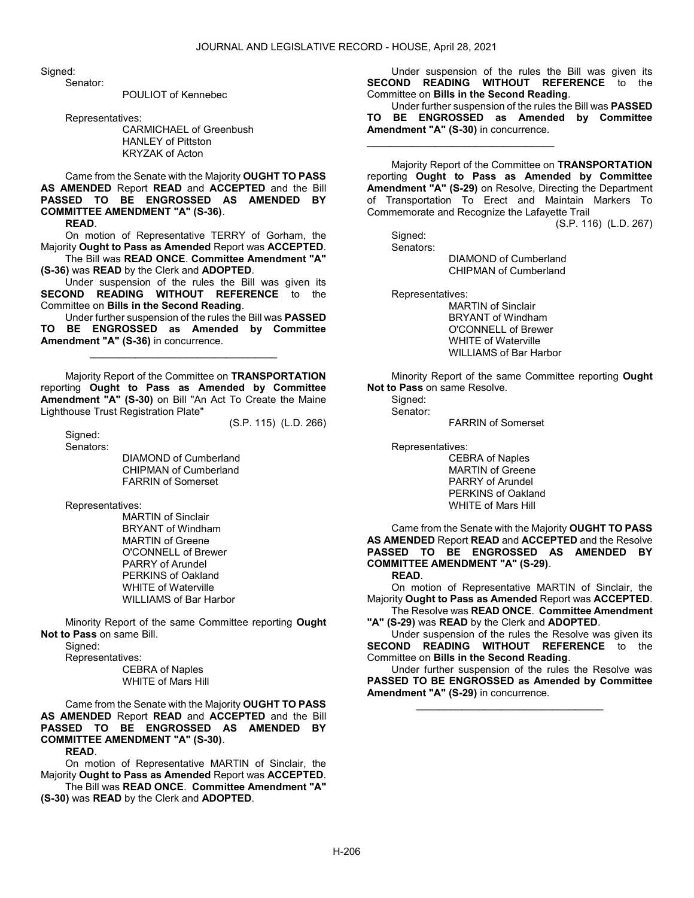Sianed:

Senator:

POULIOT of Kennebec

Representatives:

 CARMICHAEL of Greenbush HANLEY of Pittston KRYZAK of Acton

 Came from the Senate with the Majority OUGHT TO PASS AS AMENDED Report READ and ACCEPTED and the Bill PASSED TO BE ENGROSSED AS AMENDED BY COMMITTEE AMENDMENT "A" (S-36).

READ.

 On motion of Representative TERRY of Gorham, the Majority Ought to Pass as Amended Report was ACCEPTED. The Bill was READ ONCE. Committee Amendment "A"

(S-36) was READ by the Clerk and ADOPTED.

 Under suspension of the rules the Bill was given its SECOND READING WITHOUT REFERENCE to the Committee on Bills in the Second Reading.

 Under further suspension of the rules the Bill was PASSED TO BE ENGROSSED as Amended by Committee Amendment "A" (S-36) in concurrence.

\_\_\_\_\_\_\_\_\_\_\_\_\_\_\_\_\_\_\_\_\_\_\_\_\_\_\_\_\_\_\_\_\_

 Majority Report of the Committee on TRANSPORTATION reporting Ought to Pass as Amended by Committee Amendment "A" (S-30) on Bill "An Act To Create the Maine Lighthouse Trust Registration Plate"

(S.P. 115) (L.D. 266)

 Signed: Senators:

 DIAMOND of Cumberland CHIPMAN of Cumberland FARRIN of Somerset

Representatives:

 MARTIN of Sinclair BRYANT of Windham MARTIN of Greene O'CONNELL of Brewer PARRY of Arundel PERKINS of Oakland WHITE of Waterville WILLIAMS of Bar Harbor

 Minority Report of the same Committee reporting Ought Not to Pass on same Bill.

Signed:

Representatives:

 CEBRA of Naples WHITE of Mars Hill

 Came from the Senate with the Majority OUGHT TO PASS AS AMENDED Report READ and ACCEPTED and the Bill PASSED TO BE ENGROSSED AS AMENDED BY COMMITTEE AMENDMENT "A" (S-30).

READ.

 On motion of Representative MARTIN of Sinclair, the Majority Ought to Pass as Amended Report was ACCEPTED. The Bill was READ ONCE. Committee Amendment "A" (S-30) was READ by the Clerk and ADOPTED.

 Under suspension of the rules the Bill was given its SECOND READING WITHOUT REFERENCE to the Committee on Bills in the Second Reading.

 Under further suspension of the rules the Bill was PASSED TO BE ENGROSSED as Amended by Committee Amendment "A" (S-30) in concurrence.

 $\mathcal{L}_\text{max}$  and  $\mathcal{L}_\text{max}$  and  $\mathcal{L}_\text{max}$  and  $\mathcal{L}_\text{max}$ 

 Majority Report of the Committee on TRANSPORTATION reporting Ought to Pass as Amended by Committee Amendment "A" (S-29) on Resolve, Directing the Department of Transportation To Erect and Maintain Markers To Commemorate and Recognize the Lafayette Trail

(S.P. 116) (L.D. 267)

 Signed: Senators:

 DIAMOND of Cumberland CHIPMAN of Cumberland

Representatives:

 MARTIN of Sinclair BRYANT of Windham O'CONNELL of Brewer WHITE of Waterville WILLIAMS of Bar Harbor

 Minority Report of the same Committee reporting Ought Not to Pass on same Resolve.

Signed:

Senator:

FARRIN of Somerset

Representatives:

 CEBRA of Naples MARTIN of Greene PARRY of Arundel PERKINS of Oakland WHITE of Mars Hill

 Came from the Senate with the Majority OUGHT TO PASS AS AMENDED Report READ and ACCEPTED and the Resolve PASSED TO BE ENGROSSED AS AMENDED BY COMMITTEE AMENDMENT "A" (S-29).

READ.

 On motion of Representative MARTIN of Sinclair, the Majority Ought to Pass as Amended Report was ACCEPTED. The Resolve was READ ONCE. Committee Amendment

"A" (S-29) was READ by the Clerk and ADOPTED.

 Under suspension of the rules the Resolve was given its SECOND READING WITHOUT REFERENCE to the Committee on Bills in the Second Reading.

 Under further suspension of the rules the Resolve was PASSED TO BE ENGROSSED as Amended by Committee Amendment "A" (S-29) in concurrence.

\_\_\_\_\_\_\_\_\_\_\_\_\_\_\_\_\_\_\_\_\_\_\_\_\_\_\_\_\_\_\_\_\_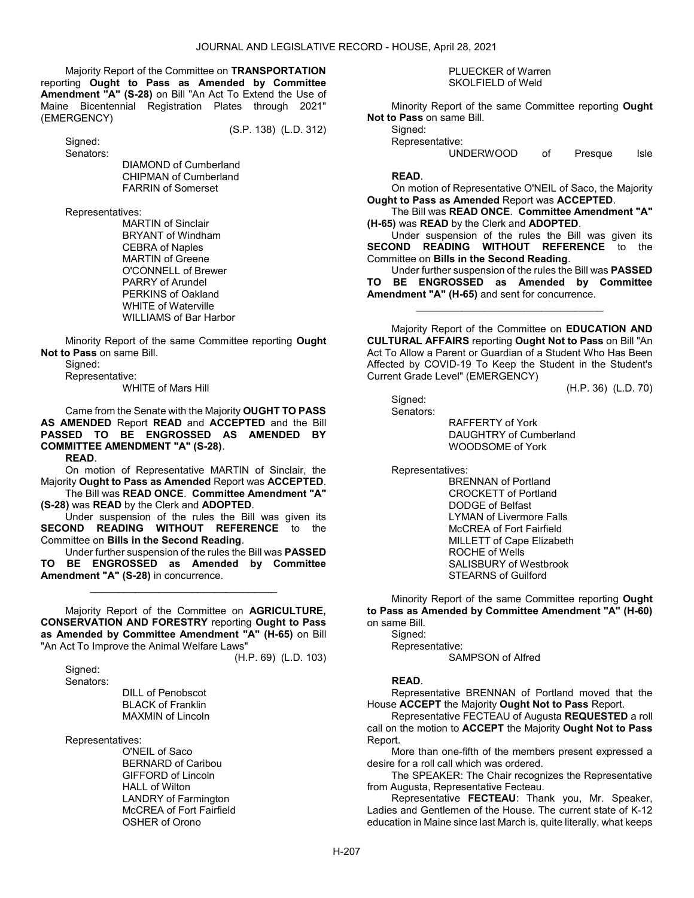Majority Report of the Committee on TRANSPORTATION reporting Ought to Pass as Amended by Committee Amendment "A" (S-28) on Bill "An Act To Extend the Use of Maine Bicentennial Registration Plates through 2021" (EMERGENCY)

(S.P. 138) (L.D. 312)

 Signed: Senators:

> DIAMOND of Cumberland CHIPMAN of Cumberland FARRIN of Somerset

Representatives:

 MARTIN of Sinclair BRYANT of Windham CEBRA of Naples MARTIN of Greene O'CONNELL of Brewer PARRY of Arundel PERKINS of Oakland WHITE of Waterville WILLIAMS of Bar Harbor

 Minority Report of the same Committee reporting Ought Not to Pass on same Bill.

Signed:

Representative:

WHITE of Mars Hill

 Came from the Senate with the Majority OUGHT TO PASS AS AMENDED Report READ and ACCEPTED and the Bill PASSED TO BE ENGROSSED AS AMENDED BY COMMITTEE AMENDMENT "A" (S-28).

READ.

 On motion of Representative MARTIN of Sinclair, the Majority Ought to Pass as Amended Report was ACCEPTED.

 The Bill was READ ONCE. Committee Amendment "A" (S-28) was READ by the Clerk and ADOPTED.

 Under suspension of the rules the Bill was given its SECOND READING WITHOUT REFERENCE to the Committee on Bills in the Second Reading.

 Under further suspension of the rules the Bill was PASSED TO BE ENGROSSED as Amended by Committee Amendment "A" (S-28) in concurrence.

\_\_\_\_\_\_\_\_\_\_\_\_\_\_\_\_\_\_\_\_\_\_\_\_\_\_\_\_\_\_\_\_\_

 Majority Report of the Committee on AGRICULTURE, CONSERVATION AND FORESTRY reporting Ought to Pass as Amended by Committee Amendment "A" (H-65) on Bill "An Act To Improve the Animal Welfare Laws"

 Signed: Senators: (H.P. 69) (L.D. 103)

 DILL of Penobscot BLACK of Franklin MAXMIN of Lincoln

Representatives:

 O'NEIL of Saco BERNARD of Caribou GIFFORD of Lincoln HALL of Wilton LANDRY of Farmington McCREA of Fort Fairfield OSHER of Orono

### PLUECKER of Warren SKOLFIELD of Weld

 Minority Report of the same Committee reporting Ought Not to Pass on same Bill.

Signed: Representative:

UNDERWOOD of Presque Isle

### READ.

 On motion of Representative O'NEIL of Saco, the Majority Ought to Pass as Amended Report was ACCEPTED.

 The Bill was READ ONCE. Committee Amendment "A" (H-65) was READ by the Clerk and ADOPTED.

 Under suspension of the rules the Bill was given its SECOND READING WITHOUT REFERENCE to the Committee on Bills in the Second Reading.

 Under further suspension of the rules the Bill was PASSED TO BE ENGROSSED as Amended by Committee Amendment "A" (H-65) and sent for concurrence.

\_\_\_\_\_\_\_\_\_\_\_\_\_\_\_\_\_\_\_\_\_\_\_\_\_\_\_\_\_\_\_\_\_

 Majority Report of the Committee on EDUCATION AND CULTURAL AFFAIRS reporting Ought Not to Pass on Bill "An Act To Allow a Parent or Guardian of a Student Who Has Been Affected by COVID-19 To Keep the Student in the Student's Current Grade Level" (EMERGENCY)

(H.P. 36) (L.D. 70)

 Signed: Senators:

RAFFERTY of York

 DAUGHTRY of Cumberland WOODSOME of York

Representatives:

 BRENNAN of Portland CROCKETT of Portland DODGE of Belfast LYMAN of Livermore Falls McCREA of Fort Fairfield MILLETT of Cape Elizabeth ROCHE of Wells SALISBURY of Westbrook STEARNS of Guilford

 Minority Report of the same Committee reporting Ought to Pass as Amended by Committee Amendment "A" (H-60) on same Bill.

 Signed: Representative: SAMPSON of Alfred

## READ.

 Representative BRENNAN of Portland moved that the House ACCEPT the Majority Ought Not to Pass Report.

Representative FECTEAU of Augusta REQUESTED a roll call on the motion to ACCEPT the Majority Ought Not to Pass Report.

 More than one-fifth of the members present expressed a desire for a roll call which was ordered.

 The SPEAKER: The Chair recognizes the Representative from Augusta, Representative Fecteau.

 Representative FECTEAU: Thank you, Mr. Speaker, Ladies and Gentlemen of the House. The current state of K-12 education in Maine since last March is, quite literally, what keeps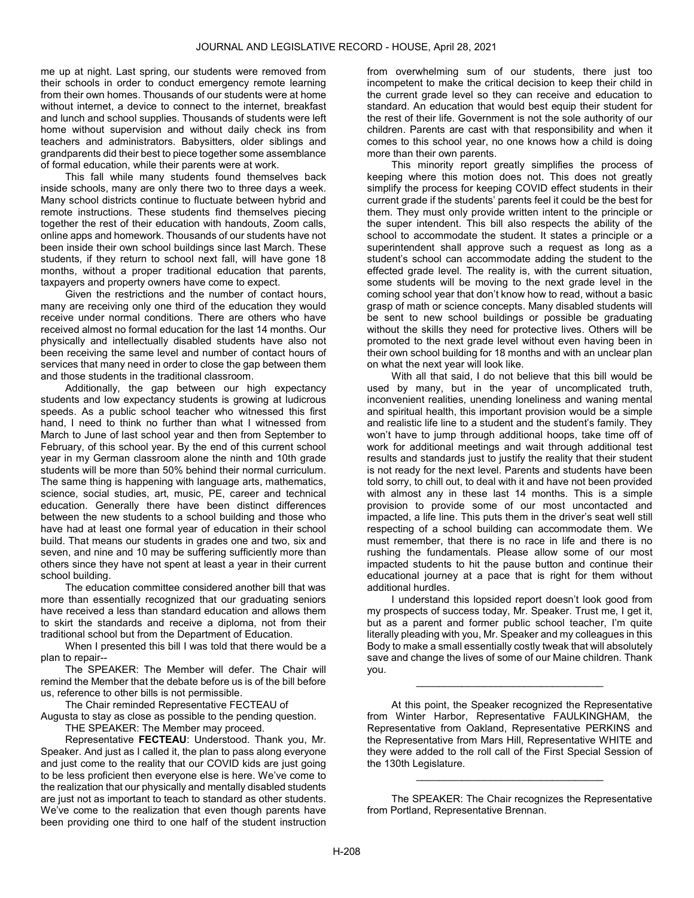me up at night. Last spring, our students were removed from their schools in order to conduct emergency remote learning from their own homes. Thousands of our students were at home without internet, a device to connect to the internet, breakfast and lunch and school supplies. Thousands of students were left home without supervision and without daily check ins from teachers and administrators. Babysitters, older siblings and grandparents did their best to piece together some assemblance of formal education, while their parents were at work.

 This fall while many students found themselves back inside schools, many are only there two to three days a week. Many school districts continue to fluctuate between hybrid and remote instructions. These students find themselves piecing together the rest of their education with handouts, Zoom calls, online apps and homework. Thousands of our students have not been inside their own school buildings since last March. These students, if they return to school next fall, will have gone 18 months, without a proper traditional education that parents, taxpayers and property owners have come to expect.

 Given the restrictions and the number of contact hours, many are receiving only one third of the education they would receive under normal conditions. There are others who have received almost no formal education for the last 14 months. Our physically and intellectually disabled students have also not been receiving the same level and number of contact hours of services that many need in order to close the gap between them and those students in the traditional classroom.

 Additionally, the gap between our high expectancy students and low expectancy students is growing at ludicrous speeds. As a public school teacher who witnessed this first hand, I need to think no further than what I witnessed from March to June of last school year and then from September to February, of this school year. By the end of this current school year in my German classroom alone the ninth and 10th grade students will be more than 50% behind their normal curriculum. The same thing is happening with language arts, mathematics, science, social studies, art, music, PE, career and technical education. Generally there have been distinct differences between the new students to a school building and those who have had at least one formal year of education in their school build. That means our students in grades one and two, six and seven, and nine and 10 may be suffering sufficiently more than others since they have not spent at least a year in their current school building.

 The education committee considered another bill that was more than essentially recognized that our graduating seniors have received a less than standard education and allows them to skirt the standards and receive a diploma, not from their traditional school but from the Department of Education.

 When I presented this bill I was told that there would be a plan to repair--

 The SPEAKER: The Member will defer. The Chair will remind the Member that the debate before us is of the bill before us, reference to other bills is not permissible.

The Chair reminded Representative FECTEAU of

Augusta to stay as close as possible to the pending question. THE SPEAKER: The Member may proceed.

 Representative FECTEAU: Understood. Thank you, Mr. Speaker. And just as I called it, the plan to pass along everyone and just come to the reality that our COVID kids are just going to be less proficient then everyone else is here. We've come to the realization that our physically and mentally disabled students are just not as important to teach to standard as other students. We've come to the realization that even though parents have been providing one third to one half of the student instruction from overwhelming sum of our students, there just too incompetent to make the critical decision to keep their child in the current grade level so they can receive and education to standard. An education that would best equip their student for the rest of their life. Government is not the sole authority of our children. Parents are cast with that responsibility and when it comes to this school year, no one knows how a child is doing more than their own parents.

 This minority report greatly simplifies the process of keeping where this motion does not. This does not greatly simplify the process for keeping COVID effect students in their current grade if the students' parents feel it could be the best for them. They must only provide written intent to the principle or the super intendent. This bill also respects the ability of the school to accommodate the student. It states a principle or a superintendent shall approve such a request as long as a student's school can accommodate adding the student to the effected grade level. The reality is, with the current situation, some students will be moving to the next grade level in the coming school year that don't know how to read, without a basic grasp of math or science concepts. Many disabled students will be sent to new school buildings or possible be graduating without the skills they need for protective lives. Others will be promoted to the next grade level without even having been in their own school building for 18 months and with an unclear plan on what the next year will look like.

 With all that said, I do not believe that this bill would be used by many, but in the year of uncomplicated truth, inconvenient realities, unending loneliness and waning mental and spiritual health, this important provision would be a simple and realistic life line to a student and the student's family. They won't have to jump through additional hoops, take time off of work for additional meetings and wait through additional test results and standards just to justify the reality that their student is not ready for the next level. Parents and students have been told sorry, to chill out, to deal with it and have not been provided with almost any in these last 14 months. This is a simple provision to provide some of our most uncontacted and impacted, a life line. This puts them in the driver's seat well still respecting of a school building can accommodate them. We must remember, that there is no race in life and there is no rushing the fundamentals. Please allow some of our most impacted students to hit the pause button and continue their educational journey at a pace that is right for them without additional hurdles.

 I understand this lopsided report doesn't look good from my prospects of success today, Mr. Speaker. Trust me, I get it, but as a parent and former public school teacher, I'm quite literally pleading with you, Mr. Speaker and my colleagues in this Body to make a small essentially costly tweak that will absolutely save and change the lives of some of our Maine children. Thank you.

\_\_\_\_\_\_\_\_\_\_\_\_\_\_\_\_\_\_\_\_\_\_\_\_\_\_\_\_\_\_\_\_\_

 At this point, the Speaker recognized the Representative from Winter Harbor, Representative FAULKINGHAM, the Representative from Oakland, Representative PERKINS and the Representative from Mars Hill, Representative WHITE and they were added to the roll call of the First Special Session of the 130th Legislature.

 The SPEAKER: The Chair recognizes the Representative from Portland, Representative Brennan.

\_\_\_\_\_\_\_\_\_\_\_\_\_\_\_\_\_\_\_\_\_\_\_\_\_\_\_\_\_\_\_\_\_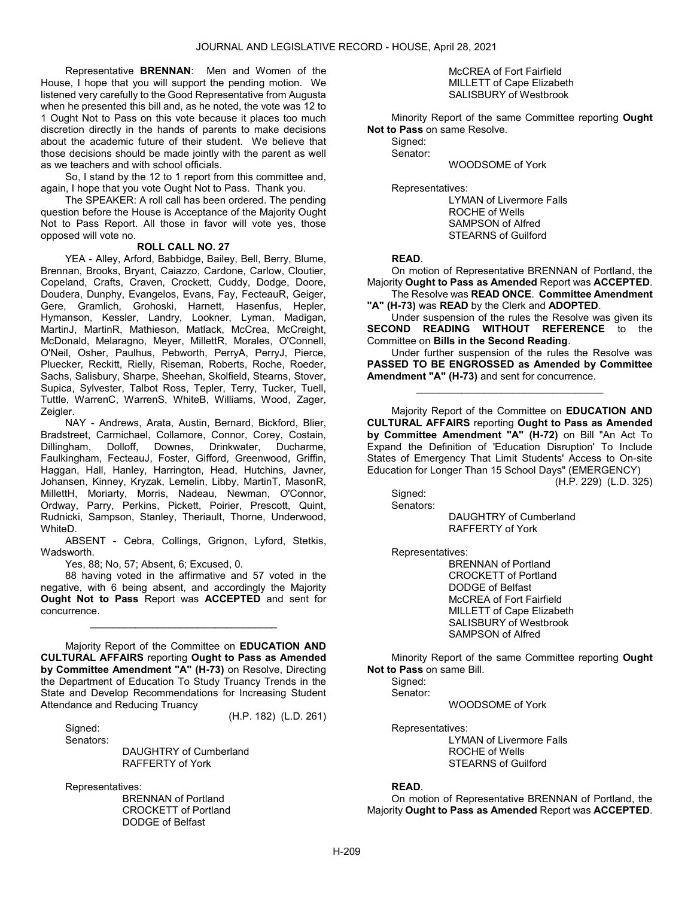Representative BRENNAN: Men and Women of the House, I hope that you will support the pending motion. We listened very carefully to the Good Representative from Augusta when he presented this bill and, as he noted, the vote was 12 to 1 Ought Not to Pass on this vote because it places too much discretion directly in the hands of parents to make decisions about the academic future of their student. We believe that those decisions should be made jointly with the parent as well as we teachers and with school officials.

 So, I stand by the 12 to 1 report from this committee and, again, I hope that you vote Ought Not to Pass. Thank you.

 The SPEAKER: A roll call has been ordered. The pending question before the House is Acceptance of the Majority Ought Not to Pass Report. All those in favor will vote yes, those opposed will vote no.

#### ROLL CALL NO. 27

 YEA - Alley, Arford, Babbidge, Bailey, Bell, Berry, Blume, Brennan, Brooks, Bryant, Caiazzo, Cardone, Carlow, Cloutier, Copeland, Crafts, Craven, Crockett, Cuddy, Dodge, Doore, Doudera, Dunphy, Evangelos, Evans, Fay, FecteauR, Geiger, Gere, Gramlich, Grohoski, Harnett, Hasenfus, Hepler, Hymanson, Kessler, Landry, Lookner, Lyman, Madigan, MartinJ, MartinR, Mathieson, Matlack, McCrea, McCreight, McDonald, Melaragno, Meyer, MillettR, Morales, O'Connell, O'Neil, Osher, Paulhus, Pebworth, PerryA, PerryJ, Pierce, Pluecker, Reckitt, Rielly, Riseman, Roberts, Roche, Roeder, Sachs, Salisbury, Sharpe, Sheehan, Skolfield, Stearns, Stover, Supica, Sylvester, Talbot Ross, Tepler, Terry, Tucker, Tuell, Tuttle, WarrenC, WarrenS, WhiteB, Williams, Wood, Zager, Zeigler.

 NAY - Andrews, Arata, Austin, Bernard, Bickford, Blier, Bradstreet, Carmichael, Collamore, Connor, Corey, Costain, Dillingham, Dolloff, Downes, Drinkwater, Ducharme, Faulkingham, FecteauJ, Foster, Gifford, Greenwood, Griffin, Haggan, Hall, Hanley, Harrington, Head, Hutchins, Javner, Johansen, Kinney, Kryzak, Lemelin, Libby, MartinT, MasonR, MillettH, Moriarty, Morris, Nadeau, Newman, O'Connor, Ordway, Parry, Perkins, Pickett, Poirier, Prescott, Quint, Rudnicki, Sampson, Stanley, Theriault, Thorne, Underwood, WhiteD.

 ABSENT - Cebra, Collings, Grignon, Lyford, Stetkis, Wadsworth.

Yes, 88; No, 57; Absent, 6; Excused, 0.

 88 having voted in the affirmative and 57 voted in the negative, with 6 being absent, and accordingly the Majority Ought Not to Pass Report was ACCEPTED and sent for concurrence.

\_\_\_\_\_\_\_\_\_\_\_\_\_\_\_\_\_\_\_\_\_\_\_\_\_\_\_\_\_\_\_\_\_

 Majority Report of the Committee on EDUCATION AND CULTURAL AFFAIRS reporting Ought to Pass as Amended by Committee Amendment "A" (H-73) on Resolve, Directing the Department of Education To Study Truancy Trends in the State and Develop Recommendations for Increasing Student Attendance and Reducing Truancy

(H.P. 182) (L.D. 261)

Sianed: Senators:

 DAUGHTRY of Cumberland RAFFERTY of York

Representatives:

 BRENNAN of Portland CROCKETT of Portland DODGE of Belfast

 McCREA of Fort Fairfield MILLETT of Cape Elizabeth SALISBURY of Westbrook

 Minority Report of the same Committee reporting Ought Not to Pass on same Resolve.

 Signed: Senator:

WOODSOME of York

Representatives:

 LYMAN of Livermore Falls ROCHE of Wells SAMPSON of Alfred STEARNS of Guilford

READ.

 On motion of Representative BRENNAN of Portland, the Majority Ought to Pass as Amended Report was ACCEPTED. The Resolve was READ ONCE. Committee Amendment

"A" (H-73) was READ by the Clerk and ADOPTED.

 Under suspension of the rules the Resolve was given its SECOND READING WITHOUT REFERENCE to the Committee on Bills in the Second Reading.

 Under further suspension of the rules the Resolve was PASSED TO BE ENGROSSED as Amended by Committee Amendment "A" (H-73) and sent for concurrence.

\_\_\_\_\_\_\_\_\_\_\_\_\_\_\_\_\_\_\_\_\_\_\_\_\_\_\_\_\_\_\_\_\_

 Majority Report of the Committee on EDUCATION AND CULTURAL AFFAIRS reporting Ought to Pass as Amended by Committee Amendment "A" (H-72) on Bill "An Act To Expand the Definition of 'Education Disruption' To Include States of Emergency That Limit Students' Access to On-site Education for Longer Than 15 School Days" (EMERGENCY)

(H.P. 229) (L.D. 325)

 Signed: Senators:

> DAUGHTRY of Cumberland RAFFERTY of York

Representatives:

 BRENNAN of Portland CROCKETT of Portland DODGE of Belfast McCREA of Fort Fairfield MILLETT of Cape Elizabeth SALISBURY of Westbrook SAMPSON of Alfred

 Minority Report of the same Committee reporting Ought Not to Pass on same Bill.

 Signed: Senator:

WOODSOME of York

Representatives:

 LYMAN of Livermore Falls ROCHE of Wells STEARNS of Guilford

#### READ.

 On motion of Representative BRENNAN of Portland, the Majority Ought to Pass as Amended Report was ACCEPTED.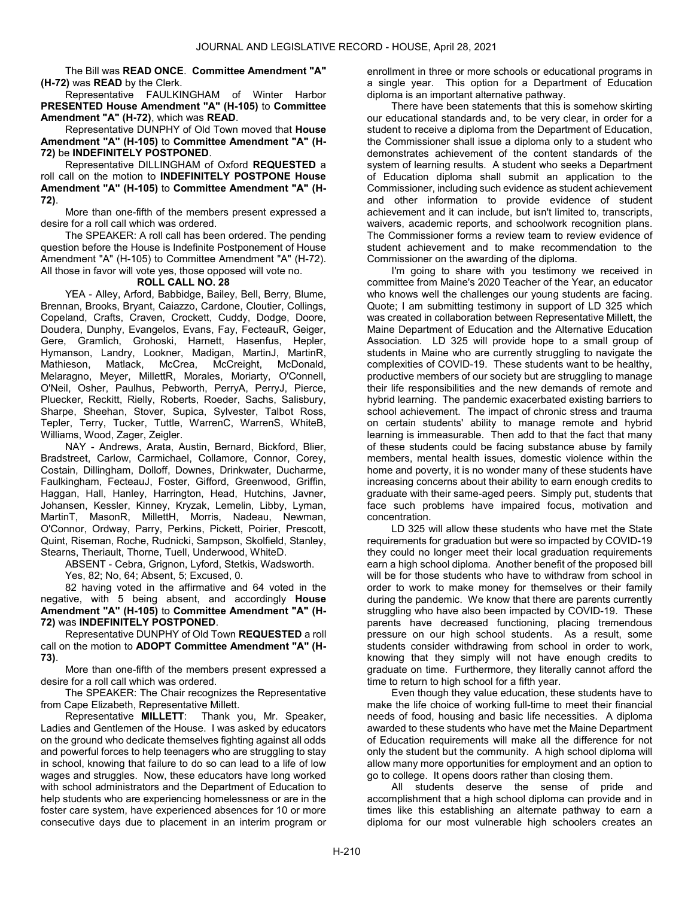The Bill was READ ONCE. Committee Amendment "A" (H-72) was READ by the Clerk.

Representative FAULKINGHAM of Winter Harbor PRESENTED House Amendment "A" (H-105) to Committee Amendment "A" (H-72), which was READ.

Representative DUNPHY of Old Town moved that House Amendment "A" (H-105) to Committee Amendment "A" (H-72) be INDEFINITELY POSTPONED.

 Representative DILLINGHAM of Oxford REQUESTED a roll call on the motion to INDEFINITELY POSTPONE House Amendment "A" (H-105) to Committee Amendment "A" (H-72).

 More than one-fifth of the members present expressed a desire for a roll call which was ordered.

 The SPEAKER: A roll call has been ordered. The pending question before the House is Indefinite Postponement of House Amendment "A" (H-105) to Committee Amendment "A" (H-72). All those in favor will vote yes, those opposed will vote no.

### ROLL CALL NO. 28

 YEA - Alley, Arford, Babbidge, Bailey, Bell, Berry, Blume, Brennan, Brooks, Bryant, Caiazzo, Cardone, Cloutier, Collings, Copeland, Crafts, Craven, Crockett, Cuddy, Dodge, Doore, Doudera, Dunphy, Evangelos, Evans, Fay, FecteauR, Geiger, Gere, Gramlich, Grohoski, Harnett, Hasenfus, Hepler, Hymanson, Landry, Lookner, Madigan, MartinJ, MartinR, Mathieson, Matlack, McCrea, McCreight, McDonald, Melaragno, Meyer, MillettR, Morales, Moriarty, O'Connell, O'Neil, Osher, Paulhus, Pebworth, PerryA, PerryJ, Pierce, Pluecker, Reckitt, Rielly, Roberts, Roeder, Sachs, Salisbury, Sharpe, Sheehan, Stover, Supica, Sylvester, Talbot Ross, Tepler, Terry, Tucker, Tuttle, WarrenC, WarrenS, WhiteB, Williams, Wood, Zager, Zeigler.

 NAY - Andrews, Arata, Austin, Bernard, Bickford, Blier, Bradstreet, Carlow, Carmichael, Collamore, Connor, Corey, Costain, Dillingham, Dolloff, Downes, Drinkwater, Ducharme, Faulkingham, FecteauJ, Foster, Gifford, Greenwood, Griffin, Haggan, Hall, Hanley, Harrington, Head, Hutchins, Javner, Johansen, Kessler, Kinney, Kryzak, Lemelin, Libby, Lyman, MartinT, MasonR, MillettH, Morris, Nadeau, Newman, O'Connor, Ordway, Parry, Perkins, Pickett, Poirier, Prescott, Quint, Riseman, Roche, Rudnicki, Sampson, Skolfield, Stanley, Stearns, Theriault, Thorne, Tuell, Underwood, WhiteD.

ABSENT - Cebra, Grignon, Lyford, Stetkis, Wadsworth.

Yes, 82; No, 64; Absent, 5; Excused, 0.

 82 having voted in the affirmative and 64 voted in the negative, with 5 being absent, and accordingly House Amendment "A" (H-105) to Committee Amendment "A" (H-72) was INDEFINITELY POSTPONED.

 Representative DUNPHY of Old Town REQUESTED a roll call on the motion to ADOPT Committee Amendment "A" (H-73).

 More than one-fifth of the members present expressed a desire for a roll call which was ordered.

 The SPEAKER: The Chair recognizes the Representative from Cape Elizabeth, Representative Millett.

 Representative MILLETT: Thank you, Mr. Speaker, Ladies and Gentlemen of the House. I was asked by educators on the ground who dedicate themselves fighting against all odds and powerful forces to help teenagers who are struggling to stay in school, knowing that failure to do so can lead to a life of low wages and struggles. Now, these educators have long worked with school administrators and the Department of Education to help students who are experiencing homelessness or are in the foster care system, have experienced absences for 10 or more consecutive days due to placement in an interim program or enrollment in three or more schools or educational programs in a single year. This option for a Department of Education diploma is an important alternative pathway.

 There have been statements that this is somehow skirting our educational standards and, to be very clear, in order for a student to receive a diploma from the Department of Education, the Commissioner shall issue a diploma only to a student who demonstrates achievement of the content standards of the system of learning results. A student who seeks a Department of Education diploma shall submit an application to the Commissioner, including such evidence as student achievement and other information to provide evidence of student achievement and it can include, but isn't limited to, transcripts, waivers, academic reports, and schoolwork recognition plans. The Commissioner forms a review team to review evidence of student achievement and to make recommendation to the Commissioner on the awarding of the diploma.

 I'm going to share with you testimony we received in committee from Maine's 2020 Teacher of the Year, an educator who knows well the challenges our young students are facing. Quote; I am submitting testimony in support of LD 325 which was created in collaboration between Representative Millett, the Maine Department of Education and the Alternative Education Association. LD 325 will provide hope to a small group of students in Maine who are currently struggling to navigate the complexities of COVID-19. These students want to be healthy, productive members of our society but are struggling to manage their life responsibilities and the new demands of remote and hybrid learning. The pandemic exacerbated existing barriers to school achievement. The impact of chronic stress and trauma on certain students' ability to manage remote and hybrid learning is immeasurable. Then add to that the fact that many of these students could be facing substance abuse by family members, mental health issues, domestic violence within the home and poverty, it is no wonder many of these students have increasing concerns about their ability to earn enough credits to graduate with their same-aged peers. Simply put, students that face such problems have impaired focus, motivation and concentration.

 LD 325 will allow these students who have met the State requirements for graduation but were so impacted by COVID-19 they could no longer meet their local graduation requirements earn a high school diploma. Another benefit of the proposed bill will be for those students who have to withdraw from school in order to work to make money for themselves or their family during the pandemic. We know that there are parents currently struggling who have also been impacted by COVID-19. These parents have decreased functioning, placing tremendous pressure on our high school students. As a result, some students consider withdrawing from school in order to work, knowing that they simply will not have enough credits to graduate on time. Furthermore, they literally cannot afford the time to return to high school for a fifth year.

 Even though they value education, these students have to make the life choice of working full-time to meet their financial needs of food, housing and basic life necessities. A diploma awarded to these students who have met the Maine Department of Education requirements will make all the difference for not only the student but the community. A high school diploma will allow many more opportunities for employment and an option to go to college. It opens doors rather than closing them.

 All students deserve the sense of pride and accomplishment that a high school diploma can provide and in times like this establishing an alternate pathway to earn a diploma for our most vulnerable high schoolers creates an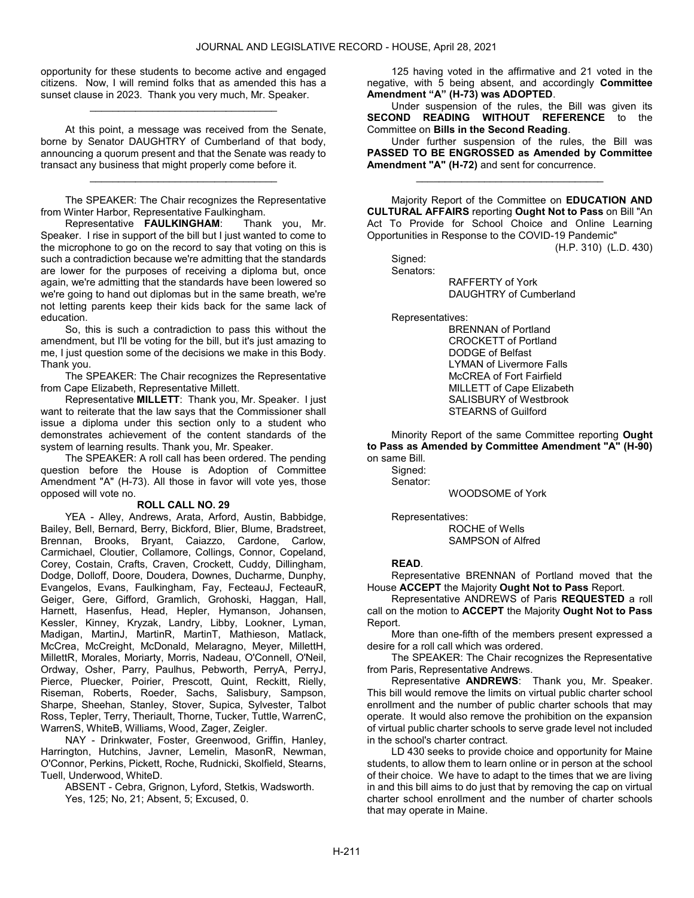opportunity for these students to become active and engaged citizens. Now, I will remind folks that as amended this has a sunset clause in 2023. Thank you very much, Mr. Speaker.

\_\_\_\_\_\_\_\_\_\_\_\_\_\_\_\_\_\_\_\_\_\_\_\_\_\_\_\_\_\_\_\_\_

 At this point, a message was received from the Senate, borne by Senator DAUGHTRY of Cumberland of that body, announcing a quorum present and that the Senate was ready to transact any business that might properly come before it.

\_\_\_\_\_\_\_\_\_\_\_\_\_\_\_\_\_\_\_\_\_\_\_\_\_\_\_\_\_\_\_\_\_

 The SPEAKER: The Chair recognizes the Representative from Winter Harbor, Representative Faulkingham.

 Representative FAULKINGHAM: Thank you, Mr. Speaker. I rise in support of the bill but I just wanted to come to the microphone to go on the record to say that voting on this is such a contradiction because we're admitting that the standards are lower for the purposes of receiving a diploma but, once again, we're admitting that the standards have been lowered so we're going to hand out diplomas but in the same breath, we're not letting parents keep their kids back for the same lack of education.

 So, this is such a contradiction to pass this without the amendment, but I'll be voting for the bill, but it's just amazing to me, I just question some of the decisions we make in this Body. Thank you.

 The SPEAKER: The Chair recognizes the Representative from Cape Elizabeth, Representative Millett.

 Representative MILLETT: Thank you, Mr. Speaker. I just want to reiterate that the law says that the Commissioner shall issue a diploma under this section only to a student who demonstrates achievement of the content standards of the system of learning results. Thank you, Mr. Speaker.

 The SPEAKER: A roll call has been ordered. The pending question before the House is Adoption of Committee Amendment "A" (H-73). All those in favor will vote yes, those opposed will vote no.

#### ROLL CALL NO. 29

 YEA - Alley, Andrews, Arata, Arford, Austin, Babbidge, Bailey, Bell, Bernard, Berry, Bickford, Blier, Blume, Bradstreet, Brennan, Brooks, Bryant, Caiazzo, Cardone, Carlow, Carmichael, Cloutier, Collamore, Collings, Connor, Copeland, Corey, Costain, Crafts, Craven, Crockett, Cuddy, Dillingham, Dodge, Dolloff, Doore, Doudera, Downes, Ducharme, Dunphy, Evangelos, Evans, Faulkingham, Fay, FecteauJ, FecteauR, Geiger, Gere, Gifford, Gramlich, Grohoski, Haggan, Hall, Harnett, Hasenfus, Head, Hepler, Hymanson, Johansen, Kessler, Kinney, Kryzak, Landry, Libby, Lookner, Lyman, Madigan, MartinJ, MartinR, MartinT, Mathieson, Matlack, McCrea, McCreight, McDonald, Melaragno, Meyer, MillettH, MillettR, Morales, Moriarty, Morris, Nadeau, O'Connell, O'Neil, Ordway, Osher, Parry, Paulhus, Pebworth, PerryA, PerryJ, Pierce, Pluecker, Poirier, Prescott, Quint, Reckitt, Rielly, Riseman, Roberts, Roeder, Sachs, Salisbury, Sampson, Sharpe, Sheehan, Stanley, Stover, Supica, Sylvester, Talbot Ross, Tepler, Terry, Theriault, Thorne, Tucker, Tuttle, WarrenC, WarrenS, WhiteB, Williams, Wood, Zager, Zeigler.

 NAY - Drinkwater, Foster, Greenwood, Griffin, Hanley, Harrington, Hutchins, Javner, Lemelin, MasonR, Newman, O'Connor, Perkins, Pickett, Roche, Rudnicki, Skolfield, Stearns, Tuell, Underwood, WhiteD.

 ABSENT - Cebra, Grignon, Lyford, Stetkis, Wadsworth. Yes, 125; No, 21; Absent, 5; Excused, 0.

 125 having voted in the affirmative and 21 voted in the negative, with 5 being absent, and accordingly Committee Amendment "A" (H-73) was ADOPTED.

 Under suspension of the rules, the Bill was given its SECOND READING WITHOUT REFERENCE to the Committee on Bills in the Second Reading.

 Under further suspension of the rules, the Bill was PASSED TO BE ENGROSSED as Amended by Committee Amendment "A" (H-72) and sent for concurrence.

\_\_\_\_\_\_\_\_\_\_\_\_\_\_\_\_\_\_\_\_\_\_\_\_\_\_\_\_\_\_\_\_\_

 Majority Report of the Committee on EDUCATION AND CULTURAL AFFAIRS reporting Ought Not to Pass on Bill "An Act To Provide for School Choice and Online Learning Opportunities in Response to the COVID-19 Pandemic"

(H.P. 310) (L.D. 430)

 Signed: Senators: RAFFERTY of York DAUGHTRY of Cumberland

Representatives:

 BRENNAN of Portland CROCKETT of Portland DODGE of Belfast LYMAN of Livermore Falls McCREA of Fort Fairfield MILLETT of Cape Elizabeth SALISBURY of Westbrook STEARNS of Guilford

 Minority Report of the same Committee reporting Ought to Pass as Amended by Committee Amendment "A" (H-90) on same Bill.

Sianed: Senator:

WOODSOME of York

Representatives:

 ROCHE of Wells SAMPSON of Alfred

## READ.

 Representative BRENNAN of Portland moved that the House ACCEPT the Majority Ought Not to Pass Report.

 Representative ANDREWS of Paris REQUESTED a roll call on the motion to ACCEPT the Majority Ought Not to Pass Report.

 More than one-fifth of the members present expressed a desire for a roll call which was ordered.

 The SPEAKER: The Chair recognizes the Representative from Paris, Representative Andrews.

 Representative ANDREWS: Thank you, Mr. Speaker. This bill would remove the limits on virtual public charter school enrollment and the number of public charter schools that may operate. It would also remove the prohibition on the expansion of virtual public charter schools to serve grade level not included in the school's charter contract.

 LD 430 seeks to provide choice and opportunity for Maine students, to allow them to learn online or in person at the school of their choice. We have to adapt to the times that we are living in and this bill aims to do just that by removing the cap on virtual charter school enrollment and the number of charter schools that may operate in Maine.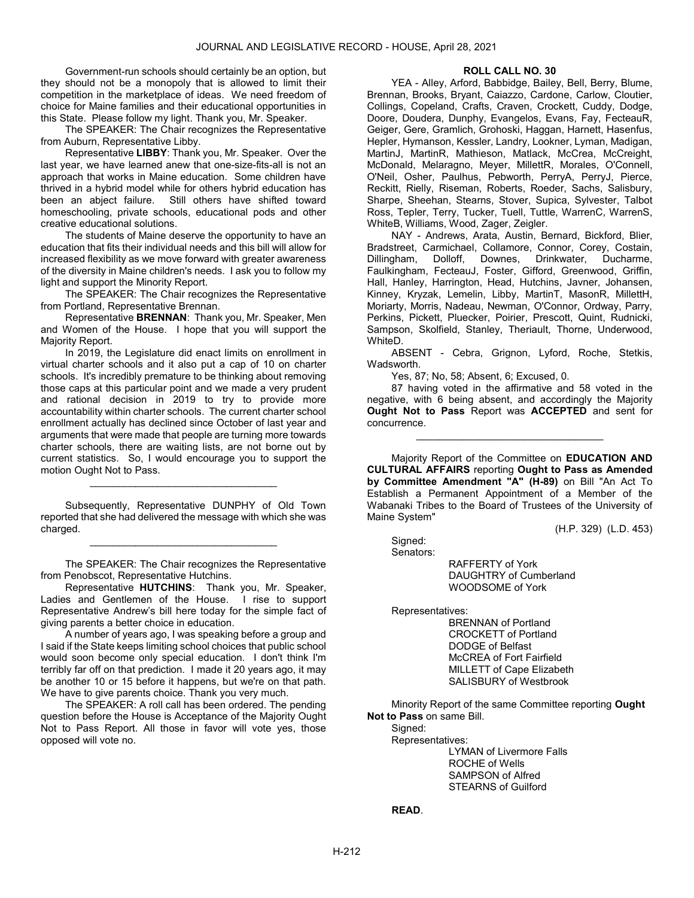Government-run schools should certainly be an option, but they should not be a monopoly that is allowed to limit their competition in the marketplace of ideas. We need freedom of choice for Maine families and their educational opportunities in this State. Please follow my light. Thank you, Mr. Speaker.

 The SPEAKER: The Chair recognizes the Representative from Auburn, Representative Libby.

 Representative LIBBY: Thank you, Mr. Speaker. Over the last year, we have learned anew that one-size-fits-all is not an approach that works in Maine education. Some children have thrived in a hybrid model while for others hybrid education has been an abject failure. Still others have shifted toward homeschooling, private schools, educational pods and other creative educational solutions.

 The students of Maine deserve the opportunity to have an education that fits their individual needs and this bill will allow for increased flexibility as we move forward with greater awareness of the diversity in Maine children's needs. I ask you to follow my light and support the Minority Report.

 The SPEAKER: The Chair recognizes the Representative from Portland, Representative Brennan.

 Representative BRENNAN: Thank you, Mr. Speaker, Men and Women of the House. I hope that you will support the Majority Report.

 In 2019, the Legislature did enact limits on enrollment in virtual charter schools and it also put a cap of 10 on charter schools. It's incredibly premature to be thinking about removing those caps at this particular point and we made a very prudent and rational decision in 2019 to try to provide more accountability within charter schools. The current charter school enrollment actually has declined since October of last year and arguments that were made that people are turning more towards charter schools, there are waiting lists, are not borne out by current statistics. So, I would encourage you to support the motion Ought Not to Pass.

 Subsequently, Representative DUNPHY of Old Town reported that she had delivered the message with which she was charged.

\_\_\_\_\_\_\_\_\_\_\_\_\_\_\_\_\_\_\_\_\_\_\_\_\_\_\_\_\_\_\_\_\_

\_\_\_\_\_\_\_\_\_\_\_\_\_\_\_\_\_\_\_\_\_\_\_\_\_\_\_\_\_\_\_\_\_

 The SPEAKER: The Chair recognizes the Representative from Penobscot, Representative Hutchins.

 Representative HUTCHINS: Thank you, Mr. Speaker, Ladies and Gentlemen of the House. I rise to support Representative Andrew's bill here today for the simple fact of giving parents a better choice in education.

 A number of years ago, I was speaking before a group and I said if the State keeps limiting school choices that public school would soon become only special education. I don't think I'm terribly far off on that prediction. I made it 20 years ago, it may be another 10 or 15 before it happens, but we're on that path. We have to give parents choice. Thank you very much.

 The SPEAKER: A roll call has been ordered. The pending question before the House is Acceptance of the Majority Ought Not to Pass Report. All those in favor will vote yes, those opposed will vote no.

### ROLL CALL NO. 30

 YEA - Alley, Arford, Babbidge, Bailey, Bell, Berry, Blume, Brennan, Brooks, Bryant, Caiazzo, Cardone, Carlow, Cloutier, Collings, Copeland, Crafts, Craven, Crockett, Cuddy, Dodge, Doore, Doudera, Dunphy, Evangelos, Evans, Fay, FecteauR, Geiger, Gere, Gramlich, Grohoski, Haggan, Harnett, Hasenfus, Hepler, Hymanson, Kessler, Landry, Lookner, Lyman, Madigan, MartinJ, MartinR, Mathieson, Matlack, McCrea, McCreight, McDonald, Melaragno, Meyer, MillettR, Morales, O'Connell, O'Neil, Osher, Paulhus, Pebworth, PerryA, PerryJ, Pierce, Reckitt, Rielly, Riseman, Roberts, Roeder, Sachs, Salisbury, Sharpe, Sheehan, Stearns, Stover, Supica, Sylvester, Talbot Ross, Tepler, Terry, Tucker, Tuell, Tuttle, WarrenC, WarrenS, WhiteB, Williams, Wood, Zager, Zeigler.

 NAY - Andrews, Arata, Austin, Bernard, Bickford, Blier, Bradstreet, Carmichael, Collamore, Connor, Corey, Costain,<br>Dillingham, Dolloff, Downes, Drinkwater, Ducharme, Dillingham, Dolloff, Downes, Drinkwater, Ducharme, Faulkingham, FecteauJ, Foster, Gifford, Greenwood, Griffin, Hall, Hanley, Harrington, Head, Hutchins, Javner, Johansen, Kinney, Kryzak, Lemelin, Libby, MartinT, MasonR, MillettH, Moriarty, Morris, Nadeau, Newman, O'Connor, Ordway, Parry, Perkins, Pickett, Pluecker, Poirier, Prescott, Quint, Rudnicki, Sampson, Skolfield, Stanley, Theriault, Thorne, Underwood, WhiteD.

 ABSENT - Cebra, Grignon, Lyford, Roche, Stetkis, Wadsworth.

Yes, 87; No, 58; Absent, 6; Excused, 0.

 87 having voted in the affirmative and 58 voted in the negative, with 6 being absent, and accordingly the Majority Ought Not to Pass Report was ACCEPTED and sent for concurrence.

\_\_\_\_\_\_\_\_\_\_\_\_\_\_\_\_\_\_\_\_\_\_\_\_\_\_\_\_\_\_\_\_\_

 Majority Report of the Committee on EDUCATION AND CULTURAL AFFAIRS reporting Ought to Pass as Amended by Committee Amendment "A" (H-89) on Bill "An Act To Establish a Permanent Appointment of a Member of the Wabanaki Tribes to the Board of Trustees of the University of Maine System"

(H.P. 329) (L.D. 453)

 Signed: Senators:

 RAFFERTY of York DAUGHTRY of Cumberland WOODSOME of York

Representatives:

 BRENNAN of Portland CROCKETT of Portland DODGE of Belfast McCREA of Fort Fairfield MILLETT of Cape Elizabeth SALISBURY of Westbrook

 Minority Report of the same Committee reporting Ought Not to Pass on same Bill.

 Representatives: LYMAN of Livermore Falls ROCHE of Wells SAMPSON of Alfred STEARNS of Guilford

# READ.

Signed: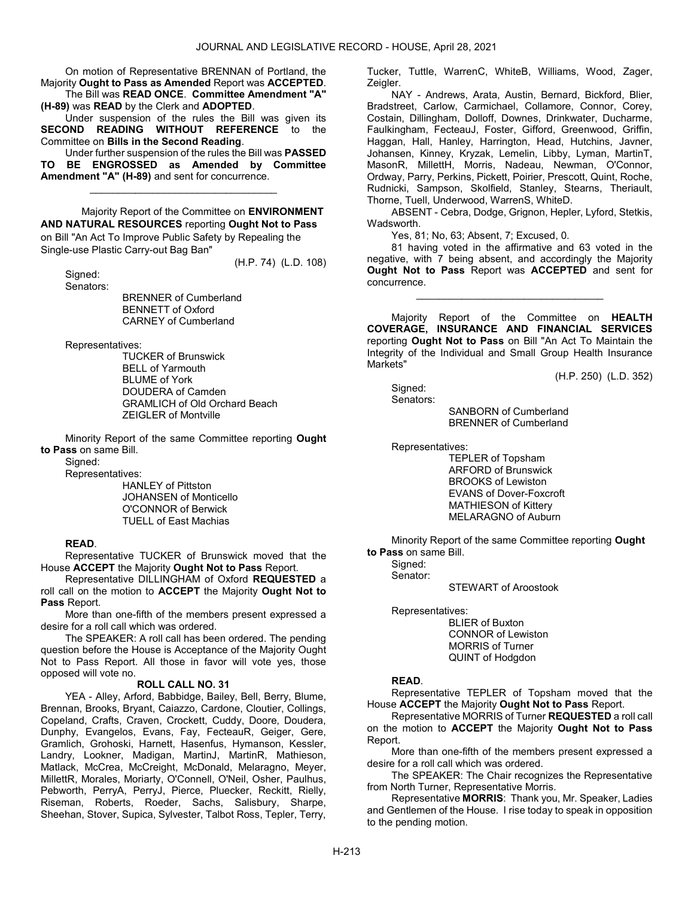On motion of Representative BRENNAN of Portland, the Majority Ought to Pass as Amended Report was ACCEPTED. The Bill was READ ONCE. Committee Amendment "A"

(H-89) was READ by the Clerk and ADOPTED.

 Under suspension of the rules the Bill was given its SECOND READING WITHOUT REFERENCE to the Committee on Bills in the Second Reading.

 Under further suspension of the rules the Bill was PASSED TO BE ENGROSSED as Amended by Committee Amendment "A" (H-89) and sent for concurrence.

\_\_\_\_\_\_\_\_\_\_\_\_\_\_\_\_\_\_\_\_\_\_\_\_\_\_\_\_\_\_\_\_\_

 Majority Report of the Committee on ENVIRONMENT AND NATURAL RESOURCES reporting Ought Not to Pass on Bill "An Act To Improve Public Safety by Repealing the Single-use Plastic Carry-out Bag Ban"

 Signed: Senators: (H.P. 74) (L.D. 108)

 BRENNER of Cumberland BENNETT of Oxford CARNEY of Cumberland

Representatives:

 TUCKER of Brunswick BELL of Yarmouth BLUME of York DOUDERA of Camden GRAMLICH of Old Orchard Beach ZEIGLER of Montville

 Minority Report of the same Committee reporting Ought to Pass on same Bill.

Signed:

Representatives:

 HANLEY of Pittston JOHANSEN of Monticello O'CONNOR of Berwick TUELL of East Machias

## READ.

 Representative TUCKER of Brunswick moved that the House ACCEPT the Majority Ought Not to Pass Report.

 Representative DILLINGHAM of Oxford REQUESTED a roll call on the motion to ACCEPT the Majority Ought Not to Pass Report.

 More than one-fifth of the members present expressed a desire for a roll call which was ordered.

 The SPEAKER: A roll call has been ordered. The pending question before the House is Acceptance of the Majority Ought Not to Pass Report. All those in favor will vote yes, those opposed will vote no.

## ROLL CALL NO. 31

 YEA - Alley, Arford, Babbidge, Bailey, Bell, Berry, Blume, Brennan, Brooks, Bryant, Caiazzo, Cardone, Cloutier, Collings, Copeland, Crafts, Craven, Crockett, Cuddy, Doore, Doudera, Dunphy, Evangelos, Evans, Fay, FecteauR, Geiger, Gere, Gramlich, Grohoski, Harnett, Hasenfus, Hymanson, Kessler, Landry, Lookner, Madigan, MartinJ, MartinR, Mathieson, Matlack, McCrea, McCreight, McDonald, Melaragno, Meyer, MillettR, Morales, Moriarty, O'Connell, O'Neil, Osher, Paulhus, Pebworth, PerryA, PerryJ, Pierce, Pluecker, Reckitt, Rielly, Riseman, Roberts, Roeder, Sachs, Salisbury, Sharpe, Sheehan, Stover, Supica, Sylvester, Talbot Ross, Tepler, Terry, Tucker, Tuttle, WarrenC, WhiteB, Williams, Wood, Zager, Zeigler.

 NAY - Andrews, Arata, Austin, Bernard, Bickford, Blier, Bradstreet, Carlow, Carmichael, Collamore, Connor, Corey, Costain, Dillingham, Dolloff, Downes, Drinkwater, Ducharme, Faulkingham, FecteauJ, Foster, Gifford, Greenwood, Griffin, Haggan, Hall, Hanley, Harrington, Head, Hutchins, Javner, Johansen, Kinney, Kryzak, Lemelin, Libby, Lyman, MartinT, MasonR, MillettH, Morris, Nadeau, Newman, O'Connor, Ordway, Parry, Perkins, Pickett, Poirier, Prescott, Quint, Roche, Rudnicki, Sampson, Skolfield, Stanley, Stearns, Theriault, Thorne, Tuell, Underwood, WarrenS, WhiteD.

 ABSENT - Cebra, Dodge, Grignon, Hepler, Lyford, Stetkis, Wadsworth.

Yes, 81; No, 63; Absent, 7; Excused, 0.

 81 having voted in the affirmative and 63 voted in the negative, with 7 being absent, and accordingly the Majority Ought Not to Pass Report was ACCEPTED and sent for concurrence.

\_\_\_\_\_\_\_\_\_\_\_\_\_\_\_\_\_\_\_\_\_\_\_\_\_\_\_\_\_\_\_\_\_

Majority Report of the Committee on HEALTH COVERAGE, INSURANCE AND FINANCIAL SERVICES reporting Ought Not to Pass on Bill "An Act To Maintain the Integrity of the Individual and Small Group Health Insurance Markets"

(H.P. 250) (L.D. 352)

 Signed: Senators:

 SANBORN of Cumberland BRENNER of Cumberland

Representatives:

 TEPLER of Topsham ARFORD of Brunswick BROOKS of Lewiston EVANS of Dover-Foxcroft MATHIESON of Kittery MELARAGNO of Auburn

 Minority Report of the same Committee reporting Ought to Pass on same Bill.

 Signed: Senator:

STEWART of Aroostook

Representatives:

 BLIER of Buxton CONNOR of Lewiston MORRIS of Turner QUINT of Hodgdon

# READ.

 Representative TEPLER of Topsham moved that the House ACCEPT the Majority Ought Not to Pass Report.

 Representative MORRIS of Turner REQUESTED a roll call on the motion to ACCEPT the Majority Ought Not to Pass Report.

 More than one-fifth of the members present expressed a desire for a roll call which was ordered.

 The SPEAKER: The Chair recognizes the Representative from North Turner, Representative Morris.

 Representative MORRIS: Thank you, Mr. Speaker, Ladies and Gentlemen of the House. I rise today to speak in opposition to the pending motion.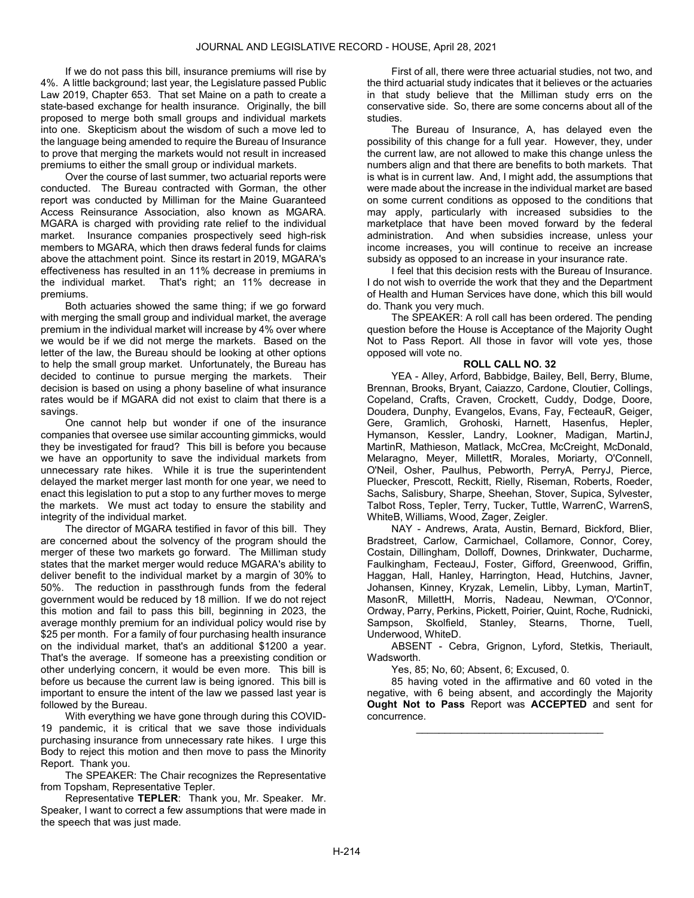If we do not pass this bill, insurance premiums will rise by 4%. A little background; last year, the Legislature passed Public Law 2019, Chapter 653. That set Maine on a path to create a state-based exchange for health insurance. Originally, the bill proposed to merge both small groups and individual markets into one. Skepticism about the wisdom of such a move led to the language being amended to require the Bureau of Insurance to prove that merging the markets would not result in increased premiums to either the small group or individual markets.

 Over the course of last summer, two actuarial reports were conducted. The Bureau contracted with Gorman, the other report was conducted by Milliman for the Maine Guaranteed Access Reinsurance Association, also known as MGARA. MGARA is charged with providing rate relief to the individual market. Insurance companies prospectively seed high-risk members to MGARA, which then draws federal funds for claims above the attachment point. Since its restart in 2019, MGARA's effectiveness has resulted in an 11% decrease in premiums in the individual market. That's right; an 11% decrease in premiums.

 Both actuaries showed the same thing; if we go forward with merging the small group and individual market, the average premium in the individual market will increase by 4% over where we would be if we did not merge the markets. Based on the letter of the law, the Bureau should be looking at other options to help the small group market. Unfortunately, the Bureau has decided to continue to pursue merging the markets. Their decision is based on using a phony baseline of what insurance rates would be if MGARA did not exist to claim that there is a savings.

 One cannot help but wonder if one of the insurance companies that oversee use similar accounting gimmicks, would they be investigated for fraud? This bill is before you because we have an opportunity to save the individual markets from unnecessary rate hikes. While it is true the superintendent delayed the market merger last month for one year, we need to enact this legislation to put a stop to any further moves to merge the markets. We must act today to ensure the stability and integrity of the individual market.

 The director of MGARA testified in favor of this bill. They are concerned about the solvency of the program should the merger of these two markets go forward. The Milliman study states that the market merger would reduce MGARA's ability to deliver benefit to the individual market by a margin of 30% to 50%. The reduction in passthrough funds from the federal government would be reduced by 18 million. If we do not reject this motion and fail to pass this bill, beginning in 2023, the average monthly premium for an individual policy would rise by \$25 per month. For a family of four purchasing health insurance on the individual market, that's an additional \$1200 a year. That's the average. If someone has a preexisting condition or other underlying concern, it would be even more. This bill is before us because the current law is being ignored. This bill is important to ensure the intent of the law we passed last year is followed by the Bureau.

 With everything we have gone through during this COVID-19 pandemic, it is critical that we save those individuals purchasing insurance from unnecessary rate hikes. I urge this Body to reject this motion and then move to pass the Minority Report. Thank you.

 The SPEAKER: The Chair recognizes the Representative from Topsham, Representative Tepler.

 Representative TEPLER: Thank you, Mr. Speaker. Mr. Speaker, I want to correct a few assumptions that were made in the speech that was just made.

 First of all, there were three actuarial studies, not two, and the third actuarial study indicates that it believes or the actuaries in that study believe that the Milliman study errs on the conservative side. So, there are some concerns about all of the studies.

 The Bureau of Insurance, A, has delayed even the possibility of this change for a full year. However, they, under the current law, are not allowed to make this change unless the numbers align and that there are benefits to both markets. That is what is in current law. And, I might add, the assumptions that were made about the increase in the individual market are based on some current conditions as opposed to the conditions that may apply, particularly with increased subsidies to the marketplace that have been moved forward by the federal administration. And when subsidies increase, unless your income increases, you will continue to receive an increase subsidy as opposed to an increase in your insurance rate.

 I feel that this decision rests with the Bureau of Insurance. I do not wish to override the work that they and the Department of Health and Human Services have done, which this bill would do. Thank you very much.

 The SPEAKER: A roll call has been ordered. The pending question before the House is Acceptance of the Majority Ought Not to Pass Report. All those in favor will vote yes, those opposed will vote no.

### ROLL CALL NO. 32

 YEA - Alley, Arford, Babbidge, Bailey, Bell, Berry, Blume, Brennan, Brooks, Bryant, Caiazzo, Cardone, Cloutier, Collings, Copeland, Crafts, Craven, Crockett, Cuddy, Dodge, Doore, Doudera, Dunphy, Evangelos, Evans, Fay, FecteauR, Geiger, Gere, Gramlich, Grohoski, Harnett, Hasenfus, Hepler, Hymanson, Kessler, Landry, Lookner, Madigan, MartinJ, MartinR, Mathieson, Matlack, McCrea, McCreight, McDonald, Melaragno, Meyer, MillettR, Morales, Moriarty, O'Connell, O'Neil, Osher, Paulhus, Pebworth, PerryA, PerryJ, Pierce, Pluecker, Prescott, Reckitt, Rielly, Riseman, Roberts, Roeder, Sachs, Salisbury, Sharpe, Sheehan, Stover, Supica, Sylvester, Talbot Ross, Tepler, Terry, Tucker, Tuttle, WarrenC, WarrenS, WhiteB, Williams, Wood, Zager, Zeigler.

 NAY - Andrews, Arata, Austin, Bernard, Bickford, Blier, Bradstreet, Carlow, Carmichael, Collamore, Connor, Corey, Costain, Dillingham, Dolloff, Downes, Drinkwater, Ducharme, Faulkingham, FecteauJ, Foster, Gifford, Greenwood, Griffin, Haggan, Hall, Hanley, Harrington, Head, Hutchins, Javner, Johansen, Kinney, Kryzak, Lemelin, Libby, Lyman, MartinT, MasonR, MillettH, Morris, Nadeau, Newman, O'Connor, Ordway, Parry, Perkins, Pickett, Poirier, Quint, Roche, Rudnicki, Sampson, Skolfield, Stanley, Stearns, Thorne, Tuell, Underwood, WhiteD.

 ABSENT - Cebra, Grignon, Lyford, Stetkis, Theriault, Wadsworth.

Yes, 85; No, 60; Absent, 6; Excused, 0.

 85 having voted in the affirmative and 60 voted in the negative, with 6 being absent, and accordingly the Majority Ought Not to Pass Report was ACCEPTED and sent for concurrence.

\_\_\_\_\_\_\_\_\_\_\_\_\_\_\_\_\_\_\_\_\_\_\_\_\_\_\_\_\_\_\_\_\_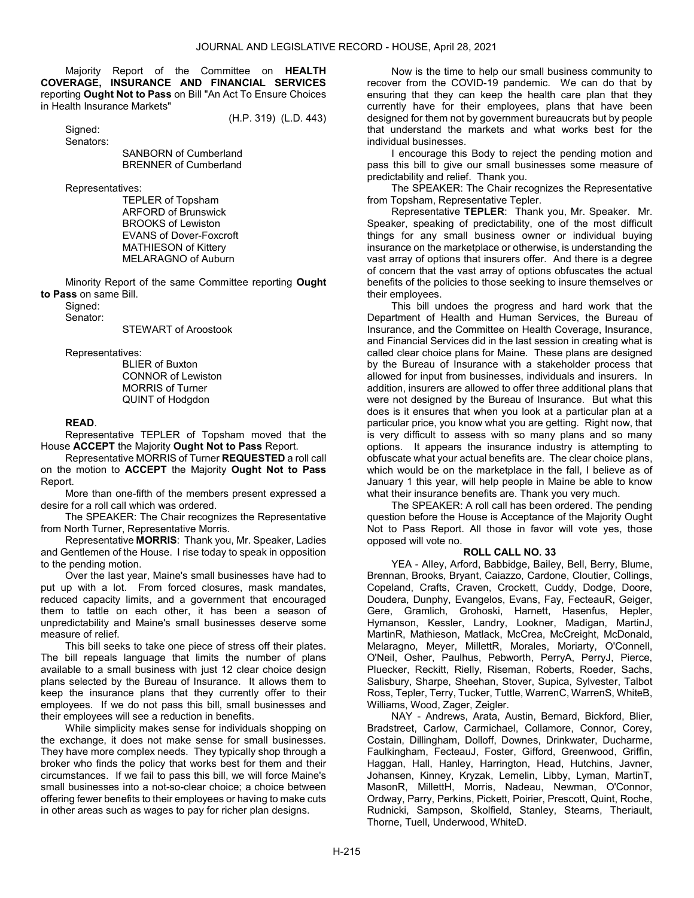Majority Report of the Committee on HEALTH COVERAGE, INSURANCE AND FINANCIAL SERVICES reporting Ought Not to Pass on Bill "An Act To Ensure Choices in Health Insurance Markets"

(H.P. 319) (L.D. 443)

Signed: Senators:

> SANBORN of Cumberland BRENNER of Cumberland

Representatives:

 TEPLER of Topsham ARFORD of Brunswick BROOKS of Lewiston EVANS of Dover-Foxcroft MATHIESON of Kittery MELARAGNO of Auburn

 Minority Report of the same Committee reporting Ought to Pass on same Bill.

Signed:

Senator:

STEWART of Aroostook

Representatives:

 BLIER of Buxton CONNOR of Lewiston MORRIS of Turner QUINT of Hodgdon

# READ.

 Representative TEPLER of Topsham moved that the House ACCEPT the Majority Ought Not to Pass Report.

 Representative MORRIS of Turner REQUESTED a roll call on the motion to ACCEPT the Majority Ought Not to Pass Report.

 More than one-fifth of the members present expressed a desire for a roll call which was ordered.

 The SPEAKER: The Chair recognizes the Representative from North Turner, Representative Morris.

 Representative MORRIS: Thank you, Mr. Speaker, Ladies and Gentlemen of the House. I rise today to speak in opposition to the pending motion.

 Over the last year, Maine's small businesses have had to put up with a lot. From forced closures, mask mandates, reduced capacity limits, and a government that encouraged them to tattle on each other, it has been a season of unpredictability and Maine's small businesses deserve some measure of relief.

 This bill seeks to take one piece of stress off their plates. The bill repeals language that limits the number of plans available to a small business with just 12 clear choice design plans selected by the Bureau of Insurance. It allows them to keep the insurance plans that they currently offer to their employees. If we do not pass this bill, small businesses and their employees will see a reduction in benefits.

 While simplicity makes sense for individuals shopping on the exchange, it does not make sense for small businesses. They have more complex needs. They typically shop through a broker who finds the policy that works best for them and their circumstances. If we fail to pass this bill, we will force Maine's small businesses into a not-so-clear choice; a choice between offering fewer benefits to their employees or having to make cuts in other areas such as wages to pay for richer plan designs.

 Now is the time to help our small business community to recover from the COVID-19 pandemic. We can do that by ensuring that they can keep the health care plan that they currently have for their employees, plans that have been designed for them not by government bureaucrats but by people that understand the markets and what works best for the individual businesses.

 I encourage this Body to reject the pending motion and pass this bill to give our small businesses some measure of predictability and relief. Thank you.

 The SPEAKER: The Chair recognizes the Representative from Topsham, Representative Tepler.

 Representative TEPLER: Thank you, Mr. Speaker. Mr. Speaker, speaking of predictability, one of the most difficult things for any small business owner or individual buying insurance on the marketplace or otherwise, is understanding the vast array of options that insurers offer. And there is a degree of concern that the vast array of options obfuscates the actual benefits of the policies to those seeking to insure themselves or their employees.

 This bill undoes the progress and hard work that the Department of Health and Human Services, the Bureau of Insurance, and the Committee on Health Coverage, Insurance, and Financial Services did in the last session in creating what is called clear choice plans for Maine. These plans are designed by the Bureau of Insurance with a stakeholder process that allowed for input from businesses, individuals and insurers. In addition, insurers are allowed to offer three additional plans that were not designed by the Bureau of Insurance. But what this does is it ensures that when you look at a particular plan at a particular price, you know what you are getting. Right now, that is very difficult to assess with so many plans and so many options. It appears the insurance industry is attempting to obfuscate what your actual benefits are. The clear choice plans, which would be on the marketplace in the fall, I believe as of January 1 this year, will help people in Maine be able to know what their insurance benefits are. Thank you very much.

 The SPEAKER: A roll call has been ordered. The pending question before the House is Acceptance of the Majority Ought Not to Pass Report. All those in favor will vote yes, those opposed will vote no.

### ROLL CALL NO. 33

 YEA - Alley, Arford, Babbidge, Bailey, Bell, Berry, Blume, Brennan, Brooks, Bryant, Caiazzo, Cardone, Cloutier, Collings, Copeland, Crafts, Craven, Crockett, Cuddy, Dodge, Doore, Doudera, Dunphy, Evangelos, Evans, Fay, FecteauR, Geiger, Gere, Gramlich, Grohoski, Harnett, Hasenfus, Hepler, Hymanson, Kessler, Landry, Lookner, Madigan, MartinJ, MartinR, Mathieson, Matlack, McCrea, McCreight, McDonald, Melaragno, Meyer, MillettR, Morales, Moriarty, O'Connell, O'Neil, Osher, Paulhus, Pebworth, PerryA, PerryJ, Pierce, Pluecker, Reckitt, Rielly, Riseman, Roberts, Roeder, Sachs, Salisbury, Sharpe, Sheehan, Stover, Supica, Sylvester, Talbot Ross, Tepler, Terry, Tucker, Tuttle, WarrenC, WarrenS, WhiteB, Williams, Wood, Zager, Zeigler.

 NAY - Andrews, Arata, Austin, Bernard, Bickford, Blier, Bradstreet, Carlow, Carmichael, Collamore, Connor, Corey, Costain, Dillingham, Dolloff, Downes, Drinkwater, Ducharme, Faulkingham, FecteauJ, Foster, Gifford, Greenwood, Griffin, Haggan, Hall, Hanley, Harrington, Head, Hutchins, Javner, Johansen, Kinney, Kryzak, Lemelin, Libby, Lyman, MartinT, MasonR, MillettH, Morris, Nadeau, Newman, O'Connor, Ordway, Parry, Perkins, Pickett, Poirier, Prescott, Quint, Roche, Rudnicki, Sampson, Skolfield, Stanley, Stearns, Theriault, Thorne, Tuell, Underwood, WhiteD.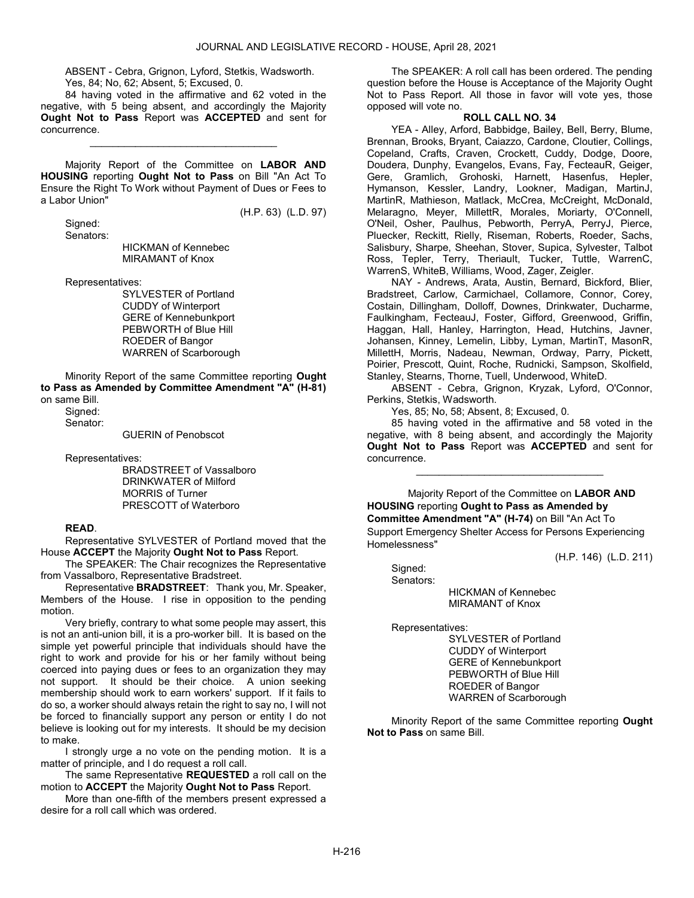ABSENT - Cebra, Grignon, Lyford, Stetkis, Wadsworth. Yes, 84; No, 62; Absent, 5; Excused, 0.

 84 having voted in the affirmative and 62 voted in the negative, with 5 being absent, and accordingly the Majority Ought Not to Pass Report was ACCEPTED and sent for concurrence.

\_\_\_\_\_\_\_\_\_\_\_\_\_\_\_\_\_\_\_\_\_\_\_\_\_\_\_\_\_\_\_\_\_

 Majority Report of the Committee on LABOR AND HOUSING reporting Ought Not to Pass on Bill "An Act To Ensure the Right To Work without Payment of Dues or Fees to a Labor Union"

(H.P. 63) (L.D. 97)

 Signed: Senators:

 HICKMAN of Kennebec MIRAMANT of Knox

Representatives:

 SYLVESTER of Portland CUDDY of Winterport GERE of Kennebunkport PEBWORTH of Blue Hill ROEDER of Bangor WARREN of Scarborough

 Minority Report of the same Committee reporting Ought to Pass as Amended by Committee Amendment "A" (H-81) on same Bill.

 Signed: Senator:

GUERIN of Penobscot

Representatives:

 BRADSTREET of Vassalboro DRINKWATER of Milford MORRIS of Turner PRESCOTT of Waterboro

### READ.

 Representative SYLVESTER of Portland moved that the House ACCEPT the Majority Ought Not to Pass Report.

 The SPEAKER: The Chair recognizes the Representative from Vassalboro, Representative Bradstreet.

 Representative BRADSTREET: Thank you, Mr. Speaker, Members of the House. I rise in opposition to the pending motion.

 Very briefly, contrary to what some people may assert, this is not an anti-union bill, it is a pro-worker bill. It is based on the simple yet powerful principle that individuals should have the right to work and provide for his or her family without being coerced into paying dues or fees to an organization they may not support. It should be their choice. A union seeking membership should work to earn workers' support. If it fails to do so, a worker should always retain the right to say no, I will not be forced to financially support any person or entity I do not believe is looking out for my interests. It should be my decision to make.

 I strongly urge a no vote on the pending motion. It is a matter of principle, and I do request a roll call.

The same Representative REQUESTED a roll call on the motion to ACCEPT the Majority Ought Not to Pass Report.

 More than one-fifth of the members present expressed a desire for a roll call which was ordered.

 The SPEAKER: A roll call has been ordered. The pending question before the House is Acceptance of the Majority Ought Not to Pass Report. All those in favor will vote yes, those opposed will vote no.

# ROLL CALL NO. 34

 YEA - Alley, Arford, Babbidge, Bailey, Bell, Berry, Blume, Brennan, Brooks, Bryant, Caiazzo, Cardone, Cloutier, Collings, Copeland, Crafts, Craven, Crockett, Cuddy, Dodge, Doore, Doudera, Dunphy, Evangelos, Evans, Fay, FecteauR, Geiger, Gere, Gramlich, Grohoski, Harnett, Hasenfus, Hepler, Hymanson, Kessler, Landry, Lookner, Madigan, MartinJ, MartinR, Mathieson, Matlack, McCrea, McCreight, McDonald, Melaragno, Meyer, MillettR, Morales, Moriarty, O'Connell, O'Neil, Osher, Paulhus, Pebworth, PerryA, PerryJ, Pierce, Pluecker, Reckitt, Rielly, Riseman, Roberts, Roeder, Sachs, Salisbury, Sharpe, Sheehan, Stover, Supica, Sylvester, Talbot Ross, Tepler, Terry, Theriault, Tucker, Tuttle, WarrenC, WarrenS, WhiteB, Williams, Wood, Zager, Zeigler.

 NAY - Andrews, Arata, Austin, Bernard, Bickford, Blier, Bradstreet, Carlow, Carmichael, Collamore, Connor, Corey, Costain, Dillingham, Dolloff, Downes, Drinkwater, Ducharme, Faulkingham, FecteauJ, Foster, Gifford, Greenwood, Griffin, Haggan, Hall, Hanley, Harrington, Head, Hutchins, Javner, Johansen, Kinney, Lemelin, Libby, Lyman, MartinT, MasonR, MillettH, Morris, Nadeau, Newman, Ordway, Parry, Pickett, Poirier, Prescott, Quint, Roche, Rudnicki, Sampson, Skolfield, Stanley, Stearns, Thorne, Tuell, Underwood, WhiteD.

 ABSENT - Cebra, Grignon, Kryzak, Lyford, O'Connor, Perkins, Stetkis, Wadsworth.

Yes, 85; No, 58; Absent, 8; Excused, 0.

 85 having voted in the affirmative and 58 voted in the negative, with 8 being absent, and accordingly the Majority Ought Not to Pass Report was ACCEPTED and sent for concurrence.

\_\_\_\_\_\_\_\_\_\_\_\_\_\_\_\_\_\_\_\_\_\_\_\_\_\_\_\_\_\_\_\_\_

 Majority Report of the Committee on LABOR AND HOUSING reporting Ought to Pass as Amended by Committee Amendment "A" (H-74) on Bill "An Act To Support Emergency Shelter Access for Persons Experiencing Homelessness"

(H.P. 146) (L.D. 211)

Signed:

 Senators: HICKMAN of Kennebec MIRAMANT of Knox

Representatives:

 SYLVESTER of Portland CUDDY of Winterport GERE of Kennebunkport PEBWORTH of Blue Hill ROEDER of Bangor WARREN of Scarborough

 Minority Report of the same Committee reporting Ought Not to Pass on same Bill.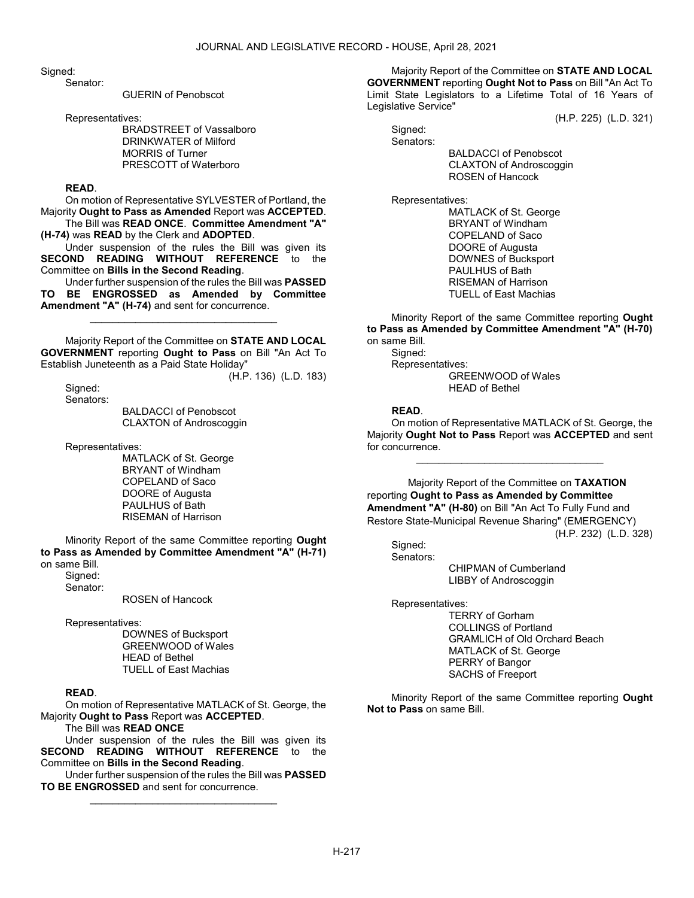Sianed:

Senator:

GUERIN of Penobscot

Representatives:

 BRADSTREET of Vassalboro DRINKWATER of Milford MORRIS of Turner PRESCOTT of Waterboro

### READ.

 On motion of Representative SYLVESTER of Portland, the Majority Ought to Pass as Amended Report was ACCEPTED. The Bill was READ ONCE. Committee Amendment "A"

(H-74) was READ by the Clerk and ADOPTED.

 Under suspension of the rules the Bill was given its SECOND READING WITHOUT REFERENCE to the Committee on Bills in the Second Reading.

 Under further suspension of the rules the Bill was PASSED TO BE ENGROSSED as Amended by Committee Amendment "A" (H-74) and sent for concurrence.

\_\_\_\_\_\_\_\_\_\_\_\_\_\_\_\_\_\_\_\_\_\_\_\_\_\_\_\_\_\_\_\_\_

 Majority Report of the Committee on STATE AND LOCAL GOVERNMENT reporting Ought to Pass on Bill "An Act To Establish Juneteenth as a Paid State Holiday"

(H.P. 136) (L.D. 183)

 Signed: Senators:

 BALDACCI of Penobscot CLAXTON of Androscoggin

Representatives:

 MATLACK of St. George BRYANT of Windham COPELAND of Saco DOORE of Augusta PAULHUS of Bath RISEMAN of Harrison

 Minority Report of the same Committee reporting Ought to Pass as Amended by Committee Amendment "A" (H-71) on same Bill.

Signed:

Senator:

ROSEN of Hancock

Representatives:

 DOWNES of Bucksport GREENWOOD of Wales HEAD of Bethel TUELL of East Machias

## READ.

 On motion of Representative MATLACK of St. George, the Majority Ought to Pass Report was ACCEPTED.

The Bill was READ ONCE

 Under suspension of the rules the Bill was given its SECOND READING WITHOUT REFERENCE to the Committee on Bills in the Second Reading.

 Under further suspension of the rules the Bill was PASSED TO BE ENGROSSED and sent for concurrence. \_\_\_\_\_\_\_\_\_\_\_\_\_\_\_\_\_\_\_\_\_\_\_\_\_\_\_\_\_\_\_\_\_

 Majority Report of the Committee on STATE AND LOCAL GOVERNMENT reporting Ought Not to Pass on Bill "An Act To Limit State Legislators to a Lifetime Total of 16 Years of Legislative Service"

(H.P. 225) (L.D. 321)

Signed: Senators:

 BALDACCI of Penobscot CLAXTON of Androscoggin ROSEN of Hancock

Representatives:

 MATLACK of St. George BRYANT of Windham COPELAND of Saco DOORE of Augusta DOWNES of Bucksport PAULHUS of Bath RISEMAN of Harrison TUELL of East Machias

 Minority Report of the same Committee reporting Ought to Pass as Amended by Committee Amendment "A" (H-70) on same Bill.

Sianed: Representatives: GREENWOOD of Wales HEAD of Bethel

### READ.

 On motion of Representative MATLACK of St. George, the Majority Ought Not to Pass Report was ACCEPTED and sent for concurrence.

\_\_\_\_\_\_\_\_\_\_\_\_\_\_\_\_\_\_\_\_\_\_\_\_\_\_\_\_\_\_\_\_\_

 Majority Report of the Committee on TAXATION reporting Ought to Pass as Amended by Committee Amendment "A" (H-80) on Bill "An Act To Fully Fund and Restore State-Municipal Revenue Sharing" (EMERGENCY) (H.P. 232) (L.D. 328)

Signed: Senators:

 CHIPMAN of Cumberland LIBBY of Androscoggin

Representatives:

 TERRY of Gorham COLLINGS of Portland GRAMLICH of Old Orchard Beach MATLACK of St. George PERRY of Bangor SACHS of Freeport

 Minority Report of the same Committee reporting Ought Not to Pass on same Bill.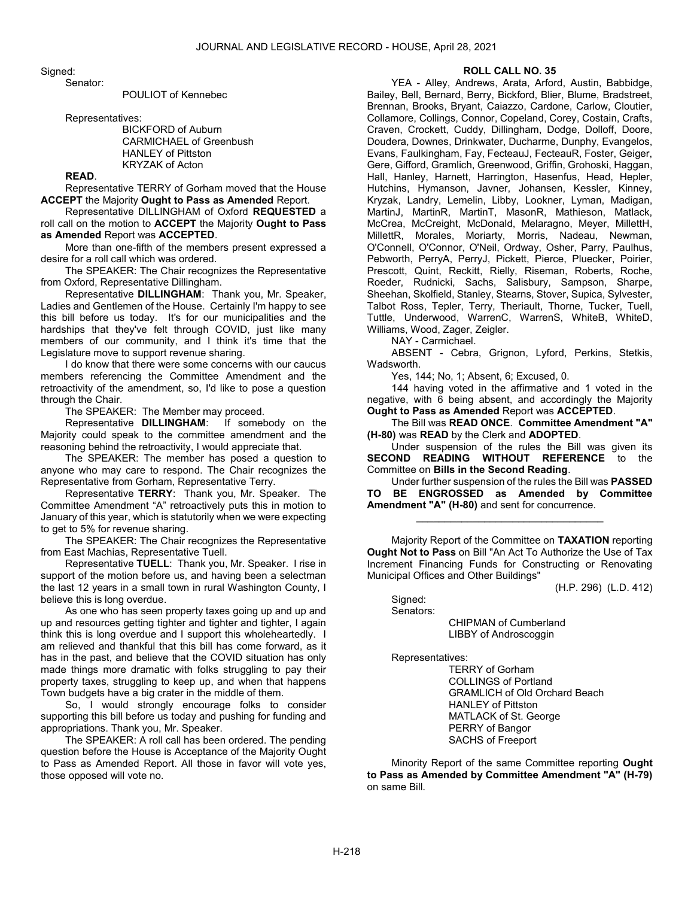Signed:

Senator:

POULIOT of Kennebec

Representatives:

 BICKFORD of Auburn CARMICHAEL of Greenbush HANLEY of Pittston KRYZAK of Acton

# READ.

 Representative TERRY of Gorham moved that the House ACCEPT the Majority Ought to Pass as Amended Report.

 Representative DILLINGHAM of Oxford REQUESTED a roll call on the motion to ACCEPT the Majority Ought to Pass as Amended Report was ACCEPTED.

 More than one-fifth of the members present expressed a desire for a roll call which was ordered.

 The SPEAKER: The Chair recognizes the Representative from Oxford, Representative Dillingham.

 Representative DILLINGHAM: Thank you, Mr. Speaker, Ladies and Gentlemen of the House. Certainly I'm happy to see this bill before us today. It's for our municipalities and the hardships that they've felt through COVID, just like many members of our community, and I think it's time that the Legislature move to support revenue sharing.

 I do know that there were some concerns with our caucus members referencing the Committee Amendment and the retroactivity of the amendment, so, I'd like to pose a question through the Chair.

The SPEAKER: The Member may proceed.

 Representative DILLINGHAM: If somebody on the Majority could speak to the committee amendment and the reasoning behind the retroactivity, I would appreciate that.

 The SPEAKER: The member has posed a question to anyone who may care to respond. The Chair recognizes the Representative from Gorham, Representative Terry.

 Representative TERRY: Thank you, Mr. Speaker. The Committee Amendment "A" retroactively puts this in motion to January of this year, which is statutorily when we were expecting to get to 5% for revenue sharing.

 The SPEAKER: The Chair recognizes the Representative from East Machias, Representative Tuell.

 Representative TUELL: Thank you, Mr. Speaker. I rise in support of the motion before us, and having been a selectman the last 12 years in a small town in rural Washington County, I believe this is long overdue.

 As one who has seen property taxes going up and up and up and resources getting tighter and tighter and tighter, I again think this is long overdue and I support this wholeheartedly. I am relieved and thankful that this bill has come forward, as it has in the past, and believe that the COVID situation has only made things more dramatic with folks struggling to pay their property taxes, struggling to keep up, and when that happens Town budgets have a big crater in the middle of them.

 So, I would strongly encourage folks to consider supporting this bill before us today and pushing for funding and appropriations. Thank you, Mr. Speaker.

 The SPEAKER: A roll call has been ordered. The pending question before the House is Acceptance of the Majority Ought to Pass as Amended Report. All those in favor will vote yes, those opposed will vote no.

#### ROLL CALL NO. 35

 YEA - Alley, Andrews, Arata, Arford, Austin, Babbidge, Bailey, Bell, Bernard, Berry, Bickford, Blier, Blume, Bradstreet, Brennan, Brooks, Bryant, Caiazzo, Cardone, Carlow, Cloutier, Collamore, Collings, Connor, Copeland, Corey, Costain, Crafts, Craven, Crockett, Cuddy, Dillingham, Dodge, Dolloff, Doore, Doudera, Downes, Drinkwater, Ducharme, Dunphy, Evangelos, Evans, Faulkingham, Fay, FecteauJ, FecteauR, Foster, Geiger, Gere, Gifford, Gramlich, Greenwood, Griffin, Grohoski, Haggan, Hall, Hanley, Harnett, Harrington, Hasenfus, Head, Hepler, Hutchins, Hymanson, Javner, Johansen, Kessler, Kinney, Kryzak, Landry, Lemelin, Libby, Lookner, Lyman, Madigan, MartinJ, MartinR, MartinT, MasonR, Mathieson, Matlack, McCrea, McCreight, McDonald, Melaragno, Meyer, MillettH, MillettR, Morales, Moriarty, Morris, Nadeau, Newman, O'Connell, O'Connor, O'Neil, Ordway, Osher, Parry, Paulhus, Pebworth, PerryA, PerryJ, Pickett, Pierce, Pluecker, Poirier, Prescott, Quint, Reckitt, Rielly, Riseman, Roberts, Roche, Roeder, Rudnicki, Sachs, Salisbury, Sampson, Sharpe, Sheehan, Skolfield, Stanley, Stearns, Stover, Supica, Sylvester, Talbot Ross, Tepler, Terry, Theriault, Thorne, Tucker, Tuell, Tuttle, Underwood, WarrenC, WarrenS, WhiteB, WhiteD, Williams, Wood, Zager, Zeigler.

NAY - Carmichael.

 ABSENT - Cebra, Grignon, Lyford, Perkins, Stetkis, Wadsworth.

Yes, 144; No, 1; Absent, 6; Excused, 0.

 144 having voted in the affirmative and 1 voted in the negative, with 6 being absent, and accordingly the Majority Ought to Pass as Amended Report was ACCEPTED.

 The Bill was READ ONCE. Committee Amendment "A" (H-80) was READ by the Clerk and ADOPTED.

 Under suspension of the rules the Bill was given its SECOND READING WITHOUT REFERENCE to the Committee on Bills in the Second Reading.

 Under further suspension of the rules the Bill was PASSED TO BE ENGROSSED as Amended by Committee Amendment "A" (H-80) and sent for concurrence.

\_\_\_\_\_\_\_\_\_\_\_\_\_\_\_\_\_\_\_\_\_\_\_\_\_\_\_\_\_\_\_\_\_

 Majority Report of the Committee on TAXATION reporting Ought Not to Pass on Bill "An Act To Authorize the Use of Tax Increment Financing Funds for Constructing or Renovating Municipal Offices and Other Buildings"

(H.P. 296) (L.D. 412)

 Signed: Senators:

> CHIPMAN of Cumberland LIBBY of Androscoggin

Representatives:

 TERRY of Gorham COLLINGS of Portland GRAMLICH of Old Orchard Beach HANLEY of Pittston MATLACK of St. George PERRY of Bangor SACHS of Freeport

 Minority Report of the same Committee reporting Ought to Pass as Amended by Committee Amendment "A" (H-79) on same Bill.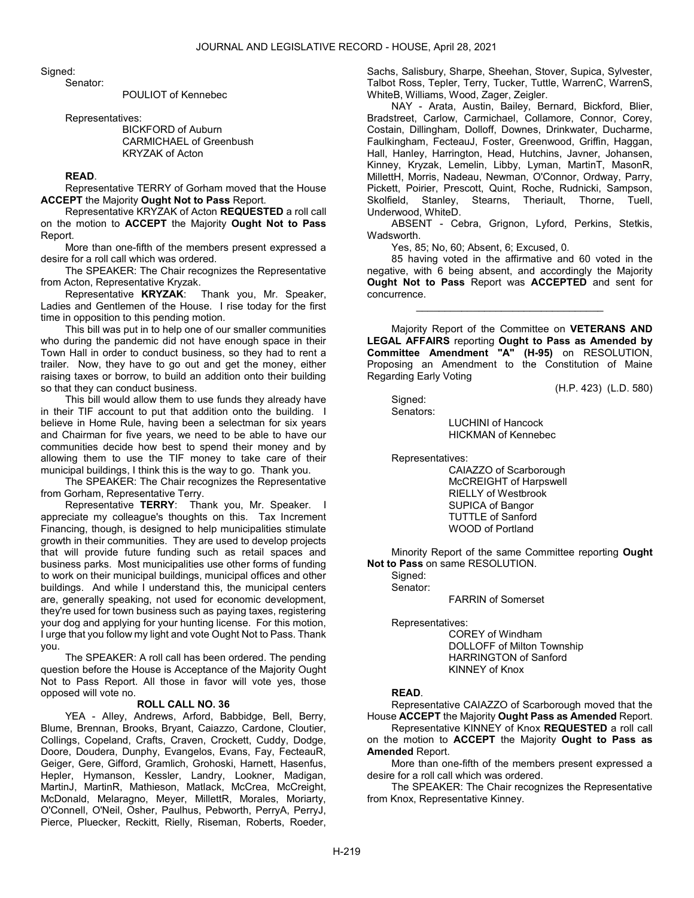Signed:

Senator:

POULIOT of Kennebec

Representatives:

 BICKFORD of Auburn CARMICHAEL of Greenbush KRYZAK of Acton

### READ.

 Representative TERRY of Gorham moved that the House ACCEPT the Majority Ought Not to Pass Report.

 Representative KRYZAK of Acton REQUESTED a roll call on the motion to ACCEPT the Majority Ought Not to Pass Report.

 More than one-fifth of the members present expressed a desire for a roll call which was ordered.

 The SPEAKER: The Chair recognizes the Representative from Acton, Representative Kryzak.

 Representative KRYZAK: Thank you, Mr. Speaker, Ladies and Gentlemen of the House. I rise today for the first time in opposition to this pending motion.

 This bill was put in to help one of our smaller communities who during the pandemic did not have enough space in their Town Hall in order to conduct business, so they had to rent a trailer. Now, they have to go out and get the money, either raising taxes or borrow, to build an addition onto their building so that they can conduct business.

 This bill would allow them to use funds they already have in their TIF account to put that addition onto the building. I believe in Home Rule, having been a selectman for six years and Chairman for five years, we need to be able to have our communities decide how best to spend their money and by allowing them to use the TIF money to take care of their municipal buildings, I think this is the way to go. Thank you.

 The SPEAKER: The Chair recognizes the Representative from Gorham, Representative Terry.

Representative TERRY: Thank you, Mr. Speaker. I appreciate my colleague's thoughts on this. Tax Increment Financing, though, is designed to help municipalities stimulate growth in their communities. They are used to develop projects that will provide future funding such as retail spaces and business parks. Most municipalities use other forms of funding to work on their municipal buildings, municipal offices and other buildings. And while I understand this, the municipal centers are, generally speaking, not used for economic development, they're used for town business such as paying taxes, registering your dog and applying for your hunting license. For this motion, I urge that you follow my light and vote Ought Not to Pass. Thank you.

 The SPEAKER: A roll call has been ordered. The pending question before the House is Acceptance of the Majority Ought Not to Pass Report. All those in favor will vote yes, those opposed will vote no.

### ROLL CALL NO. 36

 YEA - Alley, Andrews, Arford, Babbidge, Bell, Berry, Blume, Brennan, Brooks, Bryant, Caiazzo, Cardone, Cloutier, Collings, Copeland, Crafts, Craven, Crockett, Cuddy, Dodge, Doore, Doudera, Dunphy, Evangelos, Evans, Fay, FecteauR, Geiger, Gere, Gifford, Gramlich, Grohoski, Harnett, Hasenfus, Hepler, Hymanson, Kessler, Landry, Lookner, Madigan, MartinJ, MartinR, Mathieson, Matlack, McCrea, McCreight, McDonald, Melaragno, Meyer, MillettR, Morales, Moriarty, O'Connell, O'Neil, Osher, Paulhus, Pebworth, PerryA, PerryJ, Pierce, Pluecker, Reckitt, Rielly, Riseman, Roberts, Roeder, Sachs, Salisbury, Sharpe, Sheehan, Stover, Supica, Sylvester, Talbot Ross, Tepler, Terry, Tucker, Tuttle, WarrenC, WarrenS, WhiteB, Williams, Wood, Zager, Zeigler.

 NAY - Arata, Austin, Bailey, Bernard, Bickford, Blier, Bradstreet, Carlow, Carmichael, Collamore, Connor, Corey, Costain, Dillingham, Dolloff, Downes, Drinkwater, Ducharme, Faulkingham, FecteauJ, Foster, Greenwood, Griffin, Haggan, Hall, Hanley, Harrington, Head, Hutchins, Javner, Johansen, Kinney, Kryzak, Lemelin, Libby, Lyman, MartinT, MasonR, MillettH, Morris, Nadeau, Newman, O'Connor, Ordway, Parry, Pickett, Poirier, Prescott, Quint, Roche, Rudnicki, Sampson, Skolfield, Stanley, Stearns, Theriault, Thorne, Tuell, Underwood, WhiteD.

 ABSENT - Cebra, Grignon, Lyford, Perkins, Stetkis, Wadsworth.

Yes, 85; No, 60; Absent, 6; Excused, 0.

 85 having voted in the affirmative and 60 voted in the negative, with 6 being absent, and accordingly the Majority Ought Not to Pass Report was ACCEPTED and sent for concurrence.

\_\_\_\_\_\_\_\_\_\_\_\_\_\_\_\_\_\_\_\_\_\_\_\_\_\_\_\_\_\_\_\_\_

 Majority Report of the Committee on VETERANS AND LEGAL AFFAIRS reporting Ought to Pass as Amended by Committee Amendment "A" (H-95) on RESOLUTION, Proposing an Amendment to the Constitution of Maine Regarding Early Voting

(H.P. 423) (L.D. 580)

 Signed: Senators:

 LUCHINI of Hancock HICKMAN of Kennebec

Representatives:

 CAIAZZO of Scarborough McCREIGHT of Harpswell RIELLY of Westbrook SUPICA of Bangor TUTTLE of Sanford WOOD of Portland

 Minority Report of the same Committee reporting Ought Not to Pass on same RESOLUTION.

 Signed: Senator:

FARRIN of Somerset

Representatives:

 COREY of Windham DOLLOFF of Milton Township HARRINGTON of Sanford KINNEY of Knox

#### READ.

 Representative CAIAZZO of Scarborough moved that the House ACCEPT the Majority Ought Pass as Amended Report.

 Representative KINNEY of Knox REQUESTED a roll call on the motion to **ACCEPT** the Majority **Ought to Pass as** Amended Report.

 More than one-fifth of the members present expressed a desire for a roll call which was ordered.

 The SPEAKER: The Chair recognizes the Representative from Knox, Representative Kinney.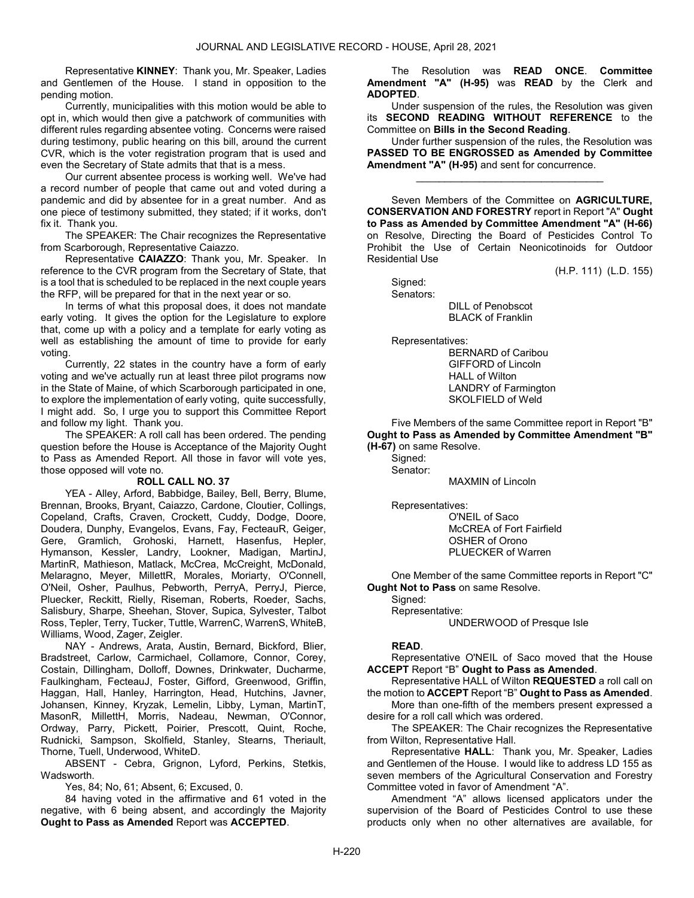Representative KINNEY: Thank you, Mr. Speaker, Ladies and Gentlemen of the House. I stand in opposition to the pending motion.

 Currently, municipalities with this motion would be able to opt in, which would then give a patchwork of communities with different rules regarding absentee voting. Concerns were raised during testimony, public hearing on this bill, around the current CVR, which is the voter registration program that is used and even the Secretary of State admits that that is a mess.

 Our current absentee process is working well. We've had a record number of people that came out and voted during a pandemic and did by absentee for in a great number. And as one piece of testimony submitted, they stated; if it works, don't fix it. Thank you.

 The SPEAKER: The Chair recognizes the Representative from Scarborough, Representative Caiazzo.

 Representative CAIAZZO: Thank you, Mr. Speaker. In reference to the CVR program from the Secretary of State, that is a tool that is scheduled to be replaced in the next couple years the RFP, will be prepared for that in the next year or so.

 In terms of what this proposal does, it does not mandate early voting. It gives the option for the Legislature to explore that, come up with a policy and a template for early voting as well as establishing the amount of time to provide for early voting.

 Currently, 22 states in the country have a form of early voting and we've actually run at least three pilot programs now in the State of Maine, of which Scarborough participated in one, to explore the implementation of early voting, quite successfully, I might add. So, I urge you to support this Committee Report and follow my light. Thank you.

 The SPEAKER: A roll call has been ordered. The pending question before the House is Acceptance of the Majority Ought to Pass as Amended Report. All those in favor will vote yes, those opposed will vote no.

#### ROLL CALL NO. 37

 YEA - Alley, Arford, Babbidge, Bailey, Bell, Berry, Blume, Brennan, Brooks, Bryant, Caiazzo, Cardone, Cloutier, Collings, Copeland, Crafts, Craven, Crockett, Cuddy, Dodge, Doore, Doudera, Dunphy, Evangelos, Evans, Fay, FecteauR, Geiger, Gere, Gramlich, Grohoski, Harnett, Hasenfus, Hepler, Hymanson, Kessler, Landry, Lookner, Madigan, MartinJ, MartinR, Mathieson, Matlack, McCrea, McCreight, McDonald, Melaragno, Meyer, MillettR, Morales, Moriarty, O'Connell, O'Neil, Osher, Paulhus, Pebworth, PerryA, PerryJ, Pierce, Pluecker, Reckitt, Rielly, Riseman, Roberts, Roeder, Sachs, Salisbury, Sharpe, Sheehan, Stover, Supica, Sylvester, Talbot Ross, Tepler, Terry, Tucker, Tuttle, WarrenC, WarrenS, WhiteB, Williams, Wood, Zager, Zeigler.

 NAY - Andrews, Arata, Austin, Bernard, Bickford, Blier, Bradstreet, Carlow, Carmichael, Collamore, Connor, Corey, Costain, Dillingham, Dolloff, Downes, Drinkwater, Ducharme, Faulkingham, FecteauJ, Foster, Gifford, Greenwood, Griffin, Haggan, Hall, Hanley, Harrington, Head, Hutchins, Javner, Johansen, Kinney, Kryzak, Lemelin, Libby, Lyman, MartinT, MasonR, MillettH, Morris, Nadeau, Newman, O'Connor, Ordway, Parry, Pickett, Poirier, Prescott, Quint, Roche, Rudnicki, Sampson, Skolfield, Stanley, Stearns, Theriault, Thorne, Tuell, Underwood, WhiteD.

 ABSENT - Cebra, Grignon, Lyford, Perkins, Stetkis, Wadsworth.

Yes, 84; No, 61; Absent, 6; Excused, 0.

 84 having voted in the affirmative and 61 voted in the negative, with 6 being absent, and accordingly the Majority Ought to Pass as Amended Report was ACCEPTED.

 The Resolution was READ ONCE. Committee Amendment "A" (H-95) was READ by the Clerk and ADOPTED.

 Under suspension of the rules, the Resolution was given its SECOND READING WITHOUT REFERENCE to the Committee on Bills in the Second Reading.

 Under further suspension of the rules, the Resolution was PASSED TO BE ENGROSSED as Amended by Committee Amendment "A" (H-95) and sent for concurrence.

\_\_\_\_\_\_\_\_\_\_\_\_\_\_\_\_\_\_\_\_\_\_\_\_\_\_\_\_\_\_\_\_\_

 Seven Members of the Committee on AGRICULTURE, CONSERVATION AND FORESTRY report in Report "A" Ought to Pass as Amended by Committee Amendment "A" (H-66) on Resolve, Directing the Board of Pesticides Control To Prohibit the Use of Certain Neonicotinoids for Outdoor Residential Use

(H.P. 111) (L.D. 155)

 Signed: Senators:

 DILL of Penobscot BLACK of Franklin

Representatives:

 BERNARD of Caribou GIFFORD of Lincoln HALL of Wilton LANDRY of Farmington SKOLFIELD of Weld

 Five Members of the same Committee report in Report "B" Ought to Pass as Amended by Committee Amendment "B" (H-67) on same Resolve.

Signed: Senator:

MAXMIN of Lincoln

Representatives:

 O'NEIL of Saco McCREA of Fort Fairfield OSHER of Orono PLUECKER of Warren

One Member of the same Committee reports in Report "C" Ought Not to Pass on same Resolve.

Signed:

Representative:

UNDERWOOD of Presque Isle

## READ.

 Representative O'NEIL of Saco moved that the House ACCEPT Report "B" Ought to Pass as Amended.

 Representative HALL of Wilton REQUESTED a roll call on the motion to ACCEPT Report "B" Ought to Pass as Amended.

 More than one-fifth of the members present expressed a desire for a roll call which was ordered.

 The SPEAKER: The Chair recognizes the Representative from Wilton, Representative Hall.

 Representative HALL: Thank you, Mr. Speaker, Ladies and Gentlemen of the House. I would like to address LD 155 as seven members of the Agricultural Conservation and Forestry Committee voted in favor of Amendment "A".

 Amendment "A" allows licensed applicators under the supervision of the Board of Pesticides Control to use these products only when no other alternatives are available, for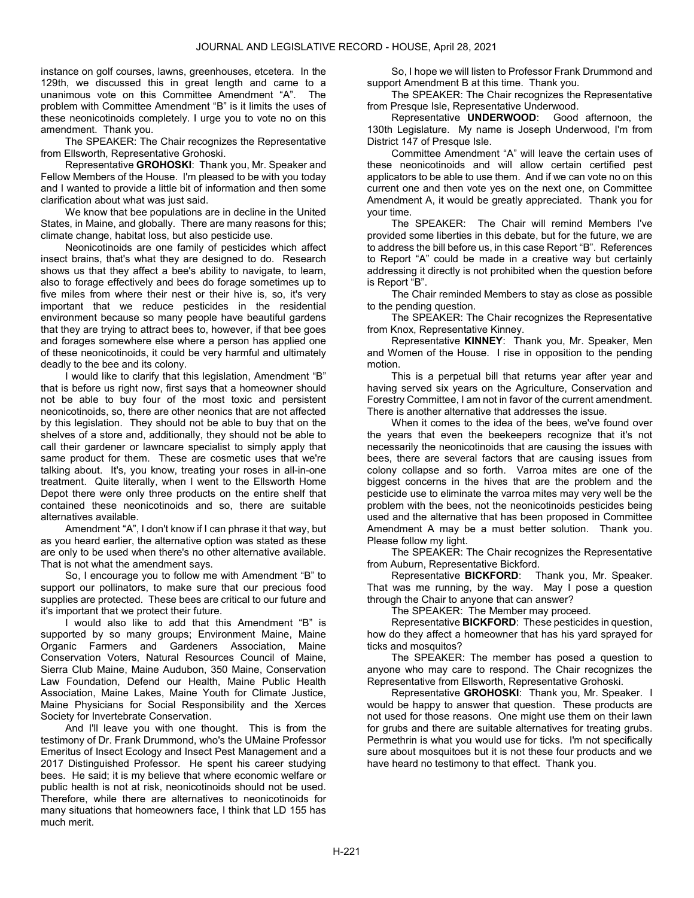instance on golf courses, lawns, greenhouses, etcetera. In the 129th, we discussed this in great length and came to a unanimous vote on this Committee Amendment "A". The problem with Committee Amendment "B" is it limits the uses of these neonicotinoids completely. I urge you to vote no on this amendment. Thank you.

 The SPEAKER: The Chair recognizes the Representative from Ellsworth, Representative Grohoski.

 Representative GROHOSKI: Thank you, Mr. Speaker and Fellow Members of the House. I'm pleased to be with you today and I wanted to provide a little bit of information and then some clarification about what was just said.

 We know that bee populations are in decline in the United States, in Maine, and globally. There are many reasons for this; climate change, habitat loss, but also pesticide use.

 Neonicotinoids are one family of pesticides which affect insect brains, that's what they are designed to do. Research shows us that they affect a bee's ability to navigate, to learn, also to forage effectively and bees do forage sometimes up to five miles from where their nest or their hive is, so, it's very important that we reduce pesticides in the residential environment because so many people have beautiful gardens that they are trying to attract bees to, however, if that bee goes and forages somewhere else where a person has applied one of these neonicotinoids, it could be very harmful and ultimately deadly to the bee and its colony.

 I would like to clarify that this legislation, Amendment "B" that is before us right now, first says that a homeowner should not be able to buy four of the most toxic and persistent neonicotinoids, so, there are other neonics that are not affected by this legislation. They should not be able to buy that on the shelves of a store and, additionally, they should not be able to call their gardener or lawncare specialist to simply apply that same product for them. These are cosmetic uses that we're talking about. It's, you know, treating your roses in all-in-one treatment. Quite literally, when I went to the Ellsworth Home Depot there were only three products on the entire shelf that contained these neonicotinoids and so, there are suitable alternatives available.

 Amendment "A", I don't know if I can phrase it that way, but as you heard earlier, the alternative option was stated as these are only to be used when there's no other alternative available. That is not what the amendment says.

 So, I encourage you to follow me with Amendment "B" to support our pollinators, to make sure that our precious food supplies are protected. These bees are critical to our future and it's important that we protect their future.

 I would also like to add that this Amendment "B" is supported by so many groups; Environment Maine, Maine Organic Farmers and Gardeners Association, Maine Conservation Voters, Natural Resources Council of Maine, Sierra Club Maine, Maine Audubon, 350 Maine, Conservation Law Foundation, Defend our Health, Maine Public Health Association, Maine Lakes, Maine Youth for Climate Justice, Maine Physicians for Social Responsibility and the Xerces Society for Invertebrate Conservation.

 And I'll leave you with one thought. This is from the testimony of Dr. Frank Drummond, who's the UMaine Professor Emeritus of Insect Ecology and Insect Pest Management and a 2017 Distinguished Professor. He spent his career studying bees. He said; it is my believe that where economic welfare or public health is not at risk, neonicotinoids should not be used. Therefore, while there are alternatives to neonicotinoids for many situations that homeowners face, I think that LD 155 has much merit.

 So, I hope we will listen to Professor Frank Drummond and support Amendment B at this time. Thank you.

 The SPEAKER: The Chair recognizes the Representative from Presque Isle, Representative Underwood.

 Representative UNDERWOOD: Good afternoon, the 130th Legislature. My name is Joseph Underwood, I'm from District 147 of Presque Isle.

 Committee Amendment "A" will leave the certain uses of these neonicotinoids and will allow certain certified pest applicators to be able to use them. And if we can vote no on this current one and then vote yes on the next one, on Committee Amendment A, it would be greatly appreciated. Thank you for your time.

 The SPEAKER: The Chair will remind Members I've provided some liberties in this debate, but for the future, we are to address the bill before us, in this case Report "B". References to Report "A" could be made in a creative way but certainly addressing it directly is not prohibited when the question before is Report "B".

The Chair reminded Members to stay as close as possible to the pending question.

 The SPEAKER: The Chair recognizes the Representative from Knox, Representative Kinney.

 Representative KINNEY: Thank you, Mr. Speaker, Men and Women of the House. I rise in opposition to the pending motion.

 This is a perpetual bill that returns year after year and having served six years on the Agriculture, Conservation and Forestry Committee, I am not in favor of the current amendment. There is another alternative that addresses the issue.

 When it comes to the idea of the bees, we've found over the years that even the beekeepers recognize that it's not necessarily the neonicotinoids that are causing the issues with bees, there are several factors that are causing issues from colony collapse and so forth. Varroa mites are one of the biggest concerns in the hives that are the problem and the pesticide use to eliminate the varroa mites may very well be the problem with the bees, not the neonicotinoids pesticides being used and the alternative that has been proposed in Committee Amendment A may be a must better solution. Thank you. Please follow my light.

 The SPEAKER: The Chair recognizes the Representative from Auburn, Representative Bickford.

 Representative BICKFORD: Thank you, Mr. Speaker. That was me running, by the way. May I pose a question through the Chair to anyone that can answer?

The SPEAKER: The Member may proceed.

 Representative BICKFORD: These pesticides in question, how do they affect a homeowner that has his yard sprayed for ticks and mosquitos?

 The SPEAKER: The member has posed a question to anyone who may care to respond. The Chair recognizes the Representative from Ellsworth, Representative Grohoski.

Representative GROHOSKI: Thank you, Mr. Speaker. I would be happy to answer that question. These products are not used for those reasons. One might use them on their lawn for grubs and there are suitable alternatives for treating grubs. Permethrin is what you would use for ticks. I'm not specifically sure about mosquitoes but it is not these four products and we have heard no testimony to that effect. Thank you.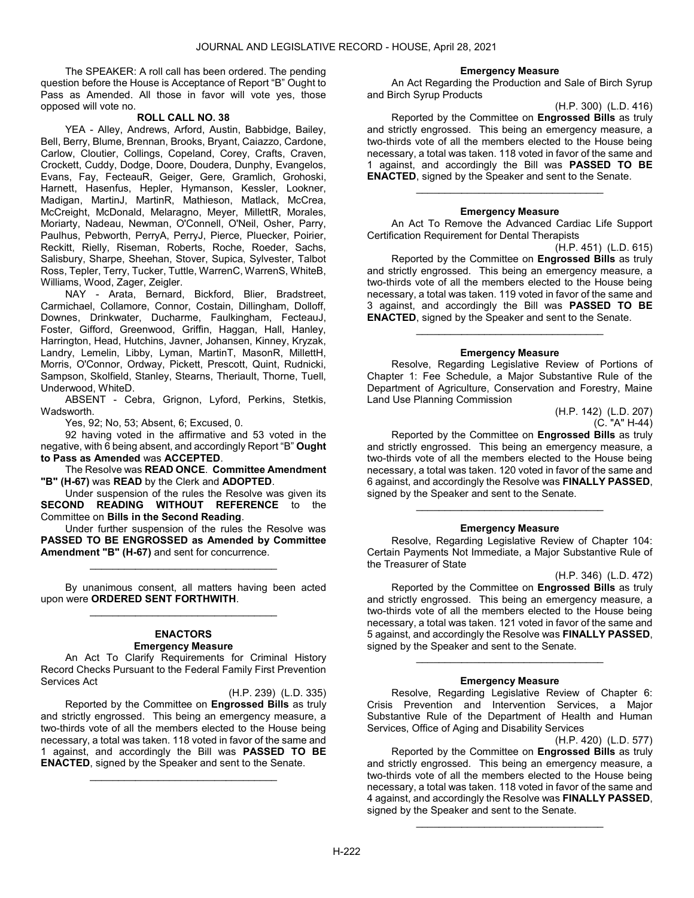The SPEAKER: A roll call has been ordered. The pending question before the House is Acceptance of Report "B" Ought to Pass as Amended. All those in favor will vote yes, those opposed will vote no.

# ROLL CALL NO. 38

 YEA - Alley, Andrews, Arford, Austin, Babbidge, Bailey, Bell, Berry, Blume, Brennan, Brooks, Bryant, Caiazzo, Cardone, Carlow, Cloutier, Collings, Copeland, Corey, Crafts, Craven, Crockett, Cuddy, Dodge, Doore, Doudera, Dunphy, Evangelos, Evans, Fay, FecteauR, Geiger, Gere, Gramlich, Grohoski, Harnett, Hasenfus, Hepler, Hymanson, Kessler, Lookner, Madigan, MartinJ, MartinR, Mathieson, Matlack, McCrea, McCreight, McDonald, Melaragno, Meyer, MillettR, Morales, Moriarty, Nadeau, Newman, O'Connell, O'Neil, Osher, Parry, Paulhus, Pebworth, PerryA, PerryJ, Pierce, Pluecker, Poirier, Reckitt, Rielly, Riseman, Roberts, Roche, Roeder, Sachs, Salisbury, Sharpe, Sheehan, Stover, Supica, Sylvester, Talbot Ross, Tepler, Terry, Tucker, Tuttle, WarrenC, WarrenS, WhiteB, Williams, Wood, Zager, Zeigler.

 NAY - Arata, Bernard, Bickford, Blier, Bradstreet, Carmichael, Collamore, Connor, Costain, Dillingham, Dolloff, Downes, Drinkwater, Ducharme, Faulkingham, FecteauJ, Foster, Gifford, Greenwood, Griffin, Haggan, Hall, Hanley, Harrington, Head, Hutchins, Javner, Johansen, Kinney, Kryzak, Landry, Lemelin, Libby, Lyman, MartinT, MasonR, MillettH, Morris, O'Connor, Ordway, Pickett, Prescott, Quint, Rudnicki, Sampson, Skolfield, Stanley, Stearns, Theriault, Thorne, Tuell, Underwood, WhiteD.

 ABSENT - Cebra, Grignon, Lyford, Perkins, Stetkis, Wadsworth.

Yes, 92; No, 53; Absent, 6; Excused, 0.

 92 having voted in the affirmative and 53 voted in the negative, with 6 being absent, and accordingly Report "B" Ought to Pass as Amended was ACCEPTED.

The Resolve was READ ONCE. Committee Amendment "B" (H-67) was READ by the Clerk and ADOPTED.

 Under suspension of the rules the Resolve was given its SECOND READING WITHOUT REFERENCE to the Committee on Bills in the Second Reading.

 Under further suspension of the rules the Resolve was PASSED TO BE ENGROSSED as Amended by Committee Amendment "B" (H-67) and sent for concurrence.

\_\_\_\_\_\_\_\_\_\_\_\_\_\_\_\_\_\_\_\_\_\_\_\_\_\_\_\_\_\_\_\_\_

 By unanimous consent, all matters having been acted upon were ORDERED SENT FORTHWITH. \_\_\_\_\_\_\_\_\_\_\_\_\_\_\_\_\_\_\_\_\_\_\_\_\_\_\_\_\_\_\_\_\_

#### ENACTORS Emergency Measure

 An Act To Clarify Requirements for Criminal History Record Checks Pursuant to the Federal Family First Prevention Services Act

(H.P. 239) (L.D. 335) Reported by the Committee on Engrossed Bills as truly and strictly engrossed. This being an emergency measure, a two-thirds vote of all the members elected to the House being necessary, a total was taken. 118 voted in favor of the same and 1 against, and accordingly the Bill was **PASSED TO BE** ENACTED, signed by the Speaker and sent to the Senate.

\_\_\_\_\_\_\_\_\_\_\_\_\_\_\_\_\_\_\_\_\_\_\_\_\_\_\_\_\_\_\_\_\_

#### Emergency Measure

 An Act Regarding the Production and Sale of Birch Syrup and Birch Syrup Products

(H.P. 300) (L.D. 416)

 Reported by the Committee on Engrossed Bills as truly and strictly engrossed. This being an emergency measure, a two-thirds vote of all the members elected to the House being necessary, a total was taken. 118 voted in favor of the same and 1 against, and accordingly the Bill was PASSED TO BE ENACTED, signed by the Speaker and sent to the Senate.

# \_\_\_\_\_\_\_\_\_\_\_\_\_\_\_\_\_\_\_\_\_\_\_\_\_\_\_\_\_\_\_\_\_ Emergency Measure

 An Act To Remove the Advanced Cardiac Life Support Certification Requirement for Dental Therapists

(H.P. 451) (L.D. 615) Reported by the Committee on Engrossed Bills as truly and strictly engrossed. This being an emergency measure, a two-thirds vote of all the members elected to the House being necessary, a total was taken. 119 voted in favor of the same and 3 against, and accordingly the Bill was PASSED TO BE ENACTED, signed by the Speaker and sent to the Senate.

#### Emergency Measure

\_\_\_\_\_\_\_\_\_\_\_\_\_\_\_\_\_\_\_\_\_\_\_\_\_\_\_\_\_\_\_\_\_

 Resolve, Regarding Legislative Review of Portions of Chapter 1: Fee Schedule, a Major Substantive Rule of the Department of Agriculture, Conservation and Forestry, Maine Land Use Planning Commission

> (H.P. 142) (L.D. 207) (C. "A" H-44)

 Reported by the Committee on Engrossed Bills as truly and strictly engrossed. This being an emergency measure, a two-thirds vote of all the members elected to the House being necessary, a total was taken. 120 voted in favor of the same and 6 against, and accordingly the Resolve was FINALLY PASSED, signed by the Speaker and sent to the Senate.

#### Emergency Measure

\_\_\_\_\_\_\_\_\_\_\_\_\_\_\_\_\_\_\_\_\_\_\_\_\_\_\_\_\_\_\_\_\_

 Resolve, Regarding Legislative Review of Chapter 104: Certain Payments Not Immediate, a Major Substantive Rule of the Treasurer of State

(H.P. 346) (L.D. 472)

 Reported by the Committee on Engrossed Bills as truly and strictly engrossed. This being an emergency measure, a two-thirds vote of all the members elected to the House being necessary, a total was taken. 121 voted in favor of the same and 5 against, and accordingly the Resolve was FINALLY PASSED, signed by the Speaker and sent to the Senate.

# \_\_\_\_\_\_\_\_\_\_\_\_\_\_\_\_\_\_\_\_\_\_\_\_\_\_\_\_\_\_\_\_\_ Emergency Measure

 Resolve, Regarding Legislative Review of Chapter 6: Crisis Prevention and Intervention Services, a Major Substantive Rule of the Department of Health and Human Services, Office of Aging and Disability Services

(H.P. 420) (L.D. 577)

 Reported by the Committee on Engrossed Bills as truly and strictly engrossed. This being an emergency measure, a two-thirds vote of all the members elected to the House being necessary, a total was taken. 118 voted in favor of the same and 4 against, and accordingly the Resolve was FINALLY PASSED, signed by the Speaker and sent to the Senate.

\_\_\_\_\_\_\_\_\_\_\_\_\_\_\_\_\_\_\_\_\_\_\_\_\_\_\_\_\_\_\_\_\_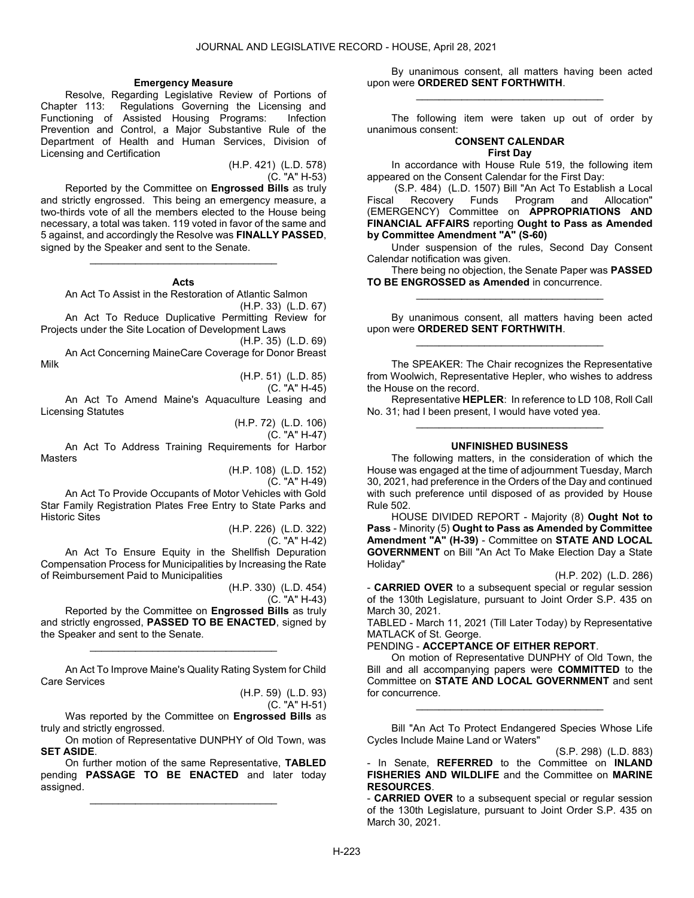### Emergency Measure

 Resolve, Regarding Legislative Review of Portions of Chapter 113: Regulations Governing the Licensing and Functioning of Assisted Housing Programs: Infection Prevention and Control, a Major Substantive Rule of the Department of Health and Human Services, Division of Licensing and Certification

(H.P. 421) (L.D. 578) (C. "A" H-53)

 Reported by the Committee on Engrossed Bills as truly and strictly engrossed. This being an emergency measure, a two-thirds vote of all the members elected to the House being necessary, a total was taken. 119 voted in favor of the same and 5 against, and accordingly the Resolve was FINALLY PASSED, signed by the Speaker and sent to the Senate.

#### Acts

\_\_\_\_\_\_\_\_\_\_\_\_\_\_\_\_\_\_\_\_\_\_\_\_\_\_\_\_\_\_\_\_\_

An Act To Assist in the Restoration of Atlantic Salmon

(H.P. 33) (L.D. 67) An Act To Reduce Duplicative Permitting Review for

Projects under the Site Location of Development Laws

(H.P. 35) (L.D. 69)

 An Act Concerning MaineCare Coverage for Donor Breast Milk

(H.P. 51) (L.D. 85)

(C. "A" H-45)

 An Act To Amend Maine's Aquaculture Leasing and Licensing Statutes

(H.P. 72) (L.D. 106)

(C. "A" H-47)

 An Act To Address Training Requirements for Harbor **Masters** 

(H.P. 108) (L.D. 152)

(C. "A" H-49)

 An Act To Provide Occupants of Motor Vehicles with Gold Star Family Registration Plates Free Entry to State Parks and Historic Sites

(H.P. 226) (L.D. 322)

(C. "A" H-42)

 An Act To Ensure Equity in the Shellfish Depuration Compensation Process for Municipalities by Increasing the Rate of Reimbursement Paid to Municipalities

> (H.P. 330) (L.D. 454) (C. "A" H-43)

Reported by the Committee on **Engrossed Bills** as truly and strictly engrossed, PASSED TO BE ENACTED, signed by the Speaker and sent to the Senate.

 An Act To Improve Maine's Quality Rating System for Child Care Services

\_\_\_\_\_\_\_\_\_\_\_\_\_\_\_\_\_\_\_\_\_\_\_\_\_\_\_\_\_\_\_\_\_

(H.P. 59) (L.D. 93) (C. "A" H-51)

Was reported by the Committee on Engrossed Bills as truly and strictly engrossed.

 On motion of Representative DUNPHY of Old Town, was SET ASIDE.

 On further motion of the same Representative, TABLED pending PASSAGE TO BE ENACTED and later today assigned.

\_\_\_\_\_\_\_\_\_\_\_\_\_\_\_\_\_\_\_\_\_\_\_\_\_\_\_\_\_\_\_\_\_

 By unanimous consent, all matters having been acted upon were ORDERED SENT FORTHWITH. \_\_\_\_\_\_\_\_\_\_\_\_\_\_\_\_\_\_\_\_\_\_\_\_\_\_\_\_\_\_\_\_\_

 The following item were taken up out of order by unanimous consent:

#### CONSENT CALENDAR First Day

 In accordance with House Rule 519, the following item appeared on the Consent Calendar for the First Day:

 (S.P. 484) (L.D. 1507) Bill "An Act To Establish a Local Fiscal Recovery Funds Program and Allocation" (EMERGENCY) Committee on APPROPRIATIONS AND FINANCIAL AFFAIRS reporting Ought to Pass as Amended by Committee Amendment "A" (S-60)

 Under suspension of the rules, Second Day Consent Calendar notification was given.

 There being no objection, the Senate Paper was PASSED TO BE ENGROSSED as Amended in concurrence. \_\_\_\_\_\_\_\_\_\_\_\_\_\_\_\_\_\_\_\_\_\_\_\_\_\_\_\_\_\_\_\_\_

 By unanimous consent, all matters having been acted upon were ORDERED SENT FORTHWITH. \_\_\_\_\_\_\_\_\_\_\_\_\_\_\_\_\_\_\_\_\_\_\_\_\_\_\_\_\_\_\_\_\_

 The SPEAKER: The Chair recognizes the Representative from Woolwich, Representative Hepler, who wishes to address the House on the record.

 Representative HEPLER: In reference to LD 108, Roll Call No. 31; had I been present, I would have voted yea. \_\_\_\_\_\_\_\_\_\_\_\_\_\_\_\_\_\_\_\_\_\_\_\_\_\_\_\_\_\_\_\_\_

### UNFINISHED BUSINESS

 The following matters, in the consideration of which the House was engaged at the time of adjournment Tuesday, March 30, 2021, had preference in the Orders of the Day and continued with such preference until disposed of as provided by House Rule 502.

 HOUSE DIVIDED REPORT - Majority (8) Ought Not to Pass - Minority (5) Ought to Pass as Amended by Committee Amendment "A" (H-39) - Committee on STATE AND LOCAL GOVERNMENT on Bill "An Act To Make Election Day a State Holiday"

(H.P. 202) (L.D. 286)

- **CARRIED OVER** to a subsequent special or regular session of the 130th Legislature, pursuant to Joint Order S.P. 435 on March 30, 2021.

TABLED - March 11, 2021 (Till Later Today) by Representative MATLACK of St. George.

## PENDING - ACCEPTANCE OF EITHER REPORT.

 On motion of Representative DUNPHY of Old Town, the Bill and all accompanying papers were **COMMITTED** to the Committee on STATE AND LOCAL GOVERNMENT and sent for concurrence.

 Bill "An Act To Protect Endangered Species Whose Life Cycles Include Maine Land or Waters"

\_\_\_\_\_\_\_\_\_\_\_\_\_\_\_\_\_\_\_\_\_\_\_\_\_\_\_\_\_\_\_\_\_

(S.P. 298) (L.D. 883)

- In Senate, **REFERRED** to the Committee on **INLAND** FISHERIES AND WILDLIFE and the Committee on MARINE RESOURCES.

- **CARRIED OVER** to a subsequent special or regular session of the 130th Legislature, pursuant to Joint Order S.P. 435 on March 30, 2021.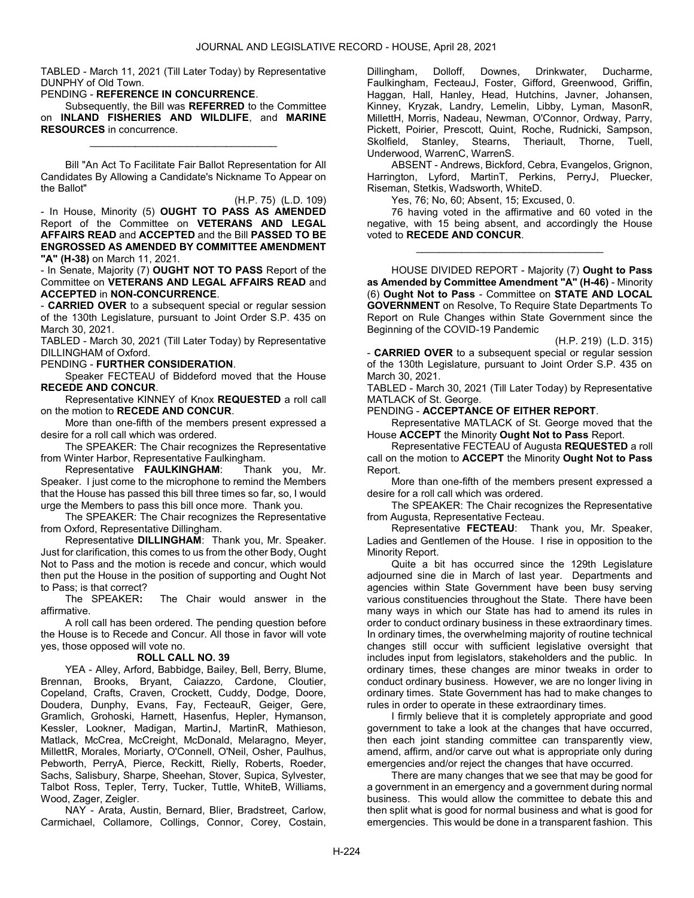TABLED - March 11, 2021 (Till Later Today) by Representative DUNPHY of Old Town.

# PENDING - REFERENCE IN CONCURRENCE.

Subsequently, the Bill was REFERRED to the Committee on INLAND FISHERIES AND WILDLIFE, and MARINE RESOURCES in concurrence.

\_\_\_\_\_\_\_\_\_\_\_\_\_\_\_\_\_\_\_\_\_\_\_\_\_\_\_\_\_\_\_\_\_

 Bill "An Act To Facilitate Fair Ballot Representation for All Candidates By Allowing a Candidate's Nickname To Appear on the Ballot"

(H.P. 75) (L.D. 109) - In House, Minority (5) OUGHT TO PASS AS AMENDED Report of the Committee on VETERANS AND LEGAL AFFAIRS READ and ACCEPTED and the Bill PASSED TO BE ENGROSSED AS AMENDED BY COMMITTEE AMENDMENT "A" (H-38) on March 11, 2021.

- In Senate, Majority (7) OUGHT NOT TO PASS Report of the Committee on VETERANS AND LEGAL AFFAIRS READ and ACCEPTED in NON-CONCURRENCE.

- **CARRIED OVER** to a subsequent special or regular session of the 130th Legislature, pursuant to Joint Order S.P. 435 on March 30, 2021.

TABLED - March 30, 2021 (Till Later Today) by Representative DILLINGHAM of Oxford.

PENDING - FURTHER CONSIDERATION.

 Speaker FECTEAU of Biddeford moved that the House RECEDE AND CONCUR.

 Representative KINNEY of Knox REQUESTED a roll call on the motion to RECEDE AND CONCUR.

 More than one-fifth of the members present expressed a desire for a roll call which was ordered.

 The SPEAKER: The Chair recognizes the Representative from Winter Harbor, Representative Faulkingham.

 Representative FAULKINGHAM: Thank you, Mr. Speaker. I just come to the microphone to remind the Members that the House has passed this bill three times so far, so, I would urge the Members to pass this bill once more. Thank you.

 The SPEAKER: The Chair recognizes the Representative from Oxford, Representative Dillingham.

 Representative DILLINGHAM: Thank you, Mr. Speaker. Just for clarification, this comes to us from the other Body, Ought Not to Pass and the motion is recede and concur, which would then put the House in the position of supporting and Ought Not to Pass; is that correct?<br>The SPEAKER:

The Chair would answer in the affirmative.

 A roll call has been ordered. The pending question before the House is to Recede and Concur. All those in favor will vote yes, those opposed will vote no.

## ROLL CALL NO. 39

 YEA - Alley, Arford, Babbidge, Bailey, Bell, Berry, Blume, Brennan, Brooks, Bryant, Caiazzo, Cardone, Cloutier, Copeland, Crafts, Craven, Crockett, Cuddy, Dodge, Doore, Doudera, Dunphy, Evans, Fay, FecteauR, Geiger, Gere, Gramlich, Grohoski, Harnett, Hasenfus, Hepler, Hymanson, Kessler, Lookner, Madigan, MartinJ, MartinR, Mathieson, Matlack, McCrea, McCreight, McDonald, Melaragno, Meyer, MillettR, Morales, Moriarty, O'Connell, O'Neil, Osher, Paulhus, Pebworth, PerryA, Pierce, Reckitt, Rielly, Roberts, Roeder, Sachs, Salisbury, Sharpe, Sheehan, Stover, Supica, Sylvester, Talbot Ross, Tepler, Terry, Tucker, Tuttle, WhiteB, Williams, Wood, Zager, Zeigler.

 NAY - Arata, Austin, Bernard, Blier, Bradstreet, Carlow, Carmichael, Collamore, Collings, Connor, Corey, Costain, Dillingham, Dolloff, Downes, Drinkwater, Ducharme, Faulkingham, FecteauJ, Foster, Gifford, Greenwood, Griffin, Haggan, Hall, Hanley, Head, Hutchins, Javner, Johansen, Kinney, Kryzak, Landry, Lemelin, Libby, Lyman, MasonR, MillettH, Morris, Nadeau, Newman, O'Connor, Ordway, Parry, Pickett, Poirier, Prescott, Quint, Roche, Rudnicki, Sampson, Skolfield, Stanley, Stearns, Theriault, Thorne, Tuell, Underwood, WarrenC, WarrenS.

 ABSENT - Andrews, Bickford, Cebra, Evangelos, Grignon, Harrington, Lyford, MartinT, Perkins, PerryJ, Pluecker, Riseman, Stetkis, Wadsworth, WhiteD.

Yes, 76; No, 60; Absent, 15; Excused, 0.

 76 having voted in the affirmative and 60 voted in the negative, with 15 being absent, and accordingly the House voted to RECEDE AND CONCUR.

\_\_\_\_\_\_\_\_\_\_\_\_\_\_\_\_\_\_\_\_\_\_\_\_\_\_\_\_\_\_\_\_\_

 HOUSE DIVIDED REPORT - Majority (7) Ought to Pass as Amended by Committee Amendment "A" (H-46) - Minority (6) Ought Not to Pass - Committee on STATE AND LOCAL GOVERNMENT on Resolve, To Require State Departments To Report on Rule Changes within State Government since the Beginning of the COVID-19 Pandemic

(H.P. 219) (L.D. 315)

- **CARRIED OVER** to a subsequent special or regular session of the 130th Legislature, pursuant to Joint Order S.P. 435 on March 30, 2021.

TABLED - March 30, 2021 (Till Later Today) by Representative MATLACK of St. George.

PENDING - ACCEPTANCE OF EITHER REPORT.

 Representative MATLACK of St. George moved that the House ACCEPT the Minority Ought Not to Pass Report.

 Representative FECTEAU of Augusta REQUESTED a roll call on the motion to ACCEPT the Minority Ought Not to Pass Report.

 More than one-fifth of the members present expressed a desire for a roll call which was ordered.

 The SPEAKER: The Chair recognizes the Representative from Augusta, Representative Fecteau.

 Representative FECTEAU: Thank you, Mr. Speaker, Ladies and Gentlemen of the House. I rise in opposition to the Minority Report.

 Quite a bit has occurred since the 129th Legislature adjourned sine die in March of last year. Departments and agencies within State Government have been busy serving various constituencies throughout the State. There have been many ways in which our State has had to amend its rules in order to conduct ordinary business in these extraordinary times. In ordinary times, the overwhelming majority of routine technical changes still occur with sufficient legislative oversight that includes input from legislators, stakeholders and the public. In ordinary times, these changes are minor tweaks in order to conduct ordinary business. However, we are no longer living in ordinary times. State Government has had to make changes to rules in order to operate in these extraordinary times.

 I firmly believe that it is completely appropriate and good government to take a look at the changes that have occurred, then each joint standing committee can transparently view, amend, affirm, and/or carve out what is appropriate only during emergencies and/or reject the changes that have occurred.

 There are many changes that we see that may be good for a government in an emergency and a government during normal business. This would allow the committee to debate this and then split what is good for normal business and what is good for emergencies. This would be done in a transparent fashion. This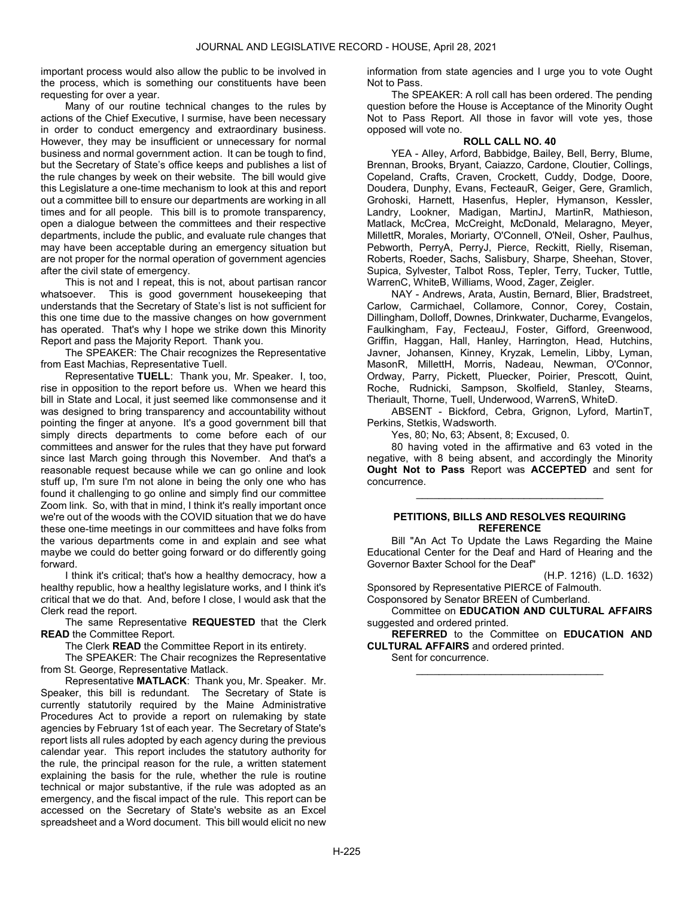important process would also allow the public to be involved in the process, which is something our constituents have been requesting for over a year.

 Many of our routine technical changes to the rules by actions of the Chief Executive, I surmise, have been necessary in order to conduct emergency and extraordinary business. However, they may be insufficient or unnecessary for normal business and normal government action. It can be tough to find, but the Secretary of State's office keeps and publishes a list of the rule changes by week on their website. The bill would give this Legislature a one-time mechanism to look at this and report out a committee bill to ensure our departments are working in all times and for all people. This bill is to promote transparency, open a dialogue between the committees and their respective departments, include the public, and evaluate rule changes that may have been acceptable during an emergency situation but are not proper for the normal operation of government agencies after the civil state of emergency.

 This is not and I repeat, this is not, about partisan rancor whatsoever. This is good government housekeeping that understands that the Secretary of State's list is not sufficient for this one time due to the massive changes on how government has operated. That's why I hope we strike down this Minority Report and pass the Majority Report. Thank you.

 The SPEAKER: The Chair recognizes the Representative from East Machias, Representative Tuell.

 Representative TUELL: Thank you, Mr. Speaker. I, too, rise in opposition to the report before us. When we heard this bill in State and Local, it just seemed like commonsense and it was designed to bring transparency and accountability without pointing the finger at anyone. It's a good government bill that simply directs departments to come before each of our committees and answer for the rules that they have put forward since last March going through this November. And that's a reasonable request because while we can go online and look stuff up, I'm sure I'm not alone in being the only one who has found it challenging to go online and simply find our committee Zoom link. So, with that in mind, I think it's really important once we're out of the woods with the COVID situation that we do have these one-time meetings in our committees and have folks from the various departments come in and explain and see what maybe we could do better going forward or do differently going forward.

 I think it's critical; that's how a healthy democracy, how a healthy republic, how a healthy legislature works, and I think it's critical that we do that. And, before I close, I would ask that the Clerk read the report.

The same Representative REQUESTED that the Clerk READ the Committee Report.

The Clerk **READ** the Committee Report in its entirety.

 The SPEAKER: The Chair recognizes the Representative from St. George, Representative Matlack.

 Representative MATLACK: Thank you, Mr. Speaker. Mr. Speaker, this bill is redundant. The Secretary of State is currently statutorily required by the Maine Administrative Procedures Act to provide a report on rulemaking by state agencies by February 1st of each year. The Secretary of State's report lists all rules adopted by each agency during the previous calendar year. This report includes the statutory authority for the rule, the principal reason for the rule, a written statement explaining the basis for the rule, whether the rule is routine technical or major substantive, if the rule was adopted as an emergency, and the fiscal impact of the rule. This report can be accessed on the Secretary of State's website as an Excel spreadsheet and a Word document. This bill would elicit no new

information from state agencies and I urge you to vote Ought Not to Pass.

 The SPEAKER: A roll call has been ordered. The pending question before the House is Acceptance of the Minority Ought Not to Pass Report. All those in favor will vote yes, those opposed will vote no.

# ROLL CALL NO. 40

 YEA - Alley, Arford, Babbidge, Bailey, Bell, Berry, Blume, Brennan, Brooks, Bryant, Caiazzo, Cardone, Cloutier, Collings, Copeland, Crafts, Craven, Crockett, Cuddy, Dodge, Doore, Doudera, Dunphy, Evans, FecteauR, Geiger, Gere, Gramlich, Grohoski, Harnett, Hasenfus, Hepler, Hymanson, Kessler, Landry, Lookner, Madigan, MartinJ, MartinR, Mathieson, Matlack, McCrea, McCreight, McDonald, Melaragno, Meyer, MillettR, Morales, Moriarty, O'Connell, O'Neil, Osher, Paulhus, Pebworth, PerryA, PerryJ, Pierce, Reckitt, Rielly, Riseman, Roberts, Roeder, Sachs, Salisbury, Sharpe, Sheehan, Stover, Supica, Sylvester, Talbot Ross, Tepler, Terry, Tucker, Tuttle, WarrenC, WhiteB, Williams, Wood, Zager, Zeigler.

 NAY - Andrews, Arata, Austin, Bernard, Blier, Bradstreet, Carlow, Carmichael, Collamore, Connor, Corey, Costain, Dillingham, Dolloff, Downes, Drinkwater, Ducharme, Evangelos, Faulkingham, Fay, FecteauJ, Foster, Gifford, Greenwood, Griffin, Haggan, Hall, Hanley, Harrington, Head, Hutchins, Javner, Johansen, Kinney, Kryzak, Lemelin, Libby, Lyman, MasonR, MillettH, Morris, Nadeau, Newman, O'Connor, Ordway, Parry, Pickett, Pluecker, Poirier, Prescott, Quint, Roche, Rudnicki, Sampson, Skolfield, Stanley, Stearns, Theriault, Thorne, Tuell, Underwood, WarrenS, WhiteD.

 ABSENT - Bickford, Cebra, Grignon, Lyford, MartinT, Perkins, Stetkis, Wadsworth.

Yes, 80; No, 63; Absent, 8; Excused, 0.

 80 having voted in the affirmative and 63 voted in the negative, with 8 being absent, and accordingly the Minority Ought Not to Pass Report was ACCEPTED and sent for concurrence.

# PETITIONS, BILLS AND RESOLVES REQUIRING **REFERENCE**

\_\_\_\_\_\_\_\_\_\_\_\_\_\_\_\_\_\_\_\_\_\_\_\_\_\_\_\_\_\_\_\_\_

 Bill "An Act To Update the Laws Regarding the Maine Educational Center for the Deaf and Hard of Hearing and the Governor Baxter School for the Deaf"

(H.P. 1216) (L.D. 1632)

Sponsored by Representative PIERCE of Falmouth. Cosponsored by Senator BREEN of Cumberland.

Committee on **EDUCATION AND CULTURAL AFFAIRS** suggested and ordered printed.

REFERRED to the Committee on EDUCATION AND CULTURAL AFFAIRS and ordered printed.

\_\_\_\_\_\_\_\_\_\_\_\_\_\_\_\_\_\_\_\_\_\_\_\_\_\_\_\_\_\_\_\_\_

Sent for concurrence.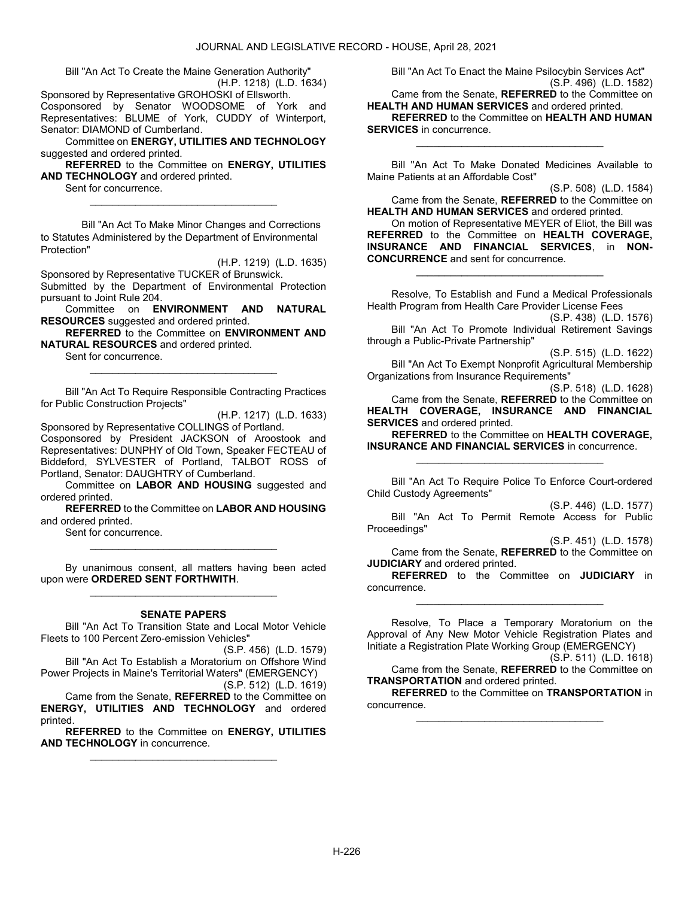Bill "An Act To Create the Maine Generation Authority" (H.P. 1218) (L.D. 1634)

Sponsored by Representative GROHOSKI of Ellsworth.

Cosponsored by Senator WOODSOME of York and Representatives: BLUME of York, CUDDY of Winterport, Senator: DIAMOND of Cumberland. Committee on ENERGY, UTILITIES AND TECHNOLOGY

suggested and ordered printed.

REFERRED to the Committee on ENERGY, UTILITIES AND TECHNOLOGY and ordered printed.

\_\_\_\_\_\_\_\_\_\_\_\_\_\_\_\_\_\_\_\_\_\_\_\_\_\_\_\_\_\_\_\_\_

Sent for concurrence.

 Bill "An Act To Make Minor Changes and Corrections to Statutes Administered by the Department of Environmental Protection"

(H.P. 1219) (L.D. 1635)

Sponsored by Representative TUCKER of Brunswick. Submitted by the Department of Environmental Protection pursuant to Joint Rule 204.

 Committee on ENVIRONMENT AND NATURAL RESOURCES suggested and ordered printed.

REFERRED to the Committee on ENVIRONMENT AND NATURAL RESOURCES and ordered printed.

\_\_\_\_\_\_\_\_\_\_\_\_\_\_\_\_\_\_\_\_\_\_\_\_\_\_\_\_\_\_\_\_\_

Sent for concurrence.

 Bill "An Act To Require Responsible Contracting Practices for Public Construction Projects"

(H.P. 1217) (L.D. 1633)

Sponsored by Representative COLLINGS of Portland. Cosponsored by President JACKSON of Aroostook and Representatives: DUNPHY of Old Town, Speaker FECTEAU of Biddeford, SYLVESTER of Portland, TALBOT ROSS of Portland, Senator: DAUGHTRY of Cumberland.

 Committee on LABOR AND HOUSING suggested and ordered printed.

REFERRED to the Committee on LABOR AND HOUSING and ordered printed.

\_\_\_\_\_\_\_\_\_\_\_\_\_\_\_\_\_\_\_\_\_\_\_\_\_\_\_\_\_\_\_\_\_

Sent for concurrence.

 By unanimous consent, all matters having been acted upon were ORDERED SENT FORTHWITH. \_\_\_\_\_\_\_\_\_\_\_\_\_\_\_\_\_\_\_\_\_\_\_\_\_\_\_\_\_\_\_\_\_

## SENATE PAPERS

 Bill "An Act To Transition State and Local Motor Vehicle Fleets to 100 Percent Zero-emission Vehicles"

(S.P. 456) (L.D. 1579) Bill "An Act To Establish a Moratorium on Offshore Wind Power Projects in Maine's Territorial Waters" (EMERGENCY)

(S.P. 512) (L.D. 1619) Came from the Senate, REFERRED to the Committee on ENERGY, UTILITIES AND TECHNOLOGY and ordered printed.

REFERRED to the Committee on ENERGY, UTILITIES AND TECHNOLOGY in concurrence. \_\_\_\_\_\_\_\_\_\_\_\_\_\_\_\_\_\_\_\_\_\_\_\_\_\_\_\_\_\_\_\_\_

 Bill "An Act To Enact the Maine Psilocybin Services Act" (S.P. 496) (L.D. 1582)

Came from the Senate, REFERRED to the Committee on **HEALTH AND HUMAN SERVICES** and ordered printed.

REFERRED to the Committee on HEALTH AND HUMAN SERVICES in concurrence. \_\_\_\_\_\_\_\_\_\_\_\_\_\_\_\_\_\_\_\_\_\_\_\_\_\_\_\_\_\_\_\_\_

 Bill "An Act To Make Donated Medicines Available to Maine Patients at an Affordable Cost"

(S.P. 508) (L.D. 1584) Came from the Senate, REFERRED to the Committee on HEALTH AND HUMAN SERVICES and ordered printed.

 On motion of Representative MEYER of Eliot, the Bill was REFERRED to the Committee on HEALTH COVERAGE, INSURANCE AND FINANCIAL SERVICES, in NON-CONCURRENCE and sent for concurrence.

 Resolve, To Establish and Fund a Medical Professionals Health Program from Health Care Provider License Fees

\_\_\_\_\_\_\_\_\_\_\_\_\_\_\_\_\_\_\_\_\_\_\_\_\_\_\_\_\_\_\_\_\_

(S.P. 438) (L.D. 1576) Bill "An Act To Promote Individual Retirement Savings through a Public-Private Partnership"

(S.P. 515) (L.D. 1622) Bill "An Act To Exempt Nonprofit Agricultural Membership Organizations from Insurance Requirements"

(S.P. 518) (L.D. 1628) Came from the Senate, REFERRED to the Committee on HEALTH COVERAGE, INSURANCE AND FINANCIAL **SERVICES** and ordered printed.

REFERRED to the Committee on HEALTH COVERAGE, INSURANCE AND FINANCIAL SERVICES in concurrence. \_\_\_\_\_\_\_\_\_\_\_\_\_\_\_\_\_\_\_\_\_\_\_\_\_\_\_\_\_\_\_\_\_

 Bill "An Act To Require Police To Enforce Court-ordered Child Custody Agreements"

(S.P. 446) (L.D. 1577) Bill "An Act To Permit Remote Access for Public Proceedings"

(S.P. 451) (L.D. 1578) Came from the Senate, REFERRED to the Committee on **JUDICIARY** and ordered printed.

REFERRED to the Committee on JUDICIARY in concurrence. \_\_\_\_\_\_\_\_\_\_\_\_\_\_\_\_\_\_\_\_\_\_\_\_\_\_\_\_\_\_\_\_\_

 Resolve, To Place a Temporary Moratorium on the Approval of Any New Motor Vehicle Registration Plates and Initiate a Registration Plate Working Group (EMERGENCY)

(S.P. 511) (L.D. 1618) Came from the Senate, REFERRED to the Committee on TRANSPORTATION and ordered printed.

REFERRED to the Committee on TRANSPORTATION in concurrence. \_\_\_\_\_\_\_\_\_\_\_\_\_\_\_\_\_\_\_\_\_\_\_\_\_\_\_\_\_\_\_\_\_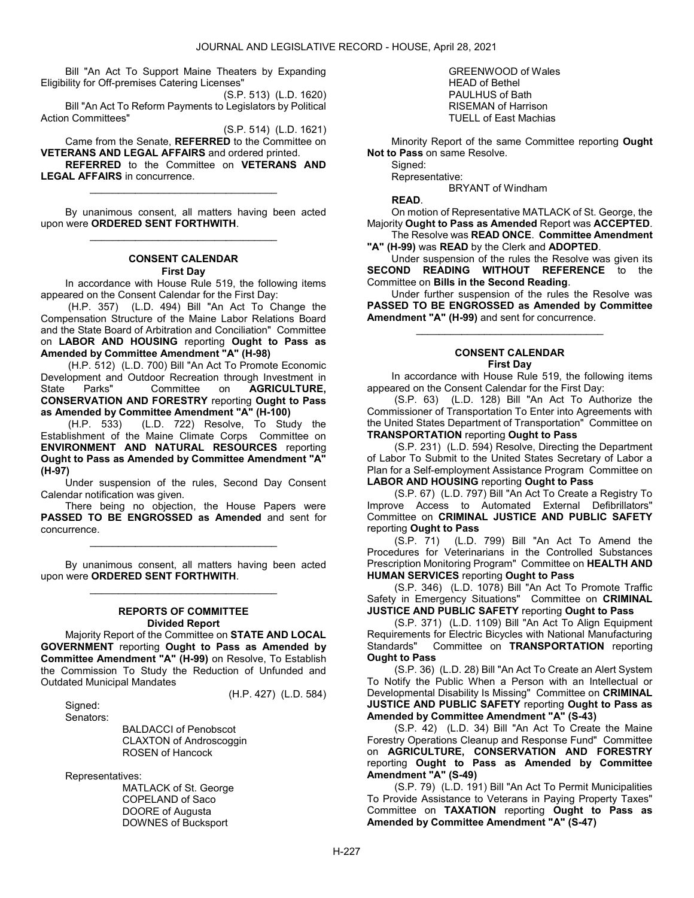Bill "An Act To Support Maine Theaters by Expanding Eligibility for Off-premises Catering Licenses"

(S.P. 513) (L.D. 1620) Bill "An Act To Reform Payments to Legislators by Political Action Committees"

(S.P. 514) (L.D. 1621)

 Came from the Senate, REFERRED to the Committee on VETERANS AND LEGAL AFFAIRS and ordered printed. REFERRED to the Committee on VETERANS AND

\_\_\_\_\_\_\_\_\_\_\_\_\_\_\_\_\_\_\_\_\_\_\_\_\_\_\_\_\_\_\_\_\_

LEGAL AFFAIRS in concurrence.

 By unanimous consent, all matters having been acted upon were ORDERED SENT FORTHWITH. \_\_\_\_\_\_\_\_\_\_\_\_\_\_\_\_\_\_\_\_\_\_\_\_\_\_\_\_\_\_\_\_\_

# CONSENT CALENDAR

#### First Day

 In accordance with House Rule 519, the following items appeared on the Consent Calendar for the First Day:

 (H.P. 357) (L.D. 494) Bill "An Act To Change the Compensation Structure of the Maine Labor Relations Board and the State Board of Arbitration and Conciliation" Committee on LABOR AND HOUSING reporting Ought to Pass as Amended by Committee Amendment "A" (H-98)

 (H.P. 512) (L.D. 700) Bill "An Act To Promote Economic Development and Outdoor Recreation through Investment in State Parks" Committee on **AGRICULTURE**, CONSERVATION AND FORESTRY reporting Ought to Pass as Amended by Committee Amendment "A" (H-100)

 (H.P. 533) (L.D. 722) Resolve, To Study the Establishment of the Maine Climate Corps Committee on ENVIRONMENT AND NATURAL RESOURCES reporting Ought to Pass as Amended by Committee Amendment "A" (H-97)

 Under suspension of the rules, Second Day Consent Calendar notification was given.

 There being no objection, the House Papers were PASSED TO BE ENGROSSED as Amended and sent for concurrence.

\_\_\_\_\_\_\_\_\_\_\_\_\_\_\_\_\_\_\_\_\_\_\_\_\_\_\_\_\_\_\_\_\_

 By unanimous consent, all matters having been acted upon were ORDERED SENT FORTHWITH. \_\_\_\_\_\_\_\_\_\_\_\_\_\_\_\_\_\_\_\_\_\_\_\_\_\_\_\_\_\_\_\_\_

### REPORTS OF COMMITTEE Divided Report

 Majority Report of the Committee on STATE AND LOCAL GOVERNMENT reporting Ought to Pass as Amended by Committee Amendment "A" (H-99) on Resolve, To Establish the Commission To Study the Reduction of Unfunded and Outdated Municipal Mandates

 Signed: Senators: (H.P. 427) (L.D. 584)

 BALDACCI of Penobscot CLAXTON of Androscoggin ROSEN of Hancock

Representatives:

 MATLACK of St. George COPELAND of Saco DOORE of Augusta DOWNES of Bucksport

 GREENWOOD of Wales HEAD of Bethel PAULHUS of Bath RISEMAN of Harrison TUELL of East Machias

 Minority Report of the same Committee reporting Ought Not to Pass on same Resolve.

Signed: Representative:

BRYANT of Windham

READ.

 On motion of Representative MATLACK of St. George, the Majority Ought to Pass as Amended Report was ACCEPTED. The Resolve was READ ONCE. Committee Amendment

"A" (H-99) was READ by the Clerk and ADOPTED.

 Under suspension of the rules the Resolve was given its SECOND READING WITHOUT REFERENCE to the Committee on Bills in the Second Reading.

 Under further suspension of the rules the Resolve was PASSED TO BE ENGROSSED as Amended by Committee Amendment "A" (H-99) and sent for concurrence.

\_\_\_\_\_\_\_\_\_\_\_\_\_\_\_\_\_\_\_\_\_\_\_\_\_\_\_\_\_\_\_\_\_

#### CONSENT CALENDAR First Day

 In accordance with House Rule 519, the following items appeared on the Consent Calendar for the First Day:

 (S.P. 63) (L.D. 128) Bill "An Act To Authorize the Commissioner of Transportation To Enter into Agreements with the United States Department of Transportation" Committee on TRANSPORTATION reporting Ought to Pass

 (S.P. 231) (L.D. 594) Resolve, Directing the Department of Labor To Submit to the United States Secretary of Labor a Plan for a Self-employment Assistance Program Committee on LABOR AND HOUSING reporting Ought to Pass

 (S.P. 67) (L.D. 797) Bill "An Act To Create a Registry To Improve Access to Automated External Defibrillators" Committee on CRIMINAL JUSTICE AND PUBLIC SAFETY reporting Ought to Pass

 (S.P. 71) (L.D. 799) Bill "An Act To Amend the Procedures for Veterinarians in the Controlled Substances Prescription Monitoring Program" Committee on HEALTH AND HUMAN SERVICES reporting Ought to Pass

 (S.P. 346) (L.D. 1078) Bill "An Act To Promote Traffic Safety in Emergency Situations" Committee on CRIMINAL JUSTICE AND PUBLIC SAFETY reporting Ought to Pass

 (S.P. 371) (L.D. 1109) Bill "An Act To Align Equipment Requirements for Electric Bicycles with National Manufacturing Standards" Committee on TRANSPORTATION reporting Ought to Pass

 (S.P. 36) (L.D. 28) Bill "An Act To Create an Alert System To Notify the Public When a Person with an Intellectual or Developmental Disability Is Missing" Committee on CRIMINAL JUSTICE AND PUBLIC SAFETY reporting Ought to Pass as Amended by Committee Amendment "A" (S-43)

 (S.P. 42) (L.D. 34) Bill "An Act To Create the Maine Forestry Operations Cleanup and Response Fund" Committee on **AGRICULTURE, CONSERVATION AND FORESTRY** reporting Ought to Pass as Amended by Committee Amendment "A" (S-49)

 (S.P. 79) (L.D. 191) Bill "An Act To Permit Municipalities To Provide Assistance to Veterans in Paying Property Taxes" Committee on TAXATION reporting Ought to Pass as Amended by Committee Amendment "A" (S-47)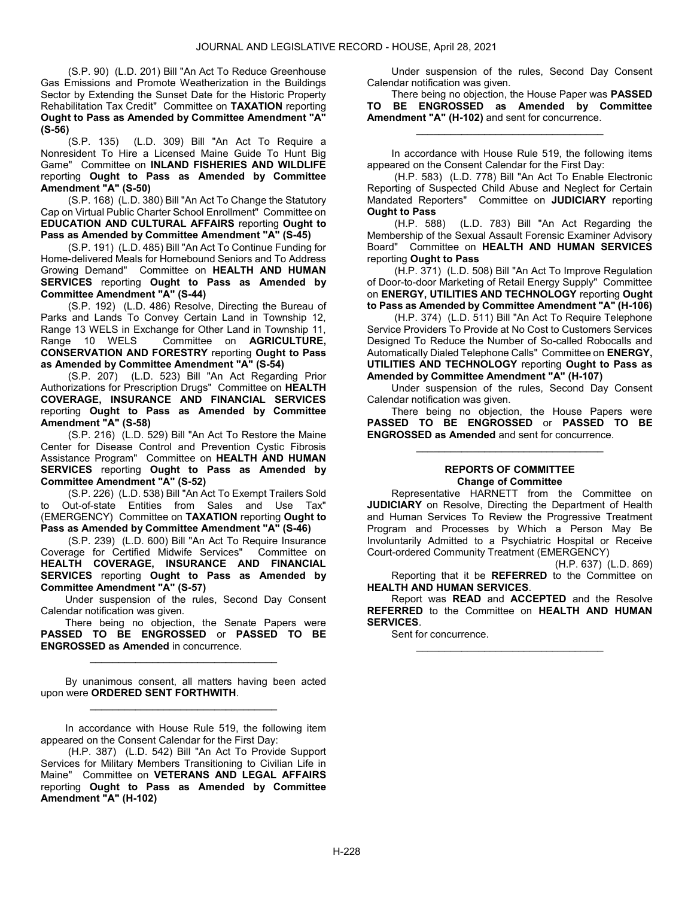(S.P. 90) (L.D. 201) Bill "An Act To Reduce Greenhouse Gas Emissions and Promote Weatherization in the Buildings Sector by Extending the Sunset Date for the Historic Property Rehabilitation Tax Credit" Committee on TAXATION reporting Ought to Pass as Amended by Committee Amendment "A" (S-56)

 (S.P. 135) (L.D. 309) Bill "An Act To Require a Nonresident To Hire a Licensed Maine Guide To Hunt Big Game" Committee on INLAND FISHERIES AND WILDLIFE reporting Ought to Pass as Amended by Committee Amendment "A" (S-50)

 (S.P. 168) (L.D. 380) Bill "An Act To Change the Statutory Cap on Virtual Public Charter School Enrollment" Committee on EDUCATION AND CULTURAL AFFAIRS reporting Ought to Pass as Amended by Committee Amendment "A" (S-45)

 (S.P. 191) (L.D. 485) Bill "An Act To Continue Funding for Home-delivered Meals for Homebound Seniors and To Address Growing Demand" Committee on HEALTH AND HUMAN SERVICES reporting Ought to Pass as Amended by Committee Amendment "A" (S-44)

 (S.P. 192) (L.D. 486) Resolve, Directing the Bureau of Parks and Lands To Convey Certain Land in Township 12, Range 13 WELS in Exchange for Other Land in Township 11, Range 10 WELS Committee on **AGRICULTURE**, CONSERVATION AND FORESTRY reporting Ought to Pass as Amended by Committee Amendment "A" (S-54)

 (S.P. 207) (L.D. 523) Bill "An Act Regarding Prior Authorizations for Prescription Drugs" Committee on HEALTH COVERAGE, INSURANCE AND FINANCIAL SERVICES reporting Ought to Pass as Amended by Committee Amendment "A" (S-58)

 (S.P. 216) (L.D. 529) Bill "An Act To Restore the Maine Center for Disease Control and Prevention Cystic Fibrosis Assistance Program" Committee on HEALTH AND HUMAN SERVICES reporting Ought to Pass as Amended by Committee Amendment "A" (S-52)

 (S.P. 226) (L.D. 538) Bill "An Act To Exempt Trailers Sold Out-of-state Entities from Sales and Use Tax" (EMERGENCY) Committee on TAXATION reporting Ought to Pass as Amended by Committee Amendment "A" (S-46)

 (S.P. 239) (L.D. 600) Bill "An Act To Require Insurance Coverage for Certified Midwife Services" Committee on HEALTH COVERAGE, INSURANCE AND FINANCIAL SERVICES reporting Ought to Pass as Amended by Committee Amendment "A" (S-57)

 Under suspension of the rules, Second Day Consent Calendar notification was given.

 There being no objection, the Senate Papers were PASSED TO BE ENGROSSED or PASSED TO BE ENGROSSED as Amended in concurrence.

\_\_\_\_\_\_\_\_\_\_\_\_\_\_\_\_\_\_\_\_\_\_\_\_\_\_\_\_\_\_\_\_\_

 By unanimous consent, all matters having been acted upon were ORDERED SENT FORTHWITH. \_\_\_\_\_\_\_\_\_\_\_\_\_\_\_\_\_\_\_\_\_\_\_\_\_\_\_\_\_\_\_\_\_

 In accordance with House Rule 519, the following item appeared on the Consent Calendar for the First Day:

 (H.P. 387) (L.D. 542) Bill "An Act To Provide Support Services for Military Members Transitioning to Civilian Life in Maine" Committee on VETERANS AND LEGAL AFFAIRS reporting Ought to Pass as Amended by Committee Amendment "A" (H-102)

 Under suspension of the rules, Second Day Consent Calendar notification was given.

 There being no objection, the House Paper was PASSED TO BE ENGROSSED as Amended by Committee Amendment "A" (H-102) and sent for concurrence.

\_\_\_\_\_\_\_\_\_\_\_\_\_\_\_\_\_\_\_\_\_\_\_\_\_\_\_\_\_\_\_\_\_

 In accordance with House Rule 519, the following items appeared on the Consent Calendar for the First Day:

 (H.P. 583) (L.D. 778) Bill "An Act To Enable Electronic Reporting of Suspected Child Abuse and Neglect for Certain Mandated Reporters" Committee on JUDICIARY reporting Ought to Pass<br>(H.P. 588)

(L.D. 783) Bill "An Act Regarding the Membership of the Sexual Assault Forensic Examiner Advisory Board" Committee on HEALTH AND HUMAN SERVICES reporting Ought to Pass

 (H.P. 371) (L.D. 508) Bill "An Act To Improve Regulation of Door-to-door Marketing of Retail Energy Supply" Committee on ENERGY, UTILITIES AND TECHNOLOGY reporting Ought to Pass as Amended by Committee Amendment "A" (H-106)

 (H.P. 374) (L.D. 511) Bill "An Act To Require Telephone Service Providers To Provide at No Cost to Customers Services Designed To Reduce the Number of So-called Robocalls and Automatically Dialed Telephone Calls" Committee on ENERGY, UTILITIES AND TECHNOLOGY reporting Ought to Pass as Amended by Committee Amendment "A" (H-107)

 Under suspension of the rules, Second Day Consent Calendar notification was given.

 There being no objection, the House Papers were PASSED TO BE ENGROSSED or PASSED TO BE ENGROSSED as Amended and sent for concurrence.

\_\_\_\_\_\_\_\_\_\_\_\_\_\_\_\_\_\_\_\_\_\_\_\_\_\_\_\_\_\_\_\_\_

### REPORTS OF COMMITTEE Change of Committee

 Representative HARNETT from the Committee on JUDICIARY on Resolve, Directing the Department of Health and Human Services To Review the Progressive Treatment Program and Processes by Which a Person May Be Involuntarily Admitted to a Psychiatric Hospital or Receive Court-ordered Community Treatment (EMERGENCY)

(H.P. 637) (L.D. 869) Reporting that it be REFERRED to the Committee on HEALTH AND HUMAN SERVICES.

 Report was READ and ACCEPTED and the Resolve REFERRED to the Committee on HEALTH AND HUMAN SERVICES.

\_\_\_\_\_\_\_\_\_\_\_\_\_\_\_\_\_\_\_\_\_\_\_\_\_\_\_\_\_\_\_\_\_

Sent for concurrence.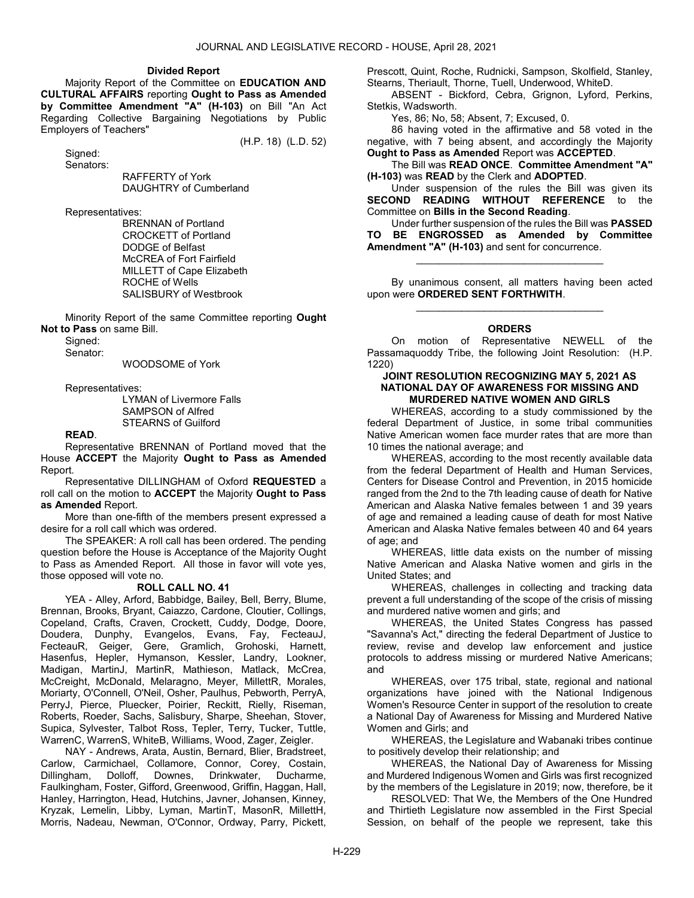#### Divided Report

 Majority Report of the Committee on EDUCATION AND CULTURAL AFFAIRS reporting Ought to Pass as Amended by Committee Amendment "A" (H-103) on Bill "An Act Regarding Collective Bargaining Negotiations by Public Employers of Teachers"

(H.P. 18) (L.D. 52)

 Signed: Senators:

 RAFFERTY of York DAUGHTRY of Cumberland

Representatives:

 BRENNAN of Portland CROCKETT of Portland DODGE of Belfast McCREA of Fort Fairfield MILLETT of Cape Elizabeth ROCHE of Wells SALISBURY of Westbrook

 Minority Report of the same Committee reporting Ought Not to Pass on same Bill.

Signed:

Senator:

WOODSOME of York

Representatives:

 LYMAN of Livermore Falls SAMPSON of Alfred STEARNS of Guilford

### READ.

 Representative BRENNAN of Portland moved that the House ACCEPT the Majority Ought to Pass as Amended Report.

 Representative DILLINGHAM of Oxford REQUESTED a roll call on the motion to ACCEPT the Majority Ought to Pass as Amended Report.

 More than one-fifth of the members present expressed a desire for a roll call which was ordered.

 The SPEAKER: A roll call has been ordered. The pending question before the House is Acceptance of the Majority Ought to Pass as Amended Report. All those in favor will vote yes, those opposed will vote no.

### ROLL CALL NO. 41

 YEA - Alley, Arford, Babbidge, Bailey, Bell, Berry, Blume, Brennan, Brooks, Bryant, Caiazzo, Cardone, Cloutier, Collings, Copeland, Crafts, Craven, Crockett, Cuddy, Dodge, Doore, Doudera, Dunphy, Evangelos, Evans, Fay, FecteauJ, FecteauR, Geiger, Gere, Gramlich, Grohoski, Harnett, Hasenfus, Hepler, Hymanson, Kessler, Landry, Lookner, Madigan, MartinJ, MartinR, Mathieson, Matlack, McCrea, McCreight, McDonald, Melaragno, Meyer, MillettR, Morales, Moriarty, O'Connell, O'Neil, Osher, Paulhus, Pebworth, PerryA, PerryJ, Pierce, Pluecker, Poirier, Reckitt, Rielly, Riseman, Roberts, Roeder, Sachs, Salisbury, Sharpe, Sheehan, Stover, Supica, Sylvester, Talbot Ross, Tepler, Terry, Tucker, Tuttle, WarrenC, WarrenS, WhiteB, Williams, Wood, Zager, Zeigler.

 NAY - Andrews, Arata, Austin, Bernard, Blier, Bradstreet, Carlow, Carmichael, Collamore, Connor, Corey, Costain, Dillingham, Dolloff, Downes, Drinkwater, Ducharme, Faulkingham, Foster, Gifford, Greenwood, Griffin, Haggan, Hall, Hanley, Harrington, Head, Hutchins, Javner, Johansen, Kinney, Kryzak, Lemelin, Libby, Lyman, MartinT, MasonR, MillettH, Morris, Nadeau, Newman, O'Connor, Ordway, Parry, Pickett, Prescott, Quint, Roche, Rudnicki, Sampson, Skolfield, Stanley, Stearns, Theriault, Thorne, Tuell, Underwood, WhiteD.

 ABSENT - Bickford, Cebra, Grignon, Lyford, Perkins, Stetkis, Wadsworth.

Yes, 86; No, 58; Absent, 7; Excused, 0.

 86 having voted in the affirmative and 58 voted in the negative, with 7 being absent, and accordingly the Majority Ought to Pass as Amended Report was ACCEPTED.

 The Bill was READ ONCE. Committee Amendment "A" (H-103) was READ by the Clerk and ADOPTED.

 Under suspension of the rules the Bill was given its SECOND READING WITHOUT REFERENCE to the Committee on Bills in the Second Reading.

 Under further suspension of the rules the Bill was PASSED TO BE ENGROSSED as Amended by Committee Amendment "A" (H-103) and sent for concurrence.

\_\_\_\_\_\_\_\_\_\_\_\_\_\_\_\_\_\_\_\_\_\_\_\_\_\_\_\_\_\_\_\_\_

 By unanimous consent, all matters having been acted upon were ORDERED SENT FORTHWITH. \_\_\_\_\_\_\_\_\_\_\_\_\_\_\_\_\_\_\_\_\_\_\_\_\_\_\_\_\_\_\_\_\_

### **ORDERS**

 On motion of Representative NEWELL of the Passamaquoddy Tribe, the following Joint Resolution: (H.P. 1220)

### JOINT RESOLUTION RECOGNIZING MAY 5, 2021 AS NATIONAL DAY OF AWARENESS FOR MISSING AND MURDERED NATIVE WOMEN AND GIRLS

 WHEREAS, according to a study commissioned by the federal Department of Justice, in some tribal communities Native American women face murder rates that are more than 10 times the national average; and

 WHEREAS, according to the most recently available data from the federal Department of Health and Human Services, Centers for Disease Control and Prevention, in 2015 homicide ranged from the 2nd to the 7th leading cause of death for Native American and Alaska Native females between 1 and 39 years of age and remained a leading cause of death for most Native American and Alaska Native females between 40 and 64 years of age; and

 WHEREAS, little data exists on the number of missing Native American and Alaska Native women and girls in the United States; and

 WHEREAS, challenges in collecting and tracking data prevent a full understanding of the scope of the crisis of missing and murdered native women and girls; and

 WHEREAS, the United States Congress has passed "Savanna's Act," directing the federal Department of Justice to review, revise and develop law enforcement and justice protocols to address missing or murdered Native Americans; and

 WHEREAS, over 175 tribal, state, regional and national organizations have joined with the National Indigenous Women's Resource Center in support of the resolution to create a National Day of Awareness for Missing and Murdered Native Women and Girls; and

 WHEREAS, the Legislature and Wabanaki tribes continue to positively develop their relationship; and

 WHEREAS, the National Day of Awareness for Missing and Murdered Indigenous Women and Girls was first recognized by the members of the Legislature in 2019; now, therefore, be it

 RESOLVED: That We, the Members of the One Hundred and Thirtieth Legislature now assembled in the First Special Session, on behalf of the people we represent, take this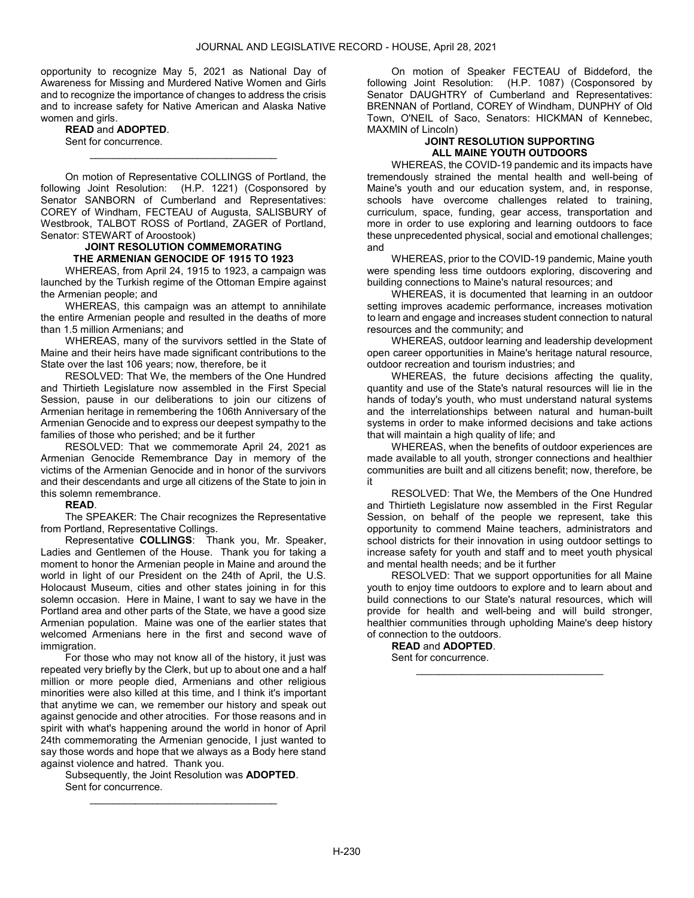opportunity to recognize May 5, 2021 as National Day of Awareness for Missing and Murdered Native Women and Girls and to recognize the importance of changes to address the crisis and to increase safety for Native American and Alaska Native women and girls.

READ and ADOPTED. Sent for concurrence.

 On motion of Representative COLLINGS of Portland, the following Joint Resolution: (H.P. 1221) (Cosponsored by Senator SANBORN of Cumberland and Representatives: COREY of Windham, FECTEAU of Augusta, SALISBURY of Westbrook, TALBOT ROSS of Portland, ZAGER of Portland, Senator: STEWART of Aroostook)

\_\_\_\_\_\_\_\_\_\_\_\_\_\_\_\_\_\_\_\_\_\_\_\_\_\_\_\_\_\_\_\_\_

# JOINT RESOLUTION COMMEMORATING THE ARMENIAN GENOCIDE OF 1915 TO 1923

 WHEREAS, from April 24, 1915 to 1923, a campaign was launched by the Turkish regime of the Ottoman Empire against the Armenian people; and

 WHEREAS, this campaign was an attempt to annihilate the entire Armenian people and resulted in the deaths of more than 1.5 million Armenians; and

 WHEREAS, many of the survivors settled in the State of Maine and their heirs have made significant contributions to the State over the last 106 years; now, therefore, be it

 RESOLVED: That We, the members of the One Hundred and Thirtieth Legislature now assembled in the First Special Session, pause in our deliberations to join our citizens of Armenian heritage in remembering the 106th Anniversary of the Armenian Genocide and to express our deepest sympathy to the families of those who perished; and be it further

 RESOLVED: That we commemorate April 24, 2021 as Armenian Genocide Remembrance Day in memory of the victims of the Armenian Genocide and in honor of the survivors and their descendants and urge all citizens of the State to join in this solemn remembrance.

# READ.

 The SPEAKER: The Chair recognizes the Representative from Portland, Representative Collings.

 Representative COLLINGS: Thank you, Mr. Speaker, Ladies and Gentlemen of the House. Thank you for taking a moment to honor the Armenian people in Maine and around the world in light of our President on the 24th of April, the U.S. Holocaust Museum, cities and other states joining in for this solemn occasion. Here in Maine, I want to say we have in the Portland area and other parts of the State, we have a good size Armenian population. Maine was one of the earlier states that welcomed Armenians here in the first and second wave of immigration.

 For those who may not know all of the history, it just was repeated very briefly by the Clerk, but up to about one and a half million or more people died, Armenians and other religious minorities were also killed at this time, and I think it's important that anytime we can, we remember our history and speak out against genocide and other atrocities. For those reasons and in spirit with what's happening around the world in honor of April 24th commemorating the Armenian genocide, I just wanted to say those words and hope that we always as a Body here stand against violence and hatred. Thank you.

 Subsequently, the Joint Resolution was ADOPTED. Sent for concurrence. \_\_\_\_\_\_\_\_\_\_\_\_\_\_\_\_\_\_\_\_\_\_\_\_\_\_\_\_\_\_\_\_\_

 On motion of Speaker FECTEAU of Biddeford, the following Joint Resolution: (H.P. 1087) (Cosponsored by Senator DAUGHTRY of Cumberland and Representatives: BRENNAN of Portland, COREY of Windham, DUNPHY of Old Town, O'NEIL of Saco, Senators: HICKMAN of Kennebec, MAXMIN of Lincoln)

# JOINT RESOLUTION SUPPORTING ALL MAINE YOUTH OUTDOORS

 WHEREAS, the COVID-19 pandemic and its impacts have tremendously strained the mental health and well-being of Maine's youth and our education system, and, in response, schools have overcome challenges related to training, curriculum, space, funding, gear access, transportation and more in order to use exploring and learning outdoors to face these unprecedented physical, social and emotional challenges; and

 WHEREAS, prior to the COVID-19 pandemic, Maine youth were spending less time outdoors exploring, discovering and building connections to Maine's natural resources; and

 WHEREAS, it is documented that learning in an outdoor setting improves academic performance, increases motivation to learn and engage and increases student connection to natural resources and the community; and

 WHEREAS, outdoor learning and leadership development open career opportunities in Maine's heritage natural resource, outdoor recreation and tourism industries; and

 WHEREAS, the future decisions affecting the quality, quantity and use of the State's natural resources will lie in the hands of today's youth, who must understand natural systems and the interrelationships between natural and human-built systems in order to make informed decisions and take actions that will maintain a high quality of life; and

 WHEREAS, when the benefits of outdoor experiences are made available to all youth, stronger connections and healthier communities are built and all citizens benefit; now, therefore, be it

 RESOLVED: That We, the Members of the One Hundred and Thirtieth Legislature now assembled in the First Regular Session, on behalf of the people we represent, take this opportunity to commend Maine teachers, administrators and school districts for their innovation in using outdoor settings to increase safety for youth and staff and to meet youth physical and mental health needs; and be it further

 RESOLVED: That we support opportunities for all Maine youth to enjoy time outdoors to explore and to learn about and build connections to our State's natural resources, which will provide for health and well-being and will build stronger, healthier communities through upholding Maine's deep history of connection to the outdoors.

\_\_\_\_\_\_\_\_\_\_\_\_\_\_\_\_\_\_\_\_\_\_\_\_\_\_\_\_\_\_\_\_\_

READ and ADOPTED. Sent for concurrence.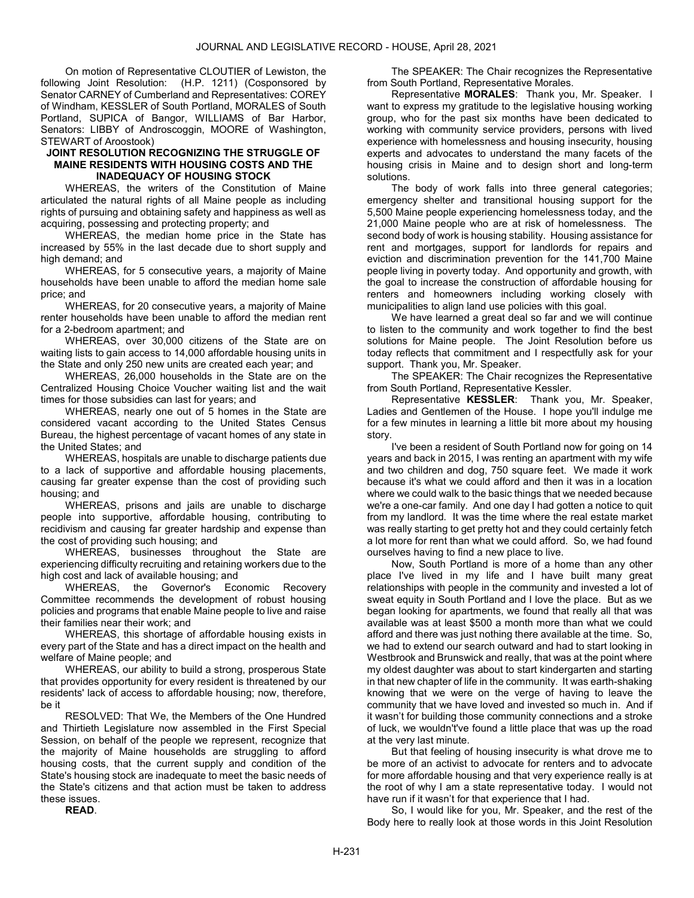On motion of Representative CLOUTIER of Lewiston, the following Joint Resolution: (H.P. 1211) (Cosponsored by Senator CARNEY of Cumberland and Representatives: COREY of Windham, KESSLER of South Portland, MORALES of South Portland, SUPICA of Bangor, WILLIAMS of Bar Harbor, Senators: LIBBY of Androscoggin, MOORE of Washington, STEWART of Aroostook)

### JOINT RESOLUTION RECOGNIZING THE STRUGGLE OF MAINE RESIDENTS WITH HOUSING COSTS AND THE INADEQUACY OF HOUSING STOCK

 WHEREAS, the writers of the Constitution of Maine articulated the natural rights of all Maine people as including rights of pursuing and obtaining safety and happiness as well as acquiring, possessing and protecting property; and

 WHEREAS, the median home price in the State has increased by 55% in the last decade due to short supply and high demand; and

 WHEREAS, for 5 consecutive years, a majority of Maine households have been unable to afford the median home sale price; and

 WHEREAS, for 20 consecutive years, a majority of Maine renter households have been unable to afford the median rent for a 2-bedroom apartment; and

 WHEREAS, over 30,000 citizens of the State are on waiting lists to gain access to 14,000 affordable housing units in the State and only 250 new units are created each year; and

 WHEREAS, 26,000 households in the State are on the Centralized Housing Choice Voucher waiting list and the wait times for those subsidies can last for years; and

 WHEREAS, nearly one out of 5 homes in the State are considered vacant according to the United States Census Bureau, the highest percentage of vacant homes of any state in the United States; and

 WHEREAS, hospitals are unable to discharge patients due to a lack of supportive and affordable housing placements, causing far greater expense than the cost of providing such housing; and

 WHEREAS, prisons and jails are unable to discharge people into supportive, affordable housing, contributing to recidivism and causing far greater hardship and expense than the cost of providing such housing; and

 WHEREAS, businesses throughout the State are experiencing difficulty recruiting and retaining workers due to the high cost and lack of available housing; and

 WHEREAS, the Governor's Economic Recovery Committee recommends the development of robust housing policies and programs that enable Maine people to live and raise their families near their work; and

 WHEREAS, this shortage of affordable housing exists in every part of the State and has a direct impact on the health and welfare of Maine people; and

 WHEREAS, our ability to build a strong, prosperous State that provides opportunity for every resident is threatened by our residents' lack of access to affordable housing; now, therefore, be it

 RESOLVED: That We, the Members of the One Hundred and Thirtieth Legislature now assembled in the First Special Session, on behalf of the people we represent, recognize that the majority of Maine households are struggling to afford housing costs, that the current supply and condition of the State's housing stock are inadequate to meet the basic needs of the State's citizens and that action must be taken to address these issues.

READ.

 The SPEAKER: The Chair recognizes the Representative from South Portland, Representative Morales.

Representative MORALES: Thank you, Mr. Speaker. I want to express my gratitude to the legislative housing working group, who for the past six months have been dedicated to working with community service providers, persons with lived experience with homelessness and housing insecurity, housing experts and advocates to understand the many facets of the housing crisis in Maine and to design short and long-term solutions.

 The body of work falls into three general categories; emergency shelter and transitional housing support for the 5,500 Maine people experiencing homelessness today, and the 21,000 Maine people who are at risk of homelessness. The second body of work is housing stability. Housing assistance for rent and mortgages, support for landlords for repairs and eviction and discrimination prevention for the 141,700 Maine people living in poverty today. And opportunity and growth, with the goal to increase the construction of affordable housing for renters and homeowners including working closely with municipalities to align land use policies with this goal.

We have learned a great deal so far and we will continue to listen to the community and work together to find the best solutions for Maine people. The Joint Resolution before us today reflects that commitment and I respectfully ask for your support. Thank you, Mr. Speaker.

 The SPEAKER: The Chair recognizes the Representative from South Portland, Representative Kessler.

 Representative KESSLER: Thank you, Mr. Speaker, Ladies and Gentlemen of the House. I hope you'll indulge me for a few minutes in learning a little bit more about my housing story.

 I've been a resident of South Portland now for going on 14 years and back in 2015, I was renting an apartment with my wife and two children and dog, 750 square feet. We made it work because it's what we could afford and then it was in a location where we could walk to the basic things that we needed because we're a one-car family. And one day I had gotten a notice to quit from my landlord. It was the time where the real estate market was really starting to get pretty hot and they could certainly fetch a lot more for rent than what we could afford. So, we had found ourselves having to find a new place to live.

 Now, South Portland is more of a home than any other place I've lived in my life and I have built many great relationships with people in the community and invested a lot of sweat equity in South Portland and I love the place. But as we began looking for apartments, we found that really all that was available was at least \$500 a month more than what we could afford and there was just nothing there available at the time. So, we had to extend our search outward and had to start looking in Westbrook and Brunswick and really, that was at the point where my oldest daughter was about to start kindergarten and starting in that new chapter of life in the community. It was earth-shaking knowing that we were on the verge of having to leave the community that we have loved and invested so much in. And if it wasn't for building those community connections and a stroke of luck, we wouldn't've found a little place that was up the road at the very last minute.

 But that feeling of housing insecurity is what drove me to be more of an activist to advocate for renters and to advocate for more affordable housing and that very experience really is at the root of why I am a state representative today. I would not have run if it wasn't for that experience that I had.

 So, I would like for you, Mr. Speaker, and the rest of the Body here to really look at those words in this Joint Resolution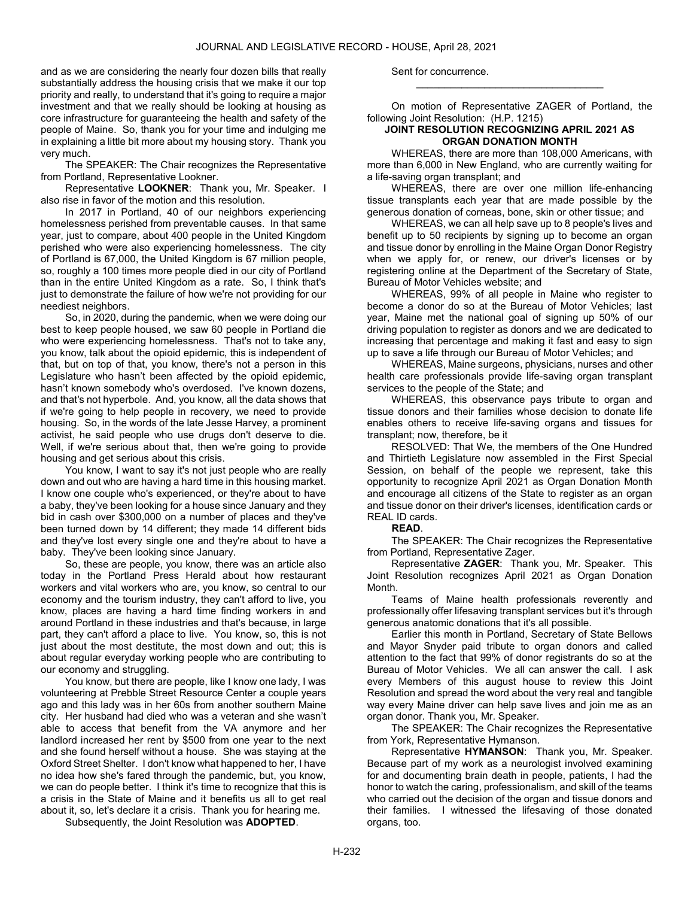and as we are considering the nearly four dozen bills that really substantially address the housing crisis that we make it our top priority and really, to understand that it's going to require a major investment and that we really should be looking at housing as core infrastructure for guaranteeing the health and safety of the people of Maine. So, thank you for your time and indulging me in explaining a little bit more about my housing story. Thank you very much.

 The SPEAKER: The Chair recognizes the Representative from Portland, Representative Lookner.

Representative LOOKNER: Thank you, Mr. Speaker. I also rise in favor of the motion and this resolution.

 In 2017 in Portland, 40 of our neighbors experiencing homelessness perished from preventable causes. In that same year, just to compare, about 400 people in the United Kingdom perished who were also experiencing homelessness. The city of Portland is 67,000, the United Kingdom is 67 million people, so, roughly a 100 times more people died in our city of Portland than in the entire United Kingdom as a rate. So, I think that's just to demonstrate the failure of how we're not providing for our neediest neighbors.

 So, in 2020, during the pandemic, when we were doing our best to keep people housed, we saw 60 people in Portland die who were experiencing homelessness. That's not to take any, you know, talk about the opioid epidemic, this is independent of that, but on top of that, you know, there's not a person in this Legislature who hasn't been affected by the opioid epidemic, hasn't known somebody who's overdosed. I've known dozens, and that's not hyperbole. And, you know, all the data shows that if we're going to help people in recovery, we need to provide housing. So, in the words of the late Jesse Harvey, a prominent activist, he said people who use drugs don't deserve to die. Well, if we're serious about that, then we're going to provide housing and get serious about this crisis.

 You know, I want to say it's not just people who are really down and out who are having a hard time in this housing market. I know one couple who's experienced, or they're about to have a baby, they've been looking for a house since January and they bid in cash over \$300,000 on a number of places and they've been turned down by 14 different; they made 14 different bids and they've lost every single one and they're about to have a baby. They've been looking since January.

 So, these are people, you know, there was an article also today in the Portland Press Herald about how restaurant workers and vital workers who are, you know, so central to our economy and the tourism industry, they can't afford to live, you know, places are having a hard time finding workers in and around Portland in these industries and that's because, in large part, they can't afford a place to live. You know, so, this is not just about the most destitute, the most down and out; this is about regular everyday working people who are contributing to our economy and struggling.

 You know, but there are people, like I know one lady, I was volunteering at Prebble Street Resource Center a couple years ago and this lady was in her 60s from another southern Maine city. Her husband had died who was a veteran and she wasn't able to access that benefit from the VA anymore and her landlord increased her rent by \$500 from one year to the next and she found herself without a house. She was staying at the Oxford Street Shelter. I don't know what happened to her, I have no idea how she's fared through the pandemic, but, you know, we can do people better. I think it's time to recognize that this is a crisis in the State of Maine and it benefits us all to get real about it, so, let's declare it a crisis. Thank you for hearing me.

Subsequently, the Joint Resolution was ADOPTED.

Sent for concurrence.

 On motion of Representative ZAGER of Portland, the following Joint Resolution: (H.P. 1215)

\_\_\_\_\_\_\_\_\_\_\_\_\_\_\_\_\_\_\_\_\_\_\_\_\_\_\_\_\_\_\_\_\_

### JOINT RESOLUTION RECOGNIZING APRIL 2021 AS ORGAN DONATION MONTH

 WHEREAS, there are more than 108,000 Americans, with more than 6,000 in New England, who are currently waiting for a life-saving organ transplant; and

 WHEREAS, there are over one million life-enhancing tissue transplants each year that are made possible by the generous donation of corneas, bone, skin or other tissue; and

 WHEREAS, we can all help save up to 8 people's lives and benefit up to 50 recipients by signing up to become an organ and tissue donor by enrolling in the Maine Organ Donor Registry when we apply for, or renew, our driver's licenses or by registering online at the Department of the Secretary of State, Bureau of Motor Vehicles website; and

 WHEREAS, 99% of all people in Maine who register to become a donor do so at the Bureau of Motor Vehicles; last year, Maine met the national goal of signing up 50% of our driving population to register as donors and we are dedicated to increasing that percentage and making it fast and easy to sign up to save a life through our Bureau of Motor Vehicles; and

 WHEREAS, Maine surgeons, physicians, nurses and other health care professionals provide life-saving organ transplant services to the people of the State; and

 WHEREAS, this observance pays tribute to organ and tissue donors and their families whose decision to donate life enables others to receive life-saving organs and tissues for transplant; now, therefore, be it

 RESOLVED: That We, the members of the One Hundred and Thirtieth Legislature now assembled in the First Special Session, on behalf of the people we represent, take this opportunity to recognize April 2021 as Organ Donation Month and encourage all citizens of the State to register as an organ and tissue donor on their driver's licenses, identification cards or REAL ID cards.

#### READ.

 The SPEAKER: The Chair recognizes the Representative from Portland, Representative Zager.

 Representative ZAGER: Thank you, Mr. Speaker. This Joint Resolution recognizes April 2021 as Organ Donation Month.

 Teams of Maine health professionals reverently and professionally offer lifesaving transplant services but it's through generous anatomic donations that it's all possible.

 Earlier this month in Portland, Secretary of State Bellows and Mayor Snyder paid tribute to organ donors and called attention to the fact that 99% of donor registrants do so at the Bureau of Motor Vehicles. We all can answer the call. I ask every Members of this august house to review this Joint Resolution and spread the word about the very real and tangible way every Maine driver can help save lives and join me as an organ donor. Thank you, Mr. Speaker.

 The SPEAKER: The Chair recognizes the Representative from York, Representative Hymanson.

 Representative HYMANSON: Thank you, Mr. Speaker. Because part of my work as a neurologist involved examining for and documenting brain death in people, patients, I had the honor to watch the caring, professionalism, and skill of the teams who carried out the decision of the organ and tissue donors and their families. I witnessed the lifesaving of those donated organs, too.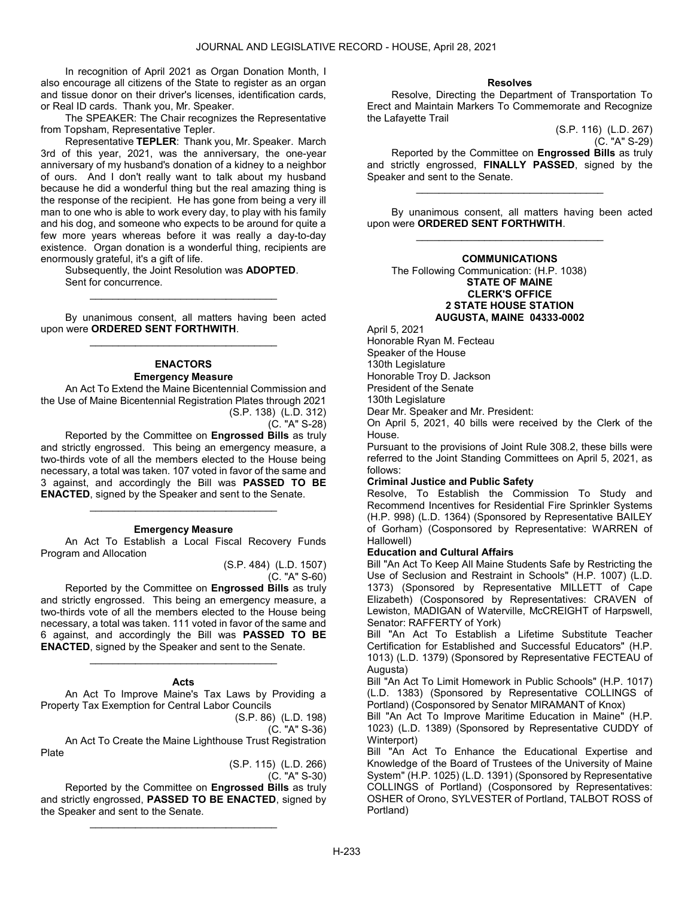In recognition of April 2021 as Organ Donation Month, I also encourage all citizens of the State to register as an organ and tissue donor on their driver's licenses, identification cards, or Real ID cards. Thank you, Mr. Speaker.

 The SPEAKER: The Chair recognizes the Representative from Topsham, Representative Tepler.

 Representative TEPLER: Thank you, Mr. Speaker. March 3rd of this year, 2021, was the anniversary, the one-year anniversary of my husband's donation of a kidney to a neighbor of ours. And I don't really want to talk about my husband because he did a wonderful thing but the real amazing thing is the response of the recipient. He has gone from being a very ill man to one who is able to work every day, to play with his family and his dog, and someone who expects to be around for quite a few more years whereas before it was really a day-to-day existence. Organ donation is a wonderful thing, recipients are enormously grateful, it's a gift of life.

 Subsequently, the Joint Resolution was ADOPTED. Sent for concurrence. \_\_\_\_\_\_\_\_\_\_\_\_\_\_\_\_\_\_\_\_\_\_\_\_\_\_\_\_\_\_\_\_\_

 By unanimous consent, all matters having been acted upon were ORDERED SENT FORTHWITH. \_\_\_\_\_\_\_\_\_\_\_\_\_\_\_\_\_\_\_\_\_\_\_\_\_\_\_\_\_\_\_\_\_

# ENACTORS Emergency Measure

 An Act To Extend the Maine Bicentennial Commission and the Use of Maine Bicentennial Registration Plates through 2021 (S.P. 138) (L.D. 312)

(C. "A" S-28)

 Reported by the Committee on Engrossed Bills as truly and strictly engrossed. This being an emergency measure, a two-thirds vote of all the members elected to the House being necessary, a total was taken. 107 voted in favor of the same and 3 against, and accordingly the Bill was PASSED TO BE ENACTED, signed by the Speaker and sent to the Senate.

### Emergency Measure

\_\_\_\_\_\_\_\_\_\_\_\_\_\_\_\_\_\_\_\_\_\_\_\_\_\_\_\_\_\_\_\_\_

 An Act To Establish a Local Fiscal Recovery Funds Program and Allocation

(S.P. 484) (L.D. 1507)

(C. "A" S-60)

 Reported by the Committee on Engrossed Bills as truly and strictly engrossed. This being an emergency measure, a two-thirds vote of all the members elected to the House being necessary, a total was taken. 111 voted in favor of the same and 6 against, and accordingly the Bill was PASSED TO BE ENACTED, signed by the Speaker and sent to the Senate.

#### Acts

\_\_\_\_\_\_\_\_\_\_\_\_\_\_\_\_\_\_\_\_\_\_\_\_\_\_\_\_\_\_\_\_\_

 An Act To Improve Maine's Tax Laws by Providing a Property Tax Exemption for Central Labor Councils

(S.P. 86) (L.D. 198)

(C. "A" S-36)

 An Act To Create the Maine Lighthouse Trust Registration Plate

> (S.P. 115) (L.D. 266) (C. "A" S-30)

 Reported by the Committee on Engrossed Bills as truly and strictly engrossed, PASSED TO BE ENACTED, signed by the Speaker and sent to the Senate.

\_\_\_\_\_\_\_\_\_\_\_\_\_\_\_\_\_\_\_\_\_\_\_\_\_\_\_\_\_\_\_\_\_

### Resolves

 Resolve, Directing the Department of Transportation To Erect and Maintain Markers To Commemorate and Recognize the Lafayette Trail

(S.P. 116) (L.D. 267) (C. "A" S-29)

 Reported by the Committee on Engrossed Bills as truly and strictly engrossed, FINALLY PASSED, signed by the Speaker and sent to the Senate.

\_\_\_\_\_\_\_\_\_\_\_\_\_\_\_\_\_\_\_\_\_\_\_\_\_\_\_\_\_\_\_\_\_

 By unanimous consent, all matters having been acted upon were ORDERED SENT FORTHWITH. \_\_\_\_\_\_\_\_\_\_\_\_\_\_\_\_\_\_\_\_\_\_\_\_\_\_\_\_\_\_\_\_\_

### COMMUNICATIONS

 The Following Communication: (H.P. 1038) STATE OF MAINE CLERK'S OFFICE 2 STATE HOUSE STATION AUGUSTA, MAINE 04333-0002

April 5, 2021

Honorable Ryan M. Fecteau Speaker of the House 130th Legislature Honorable Troy D. Jackson President of the Senate 130th Legislature

Dear Mr. Speaker and Mr. President:

On April 5, 2021, 40 bills were received by the Clerk of the House.

Pursuant to the provisions of Joint Rule 308.2, these bills were referred to the Joint Standing Committees on April 5, 2021, as follows:

## Criminal Justice and Public Safety

Resolve, To Establish the Commission To Study and Recommend Incentives for Residential Fire Sprinkler Systems (H.P. 998) (L.D. 1364) (Sponsored by Representative BAILEY of Gorham) (Cosponsored by Representative: WARREN of Hallowell)

## Education and Cultural Affairs

Bill "An Act To Keep All Maine Students Safe by Restricting the Use of Seclusion and Restraint in Schools" (H.P. 1007) (L.D. 1373) (Sponsored by Representative MILLETT of Cape Elizabeth) (Cosponsored by Representatives: CRAVEN of Lewiston, MADIGAN of Waterville, McCREIGHT of Harpswell, Senator: RAFFERTY of York)

Bill "An Act To Establish a Lifetime Substitute Teacher Certification for Established and Successful Educators" (H.P. 1013) (L.D. 1379) (Sponsored by Representative FECTEAU of Augusta)

Bill "An Act To Limit Homework in Public Schools" (H.P. 1017) (L.D. 1383) (Sponsored by Representative COLLINGS of Portland) (Cosponsored by Senator MIRAMANT of Knox)

Bill "An Act To Improve Maritime Education in Maine" (H.P. 1023) (L.D. 1389) (Sponsored by Representative CUDDY of Winterport)

Bill "An Act To Enhance the Educational Expertise and Knowledge of the Board of Trustees of the University of Maine System" (H.P. 1025) (L.D. 1391) (Sponsored by Representative COLLINGS of Portland) (Cosponsored by Representatives: OSHER of Orono, SYLVESTER of Portland, TALBOT ROSS of Portland)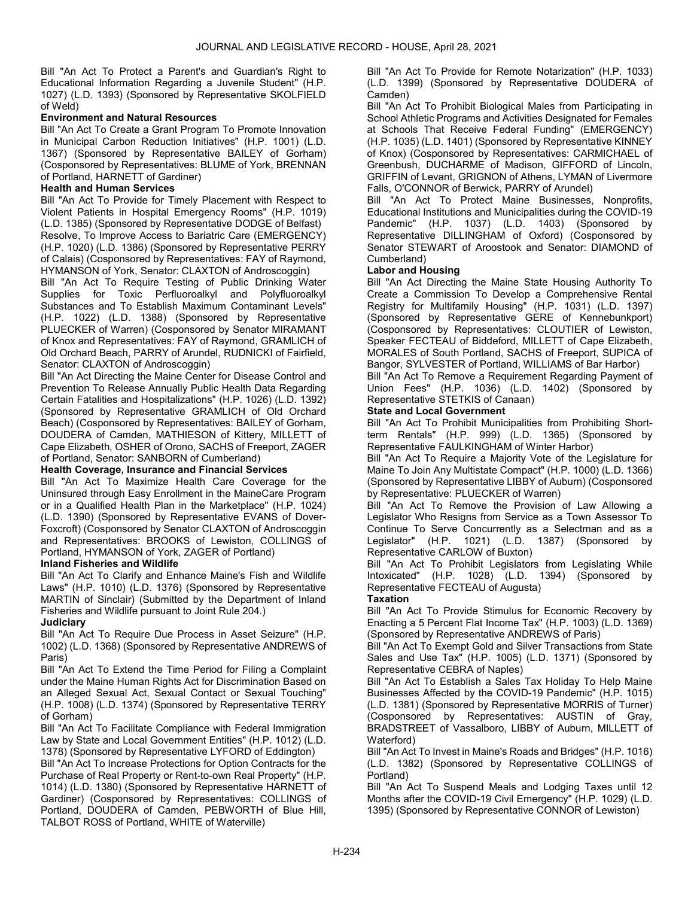Bill "An Act To Protect a Parent's and Guardian's Right to Educational Information Regarding a Juvenile Student" (H.P. 1027) (L.D. 1393) (Sponsored by Representative SKOLFIELD of Weld)

# Environment and Natural Resources

Bill "An Act To Create a Grant Program To Promote Innovation in Municipal Carbon Reduction Initiatives" (H.P. 1001) (L.D. 1367) (Sponsored by Representative BAILEY of Gorham) (Cosponsored by Representatives: BLUME of York, BRENNAN of Portland, HARNETT of Gardiner)

# Health and Human Services

Bill "An Act To Provide for Timely Placement with Respect to Violent Patients in Hospital Emergency Rooms" (H.P. 1019) (L.D. 1385) (Sponsored by Representative DODGE of Belfast) Resolve, To Improve Access to Bariatric Care (EMERGENCY) (H.P. 1020) (L.D. 1386) (Sponsored by Representative PERRY of Calais) (Cosponsored by Representatives: FAY of Raymond, HYMANSON of York, Senator: CLAXTON of Androscoggin)

Bill "An Act To Require Testing of Public Drinking Water Supplies for Toxic Perfluoroalkyl and Polyfluoroalkyl Substances and To Establish Maximum Contaminant Levels" (H.P. 1022) (L.D. 1388) (Sponsored by Representative PLUECKER of Warren) (Cosponsored by Senator MIRAMANT of Knox and Representatives: FAY of Raymond, GRAMLICH of Old Orchard Beach, PARRY of Arundel, RUDNICKI of Fairfield, Senator: CLAXTON of Androscoggin)

Bill "An Act Directing the Maine Center for Disease Control and Prevention To Release Annually Public Health Data Regarding Certain Fatalities and Hospitalizations" (H.P. 1026) (L.D. 1392) (Sponsored by Representative GRAMLICH of Old Orchard Beach) (Cosponsored by Representatives: BAILEY of Gorham, DOUDERA of Camden, MATHIESON of Kittery, MILLETT of Cape Elizabeth, OSHER of Orono, SACHS of Freeport, ZAGER of Portland, Senator: SANBORN of Cumberland)

## Health Coverage, Insurance and Financial Services

Bill "An Act To Maximize Health Care Coverage for the Uninsured through Easy Enrollment in the MaineCare Program or in a Qualified Health Plan in the Marketplace" (H.P. 1024) (L.D. 1390) (Sponsored by Representative EVANS of Dover-Foxcroft) (Cosponsored by Senator CLAXTON of Androscoggin and Representatives: BROOKS of Lewiston, COLLINGS of Portland, HYMANSON of York, ZAGER of Portland)

## Inland Fisheries and Wildlife

Bill "An Act To Clarify and Enhance Maine's Fish and Wildlife Laws" (H.P. 1010) (L.D. 1376) (Sponsored by Representative MARTIN of Sinclair) (Submitted by the Department of Inland Fisheries and Wildlife pursuant to Joint Rule 204.)

# **Judiciary**

Bill "An Act To Require Due Process in Asset Seizure" (H.P. 1002) (L.D. 1368) (Sponsored by Representative ANDREWS of Paris)

Bill "An Act To Extend the Time Period for Filing a Complaint under the Maine Human Rights Act for Discrimination Based on an Alleged Sexual Act, Sexual Contact or Sexual Touching" (H.P. 1008) (L.D. 1374) (Sponsored by Representative TERRY of Gorham)

Bill "An Act To Facilitate Compliance with Federal Immigration Law by State and Local Government Entities" (H.P. 1012) (L.D. 1378) (Sponsored by Representative LYFORD of Eddington)

Bill "An Act To Increase Protections for Option Contracts for the Purchase of Real Property or Rent-to-own Real Property" (H.P. 1014) (L.D. 1380) (Sponsored by Representative HARNETT of Gardiner) (Cosponsored by Representatives: COLLINGS of Portland, DOUDERA of Camden, PEBWORTH of Blue Hill, TALBOT ROSS of Portland, WHITE of Waterville)

Bill "An Act To Provide for Remote Notarization" (H.P. 1033) (L.D. 1399) (Sponsored by Representative DOUDERA of Camden)

Bill "An Act To Prohibit Biological Males from Participating in School Athletic Programs and Activities Designated for Females at Schools That Receive Federal Funding" (EMERGENCY) (H.P. 1035) (L.D. 1401) (Sponsored by Representative KINNEY of Knox) (Cosponsored by Representatives: CARMICHAEL of Greenbush, DUCHARME of Madison, GIFFORD of Lincoln, GRIFFIN of Levant, GRIGNON of Athens, LYMAN of Livermore Falls, O'CONNOR of Berwick, PARRY of Arundel)

Bill "An Act To Protect Maine Businesses, Nonprofits, Educational Institutions and Municipalities during the COVID-19 Pandemic" (H.P. 1037) (L.D. 1403) (Sponsored by Representative DILLINGHAM of Oxford) (Cosponsored by Senator STEWART of Aroostook and Senator: DIAMOND of Cumberland)

## Labor and Housing

Bill "An Act Directing the Maine State Housing Authority To Create a Commission To Develop a Comprehensive Rental Registry for Multifamily Housing" (H.P. 1031) (L.D. 1397) (Sponsored by Representative GERE of Kennebunkport) (Cosponsored by Representatives: CLOUTIER of Lewiston, Speaker FECTEAU of Biddeford, MILLETT of Cape Elizabeth, MORALES of South Portland, SACHS of Freeport, SUPICA of Bangor, SYLVESTER of Portland, WILLIAMS of Bar Harbor)

Bill "An Act To Remove a Requirement Regarding Payment of Union Fees" (H.P. 1036) (L.D. 1402) (Sponsored by Representative STETKIS of Canaan)

## State and Local Government

Bill "An Act To Prohibit Municipalities from Prohibiting Shortterm Rentals" (H.P. 999) (L.D. 1365) (Sponsored by Representative FAULKINGHAM of Winter Harbor)

Bill "An Act To Require a Majority Vote of the Legislature for Maine To Join Any Multistate Compact" (H.P. 1000) (L.D. 1366) (Sponsored by Representative LIBBY of Auburn) (Cosponsored by Representative: PLUECKER of Warren)

Bill "An Act To Remove the Provision of Law Allowing a Legislator Who Resigns from Service as a Town Assessor To Continue To Serve Concurrently as a Selectman and as a Legislator" (H.P. 1021) (L.D. 1387) (Sponsored by Representative CARLOW of Buxton)

Bill "An Act To Prohibit Legislators from Legislating While Intoxicated" (H.P. 1028) (L.D. 1394) (Sponsored by Representative FECTEAU of Augusta)

# **Taxation**

Bill "An Act To Provide Stimulus for Economic Recovery by Enacting a 5 Percent Flat Income Tax" (H.P. 1003) (L.D. 1369) (Sponsored by Representative ANDREWS of Paris)

Bill "An Act To Exempt Gold and Silver Transactions from State Sales and Use Tax" (H.P. 1005) (L.D. 1371) (Sponsored by Representative CEBRA of Naples)

Bill "An Act To Establish a Sales Tax Holiday To Help Maine Businesses Affected by the COVID-19 Pandemic" (H.P. 1015) (L.D. 1381) (Sponsored by Representative MORRIS of Turner) (Cosponsored by Representatives: AUSTIN of Gray, BRADSTREET of Vassalboro, LIBBY of Auburn, MILLETT of Waterford)

Bill "An Act To Invest in Maine's Roads and Bridges" (H.P. 1016) (L.D. 1382) (Sponsored by Representative COLLINGS of Portland)

Bill "An Act To Suspend Meals and Lodging Taxes until 12 Months after the COVID-19 Civil Emergency" (H.P. 1029) (L.D. 1395) (Sponsored by Representative CONNOR of Lewiston)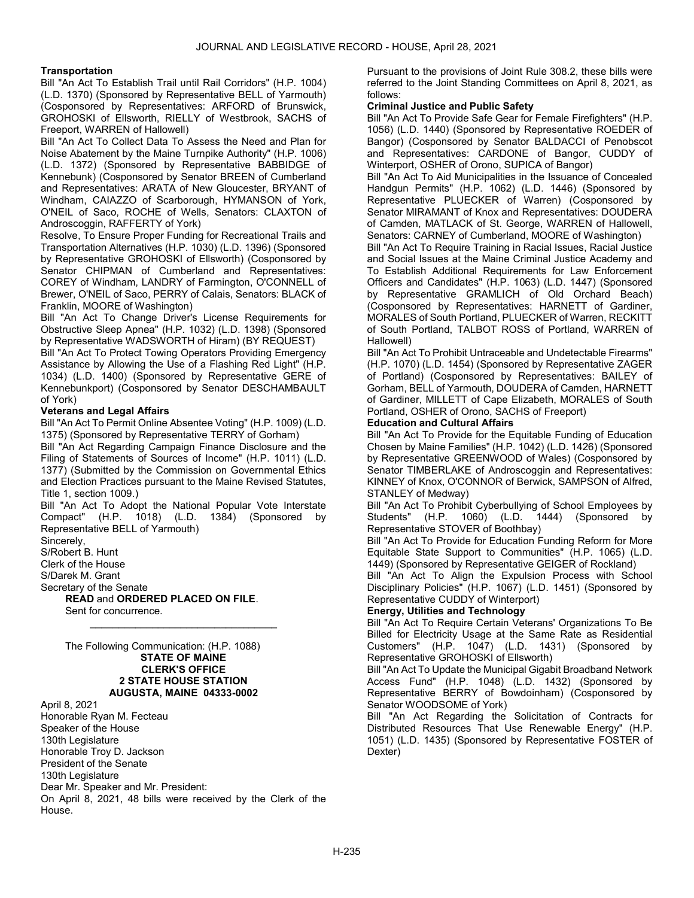### **Transportation**

Bill "An Act To Establish Trail until Rail Corridors" (H.P. 1004) (L.D. 1370) (Sponsored by Representative BELL of Yarmouth) (Cosponsored by Representatives: ARFORD of Brunswick, GROHOSKI of Ellsworth, RIELLY of Westbrook, SACHS of Freeport, WARREN of Hallowell)

Bill "An Act To Collect Data To Assess the Need and Plan for Noise Abatement by the Maine Turnpike Authority" (H.P. 1006) (L.D. 1372) (Sponsored by Representative BABBIDGE of Kennebunk) (Cosponsored by Senator BREEN of Cumberland and Representatives: ARATA of New Gloucester, BRYANT of Windham, CAIAZZO of Scarborough, HYMANSON of York, O'NEIL of Saco, ROCHE of Wells, Senators: CLAXTON of Androscoggin, RAFFERTY of York)

Resolve, To Ensure Proper Funding for Recreational Trails and Transportation Alternatives (H.P. 1030) (L.D. 1396) (Sponsored by Representative GROHOSKI of Ellsworth) (Cosponsored by Senator CHIPMAN of Cumberland and Representatives: COREY of Windham, LANDRY of Farmington, O'CONNELL of Brewer, O'NEIL of Saco, PERRY of Calais, Senators: BLACK of Franklin, MOORE of Washington)

Bill "An Act To Change Driver's License Requirements for Obstructive Sleep Apnea" (H.P. 1032) (L.D. 1398) (Sponsored by Representative WADSWORTH of Hiram) (BY REQUEST)

Bill "An Act To Protect Towing Operators Providing Emergency Assistance by Allowing the Use of a Flashing Red Light" (H.P. 1034) (L.D. 1400) (Sponsored by Representative GERE of Kennebunkport) (Cosponsored by Senator DESCHAMBAULT of York)

### Veterans and Legal Affairs

Bill "An Act To Permit Online Absentee Voting" (H.P. 1009) (L.D. 1375) (Sponsored by Representative TERRY of Gorham)

Bill "An Act Regarding Campaign Finance Disclosure and the Filing of Statements of Sources of Income" (H.P. 1011) (L.D. 1377) (Submitted by the Commission on Governmental Ethics and Election Practices pursuant to the Maine Revised Statutes, Title 1, section 1009.)

Bill "An Act To Adopt the National Popular Vote Interstate Compact" (H.P. 1018) (L.D. 1384) (Sponsored by Representative BELL of Yarmouth)

\_\_\_\_\_\_\_\_\_\_\_\_\_\_\_\_\_\_\_\_\_\_\_\_\_\_\_\_\_\_\_\_\_

Sincerely, S/Robert B. Hunt

Clerk of the House

S/Darek M. Grant

Secretary of the Senate

READ and ORDERED PLACED ON FILE. Sent for concurrence.

 The Following Communication: (H.P. 1088) STATE OF MAINE CLERK'S OFFICE 2 STATE HOUSE STATION AUGUSTA, MAINE 04333-0002

April 8, 2021

Honorable Ryan M. Fecteau Speaker of the House 130th Legislature Honorable Troy D. Jackson President of the Senate 130th Legislature Dear Mr. Speaker and Mr. President: On April 8, 2021, 48 bills were received by the Clerk of the House.

Pursuant to the provisions of Joint Rule 308.2, these bills were referred to the Joint Standing Committees on April 8, 2021, as follows:

### Criminal Justice and Public Safety

Bill "An Act To Provide Safe Gear for Female Firefighters" (H.P. 1056) (L.D. 1440) (Sponsored by Representative ROEDER of Bangor) (Cosponsored by Senator BALDACCI of Penobscot and Representatives: CARDONE of Bangor, CUDDY of Winterport, OSHER of Orono, SUPICA of Bangor)

Bill "An Act To Aid Municipalities in the Issuance of Concealed Handgun Permits" (H.P. 1062) (L.D. 1446) (Sponsored by Representative PLUECKER of Warren) (Cosponsored by Senator MIRAMANT of Knox and Representatives: DOUDERA of Camden, MATLACK of St. George, WARREN of Hallowell, Senators: CARNEY of Cumberland, MOORE of Washington)

Bill "An Act To Require Training in Racial Issues, Racial Justice and Social Issues at the Maine Criminal Justice Academy and To Establish Additional Requirements for Law Enforcement Officers and Candidates" (H.P. 1063) (L.D. 1447) (Sponsored by Representative GRAMLICH of Old Orchard Beach) (Cosponsored by Representatives: HARNETT of Gardiner, MORALES of South Portland, PLUECKER of Warren, RECKITT of South Portland, TALBOT ROSS of Portland, WARREN of Hallowell)

Bill "An Act To Prohibit Untraceable and Undetectable Firearms" (H.P. 1070) (L.D. 1454) (Sponsored by Representative ZAGER of Portland) (Cosponsored by Representatives: BAILEY of Gorham, BELL of Yarmouth, DOUDERA of Camden, HARNETT of Gardiner, MILLETT of Cape Elizabeth, MORALES of South Portland, OSHER of Orono, SACHS of Freeport)

# Education and Cultural Affairs

Bill "An Act To Provide for the Equitable Funding of Education Chosen by Maine Families" (H.P. 1042) (L.D. 1426) (Sponsored by Representative GREENWOOD of Wales) (Cosponsored by Senator TIMBERLAKE of Androscoggin and Representatives: KINNEY of Knox, O'CONNOR of Berwick, SAMPSON of Alfred, STANLEY of Medway)

Bill "An Act To Prohibit Cyberbullying of School Employees by Students" (H.P. 1060) (L.D. 1444) (Sponsored by Representative STOVER of Boothbay)

Bill "An Act To Provide for Education Funding Reform for More Equitable State Support to Communities" (H.P. 1065) (L.D. 1449) (Sponsored by Representative GEIGER of Rockland)

Bill "An Act To Align the Expulsion Process with School Disciplinary Policies" (H.P. 1067) (L.D. 1451) (Sponsored by Representative CUDDY of Winterport)

## Energy, Utilities and Technology

Bill "An Act To Require Certain Veterans' Organizations To Be Billed for Electricity Usage at the Same Rate as Residential Customers" (H.P. 1047) (L.D. 1431) (Sponsored by Representative GROHOSKI of Ellsworth)

Bill "An Act To Update the Municipal Gigabit Broadband Network Access Fund" (H.P. 1048) (L.D. 1432) (Sponsored by Representative BERRY of Bowdoinham) (Cosponsored by Senator WOODSOME of York)

Bill "An Act Regarding the Solicitation of Contracts for Distributed Resources That Use Renewable Energy" (H.P. 1051) (L.D. 1435) (Sponsored by Representative FOSTER of Dexter)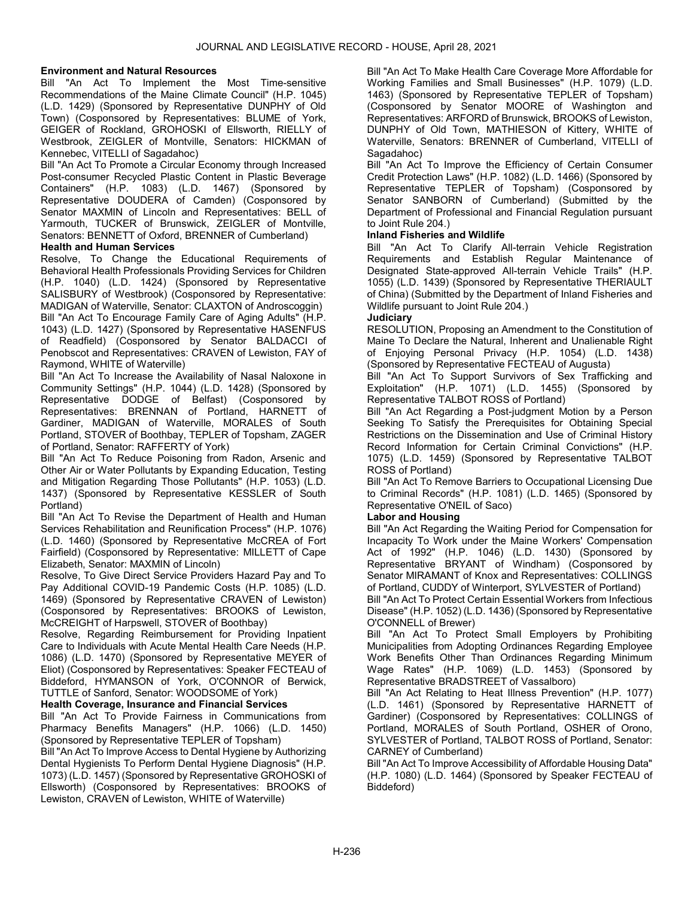# Environment and Natural Resources

Bill "An Act To Implement the Most Time-sensitive Recommendations of the Maine Climate Council" (H.P. 1045) (L.D. 1429) (Sponsored by Representative DUNPHY of Old Town) (Cosponsored by Representatives: BLUME of York, GEIGER of Rockland, GROHOSKI of Ellsworth, RIELLY of Westbrook, ZEIGLER of Montville, Senators: HICKMAN of Kennebec, VITELLI of Sagadahoc)

Bill "An Act To Promote a Circular Economy through Increased Post-consumer Recycled Plastic Content in Plastic Beverage Containers" (H.P. 1083) (L.D. 1467) (Sponsored by Representative DOUDERA of Camden) (Cosponsored by Senator MAXMIN of Lincoln and Representatives: BELL of Yarmouth, TUCKER of Brunswick, ZEIGLER of Montville, Senators: BENNETT of Oxford, BRENNER of Cumberland)

## Health and Human Services

Resolve, To Change the Educational Requirements of Behavioral Health Professionals Providing Services for Children (H.P. 1040) (L.D. 1424) (Sponsored by Representative SALISBURY of Westbrook) (Cosponsored by Representative: MADIGAN of Waterville, Senator: CLAXTON of Androscoggin) Bill "An Act To Encourage Family Care of Aging Adults" (H.P.

1043) (L.D. 1427) (Sponsored by Representative HASENFUS of Readfield) (Cosponsored by Senator BALDACCI of Penobscot and Representatives: CRAVEN of Lewiston, FAY of Raymond, WHITE of Waterville)

Bill "An Act To Increase the Availability of Nasal Naloxone in Community Settings" (H.P. 1044) (L.D. 1428) (Sponsored by Representative DODGE of Belfast) (Cosponsored by Representatives: BRENNAN of Portland, HARNETT of Gardiner, MADIGAN of Waterville, MORALES of South Portland, STOVER of Boothbay, TEPLER of Topsham, ZAGER of Portland, Senator: RAFFERTY of York)

Bill "An Act To Reduce Poisoning from Radon, Arsenic and Other Air or Water Pollutants by Expanding Education, Testing and Mitigation Regarding Those Pollutants" (H.P. 1053) (L.D. 1437) (Sponsored by Representative KESSLER of South Portland)

Bill "An Act To Revise the Department of Health and Human Services Rehabilitation and Reunification Process" (H.P. 1076) (L.D. 1460) (Sponsored by Representative McCREA of Fort Fairfield) (Cosponsored by Representative: MILLETT of Cape Elizabeth, Senator: MAXMIN of Lincoln)

Resolve, To Give Direct Service Providers Hazard Pay and To Pay Additional COVID-19 Pandemic Costs (H.P. 1085) (L.D. 1469) (Sponsored by Representative CRAVEN of Lewiston) (Cosponsored by Representatives: BROOKS of Lewiston, McCREIGHT of Harpswell, STOVER of Boothbay)

Resolve, Regarding Reimbursement for Providing Inpatient Care to Individuals with Acute Mental Health Care Needs (H.P. 1086) (L.D. 1470) (Sponsored by Representative MEYER of Eliot) (Cosponsored by Representatives: Speaker FECTEAU of Biddeford, HYMANSON of York, O'CONNOR of Berwick, TUTTLE of Sanford, Senator: WOODSOME of York)

## Health Coverage, Insurance and Financial Services

Bill "An Act To Provide Fairness in Communications from Pharmacy Benefits Managers" (H.P. 1066) (L.D. 1450) (Sponsored by Representative TEPLER of Topsham)

Bill "An Act To Improve Access to Dental Hygiene by Authorizing Dental Hygienists To Perform Dental Hygiene Diagnosis" (H.P. 1073) (L.D. 1457) (Sponsored by Representative GROHOSKI of Ellsworth) (Cosponsored by Representatives: BROOKS of Lewiston, CRAVEN of Lewiston, WHITE of Waterville)

Bill "An Act To Make Health Care Coverage More Affordable for Working Families and Small Businesses" (H.P. 1079) (L.D. 1463) (Sponsored by Representative TEPLER of Topsham) (Cosponsored by Senator MOORE of Washington and Representatives: ARFORD of Brunswick, BROOKS of Lewiston, DUNPHY of Old Town, MATHIESON of Kittery, WHITE of Waterville, Senators: BRENNER of Cumberland, VITELLI of Sagadahoc)

Bill "An Act To Improve the Efficiency of Certain Consumer Credit Protection Laws" (H.P. 1082) (L.D. 1466) (Sponsored by Representative TEPLER of Topsham) (Cosponsored by Senator SANBORN of Cumberland) (Submitted by the Department of Professional and Financial Regulation pursuant to Joint Rule 204.)

## Inland Fisheries and Wildlife

Bill "An Act To Clarify All-terrain Vehicle Registration Requirements and Establish Regular Maintenance of Designated State-approved All-terrain Vehicle Trails" (H.P. 1055) (L.D. 1439) (Sponsored by Representative THERIAULT of China) (Submitted by the Department of Inland Fisheries and Wildlife pursuant to Joint Rule 204.)

# **Judiciary**

RESOLUTION, Proposing an Amendment to the Constitution of Maine To Declare the Natural, Inherent and Unalienable Right of Enjoying Personal Privacy (H.P. 1054) (L.D. 1438) (Sponsored by Representative FECTEAU of Augusta)

Bill "An Act To Support Survivors of Sex Trafficking and Exploitation" (H.P. 1071) (L.D. 1455) (Sponsored by Representative TALBOT ROSS of Portland)

Bill "An Act Regarding a Post-judgment Motion by a Person Seeking To Satisfy the Prerequisites for Obtaining Special Restrictions on the Dissemination and Use of Criminal History Record Information for Certain Criminal Convictions" (H.P. 1075) (L.D. 1459) (Sponsored by Representative TALBOT ROSS of Portland)

Bill "An Act To Remove Barriers to Occupational Licensing Due to Criminal Records" (H.P. 1081) (L.D. 1465) (Sponsored by Representative O'NEIL of Saco)

## Labor and Housing

Bill "An Act Regarding the Waiting Period for Compensation for Incapacity To Work under the Maine Workers' Compensation Act of 1992" (H.P. 1046) (L.D. 1430) (Sponsored by Representative BRYANT of Windham) (Cosponsored by Senator MIRAMANT of Knox and Representatives: COLLINGS of Portland, CUDDY of Winterport, SYLVESTER of Portland)

Bill "An Act To Protect Certain Essential Workers from Infectious Disease" (H.P. 1052) (L.D. 1436) (Sponsored by Representative O'CONNELL of Brewer)

Bill "An Act To Protect Small Employers by Prohibiting Municipalities from Adopting Ordinances Regarding Employee Work Benefits Other Than Ordinances Regarding Minimum Wage Rates" (H.P. 1069) (L.D. 1453) (Sponsored by Representative BRADSTREET of Vassalboro)

Bill "An Act Relating to Heat Illness Prevention" (H.P. 1077) (L.D. 1461) (Sponsored by Representative HARNETT of Gardiner) (Cosponsored by Representatives: COLLINGS of Portland, MORALES of South Portland, OSHER of Orono, SYLVESTER of Portland, TALBOT ROSS of Portland, Senator: CARNEY of Cumberland)

Bill "An Act To Improve Accessibility of Affordable Housing Data" (H.P. 1080) (L.D. 1464) (Sponsored by Speaker FECTEAU of Biddeford)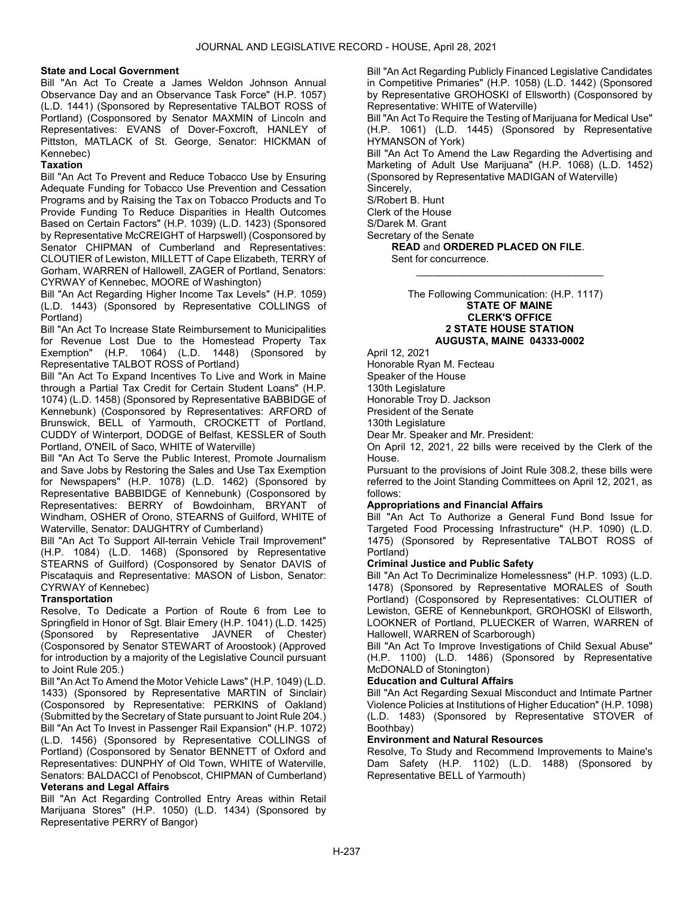# State and Local Government

Bill "An Act To Create a James Weldon Johnson Annual Observance Day and an Observance Task Force" (H.P. 1057) (L.D. 1441) (Sponsored by Representative TALBOT ROSS of Portland) (Cosponsored by Senator MAXMIN of Lincoln and Representatives: EVANS of Dover-Foxcroft, HANLEY of Pittston, MATLACK of St. George, Senator: HICKMAN of Kennebec)

# **Taxation**

Bill "An Act To Prevent and Reduce Tobacco Use by Ensuring Adequate Funding for Tobacco Use Prevention and Cessation Programs and by Raising the Tax on Tobacco Products and To Provide Funding To Reduce Disparities in Health Outcomes Based on Certain Factors" (H.P. 1039) (L.D. 1423) (Sponsored by Representative McCREIGHT of Harpswell) (Cosponsored by Senator CHIPMAN of Cumberland and Representatives: CLOUTIER of Lewiston, MILLETT of Cape Elizabeth, TERRY of Gorham, WARREN of Hallowell, ZAGER of Portland, Senators: CYRWAY of Kennebec, MOORE of Washington)

Bill "An Act Regarding Higher Income Tax Levels" (H.P. 1059) (L.D. 1443) (Sponsored by Representative COLLINGS of Portland)

Bill "An Act To Increase State Reimbursement to Municipalities for Revenue Lost Due to the Homestead Property Tax Exemption" (H.P. 1064) (L.D. 1448) (Sponsored by Representative TALBOT ROSS of Portland)

Bill "An Act To Expand Incentives To Live and Work in Maine through a Partial Tax Credit for Certain Student Loans" (H.P. 1074) (L.D. 1458) (Sponsored by Representative BABBIDGE of Kennebunk) (Cosponsored by Representatives: ARFORD of Brunswick, BELL of Yarmouth, CROCKETT of Portland, CUDDY of Winterport, DODGE of Belfast, KESSLER of South Portland, O'NEIL of Saco, WHITE of Waterville)

Bill "An Act To Serve the Public Interest, Promote Journalism and Save Jobs by Restoring the Sales and Use Tax Exemption for Newspapers" (H.P. 1078) (L.D. 1462) (Sponsored by Representative BABBIDGE of Kennebunk) (Cosponsored by Representatives: BERRY of Bowdoinham, BRYANT of Windham, OSHER of Orono, STEARNS of Guilford, WHITE of Waterville, Senator: DAUGHTRY of Cumberland)

Bill "An Act To Support All-terrain Vehicle Trail Improvement" (H.P. 1084) (L.D. 1468) (Sponsored by Representative STEARNS of Guilford) (Cosponsored by Senator DAVIS of Piscataquis and Representative: MASON of Lisbon, Senator: CYRWAY of Kennebec)

## **Transportation**

Resolve, To Dedicate a Portion of Route 6 from Lee to Springfield in Honor of Sgt. Blair Emery (H.P. 1041) (L.D. 1425) (Sponsored by Representative JAVNER of Chester) (Cosponsored by Senator STEWART of Aroostook) (Approved for introduction by a majority of the Legislative Council pursuant to Joint Rule 205.)

Bill "An Act To Amend the Motor Vehicle Laws" (H.P. 1049) (L.D. 1433) (Sponsored by Representative MARTIN of Sinclair) (Cosponsored by Representative: PERKINS of Oakland) (Submitted by the Secretary of State pursuant to Joint Rule 204.) Bill "An Act To Invest in Passenger Rail Expansion" (H.P. 1072) (L.D. 1456) (Sponsored by Representative COLLINGS of Portland) (Cosponsored by Senator BENNETT of Oxford and Representatives: DUNPHY of Old Town, WHITE of Waterville, Senators: BALDACCI of Penobscot, CHIPMAN of Cumberland) Veterans and Legal Affairs

Bill "An Act Regarding Controlled Entry Areas within Retail Marijuana Stores" (H.P. 1050) (L.D. 1434) (Sponsored by Representative PERRY of Bangor)

Bill "An Act Regarding Publicly Financed Legislative Candidates in Competitive Primaries" (H.P. 1058) (L.D. 1442) (Sponsored by Representative GROHOSKI of Ellsworth) (Cosponsored by Representative: WHITE of Waterville)

Bill "An Act To Require the Testing of Marijuana for Medical Use" (H.P. 1061) (L.D. 1445) (Sponsored by Representative HYMANSON of York)

Bill "An Act To Amend the Law Regarding the Advertising and Marketing of Adult Use Marijuana" (H.P. 1068) (L.D. 1452) (Sponsored by Representative MADIGAN of Waterville) Sincerely,

S/Robert B. Hunt

Clerk of the House S/Darek M. Grant

Secretary of the Senate

READ and ORDERED PLACED ON FILE.

Sent for concurrence.

 The Following Communication: (H.P. 1117) STATE OF MAINE CLERK'S OFFICE 2 STATE HOUSE STATION AUGUSTA, MAINE 04333-0002

\_\_\_\_\_\_\_\_\_\_\_\_\_\_\_\_\_\_\_\_\_\_\_\_\_\_\_\_\_\_\_\_\_

April 12, 2021

Honorable Ryan M. Fecteau

Speaker of the House

130th Legislature

Honorable Troy D. Jackson

President of the Senate

130th Legislature

Dear Mr. Speaker and Mr. President:

On April 12, 2021, 22 bills were received by the Clerk of the House.

Pursuant to the provisions of Joint Rule 308.2, these bills were referred to the Joint Standing Committees on April 12, 2021, as follows:

## Appropriations and Financial Affairs

Bill "An Act To Authorize a General Fund Bond Issue for Targeted Food Processing Infrastructure" (H.P. 1090) (L.D. 1475) (Sponsored by Representative TALBOT ROSS of Portland)

## Criminal Justice and Public Safety

Bill "An Act To Decriminalize Homelessness" (H.P. 1093) (L.D. 1478) (Sponsored by Representative MORALES of South Portland) (Cosponsored by Representatives: CLOUTIER of Lewiston, GERE of Kennebunkport, GROHOSKI of Ellsworth, LOOKNER of Portland, PLUECKER of Warren, WARREN of Hallowell, WARREN of Scarborough)

Bill "An Act To Improve Investigations of Child Sexual Abuse" (H.P. 1100) (L.D. 1486) (Sponsored by Representative McDONALD of Stonington)

# Education and Cultural Affairs

Bill "An Act Regarding Sexual Misconduct and Intimate Partner Violence Policies at Institutions of Higher Education" (H.P. 1098) (L.D. 1483) (Sponsored by Representative STOVER of Boothbay)

## Environment and Natural Resources

Resolve, To Study and Recommend Improvements to Maine's Dam Safety (H.P. 1102) (L.D. 1488) (Sponsored by Representative BELL of Yarmouth)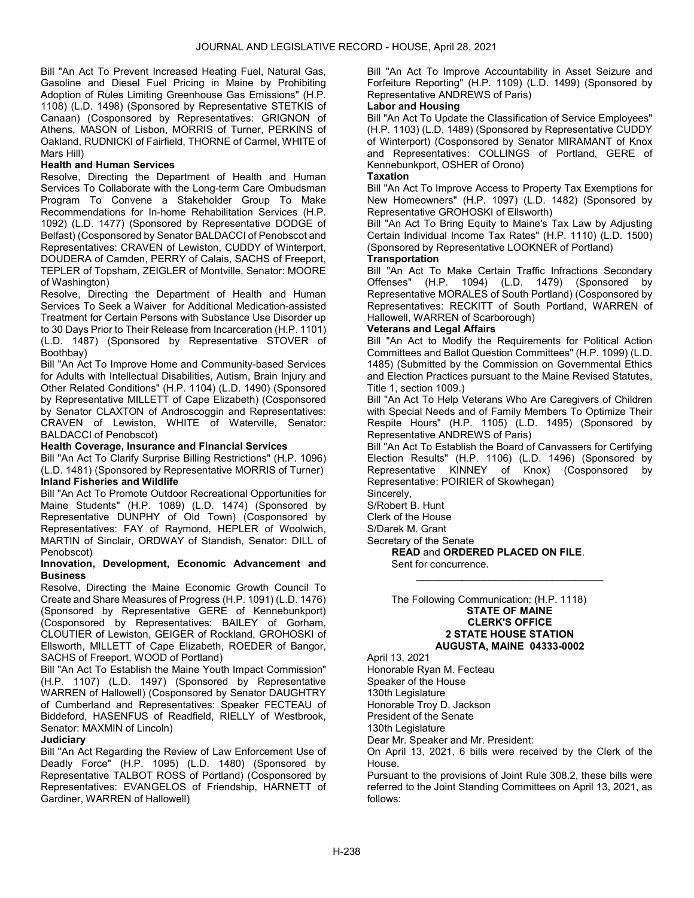Bill "An Act To Prevent Increased Heating Fuel, Natural Gas, Gasoline and Diesel Fuel Pricing in Maine by Prohibiting Adoption of Rules Limiting Greenhouse Gas Emissions" (H.P. 1108) (L.D. 1498) (Sponsored by Representative STETKIS of Canaan) (Cosponsored by Representatives: GRIGNON of Athens, MASON of Lisbon, MORRIS of Turner, PERKINS of Oakland, RUDNICKI of Fairfield, THORNE of Carmel, WHITE of Mars Hill)

# Health and Human Services

Resolve, Directing the Department of Health and Human Services To Collaborate with the Long-term Care Ombudsman Program To Convene a Stakeholder Group To Make Recommendations for In-home Rehabilitation Services (H.P. 1092) (L.D. 1477) (Sponsored by Representative DODGE of Belfast) (Cosponsored by Senator BALDACCI of Penobscot and Representatives: CRAVEN of Lewiston, CUDDY of Winterport, DOUDERA of Camden, PERRY of Calais, SACHS of Freeport, TEPLER of Topsham, ZEIGLER of Montville, Senator: MOORE of Washington)

Resolve, Directing the Department of Health and Human Services To Seek a Waiver for Additional Medication-assisted Treatment for Certain Persons with Substance Use Disorder up to 30 Days Prior to Their Release from Incarceration (H.P. 1101) (L.D. 1487) (Sponsored by Representative STOVER of Boothbay)

Bill "An Act To Improve Home and Community-based Services for Adults with Intellectual Disabilities, Autism, Brain Injury and Other Related Conditions" (H.P. 1104) (L.D. 1490) (Sponsored by Representative MILLETT of Cape Elizabeth) (Cosponsored by Senator CLAXTON of Androscoggin and Representatives: CRAVEN of Lewiston, WHITE of Waterville, Senator: BALDACCI of Penobscot)

### Health Coverage, Insurance and Financial Services

Bill "An Act To Clarify Surprise Billing Restrictions" (H.P. 1096) (L.D. 1481) (Sponsored by Representative MORRIS of Turner)

# Inland Fisheries and Wildlife

Bill "An Act To Promote Outdoor Recreational Opportunities for Maine Students" (H.P. 1089) (L.D. 1474) (Sponsored by Representative DUNPHY of Old Town) (Cosponsored by Representatives: FAY of Raymond, HEPLER of Woolwich, MARTIN of Sinclair, ORDWAY of Standish, Senator: DILL of Penobscot)

### Innovation, Development, Economic Advancement and Business

Resolve, Directing the Maine Economic Growth Council To Create and Share Measures of Progress (H.P. 1091) (L.D. 1476) (Sponsored by Representative GERE of Kennebunkport) (Cosponsored by Representatives: BAILEY of Gorham, CLOUTIER of Lewiston, GEIGER of Rockland, GROHOSKI of Ellsworth, MILLETT of Cape Elizabeth, ROEDER of Bangor, SACHS of Freeport, WOOD of Portland)

Bill "An Act To Establish the Maine Youth Impact Commission" (H.P. 1107) (L.D. 1497) (Sponsored by Representative WARREN of Hallowell) (Cosponsored by Senator DAUGHTRY of Cumberland and Representatives: Speaker FECTEAU of Biddeford, HASENFUS of Readfield, RIELLY of Westbrook, Senator: MAXMIN of Lincoln)

## **Judiciary**

Bill "An Act Regarding the Review of Law Enforcement Use of Deadly Force" (H.P. 1095) (L.D. 1480) (Sponsored by Representative TALBOT ROSS of Portland) (Cosponsored by Representatives: EVANGELOS of Friendship, HARNETT of Gardiner, WARREN of Hallowell)

Bill "An Act To Improve Accountability in Asset Seizure and Forfeiture Reporting" (H.P. 1109) (L.D. 1499) (Sponsored by Representative ANDREWS of Paris)

# Labor and Housing

Bill "An Act To Update the Classification of Service Employees" (H.P. 1103) (L.D. 1489) (Sponsored by Representative CUDDY of Winterport) (Cosponsored by Senator MIRAMANT of Knox and Representatives: COLLINGS of Portland, GERE of Kennebunkport, OSHER of Orono)

# **Taxation**

Bill "An Act To Improve Access to Property Tax Exemptions for New Homeowners" (H.P. 1097) (L.D. 1482) (Sponsored by Representative GROHOSKI of Ellsworth)

Bill "An Act To Bring Equity to Maine's Tax Law by Adjusting Certain Individual Income Tax Rates" (H.P. 1110) (L.D. 1500) (Sponsored by Representative LOOKNER of Portland)

### **Transportation**

Bill "An Act To Make Certain Traffic Infractions Secondary Offenses" (H.P. 1094) (L.D. 1479) (Sponsored by Representative MORALES of South Portland) (Cosponsored by Representatives: RECKITT of South Portland, WARREN of Hallowell, WARREN of Scarborough)

# Veterans and Legal Affairs

Bill "An Act to Modify the Requirements for Political Action Committees and Ballot Question Committees" (H.P. 1099) (L.D. 1485) (Submitted by the Commission on Governmental Ethics and Election Practices pursuant to the Maine Revised Statutes, Title 1, section 1009.)

Bill "An Act To Help Veterans Who Are Caregivers of Children with Special Needs and of Family Members To Optimize Their Respite Hours" (H.P. 1105) (L.D. 1495) (Sponsored by Representative ANDREWS of Paris)

Bill "An Act To Establish the Board of Canvassers for Certifying Election Results" (H.P. 1106) (L.D. 1496) (Sponsored by Representative KINNEY of Knox) (Cosponsored by Representative: POIRIER of Skowhegan)

\_\_\_\_\_\_\_\_\_\_\_\_\_\_\_\_\_\_\_\_\_\_\_\_\_\_\_\_\_\_\_\_\_

Sincerely,

S/Robert B. Hunt Clerk of the House

S/Darek M. Grant

Secretary of the Senate

READ and ORDERED PLACED ON FILE.

Sent for concurrence.

 The Following Communication: (H.P. 1118) STATE OF MAINE CLERK'S OFFICE 2 STATE HOUSE STATION AUGUSTA, MAINE 04333-0002

April 13, 2021 Honorable Ryan M. Fecteau Speaker of the House 130th Legislature Honorable Troy D. Jackson President of the Senate 130th Legislature Dear Mr. Speaker and Mr. President: On April 13, 2021, 6 bills were received by the Clerk of the House.

Pursuant to the provisions of Joint Rule 308.2, these bills were referred to the Joint Standing Committees on April 13, 2021, as follows: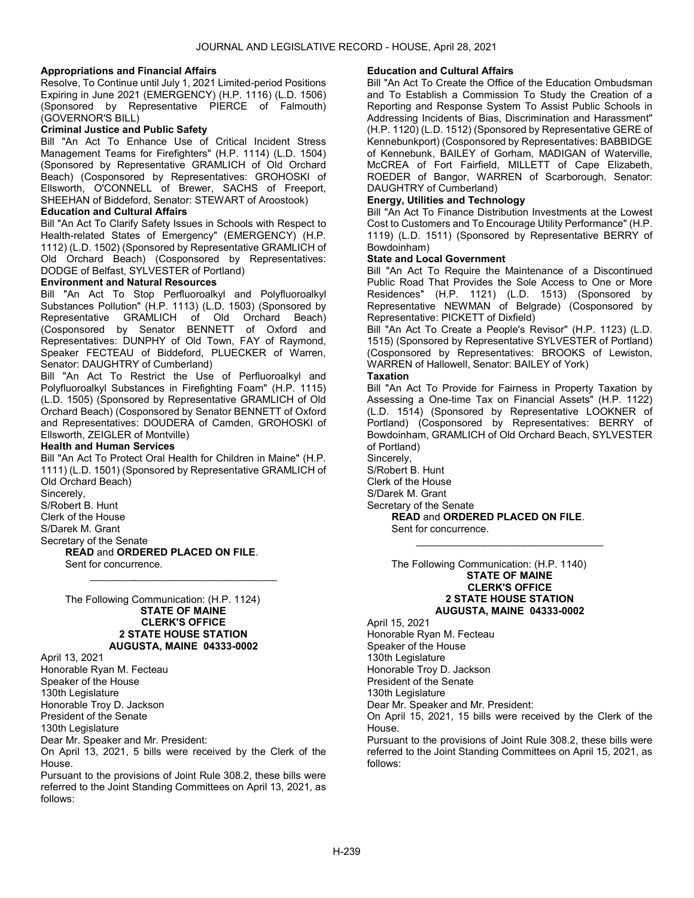### Appropriations and Financial Affairs

Resolve, To Continue until July 1, 2021 Limited-period Positions Expiring in June 2021 (EMERGENCY) (H.P. 1116) (L.D. 1506) (Sponsored by Representative PIERCE of Falmouth) (GOVERNOR'S BILL)

### Criminal Justice and Public Safety

Bill "An Act To Enhance Use of Critical Incident Stress Management Teams for Firefighters" (H.P. 1114) (L.D. 1504) (Sponsored by Representative GRAMLICH of Old Orchard Beach) (Cosponsored by Representatives: GROHOSKI of Ellsworth, O'CONNELL of Brewer, SACHS of Freeport, SHEEHAN of Biddeford, Senator: STEWART of Aroostook)

# Education and Cultural Affairs

Bill "An Act To Clarify Safety Issues in Schools with Respect to Health-related States of Emergency" (EMERGENCY) (H.P. 1112) (L.D. 1502) (Sponsored by Representative GRAMLICH of Old Orchard Beach) (Cosponsored by Representatives: DODGE of Belfast, SYLVESTER of Portland)

# Environment and Natural Resources

Bill "An Act To Stop Perfluoroalkyl and Polyfluoroalkyl Substances Pollution" (H.P. 1113) (L.D. 1503) (Sponsored by Representative GRAMLICH of Old Orchard Beach) (Cosponsored by Senator BENNETT of Oxford and Representatives: DUNPHY of Old Town, FAY of Raymond, Speaker FECTEAU of Biddeford, PLUECKER of Warren, Senator: DAUGHTRY of Cumberland)

Bill "An Act To Restrict the Use of Perfluoroalkyl and Polyfluoroalkyl Substances in Firefighting Foam" (H.P. 1115) (L.D. 1505) (Sponsored by Representative GRAMLICH of Old Orchard Beach) (Cosponsored by Senator BENNETT of Oxford and Representatives: DOUDERA of Camden, GROHOSKI of Ellsworth, ZEIGLER of Montville)

#### Health and Human Services

Bill "An Act To Protect Oral Health for Children in Maine" (H.P. 1111) (L.D. 1501) (Sponsored by Representative GRAMLICH of Old Orchard Beach)

\_\_\_\_\_\_\_\_\_\_\_\_\_\_\_\_\_\_\_\_\_\_\_\_\_\_\_\_\_\_\_\_\_

Sincerely,

S/Robert B. Hunt

Clerk of the House

S/Darek M. Grant

Secretary of the Senate READ and ORDERED PLACED ON FILE.

Sent for concurrence.

 The Following Communication: (H.P. 1124) STATE OF MAINE CLERK'S OFFICE 2 STATE HOUSE STATION AUGUSTA, MAINE 04333-0002

April 13, 2021 Honorable Ryan M. Fecteau Speaker of the House 130th Legislature Honorable Troy D. Jackson President of the Senate 130th Legislature Dear Mr. Speaker and Mr. President:

On April 13, 2021, 5 bills were received by the Clerk of the House.

Pursuant to the provisions of Joint Rule 308.2, these bills were referred to the Joint Standing Committees on April 13, 2021, as follows:

### Education and Cultural Affairs

Bill "An Act To Create the Office of the Education Ombudsman and To Establish a Commission To Study the Creation of a Reporting and Response System To Assist Public Schools in Addressing Incidents of Bias, Discrimination and Harassment" (H.P. 1120) (L.D. 1512) (Sponsored by Representative GERE of Kennebunkport) (Cosponsored by Representatives: BABBIDGE of Kennebunk, BAILEY of Gorham, MADIGAN of Waterville, McCREA of Fort Fairfield, MILLETT of Cape Elizabeth, ROEDER of Bangor, WARREN of Scarborough, Senator: DAUGHTRY of Cumberland)

# Energy, Utilities and Technology

Bill "An Act To Finance Distribution Investments at the Lowest Cost to Customers and To Encourage Utility Performance" (H.P. 1119) (L.D. 1511) (Sponsored by Representative BERRY of Bowdoinham)

### State and Local Government

Bill "An Act To Require the Maintenance of a Discontinued Public Road That Provides the Sole Access to One or More Residences" (H.P. 1121) (L.D. 1513) (Sponsored by Representative NEWMAN of Belgrade) (Cosponsored by Representative: PICKETT of Dixfield)

Bill "An Act To Create a People's Revisor" (H.P. 1123) (L.D. 1515) (Sponsored by Representative SYLVESTER of Portland) (Cosponsored by Representatives: BROOKS of Lewiston, WARREN of Hallowell, Senator: BAILEY of York)

# **Taxation**

Bill "An Act To Provide for Fairness in Property Taxation by Assessing a One-time Tax on Financial Assets" (H.P. 1122) (L.D. 1514) (Sponsored by Representative LOOKNER of Portland) (Cosponsored by Representatives: BERRY of Bowdoinham, GRAMLICH of Old Orchard Beach, SYLVESTER of Portland)

\_\_\_\_\_\_\_\_\_\_\_\_\_\_\_\_\_\_\_\_\_\_\_\_\_\_\_\_\_\_\_\_\_

Sincerely, S/Robert B. Hunt Clerk of the House S/Darek M. Grant

Secretary of the Senate READ and ORDERED PLACED ON FILE.

Sent for concurrence.

 The Following Communication: (H.P. 1140) STATE OF MAINE CLERK'S OFFICE 2 STATE HOUSE STATION AUGUSTA, MAINE 04333-0002

April 15, 2021 Honorable Ryan M. Fecteau Speaker of the House 130th Legislature Honorable Troy D. Jackson President of the Senate 130th Legislature Dear Mr. Speaker and Mr. President: On April 15, 2021, 15 bills were received by the Clerk of the House. Pursuant to the provisions of Joint Rule 308.2, these bills were

referred to the Joint Standing Committees on April 15, 2021, as follows: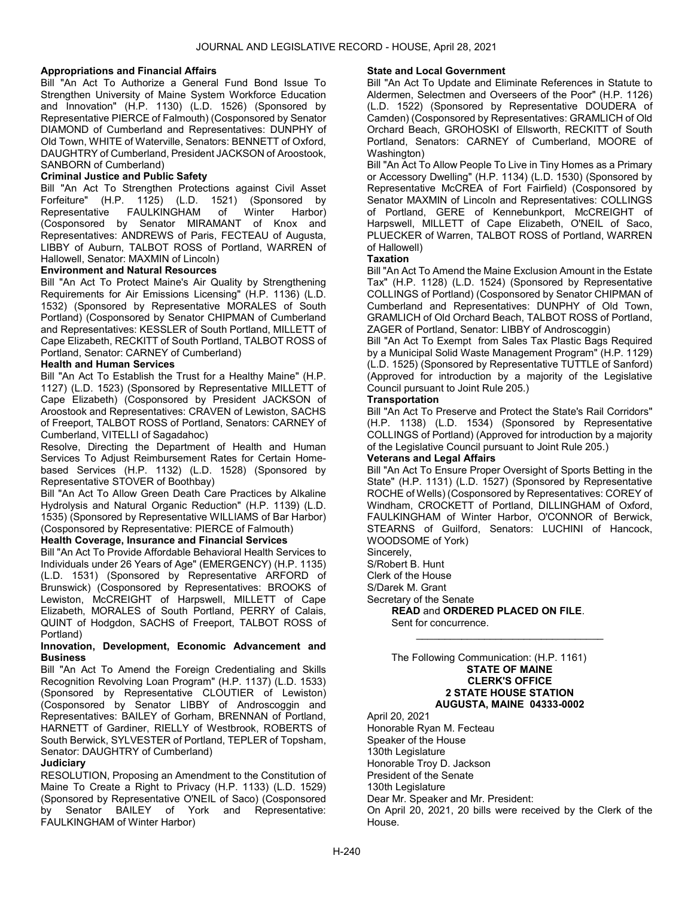## Appropriations and Financial Affairs

Bill "An Act To Authorize a General Fund Bond Issue To Strengthen University of Maine System Workforce Education and Innovation" (H.P. 1130) (L.D. 1526) (Sponsored by Representative PIERCE of Falmouth) (Cosponsored by Senator DIAMOND of Cumberland and Representatives: DUNPHY of Old Town, WHITE of Waterville, Senators: BENNETT of Oxford, DAUGHTRY of Cumberland, President JACKSON of Aroostook, SANBORN of Cumberland)

# Criminal Justice and Public Safety

Bill "An Act To Strengthen Protections against Civil Asset Forfeiture" (H.P. 1125) (L.D. 1521) (Sponsored by FAULKINGHAM of Winter Harbor) (Cosponsored by Senator MIRAMANT of Knox and Representatives: ANDREWS of Paris, FECTEAU of Augusta, LIBBY of Auburn, TALBOT ROSS of Portland, WARREN of Hallowell, Senator: MAXMIN of Lincoln)

## Environment and Natural Resources

Bill "An Act To Protect Maine's Air Quality by Strengthening Requirements for Air Emissions Licensing" (H.P. 1136) (L.D. 1532) (Sponsored by Representative MORALES of South Portland) (Cosponsored by Senator CHIPMAN of Cumberland and Representatives: KESSLER of South Portland, MILLETT of Cape Elizabeth, RECKITT of South Portland, TALBOT ROSS of Portland, Senator: CARNEY of Cumberland)

## Health and Human Services

Bill "An Act To Establish the Trust for a Healthy Maine" (H.P. 1127) (L.D. 1523) (Sponsored by Representative MILLETT of Cape Elizabeth) (Cosponsored by President JACKSON of Aroostook and Representatives: CRAVEN of Lewiston, SACHS of Freeport, TALBOT ROSS of Portland, Senators: CARNEY of Cumberland, VITELLI of Sagadahoc)

Resolve, Directing the Department of Health and Human Services To Adjust Reimbursement Rates for Certain Homebased Services (H.P. 1132) (L.D. 1528) (Sponsored by Representative STOVER of Boothbay)

Bill "An Act To Allow Green Death Care Practices by Alkaline Hydrolysis and Natural Organic Reduction" (H.P. 1139) (L.D. 1535) (Sponsored by Representative WILLIAMS of Bar Harbor) (Cosponsored by Representative: PIERCE of Falmouth)

## Health Coverage, Insurance and Financial Services

Bill "An Act To Provide Affordable Behavioral Health Services to Individuals under 26 Years of Age" (EMERGENCY) (H.P. 1135) (L.D. 1531) (Sponsored by Representative ARFORD of Brunswick) (Cosponsored by Representatives: BROOKS of Lewiston, McCREIGHT of Harpswell, MILLETT of Cape Elizabeth, MORALES of South Portland, PERRY of Calais, QUINT of Hodgdon, SACHS of Freeport, TALBOT ROSS of Portland)

# Innovation, Development, Economic Advancement and **Business**

Bill "An Act To Amend the Foreign Credentialing and Skills Recognition Revolving Loan Program" (H.P. 1137) (L.D. 1533) (Sponsored by Representative CLOUTIER of Lewiston) (Cosponsored by Senator LIBBY of Androscoggin and Representatives: BAILEY of Gorham, BRENNAN of Portland, HARNETT of Gardiner, RIELLY of Westbrook, ROBERTS of South Berwick, SYLVESTER of Portland, TEPLER of Topsham, Senator: DAUGHTRY of Cumberland)

# **Judiciary**

RESOLUTION, Proposing an Amendment to the Constitution of Maine To Create a Right to Privacy (H.P. 1133) (L.D. 1529) (Sponsored by Representative O'NEIL of Saco) (Cosponsored by Senator BAILEY of York and Representative: FAULKINGHAM of Winter Harbor)

# State and Local Government

Bill "An Act To Update and Eliminate References in Statute to Aldermen, Selectmen and Overseers of the Poor" (H.P. 1126) (L.D. 1522) (Sponsored by Representative DOUDERA of Camden) (Cosponsored by Representatives: GRAMLICH of Old Orchard Beach, GROHOSKI of Ellsworth, RECKITT of South Portland, Senators: CARNEY of Cumberland, MOORE of Washington)

Bill "An Act To Allow People To Live in Tiny Homes as a Primary or Accessory Dwelling" (H.P. 1134) (L.D. 1530) (Sponsored by Representative McCREA of Fort Fairfield) (Cosponsored by Senator MAXMIN of Lincoln and Representatives: COLLINGS of Portland, GERE of Kennebunkport, McCREIGHT of Harpswell, MILLETT of Cape Elizabeth, O'NEIL of Saco, PLUECKER of Warren, TALBOT ROSS of Portland, WARREN of Hallowell)

### **Taxation**

Bill "An Act To Amend the Maine Exclusion Amount in the Estate Tax" (H.P. 1128) (L.D. 1524) (Sponsored by Representative COLLINGS of Portland) (Cosponsored by Senator CHIPMAN of Cumberland and Representatives: DUNPHY of Old Town, GRAMLICH of Old Orchard Beach, TALBOT ROSS of Portland, ZAGER of Portland, Senator: LIBBY of Androscoggin)

Bill "An Act To Exempt from Sales Tax Plastic Bags Required by a Municipal Solid Waste Management Program" (H.P. 1129) (L.D. 1525) (Sponsored by Representative TUTTLE of Sanford) (Approved for introduction by a majority of the Legislative Council pursuant to Joint Rule 205.)

## **Transportation**

Bill "An Act To Preserve and Protect the State's Rail Corridors" (H.P. 1138) (L.D. 1534) (Sponsored by Representative COLLINGS of Portland) (Approved for introduction by a majority of the Legislative Council pursuant to Joint Rule 205.)

# Veterans and Legal Affairs

Bill "An Act To Ensure Proper Oversight of Sports Betting in the State" (H.P. 1131) (L.D. 1527) (Sponsored by Representative ROCHE of Wells) (Cosponsored by Representatives: COREY of Windham, CROCKETT of Portland, DILLINGHAM of Oxford, FAULKINGHAM of Winter Harbor, O'CONNOR of Berwick, STEARNS of Guilford, Senators: LUCHINI of Hancock, WOODSOME of York)

\_\_\_\_\_\_\_\_\_\_\_\_\_\_\_\_\_\_\_\_\_\_\_\_\_\_\_\_\_\_\_\_\_

Sincerely,

S/Robert B. Hunt

Clerk of the House

S/Darek M. Grant

Secretary of the Senate

READ and ORDERED PLACED ON FILE. Sent for concurrence.

 The Following Communication: (H.P. 1161) STATE OF MAINE CLERK'S OFFICE 2 STATE HOUSE STATION AUGUSTA, MAINE 04333-0002

April 20, 2021 Honorable Ryan M. Fecteau Speaker of the House 130th Legislature Honorable Troy D. Jackson President of the Senate 130th Legislature Dear Mr. Speaker and Mr. President: On April 20, 2021, 20 bills were received by the Clerk of the

House.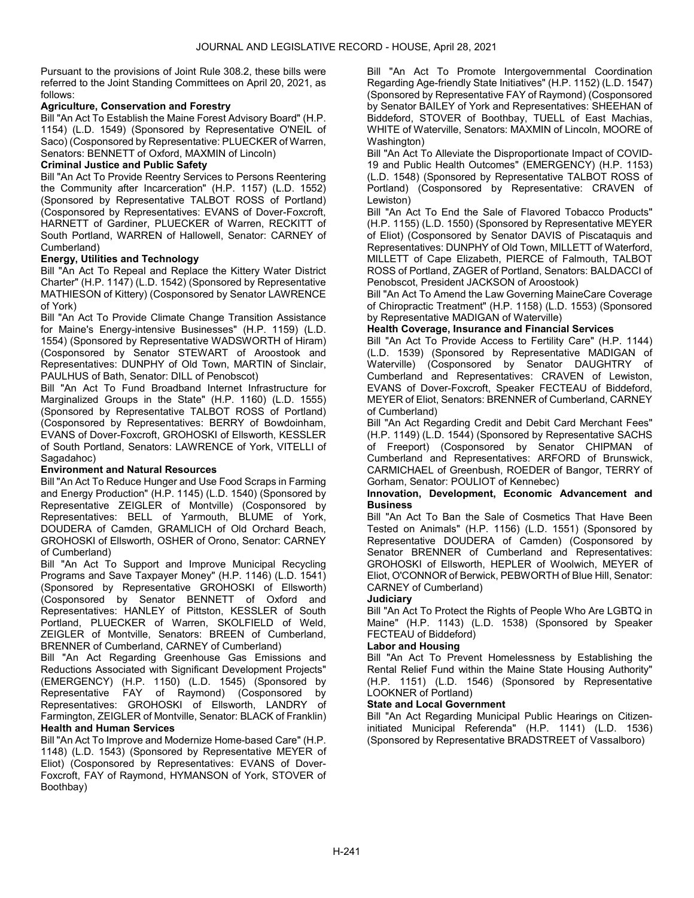Pursuant to the provisions of Joint Rule 308.2, these bills were referred to the Joint Standing Committees on April 20, 2021, as follows:

# Agriculture, Conservation and Forestry

Bill "An Act To Establish the Maine Forest Advisory Board" (H.P. 1154) (L.D. 1549) (Sponsored by Representative O'NEIL of Saco) (Cosponsored by Representative: PLUECKER of Warren, Senators: BENNETT of Oxford, MAXMIN of Lincoln)

# Criminal Justice and Public Safety

Bill "An Act To Provide Reentry Services to Persons Reentering the Community after Incarceration" (H.P. 1157) (L.D. 1552) (Sponsored by Representative TALBOT ROSS of Portland) (Cosponsored by Representatives: EVANS of Dover-Foxcroft, HARNETT of Gardiner, PLUECKER of Warren, RECKITT of South Portland, WARREN of Hallowell, Senator: CARNEY of Cumberland)

# Energy, Utilities and Technology

Bill "An Act To Repeal and Replace the Kittery Water District Charter" (H.P. 1147) (L.D. 1542) (Sponsored by Representative MATHIESON of Kittery) (Cosponsored by Senator LAWRENCE of York)

Bill "An Act To Provide Climate Change Transition Assistance for Maine's Energy-intensive Businesses" (H.P. 1159) (L.D. 1554) (Sponsored by Representative WADSWORTH of Hiram) (Cosponsored by Senator STEWART of Aroostook and Representatives: DUNPHY of Old Town, MARTIN of Sinclair, PAULHUS of Bath, Senator: DILL of Penobscot)

Bill "An Act To Fund Broadband Internet Infrastructure for Marginalized Groups in the State" (H.P. 1160) (L.D. 1555) (Sponsored by Representative TALBOT ROSS of Portland) (Cosponsored by Representatives: BERRY of Bowdoinham, EVANS of Dover-Foxcroft, GROHOSKI of Ellsworth, KESSLER of South Portland, Senators: LAWRENCE of York, VITELLI of Sagadahoc)

# Environment and Natural Resources

Bill "An Act To Reduce Hunger and Use Food Scraps in Farming and Energy Production" (H.P. 1145) (L.D. 1540) (Sponsored by Representative ZEIGLER of Montville) (Cosponsored by Representatives: BELL of Yarmouth, BLUME of York, DOUDERA of Camden, GRAMLICH of Old Orchard Beach, GROHOSKI of Ellsworth, OSHER of Orono, Senator: CARNEY of Cumberland)

Bill "An Act To Support and Improve Municipal Recycling Programs and Save Taxpayer Money" (H.P. 1146) (L.D. 1541) (Sponsored by Representative GROHOSKI of Ellsworth) (Cosponsored by Senator BENNETT of Oxford and Representatives: HANLEY of Pittston, KESSLER of South Portland, PLUECKER of Warren, SKOLFIELD of Weld, ZEIGLER of Montville, Senators: BREEN of Cumberland, BRENNER of Cumberland, CARNEY of Cumberland)

Bill "An Act Regarding Greenhouse Gas Emissions and Reductions Associated with Significant Development Projects" (EMERGENCY) (H.P. 1150) (L.D. 1545) (Sponsored by Representative FAY of Raymond) (Cosponsored by Representatives: GROHOSKI of Ellsworth, LANDRY of Farmington, ZEIGLER of Montville, Senator: BLACK of Franklin) Health and Human Services

Bill "An Act To Improve and Modernize Home-based Care" (H.P. 1148) (L.D. 1543) (Sponsored by Representative MEYER of Eliot) (Cosponsored by Representatives: EVANS of Dover-Foxcroft, FAY of Raymond, HYMANSON of York, STOVER of Boothbay)

Bill "An Act To Promote Intergovernmental Coordination Regarding Age-friendly State Initiatives" (H.P. 1152) (L.D. 1547) (Sponsored by Representative FAY of Raymond) (Cosponsored by Senator BAILEY of York and Representatives: SHEEHAN of Biddeford, STOVER of Boothbay, TUELL of East Machias, WHITE of Waterville, Senators: MAXMIN of Lincoln, MOORE of Washington)

Bill "An Act To Alleviate the Disproportionate Impact of COVID-19 and Public Health Outcomes" (EMERGENCY) (H.P. 1153) (L.D. 1548) (Sponsored by Representative TALBOT ROSS of Portland) (Cosponsored by Representative: CRAVEN of Lewiston)

Bill "An Act To End the Sale of Flavored Tobacco Products" (H.P. 1155) (L.D. 1550) (Sponsored by Representative MEYER of Eliot) (Cosponsored by Senator DAVIS of Piscataquis and Representatives: DUNPHY of Old Town, MILLETT of Waterford, MILLETT of Cape Elizabeth, PIERCE of Falmouth, TALBOT ROSS of Portland, ZAGER of Portland, Senators: BALDACCI of Penobscot, President JACKSON of Aroostook)

Bill "An Act To Amend the Law Governing MaineCare Coverage of Chiropractic Treatment" (H.P. 1158) (L.D. 1553) (Sponsored by Representative MADIGAN of Waterville)

# Health Coverage, Insurance and Financial Services

Bill "An Act To Provide Access to Fertility Care" (H.P. 1144) (L.D. 1539) (Sponsored by Representative MADIGAN of Waterville) (Cosponsored by Senator DAUGHTRY of Cumberland and Representatives: CRAVEN of Lewiston, EVANS of Dover-Foxcroft, Speaker FECTEAU of Biddeford, MEYER of Eliot, Senators: BRENNER of Cumberland, CARNEY of Cumberland)

Bill "An Act Regarding Credit and Debit Card Merchant Fees" (H.P. 1149) (L.D. 1544) (Sponsored by Representative SACHS of Freeport) (Cosponsored by Senator CHIPMAN of Cumberland and Representatives: ARFORD of Brunswick, CARMICHAEL of Greenbush, ROEDER of Bangor, TERRY of Gorham, Senator: POULIOT of Kennebec)

### Innovation, Development, Economic Advancement and **Business**

Bill "An Act To Ban the Sale of Cosmetics That Have Been Tested on Animals" (H.P. 1156) (L.D. 1551) (Sponsored by Representative DOUDERA of Camden) (Cosponsored by Senator BRENNER of Cumberland and Representatives: GROHOSKI of Ellsworth, HEPLER of Woolwich, MEYER of Eliot, O'CONNOR of Berwick, PEBWORTH of Blue Hill, Senator: CARNEY of Cumberland)

# **Judiciary**

Bill "An Act To Protect the Rights of People Who Are LGBTQ in Maine" (H.P. 1143) (L.D. 1538) (Sponsored by Speaker FECTEAU of Biddeford)

# Labor and Housing

Bill "An Act To Prevent Homelessness by Establishing the Rental Relief Fund within the Maine State Housing Authority" (H.P. 1151) (L.D. 1546) (Sponsored by Representative LOOKNER of Portland)

## State and Local Government

Bill "An Act Regarding Municipal Public Hearings on Citizeninitiated Municipal Referenda" (H.P. 1141) (L.D. 1536) (Sponsored by Representative BRADSTREET of Vassalboro)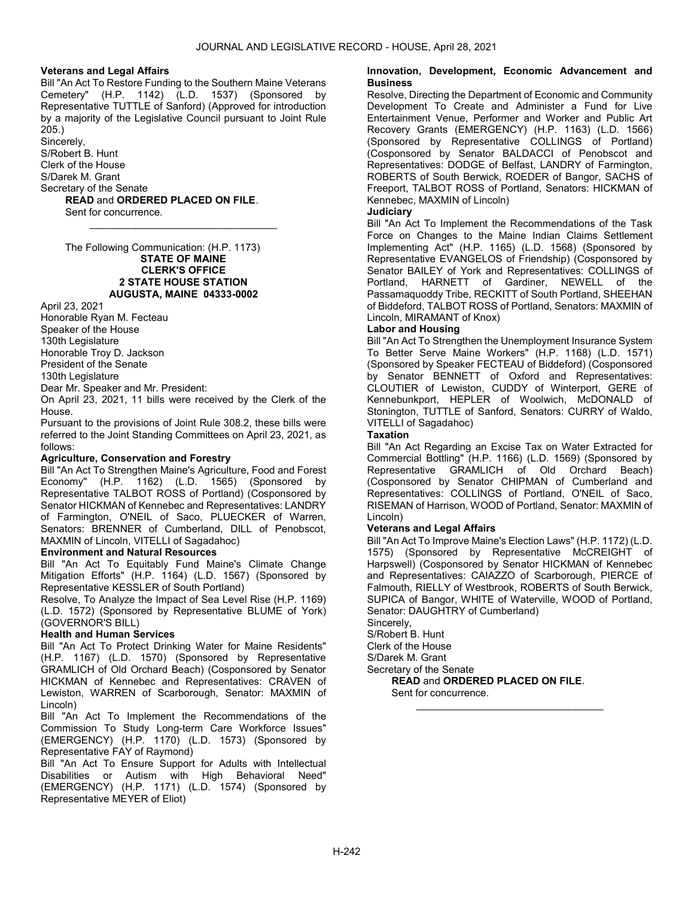# Veterans and Legal Affairs

Bill "An Act To Restore Funding to the Southern Maine Veterans Cemetery" (H.P. 1142) (L.D. 1537) (Sponsored by Representative TUTTLE of Sanford) (Approved for introduction by a majority of the Legislative Council pursuant to Joint Rule  $205.$ 

\_\_\_\_\_\_\_\_\_\_\_\_\_\_\_\_\_\_\_\_\_\_\_\_\_\_\_\_\_\_\_\_\_

Sincerely,

S/Robert B. Hunt Clerk of the House

S/Darek M. Grant

Secretary of the Senate

READ and ORDERED PLACED ON FILE. Sent for concurrence.

 The Following Communication: (H.P. 1173) STATE OF MAINE CLERK'S OFFICE 2 STATE HOUSE STATION AUGUSTA, MAINE 04333-0002

April 23, 2021

Honorable Ryan M. Fecteau Speaker of the House

130th Legislature

Honorable Troy D. Jackson

President of the Senate

130th Legislature

Dear Mr. Speaker and Mr. President:

On April 23, 2021, 11 bills were received by the Clerk of the House.

Pursuant to the provisions of Joint Rule 308.2, these bills were referred to the Joint Standing Committees on April 23, 2021, as follows:

# Agriculture, Conservation and Forestry

Bill "An Act To Strengthen Maine's Agriculture, Food and Forest Economy" (H.P. 1162) (L.D. 1565) (Sponsored by Representative TALBOT ROSS of Portland) (Cosponsored by Senator HICKMAN of Kennebec and Representatives: LANDRY of Farmington, O'NEIL of Saco, PLUECKER of Warren, Senators: BRENNER of Cumberland, DILL of Penobscot, MAXMIN of Lincoln, VITELLI of Sagadahoc)

## Environment and Natural Resources

Bill "An Act To Equitably Fund Maine's Climate Change Mitigation Efforts" (H.P. 1164) (L.D. 1567) (Sponsored by Representative KESSLER of South Portland)

Resolve, To Analyze the Impact of Sea Level Rise (H.P. 1169) (L.D. 1572) (Sponsored by Representative BLUME of York) (GOVERNOR'S BILL)

### Health and Human Services

Bill "An Act To Protect Drinking Water for Maine Residents" (H.P. 1167) (L.D. 1570) (Sponsored by Representative GRAMLICH of Old Orchard Beach) (Cosponsored by Senator HICKMAN of Kennebec and Representatives: CRAVEN of Lewiston, WARREN of Scarborough, Senator: MAXMIN of Lincoln)

Bill "An Act To Implement the Recommendations of the Commission To Study Long-term Care Workforce Issues" (EMERGENCY) (H.P. 1170) (L.D. 1573) (Sponsored by Representative FAY of Raymond)

Bill "An Act To Ensure Support for Adults with Intellectual Disabilities or Autism with High Behavioral Need" (EMERGENCY) (H.P. 1171) (L.D. 1574) (Sponsored by Representative MEYER of Eliot)

### Innovation, Development, Economic Advancement and **Business**

Resolve, Directing the Department of Economic and Community Development To Create and Administer a Fund for Live Entertainment Venue, Performer and Worker and Public Art Recovery Grants (EMERGENCY) (H.P. 1163) (L.D. 1566) (Sponsored by Representative COLLINGS of Portland) (Cosponsored by Senator BALDACCI of Penobscot and Representatives: DODGE of Belfast, LANDRY of Farmington, ROBERTS of South Berwick, ROEDER of Bangor, SACHS of Freeport, TALBOT ROSS of Portland, Senators: HICKMAN of Kennebec, MAXMIN of Lincoln)

### **Judiciary**

Bill "An Act To Implement the Recommendations of the Task Force on Changes to the Maine Indian Claims Settlement Implementing Act" (H.P. 1165) (L.D. 1568) (Sponsored by Representative EVANGELOS of Friendship) (Cosponsored by Senator BAILEY of York and Representatives: COLLINGS of Portland, HARNETT of Gardiner, NEWELL of the Passamaquoddy Tribe, RECKITT of South Portland, SHEEHAN of Biddeford, TALBOT ROSS of Portland, Senators: MAXMIN of Lincoln, MIRAMANT of Knox)

## Labor and Housing

Bill "An Act To Strengthen the Unemployment Insurance System To Better Serve Maine Workers" (H.P. 1168) (L.D. 1571) (Sponsored by Speaker FECTEAU of Biddeford) (Cosponsored by Senator BENNETT of Oxford and Representatives: CLOUTIER of Lewiston, CUDDY of Winterport, GERE of Kennebunkport, HEPLER of Woolwich, McDONALD of Stonington, TUTTLE of Sanford, Senators: CURRY of Waldo, VITELLI of Sagadahoc)

## **Taxation**

Bill "An Act Regarding an Excise Tax on Water Extracted for Commercial Bottling" (H.P. 1166) (L.D. 1569) (Sponsored by Representative GRAMLICH of Old Orchard Beach) (Cosponsored by Senator CHIPMAN of Cumberland and Representatives: COLLINGS of Portland, O'NEIL of Saco, RISEMAN of Harrison, WOOD of Portland, Senator: MAXMIN of Lincoln)

# Veterans and Legal Affairs

Bill "An Act To Improve Maine's Election Laws" (H.P. 1172) (L.D. 1575) (Sponsored by Representative McCREIGHT of Harpswell) (Cosponsored by Senator HICKMAN of Kennebec and Representatives: CAIAZZO of Scarborough, PIERCE of Falmouth, RIELLY of Westbrook, ROBERTS of South Berwick, SUPICA of Bangor, WHITE of Waterville, WOOD of Portland, Senator: DAUGHTRY of Cumberland)

\_\_\_\_\_\_\_\_\_\_\_\_\_\_\_\_\_\_\_\_\_\_\_\_\_\_\_\_\_\_\_\_\_

Sincerely, S/Robert B. Hunt Clerk of the House

S/Darek M. Grant

Secretary of the Senate

READ and ORDERED PLACED ON FILE.

Sent for concurrence.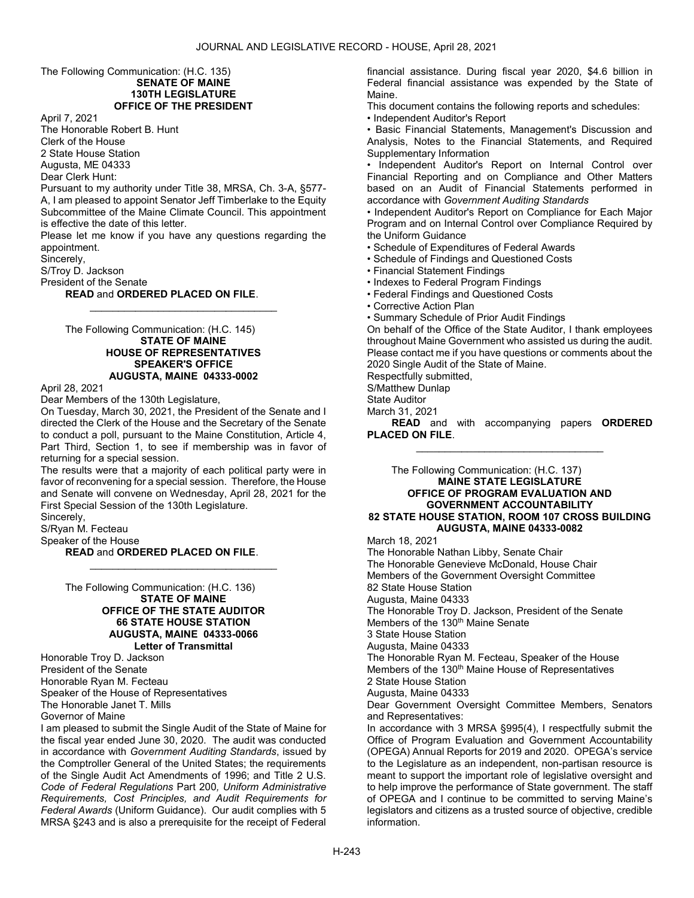### The Following Communication: (H.C. 135) SENATE OF MAINE 130TH LEGISLATURE OFFICE OF THE PRESIDENT

April 7, 2021

The Honorable Robert B. Hunt Clerk of the House 2 State House Station Augusta, ME 04333

Dear Clerk Hunt:

Pursuant to my authority under Title 38, MRSA, Ch. 3-A, §577- A, I am pleased to appoint Senator Jeff Timberlake to the Equity Subcommittee of the Maine Climate Council. This appointment is effective the date of this letter.

Please let me know if you have any questions regarding the appointment.

\_\_\_\_\_\_\_\_\_\_\_\_\_\_\_\_\_\_\_\_\_\_\_\_\_\_\_\_\_\_\_\_\_

Sincerely,

S/Troy D. Jackson

President of the Senate

### READ and ORDERED PLACED ON FILE.

 The Following Communication: (H.C. 145) STATE OF MAINE HOUSE OF REPRESENTATIVES SPEAKER'S OFFICE AUGUSTA, MAINE 04333-0002

April 28, 2021

Dear Members of the 130th Legislature,

On Tuesday, March 30, 2021, the President of the Senate and I directed the Clerk of the House and the Secretary of the Senate to conduct a poll, pursuant to the Maine Constitution, Article 4, Part Third, Section 1, to see if membership was in favor of returning for a special session.

The results were that a majority of each political party were in favor of reconvening for a special session. Therefore, the House and Senate will convene on Wednesday, April 28, 2021 for the First Special Session of the 130th Legislature.

\_\_\_\_\_\_\_\_\_\_\_\_\_\_\_\_\_\_\_\_\_\_\_\_\_\_\_\_\_\_\_\_\_

Sincerely,

S/Ryan M. Fecteau

Speaker of the House

READ and ORDERED PLACED ON FILE.

 The Following Communication: (H.C. 136) STATE OF MAINE OFFICE OF THE STATE AUDITOR 66 STATE HOUSE STATION AUGUSTA, MAINE 04333-0066 Letter of Transmittal

Honorable Troy D. Jackson President of the Senate Honorable Ryan M. Fecteau Speaker of the House of Representatives The Honorable Janet T. Mills Governor of Maine

I am pleased to submit the Single Audit of the State of Maine for the fiscal year ended June 30, 2020. The audit was conducted in accordance with Government Auditing Standards, issued by the Comptroller General of the United States; the requirements of the Single Audit Act Amendments of 1996; and Title 2 U.S. Code of Federal Regulations Part 200, Uniform Administrative Requirements, Cost Principles, and Audit Requirements for Federal Awards (Uniform Guidance). Our audit complies with 5 MRSA §243 and is also a prerequisite for the receipt of Federal

financial assistance. During fiscal year 2020, \$4.6 billion in Federal financial assistance was expended by the State of Maine.

This document contains the following reports and schedules:

• Independent Auditor's Report

• Basic Financial Statements, Management's Discussion and Analysis, Notes to the Financial Statements, and Required Supplementary Information

• Independent Auditor's Report on Internal Control over Financial Reporting and on Compliance and Other Matters based on an Audit of Financial Statements performed in accordance with Government Auditing Standards

• Independent Auditor's Report on Compliance for Each Major Program and on Internal Control over Compliance Required by the Uniform Guidance

• Schedule of Expenditures of Federal Awards

- Schedule of Findings and Questioned Costs
- Financial Statement Findings
- Indexes to Federal Program Findings
- Federal Findings and Questioned Costs
- Corrective Action Plan

• Summary Schedule of Prior Audit Findings

On behalf of the Office of the State Auditor, I thank employees throughout Maine Government who assisted us during the audit. Please contact me if you have questions or comments about the 2020 Single Audit of the State of Maine.

Respectfully submitted,

S/Matthew Dunlap

State Auditor

March 31, 2021

READ and with accompanying papers ORDERED PLACED ON FILE. \_\_\_\_\_\_\_\_\_\_\_\_\_\_\_\_\_\_\_\_\_\_\_\_\_\_\_\_\_\_\_\_\_

### The Following Communication: (H.C. 137) MAINE STATE LEGISLATURE OFFICE OF PROGRAM EVALUATION AND GOVERNMENT ACCOUNTABILITY 82 STATE HOUSE STATION, ROOM 107 CROSS BUILDING AUGUSTA, MAINE 04333-0082

March 18, 2021

The Honorable Nathan Libby, Senate Chair The Honorable Genevieve McDonald, House Chair Members of the Government Oversight Committee 82 State House Station Augusta, Maine 04333 The Honorable Troy D. Jackson, President of the Senate Members of the 130<sup>th</sup> Maine Senate 3 State House Station Augusta, Maine 04333 The Honorable Ryan M. Fecteau, Speaker of the House Members of the 130<sup>th</sup> Maine House of Representatives 2 State House Station Augusta, Maine 04333 Dear Government Oversight Committee Members, Senators and Representatives: In accordance with 3 MRSA §995(4), I respectfully submit the Office of Program Evaluation and Government Accountability (OPEGA) Annual Reports for 2019 and 2020. OPEGA's service to the Legislature as an independent, non-partisan resource is meant to support the important role of legislative oversight and to help improve the performance of State government. The staff of OPEGA and I continue to be committed to serving Maine's

legislators and citizens as a trusted source of objective, credible

information.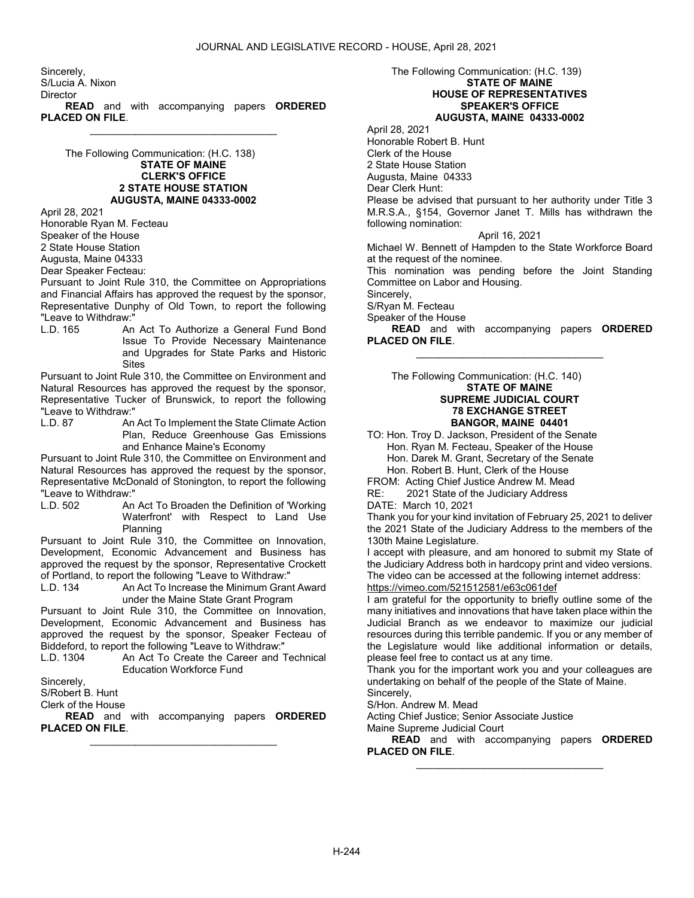Sincerely, S/Lucia A. Nixon **Director READ** and with accompanying papers **ORDERED** PLACED ON FILE.

 The Following Communication: (H.C. 138) STATE OF MAINE CLERK'S OFFICE 2 STATE HOUSE STATION AUGUSTA, MAINE 04333-0002

\_\_\_\_\_\_\_\_\_\_\_\_\_\_\_\_\_\_\_\_\_\_\_\_\_\_\_\_\_\_\_\_\_

April 28, 2021

Honorable Ryan M. Fecteau

Speaker of the House

2 State House Station

Augusta, Maine 04333

Dear Speaker Fecteau:

Pursuant to Joint Rule 310, the Committee on Appropriations and Financial Affairs has approved the request by the sponsor, Representative Dunphy of Old Town, to report the following "Leave to Withdraw:"

An Act To Authorize a General Fund Bond Issue To Provide Necessary Maintenance and Upgrades for State Parks and Historic **Sites** 

Pursuant to Joint Rule 310, the Committee on Environment and Natural Resources has approved the request by the sponsor, Representative Tucker of Brunswick, to report the following "Leave to Withdraw:"<br>I.D. 87 An

An Act To Implement the State Climate Action Plan, Reduce Greenhouse Gas Emissions and Enhance Maine's Economy

Pursuant to Joint Rule 310, the Committee on Environment and Natural Resources has approved the request by the sponsor, Representative McDonald of Stonington, to report the following "Leave to Withdraw:"

An Act To Broaden the Definition of 'Working Waterfront' with Respect to Land Use Planning

Pursuant to Joint Rule 310, the Committee on Innovation, Development, Economic Advancement and Business has approved the request by the sponsor, Representative Crockett of Portland, to report the following "Leave to Withdraw:"

L.D. 134 An Act To Increase the Minimum Grant Award under the Maine State Grant Program

Pursuant to Joint Rule 310, the Committee on Innovation, Development, Economic Advancement and Business has approved the request by the sponsor, Speaker Fecteau of Biddeford, to report the following "Leave to Withdraw:"

L.D. 1304 An Act To Create the Career and Technical Education Workforce Fund

Sincerely,

S/Robert B. Hunt

Clerk of the House

**READ** and with accompanying papers ORDERED PLACED ON FILE. \_\_\_\_\_\_\_\_\_\_\_\_\_\_\_\_\_\_\_\_\_\_\_\_\_\_\_\_\_\_\_\_\_

### The Following Communication: (H.C. 139) STATE OF MAINE HOUSE OF REPRESENTATIVES SPEAKER'S OFFICE AUGUSTA, MAINE 04333-0002

April 28, 2021 Honorable Robert B. Hunt Clerk of the House 2 State House Station Augusta, Maine 04333 Dear Clerk Hunt: Please be advised that pursuant to her authority under Title 3 M.R.S.A., §154, Governor Janet T. Mills has withdrawn the following nomination: April 16, 2021

Michael W. Bennett of Hampden to the State Workforce Board at the request of the nominee.

This nomination was pending before the Joint Standing Committee on Labor and Housing.

Sincerely,

S/Ryan M. Fecteau

Speaker of the House

READ and with accompanying papers ORDERED PLACED ON FILE. \_\_\_\_\_\_\_\_\_\_\_\_\_\_\_\_\_\_\_\_\_\_\_\_\_\_\_\_\_\_\_\_\_

 The Following Communication: (H.C. 140) STATE OF MAINE SUPREME JUDICIAL COURT 78 EXCHANGE STREET BANGOR, MAINE 04401

TO: Hon. Troy D. Jackson, President of the Senate Hon. Ryan M. Fecteau, Speaker of the House Hon. Darek M. Grant, Secretary of the Senate Hon. Robert B. Hunt, Clerk of the House

FROM: Acting Chief Justice Andrew M. Mead

RE: 2021 State of the Judiciary Address

DATE: March 10, 2021

Thank you for your kind invitation of February 25, 2021 to deliver the 2021 State of the Judiciary Address to the members of the 130th Maine Legislature.

I accept with pleasure, and am honored to submit my State of the Judiciary Address both in hardcopy print and video versions. The video can be accessed at the following internet address:

https://vimeo.com/521512581/e63c061def

I am grateful for the opportunity to briefly outline some of the many initiatives and innovations that have taken place within the Judicial Branch as we endeavor to maximize our judicial resources during this terrible pandemic. If you or any member of the Legislature would like additional information or details, please feel free to contact us at any time.

Thank you for the important work you and your colleagues are undertaking on behalf of the people of the State of Maine. Sincerely,

S/Hon. Andrew M. Mead

Acting Chief Justice; Senior Associate Justice

Maine Supreme Judicial Court

READ and with accompanying papers ORDERED PLACED ON FILE. \_\_\_\_\_\_\_\_\_\_\_\_\_\_\_\_\_\_\_\_\_\_\_\_\_\_\_\_\_\_\_\_\_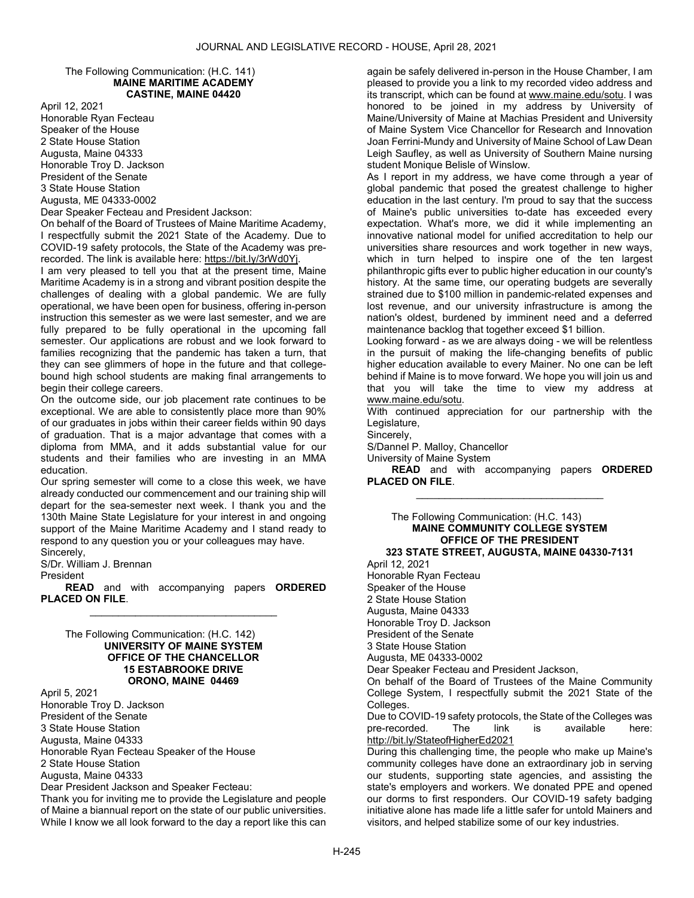### The Following Communication: (H.C. 141) MAINE MARITIME ACADEMY CASTINE, MAINE 04420

April 12, 2021 Honorable Ryan Fecteau Speaker of the House 2 State House Station Augusta, Maine 04333 Honorable Troy D. Jackson President of the Senate 3 State House Station Augusta, ME 04333-0002

Dear Speaker Fecteau and President Jackson:

On behalf of the Board of Trustees of Maine Maritime Academy, I respectfully submit the 2021 State of the Academy. Due to COVID-19 safety protocols, the State of the Academy was prerecorded. The link is available here: https://bit.ly/3rWd0Yj.

I am very pleased to tell you that at the present time, Maine Maritime Academy is in a strong and vibrant position despite the challenges of dealing with a global pandemic. We are fully operational, we have been open for business, offering in-person instruction this semester as we were last semester, and we are fully prepared to be fully operational in the upcoming fall semester. Our applications are robust and we look forward to families recognizing that the pandemic has taken a turn, that they can see glimmers of hope in the future and that collegebound high school students are making final arrangements to begin their college careers.

On the outcome side, our job placement rate continues to be exceptional. We are able to consistently place more than 90% of our graduates in jobs within their career fields within 90 days of graduation. That is a major advantage that comes with a diploma from MMA, and it adds substantial value for our students and their families who are investing in an MMA education.

Our spring semester will come to a close this week, we have already conducted our commencement and our training ship will depart for the sea-semester next week. I thank you and the 130th Maine State Legislature for your interest in and ongoing support of the Maine Maritime Academy and I stand ready to respond to any question you or your colleagues may have. Sincerely,

S/Dr. William J. Brennan

President

READ and with accompanying papers ORDERED PLACED ON FILE. \_\_\_\_\_\_\_\_\_\_\_\_\_\_\_\_\_\_\_\_\_\_\_\_\_\_\_\_\_\_\_\_\_

 The Following Communication: (H.C. 142) UNIVERSITY OF MAINE SYSTEM OFFICE OF THE CHANCELLOR 15 ESTABROOKE DRIVE ORONO, MAINE 04469

April 5, 2021 Honorable Troy D. Jackson President of the Senate 3 State House Station Augusta, Maine 04333 Honorable Ryan Fecteau Speaker of the House 2 State House Station Augusta, Maine 04333 Dear President Jackson and Speaker Fecteau:

Thank you for inviting me to provide the Legislature and people of Maine a biannual report on the state of our public universities. While I know we all look forward to the day a report like this can

again be safely delivered in-person in the House Chamber, I am pleased to provide you a link to my recorded video address and its transcript, which can be found at www.maine.edu/sotu. I was honored to be joined in my address by University of Maine/University of Maine at Machias President and University of Maine System Vice Chancellor for Research and Innovation Joan Ferrini-Mundy and University of Maine School of Law Dean Leigh Saufley, as well as University of Southern Maine nursing student Monique Belisle of Winslow.

As I report in my address, we have come through a year of global pandemic that posed the greatest challenge to higher education in the last century. I'm proud to say that the success of Maine's public universities to-date has exceeded every expectation. What's more, we did it while implementing an innovative national model for unified accreditation to help our universities share resources and work together in new ways, which in turn helped to inspire one of the ten largest philanthropic gifts ever to public higher education in our county's history. At the same time, our operating budgets are severally strained due to \$100 million in pandemic-related expenses and lost revenue, and our university infrastructure is among the nation's oldest, burdened by imminent need and a deferred maintenance backlog that together exceed \$1 billion.

Looking forward - as we are always doing - we will be relentless in the pursuit of making the life-changing benefits of public higher education available to every Mainer. No one can be left behind if Maine is to move forward. We hope you will join us and that you will take the time to view my address at www.maine.edu/sotu.

With continued appreciation for our partnership with the Legislature,

Sincerely,

S/Dannel P. Malloy, Chancellor

University of Maine System

READ and with accompanying papers ORDERED PLACED ON FILE. \_\_\_\_\_\_\_\_\_\_\_\_\_\_\_\_\_\_\_\_\_\_\_\_\_\_\_\_\_\_\_\_\_

 The Following Communication: (H.C. 143) MAINE COMMUNITY COLLEGE SYSTEM OFFICE OF THE PRESIDENT 323 STATE STREET, AUGUSTA, MAINE 04330-7131 April 12, 2021

Honorable Ryan Fecteau Speaker of the House 2 State House Station Augusta, Maine 04333 Honorable Troy D. Jackson President of the Senate 3 State House Station Augusta, ME 04333-0002 Dear Speaker Fecteau and President Jackson, On behalf of the Board of Trustees of the Maine Community College System, I respectfully submit the 2021 State of the Colleges. Due to COVID-19 safety protocols, the State of the Colleges was<br>pre-recorded. The link is available here: pre-recorded. The link is available here: http://bit.ly/StateofHigherEd2021 During this challenging time, the people who make up Maine's community colleges have done an extraordinary job in serving our students, supporting state agencies, and assisting the

state's employers and workers. We donated PPE and opened our dorms to first responders. Our COVID-19 safety badging initiative alone has made life a little safer for untold Mainers and visitors, and helped stabilize some of our key industries.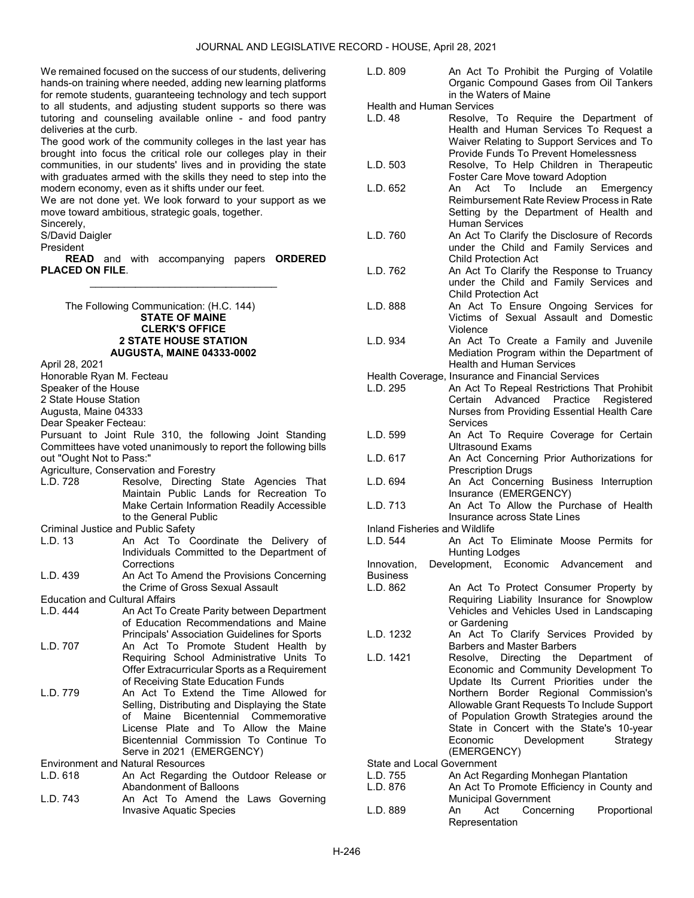We remained focused on the success of our students, delivering hands-on training where needed, adding new learning platforms for remote students, guaranteeing technology and tech support to all students, and adjusting student supports so there was tutoring and counseling available online - and food pantry deliveries at the curb.

The good work of the community colleges in the last year has brought into focus the critical role our colleges play in their communities, in our students' lives and in providing the state with graduates armed with the skills they need to step into the modern economy, even as it shifts under our feet.

We are not done yet. We look forward to your support as we move toward ambitious, strategic goals, together.

Sincerely,

S/David Daigler

President

**READ** and with accompanying papers **ORDERED** PLACED ON FILE. \_\_\_\_\_\_\_\_\_\_\_\_\_\_\_\_\_\_\_\_\_\_\_\_\_\_\_\_\_\_\_\_\_

 The Following Communication: (H.C. 144) STATE OF MAINE CLERK'S OFFICE 2 STATE HOUSE STATION AUGUSTA, MAINE 04333-0002

April 28, 2021

Honorable Ryan M. Fecteau

- Speaker of the House
- 2 State House Station

Augusta, Maine 04333

Dear Speaker Fecteau:

Pursuant to Joint Rule 310, the following Joint Standing Committees have voted unanimously to report the following bills out "Ought Not to Pass:"

Agriculture, Conservation and Forestry

L.D. 728 Resolve, Directing State Agencies That Maintain Public Lands for Recreation To Make Certain Information Readily Accessible to the General Public

Criminal Justice and Public Safety

L.D. 13 An Act To Coordinate the Delivery of Individuals Committed to the Department of **Corrections** 

L.D. 439 An Act To Amend the Provisions Concerning the Crime of Gross Sexual Assault

Education and Cultural Affairs<br>L.D. 444 **An Act To C** 

- An Act To Create Parity between Department of Education Recommendations and Maine Principals' Association Guidelines for Sports
- L.D. 707 An Act To Promote Student Health by Requiring School Administrative Units To Offer Extracurricular Sports as a Requirement of Receiving State Education Funds
- L.D. 779 An Act To Extend the Time Allowed for Selling, Distributing and Displaying the State of Maine Bicentennial Commemorative License Plate and To Allow the Maine Bicentennial Commission To Continue To Serve in 2021 (EMERGENCY)

Environment and Natural Resources

- L.D. 618 An Act Regarding the Outdoor Release or Abandonment of Balloons
- L.D. 743 An Act To Amend the Laws Governing Invasive Aquatic Species

L.D. 809 An Act To Prohibit the Purging of Volatile Organic Compound Gases from Oil Tankers in the Waters of Maine

Health and Human Services<br>L.D. 48 Besolve

- Resolve, To Require the Department of Health and Human Services To Request a Waiver Relating to Support Services and To Provide Funds To Prevent Homelessness
- L.D. 503 Resolve, To Help Children in Therapeutic Foster Care Move toward Adoption
- L.D. 652 An Act To Include an Emergency Reimbursement Rate Review Process in Rate Setting by the Department of Health and Human Services
- L.D. 760 An Act To Clarify the Disclosure of Records under the Child and Family Services and Child Protection Act
- L.D. 762 An Act To Clarify the Response to Truancy under the Child and Family Services and Child Protection Act
- L.D. 888 An Act To Ensure Ongoing Services for Victims of Sexual Assault and Domestic Violence
- L.D. 934 An Act To Create a Family and Juvenile Mediation Program within the Department of Health and Human Services

Health Coverage, Insurance and Financial Services

- L.D. 295 An Act To Repeal Restrictions That Prohibit Certain Advanced Practice Registered Nurses from Providing Essential Health Care Services
- L.D. 599 An Act To Require Coverage for Certain Ultrasound Exams
- L.D. 617 An Act Concerning Prior Authorizations for Prescription Drugs
- L.D. 694 An Act Concerning Business Interruption Insurance (EMERGENCY)
- L.D. 713 An Act To Allow the Purchase of Health Insurance across State Lines

Inland Fisheries and Wildlife

An Act To Eliminate Moose Permits for Hunting Lodges

Innovation, Development, Economic Advancement and Business<br>L.D. 862

- An Act To Protect Consumer Property by Requiring Liability Insurance for Snowplow Vehicles and Vehicles Used in Landscaping or Gardening
- L.D. 1232 An Act To Clarify Services Provided by Barbers and Master Barbers
- L.D. 1421 Resolve, Directing the Department of Economic and Community Development To Update Its Current Priorities under the Northern Border Regional Commission's Allowable Grant Requests To Include Support of Population Growth Strategies around the State in Concert with the State's 10-year Economic Development Strategy (EMERGENCY)

State and Local Government

- L.D. 755 An Act Regarding Monhegan Plantation
- L.D. 876 An Act To Promote Efficiency in County and Municipal Government
- L.D. 889 An Act Concerning Proportional Representation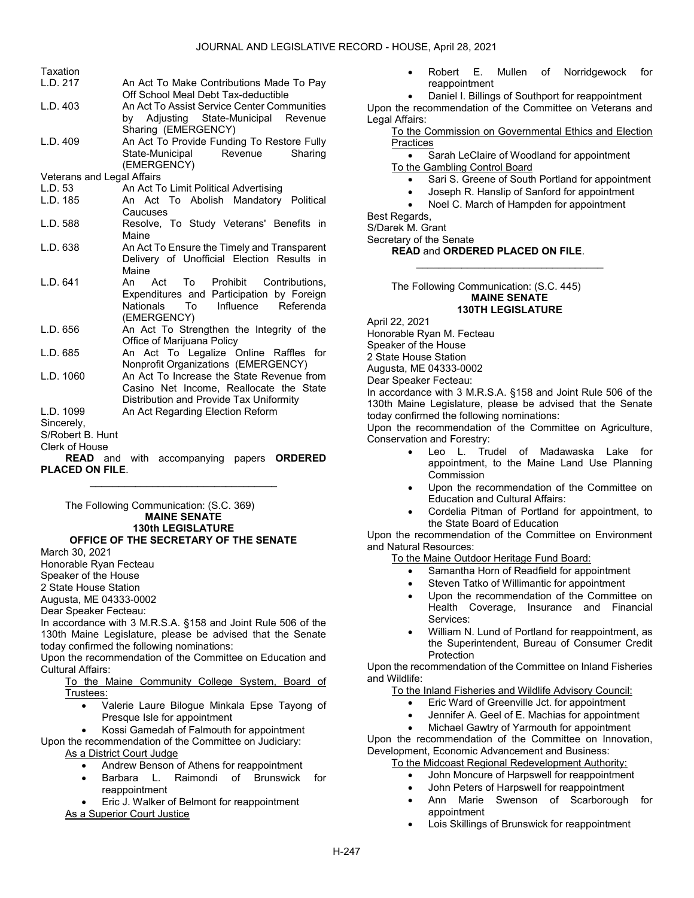### JOURNAL AND LEGISLATIVE RECORD - HOUSE, April 28, 2021

| Taxation                   |                                                  |  |  |  |  |  |  |
|----------------------------|--------------------------------------------------|--|--|--|--|--|--|
| L.D. 217                   | An Act To Make Contributions Made To Pay         |  |  |  |  |  |  |
|                            | Off School Meal Debt Tax-deductible              |  |  |  |  |  |  |
| L.D. 403                   | An Act To Assist Service Center Communities      |  |  |  |  |  |  |
|                            | by Adjusting State-Municipal Revenue             |  |  |  |  |  |  |
|                            | Sharing (EMERGENCY)                              |  |  |  |  |  |  |
| L.D. 409                   | An Act To Provide Funding To Restore Fully       |  |  |  |  |  |  |
|                            | State-Municipal<br>Revenue<br>Sharing            |  |  |  |  |  |  |
|                            | (EMERGENCY)                                      |  |  |  |  |  |  |
| Veterans and Legal Affairs |                                                  |  |  |  |  |  |  |
| L.D. 53                    | An Act To Limit Political Advertising            |  |  |  |  |  |  |
| L.D. 185                   | An Act To Abolish Mandatory Political            |  |  |  |  |  |  |
|                            | Caucuses                                         |  |  |  |  |  |  |
| L.D. 588                   | Resolve, To Study Veterans' Benefits in          |  |  |  |  |  |  |
|                            | Maine                                            |  |  |  |  |  |  |
| L.D. 638                   | An Act To Ensure the Timely and Transparent      |  |  |  |  |  |  |
|                            | Delivery of Unofficial Election Results in       |  |  |  |  |  |  |
|                            | Maine                                            |  |  |  |  |  |  |
| L.D. 641                   | Act To Prohibit<br>Contributions,<br>An          |  |  |  |  |  |  |
|                            | Expenditures and Participation by Foreign        |  |  |  |  |  |  |
|                            | Influence<br>Referenda<br><b>Nationals</b><br>To |  |  |  |  |  |  |
|                            | (EMERGENCY)                                      |  |  |  |  |  |  |
| L.D. 656                   | An Act To Strengthen the Integrity of the        |  |  |  |  |  |  |
|                            | Office of Marijuana Policy                       |  |  |  |  |  |  |
| L.D. 685                   | An Act To Legalize Online Raffles<br>for         |  |  |  |  |  |  |
|                            | Nonprofit Organizations (EMERGENCY)              |  |  |  |  |  |  |
| L.D. 1060                  | An Act To Increase the State Revenue from        |  |  |  |  |  |  |
|                            | Casino Net Income, Reallocate the State          |  |  |  |  |  |  |
|                            | Distribution and Provide Tax Uniformity          |  |  |  |  |  |  |
| L.D. 1099                  | An Act Regarding Election Reform                 |  |  |  |  |  |  |
| Sincerely,                 |                                                  |  |  |  |  |  |  |
| S/Robert B. Hunt           |                                                  |  |  |  |  |  |  |
| Clerk of House             |                                                  |  |  |  |  |  |  |

READ and with accompanying papers ORDERED PLACED ON FILE. \_\_\_\_\_\_\_\_\_\_\_\_\_\_\_\_\_\_\_\_\_\_\_\_\_\_\_\_\_\_\_\_\_

 The Following Communication: (S.C. 369) MAINE SENATE 130th LEGISLATURE OFFICE OF THE SECRETARY OF THE SENATE

March 30, 2021

Honorable Ryan Fecteau

Speaker of the House

2 State House Station

Augusta, ME 04333-0002

Dear Speaker Fecteau:

In accordance with 3 M.R.S.A. §158 and Joint Rule 506 of the 130th Maine Legislature, please be advised that the Senate today confirmed the following nominations:

Upon the recommendation of the Committee on Education and Cultural Affairs:

 To the Maine Community College System, Board of Trustees:

 Valerie Laure Bilogue Minkala Epse Tayong of Presque Isle for appointment

Kossi Gamedah of Falmouth for appointment

Upon the recommendation of the Committee on Judiciary:

As a District Court Judge

- Andrew Benson of Athens for reappointment
- Barbara L. Raimondi of Brunswick for reappointment

 Eric J. Walker of Belmont for reappointment As a Superior Court Justice

 Robert E. Mullen of Norridgewock for reappointment

 Daniel I. Billings of Southport for reappointment Upon the recommendation of the Committee on Veterans and Legal Affairs:

 To the Commission on Governmental Ethics and Election **Practices** 

Sarah LeClaire of Woodland for appointment

To the Gambling Control Board

- Sari S. Greene of South Portland for appointment
- Joseph R. Hanslip of Sanford for appointment
- Noel C. March of Hampden for appointment

\_\_\_\_\_\_\_\_\_\_\_\_\_\_\_\_\_\_\_\_\_\_\_\_\_\_\_\_\_\_\_\_\_

Best Regards,

S/Darek M. Grant

Secretary of the Senate

READ and ORDERED PLACED ON FILE.

 The Following Communication: (S.C. 445) MAINE SENATE 130TH LEGISLATURE

April 22, 2021 Honorable Ryan M. Fecteau Speaker of the House 2 State House Station Augusta, ME 04333-0002

Dear Speaker Fecteau:

In accordance with 3 M.R.S.A. §158 and Joint Rule 506 of the 130th Maine Legislature, please be advised that the Senate today confirmed the following nominations:

Upon the recommendation of the Committee on Agriculture, Conservation and Forestry:

- Leo L. Trudel of Madawaska Lake for appointment, to the Maine Land Use Planning Commission
- Upon the recommendation of the Committee on Education and Cultural Affairs:
- Cordelia Pitman of Portland for appointment, to the State Board of Education

Upon the recommendation of the Committee on Environment and Natural Resources:

To the Maine Outdoor Heritage Fund Board:

- Samantha Horn of Readfield for appointment
- Steven Tatko of Willimantic for appointment
- Upon the recommendation of the Committee on Health Coverage, Insurance and Financial Services:
- William N. Lund of Portland for reappointment, as the Superintendent, Bureau of Consumer Credit Protection

Upon the recommendation of the Committee on Inland Fisheries and Wildlife:

To the Inland Fisheries and Wildlife Advisory Council:

- Eric Ward of Greenville Jct. for appointment
- Jennifer A. Geel of E. Machias for appointment
- Michael Gawtry of Yarmouth for appointment

Upon the recommendation of the Committee on Innovation, Development, Economic Advancement and Business:

- To the Midcoast Regional Redevelopment Authority:
	- John Moncure of Harpswell for reappointment
	- John Peters of Harpswell for reappointment
	- Ann Marie Swenson of Scarborough for appointment
	- Lois Skillings of Brunswick for reappointment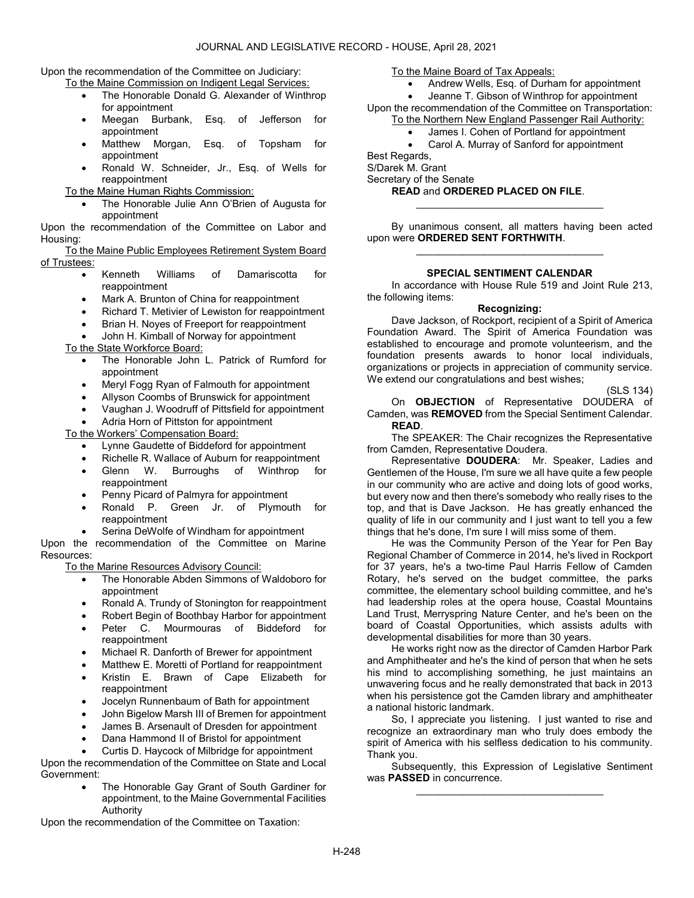Upon the recommendation of the Committee on Judiciary:

To the Maine Commission on Indigent Legal Services:

- The Honorable Donald G. Alexander of Winthrop for appointment
- Meegan Burbank, Esq. of Jefferson for appointment
- Matthew Morgan, Esq. of Topsham for appointment
- Ronald W. Schneider, Jr., Esq. of Wells for reappointment

To the Maine Human Rights Commission:

 The Honorable Julie Ann O'Brien of Augusta for appointment

Upon the recommendation of the Committee on Labor and Housing:

 To the Maine Public Employees Retirement System Board of Trustees:

- **•** Kenneth Williams of Damariscotta for reappointment
- Mark A. Brunton of China for reappointment
- Richard T. Metivier of Lewiston for reappointment
- Brian H. Noyes of Freeport for reappointment
- John H. Kimball of Norway for appointment
- To the State Workforce Board:
	- The Honorable John L. Patrick of Rumford for appointment
	- Meryl Fogg Ryan of Falmouth for appointment
	- Allyson Coombs of Brunswick for appointment
	- Vaughan J. Woodruff of Pittsfield for appointment
	- Adria Horn of Pittston for appointment

To the Workers' Compensation Board:

- Lynne Gaudette of Biddeford for appointment
- Richelle R. Wallace of Auburn for reappointment
- Glenn W. Burroughs of Winthrop for reappointment
- Penny Picard of Palmyra for appointment
- Ronald P. Green Jr. of Plymouth for reappointment
- Serina DeWolfe of Windham for appointment

Upon the recommendation of the Committee on Marine Resources:

To the Marine Resources Advisory Council:

- The Honorable Abden Simmons of Waldoboro for appointment
- Ronald A. Trundy of Stonington for reappointment
- Robert Begin of Boothbay Harbor for appointment
- Peter C. Mourmouras of Biddeford for reappointment
- Michael R. Danforth of Brewer for appointment
- Matthew E. Moretti of Portland for reappointment
- Kristin E. Brawn of Cape Elizabeth for reappointment
- Jocelyn Runnenbaum of Bath for appointment
- John Bigelow Marsh III of Bremen for appointment
- James B. Arsenault of Dresden for appointment
- Dana Hammond II of Bristol for appointment
- Curtis D. Haycock of Milbridge for appointment

Upon the recommendation of the Committee on State and Local Government:

> The Honorable Gay Grant of South Gardiner for appointment, to the Maine Governmental Facilities Authority

Upon the recommendation of the Committee on Taxation:

To the Maine Board of Tax Appeals:

- Andrew Wells, Esq. of Durham for appointment Jeanne T. Gibson of Winthrop for appointment
- Upon the recommendation of the Committee on Transportation: To the Northern New England Passenger Rail Authority:
	- James I. Cohen of Portland for appointment
	- Carol A. Murray of Sanford for appointment

Best Regards,

S/Darek M. Grant

Secretary of the Senate

READ and ORDERED PLACED ON FILE.

 By unanimous consent, all matters having been acted upon were ORDERED SENT FORTHWITH. \_\_\_\_\_\_\_\_\_\_\_\_\_\_\_\_\_\_\_\_\_\_\_\_\_\_\_\_\_\_\_\_\_

\_\_\_\_\_\_\_\_\_\_\_\_\_\_\_\_\_\_\_\_\_\_\_\_\_\_\_\_\_\_\_\_\_

## SPECIAL SENTIMENT CALENDAR

In accordance with House Rule 519 and Joint Rule 213, the following items:

### Recognizing:

 Dave Jackson, of Rockport, recipient of a Spirit of America Foundation Award. The Spirit of America Foundation was established to encourage and promote volunteerism, and the foundation presents awards to honor local individuals, organizations or projects in appreciation of community service. We extend our congratulations and best wishes;

(SLS 134)

On **OBJECTION** of Representative DOUDERA of Camden, was REMOVED from the Special Sentiment Calendar. READ.

 The SPEAKER: The Chair recognizes the Representative from Camden, Representative Doudera.

Representative DOUDERA: Mr. Speaker, Ladies and Gentlemen of the House, I'm sure we all have quite a few people in our community who are active and doing lots of good works, but every now and then there's somebody who really rises to the top, and that is Dave Jackson. He has greatly enhanced the quality of life in our community and I just want to tell you a few things that he's done, I'm sure I will miss some of them.

 He was the Community Person of the Year for Pen Bay Regional Chamber of Commerce in 2014, he's lived in Rockport for 37 years, he's a two-time Paul Harris Fellow of Camden Rotary, he's served on the budget committee, the parks committee, the elementary school building committee, and he's had leadership roles at the opera house, Coastal Mountains Land Trust, Merryspring Nature Center, and he's been on the board of Coastal Opportunities, which assists adults with developmental disabilities for more than 30 years.

 He works right now as the director of Camden Harbor Park and Amphitheater and he's the kind of person that when he sets his mind to accomplishing something, he just maintains an unwavering focus and he really demonstrated that back in 2013 when his persistence got the Camden library and amphitheater a national historic landmark.

 So, I appreciate you listening. I just wanted to rise and recognize an extraordinary man who truly does embody the spirit of America with his selfless dedication to his community. Thank you.

 Subsequently, this Expression of Legislative Sentiment was PASSED in concurrence. \_\_\_\_\_\_\_\_\_\_\_\_\_\_\_\_\_\_\_\_\_\_\_\_\_\_\_\_\_\_\_\_\_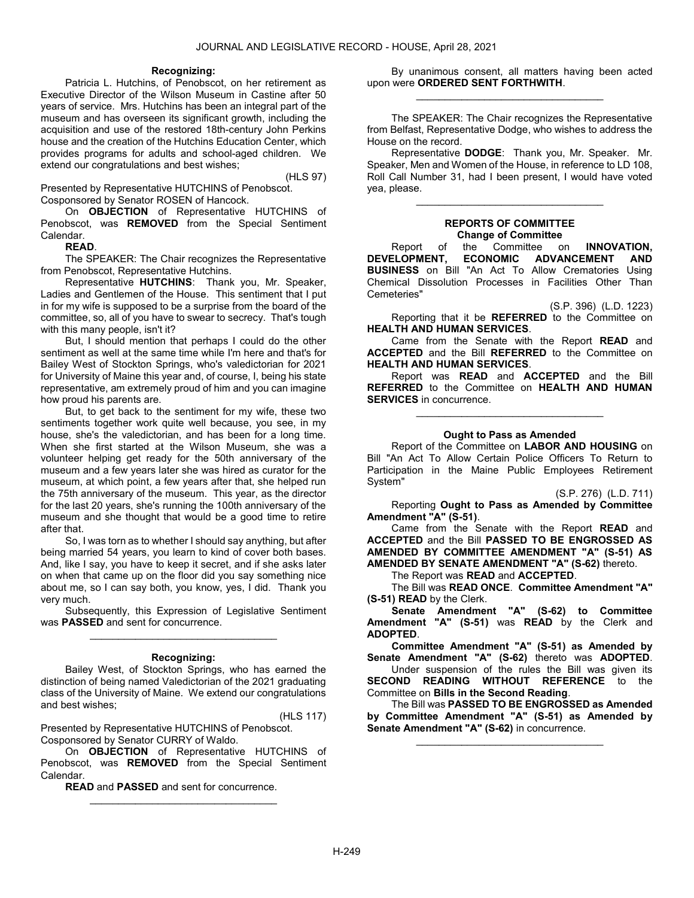### Recognizing:

 Patricia L. Hutchins, of Penobscot, on her retirement as Executive Director of the Wilson Museum in Castine after 50 years of service. Mrs. Hutchins has been an integral part of the museum and has overseen its significant growth, including the acquisition and use of the restored 18th-century John Perkins house and the creation of the Hutchins Education Center, which provides programs for adults and school-aged children. We extend our congratulations and best wishes;

(HLS 97)

Presented by Representative HUTCHINS of Penobscot. Cosponsored by Senator ROSEN of Hancock.

 On OBJECTION of Representative HUTCHINS of Penobscot, was **REMOVED** from the Special Sentiment Calendar.

### READ.

 The SPEAKER: The Chair recognizes the Representative from Penobscot, Representative Hutchins.

 Representative HUTCHINS: Thank you, Mr. Speaker, Ladies and Gentlemen of the House. This sentiment that I put in for my wife is supposed to be a surprise from the board of the committee, so, all of you have to swear to secrecy. That's tough with this many people, isn't it?

 But, I should mention that perhaps I could do the other sentiment as well at the same time while I'm here and that's for Bailey West of Stockton Springs, who's valedictorian for 2021 for University of Maine this year and, of course, I, being his state representative, am extremely proud of him and you can imagine how proud his parents are.

 But, to get back to the sentiment for my wife, these two sentiments together work quite well because, you see, in my house, she's the valedictorian, and has been for a long time. When she first started at the Wilson Museum, she was a volunteer helping get ready for the 50th anniversary of the museum and a few years later she was hired as curator for the museum, at which point, a few years after that, she helped run the 75th anniversary of the museum. This year, as the director for the last 20 years, she's running the 100th anniversary of the museum and she thought that would be a good time to retire after that.

 So, I was torn as to whether I should say anything, but after being married 54 years, you learn to kind of cover both bases. And, like I say, you have to keep it secret, and if she asks later on when that came up on the floor did you say something nice about me, so I can say both, you know, yes, I did. Thank you very much.

 Subsequently, this Expression of Legislative Sentiment was PASSED and sent for concurrence. \_\_\_\_\_\_\_\_\_\_\_\_\_\_\_\_\_\_\_\_\_\_\_\_\_\_\_\_\_\_\_\_\_

#### Recognizing:

 Bailey West, of Stockton Springs, who has earned the distinction of being named Valedictorian of the 2021 graduating class of the University of Maine. We extend our congratulations and best wishes;

(HLS 117)

Presented by Representative HUTCHINS of Penobscot. Cosponsored by Senator CURRY of Waldo.

 On OBJECTION of Representative HUTCHINS of Penobscot, was REMOVED from the Special Sentiment Calendar.

\_\_\_\_\_\_\_\_\_\_\_\_\_\_\_\_\_\_\_\_\_\_\_\_\_\_\_\_\_\_\_\_\_

READ and PASSED and sent for concurrence.

 By unanimous consent, all matters having been acted upon were ORDERED SENT FORTHWITH. \_\_\_\_\_\_\_\_\_\_\_\_\_\_\_\_\_\_\_\_\_\_\_\_\_\_\_\_\_\_\_\_\_

 The SPEAKER: The Chair recognizes the Representative from Belfast, Representative Dodge, who wishes to address the House on the record.

 Representative DODGE: Thank you, Mr. Speaker. Mr. Speaker, Men and Women of the House, in reference to LD 108, Roll Call Number 31, had I been present, I would have voted yea, please.

# REPORTS OF COMMITTEE Change of Committee

\_\_\_\_\_\_\_\_\_\_\_\_\_\_\_\_\_\_\_\_\_\_\_\_\_\_\_\_\_\_\_\_\_

Report of the Committee on INNOVATION,<br>DEVELOPMENT. ECONOMIC ADVANCEMENT AND ECONOMIC ADVANCEMENT AND BUSINESS on Bill "An Act To Allow Crematories Using Chemical Dissolution Processes in Facilities Other Than Cemeteries"

(S.P. 396) (L.D. 1223) Reporting that it be **REFERRED** to the Committee on HEALTH AND HUMAN SERVICES.

 Came from the Senate with the Report READ and ACCEPTED and the Bill REFERRED to the Committee on HEALTH AND HUMAN SERVICES.

 Report was READ and ACCEPTED and the Bill REFERRED to the Committee on HEALTH AND HUMAN SERVICES in concurrence.

\_\_\_\_\_\_\_\_\_\_\_\_\_\_\_\_\_\_\_\_\_\_\_\_\_\_\_\_\_\_\_\_\_

# Ought to Pass as Amended

 Report of the Committee on LABOR AND HOUSING on Bill "An Act To Allow Certain Police Officers To Return to Participation in the Maine Public Employees Retirement System"

(S.P. 276) (L.D. 711)

 Reporting Ought to Pass as Amended by Committee Amendment "A" (S-51).

 Came from the Senate with the Report READ and ACCEPTED and the Bill PASSED TO BE ENGROSSED AS AMENDED BY COMMITTEE AMENDMENT "A" (S-51) AS AMENDED BY SENATE AMENDMENT "A" (S-62) thereto.

The Report was READ and ACCEPTED.

 The Bill was READ ONCE. Committee Amendment "A" (S-51) READ by the Clerk.

Senate Amendment "A" (S-62) to Committee Amendment "A" (S-51) was READ by the Clerk and ADOPTED.

Committee Amendment "A" (S-51) as Amended by Senate Amendment "A" (S-62) thereto was ADOPTED.

 Under suspension of the rules the Bill was given its SECOND READING WITHOUT REFERENCE to the Committee on Bills in the Second Reading.

 The Bill was PASSED TO BE ENGROSSED as Amended by Committee Amendment "A" (S-51) as Amended by Senate Amendment "A" (S-62) in concurrence.

\_\_\_\_\_\_\_\_\_\_\_\_\_\_\_\_\_\_\_\_\_\_\_\_\_\_\_\_\_\_\_\_\_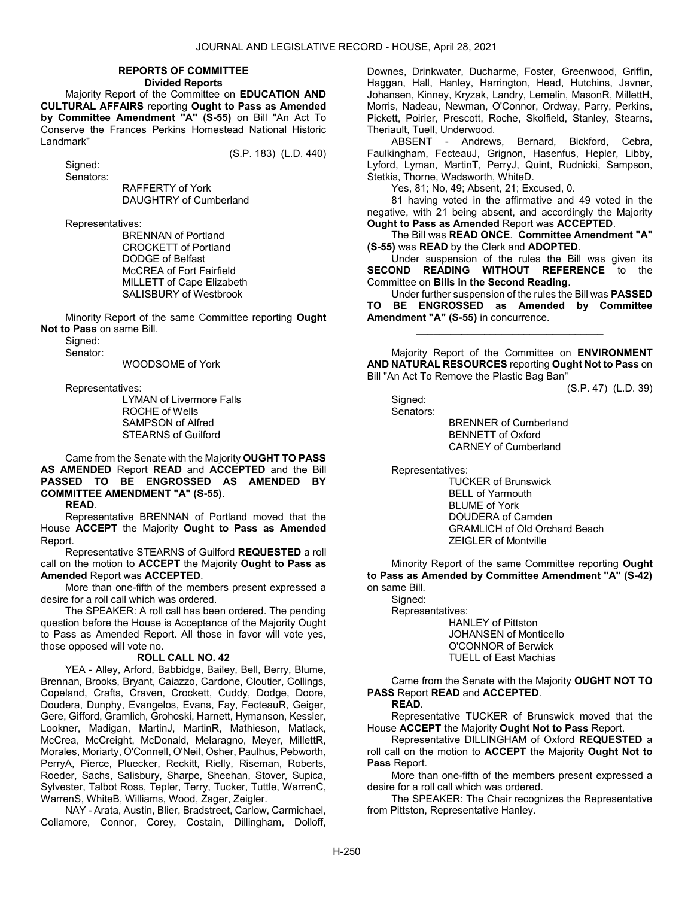### REPORTS OF COMMITTEE Divided Reports

 Majority Report of the Committee on EDUCATION AND CULTURAL AFFAIRS reporting Ought to Pass as Amended by Committee Amendment "A" (S-55) on Bill "An Act To Conserve the Frances Perkins Homestead National Historic Landmark"

Signed:

(S.P. 183) (L.D. 440)

Senators:

 RAFFERTY of York DAUGHTRY of Cumberland

Representatives:

 BRENNAN of Portland CROCKETT of Portland DODGE of Belfast McCREA of Fort Fairfield MILLETT of Cape Elizabeth SALISBURY of Westbrook

 Minority Report of the same Committee reporting Ought Not to Pass on same Bill.

Signed:

Senator:

WOODSOME of York

Representatives:

 LYMAN of Livermore Falls ROCHE of Wells SAMPSON of Alfred STEARNS of Guilford

### Came from the Senate with the Majority OUGHT TO PASS AS AMENDED Report READ and ACCEPTED and the Bill PASSED TO BE ENGROSSED AS AMENDED BY COMMITTEE AMENDMENT "A" (S-55).

READ.

 Representative BRENNAN of Portland moved that the House ACCEPT the Majority Ought to Pass as Amended Report.

 Representative STEARNS of Guilford REQUESTED a roll call on the motion to ACCEPT the Majority Ought to Pass as Amended Report was ACCEPTED.

 More than one-fifth of the members present expressed a desire for a roll call which was ordered.

 The SPEAKER: A roll call has been ordered. The pending question before the House is Acceptance of the Majority Ought to Pass as Amended Report. All those in favor will vote yes, those opposed will vote no.

## ROLL CALL NO. 42

 YEA - Alley, Arford, Babbidge, Bailey, Bell, Berry, Blume, Brennan, Brooks, Bryant, Caiazzo, Cardone, Cloutier, Collings, Copeland, Crafts, Craven, Crockett, Cuddy, Dodge, Doore, Doudera, Dunphy, Evangelos, Evans, Fay, FecteauR, Geiger, Gere, Gifford, Gramlich, Grohoski, Harnett, Hymanson, Kessler, Lookner, Madigan, MartinJ, MartinR, Mathieson, Matlack, McCrea, McCreight, McDonald, Melaragno, Meyer, MillettR, Morales, Moriarty, O'Connell, O'Neil, Osher, Paulhus, Pebworth, PerryA, Pierce, Pluecker, Reckitt, Rielly, Riseman, Roberts, Roeder, Sachs, Salisbury, Sharpe, Sheehan, Stover, Supica, Sylvester, Talbot Ross, Tepler, Terry, Tucker, Tuttle, WarrenC, WarrenS, WhiteB, Williams, Wood, Zager, Zeigler.

 NAY - Arata, Austin, Blier, Bradstreet, Carlow, Carmichael, Collamore, Connor, Corey, Costain, Dillingham, Dolloff, Downes, Drinkwater, Ducharme, Foster, Greenwood, Griffin, Haggan, Hall, Hanley, Harrington, Head, Hutchins, Javner, Johansen, Kinney, Kryzak, Landry, Lemelin, MasonR, MillettH, Morris, Nadeau, Newman, O'Connor, Ordway, Parry, Perkins, Pickett, Poirier, Prescott, Roche, Skolfield, Stanley, Stearns, Theriault, Tuell, Underwood.

 ABSENT - Andrews, Bernard, Bickford, Cebra, Faulkingham, FecteauJ, Grignon, Hasenfus, Hepler, Libby, Lyford, Lyman, MartinT, PerryJ, Quint, Rudnicki, Sampson, Stetkis, Thorne, Wadsworth, WhiteD.

Yes, 81; No, 49; Absent, 21; Excused, 0.

 81 having voted in the affirmative and 49 voted in the negative, with 21 being absent, and accordingly the Majority Ought to Pass as Amended Report was ACCEPTED.

 The Bill was READ ONCE. Committee Amendment "A" (S-55) was READ by the Clerk and ADOPTED.

 Under suspension of the rules the Bill was given its SECOND READING WITHOUT REFERENCE to the Committee on Bills in the Second Reading.

 Under further suspension of the rules the Bill was PASSED TO BE ENGROSSED as Amended by Committee Amendment "A" (S-55) in concurrence.

\_\_\_\_\_\_\_\_\_\_\_\_\_\_\_\_\_\_\_\_\_\_\_\_\_\_\_\_\_\_\_\_\_

 Majority Report of the Committee on ENVIRONMENT AND NATURAL RESOURCES reporting Ought Not to Pass on Bill "An Act To Remove the Plastic Bag Ban"

(S.P. 47) (L.D. 39)

 Signed: Senators:

 BRENNER of Cumberland BENNETT of Oxford CARNEY of Cumberland

Representatives:

 TUCKER of Brunswick BELL of Yarmouth BLUME of York DOUDERA of Camden GRAMLICH of Old Orchard Beach ZEIGLER of Montville

 Minority Report of the same Committee reporting Ought to Pass as Amended by Committee Amendment "A" (S-42) on same Bill. Signed:

 Representatives: HANLEY of Pittston JOHANSEN of Monticello O'CONNOR of Berwick TUELL of East Machias

 Came from the Senate with the Majority OUGHT NOT TO PASS Report READ and ACCEPTED.

READ.

 Representative TUCKER of Brunswick moved that the House ACCEPT the Majority Ought Not to Pass Report.

 Representative DILLINGHAM of Oxford REQUESTED a roll call on the motion to ACCEPT the Majority Ought Not to Pass Report.

 More than one-fifth of the members present expressed a desire for a roll call which was ordered.

 The SPEAKER: The Chair recognizes the Representative from Pittston, Representative Hanley.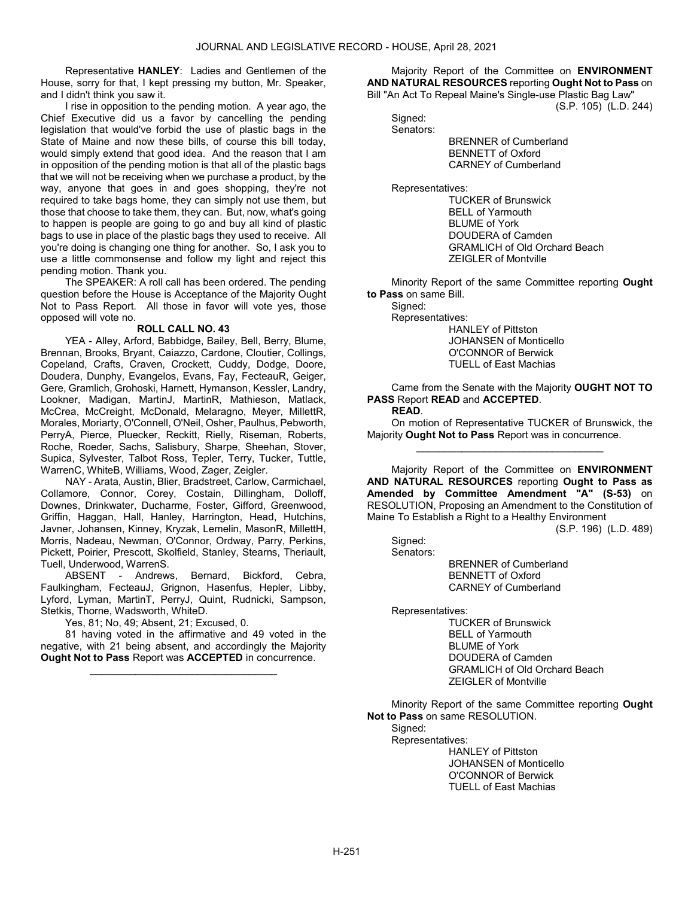Representative HANLEY: Ladies and Gentlemen of the House, sorry for that, I kept pressing my button, Mr. Speaker, and I didn't think you saw it.

 I rise in opposition to the pending motion. A year ago, the Chief Executive did us a favor by cancelling the pending legislation that would've forbid the use of plastic bags in the State of Maine and now these bills, of course this bill today, would simply extend that good idea. And the reason that I am in opposition of the pending motion is that all of the plastic bags that we will not be receiving when we purchase a product, by the way, anyone that goes in and goes shopping, they're not required to take bags home, they can simply not use them, but those that choose to take them, they can. But, now, what's going to happen is people are going to go and buy all kind of plastic bags to use in place of the plastic bags they used to receive. All you're doing is changing one thing for another. So, I ask you to use a little commonsense and follow my light and reject this pending motion. Thank you.

 The SPEAKER: A roll call has been ordered. The pending question before the House is Acceptance of the Majority Ought Not to Pass Report. All those in favor will vote yes, those opposed will vote no.

# ROLL CALL NO. 43

 YEA - Alley, Arford, Babbidge, Bailey, Bell, Berry, Blume, Brennan, Brooks, Bryant, Caiazzo, Cardone, Cloutier, Collings, Copeland, Crafts, Craven, Crockett, Cuddy, Dodge, Doore, Doudera, Dunphy, Evangelos, Evans, Fay, FecteauR, Geiger, Gere, Gramlich, Grohoski, Harnett, Hymanson, Kessler, Landry, Lookner, Madigan, MartinJ, MartinR, Mathieson, Matlack, McCrea, McCreight, McDonald, Melaragno, Meyer, MillettR, Morales, Moriarty, O'Connell, O'Neil, Osher, Paulhus, Pebworth, PerryA, Pierce, Pluecker, Reckitt, Rielly, Riseman, Roberts, Roche, Roeder, Sachs, Salisbury, Sharpe, Sheehan, Stover, Supica, Sylvester, Talbot Ross, Tepler, Terry, Tucker, Tuttle, WarrenC, WhiteB, Williams, Wood, Zager, Zeigler.

 NAY - Arata, Austin, Blier, Bradstreet, Carlow, Carmichael, Collamore, Connor, Corey, Costain, Dillingham, Dolloff, Downes, Drinkwater, Ducharme, Foster, Gifford, Greenwood, Griffin, Haggan, Hall, Hanley, Harrington, Head, Hutchins, Javner, Johansen, Kinney, Kryzak, Lemelin, MasonR, MillettH, Morris, Nadeau, Newman, O'Connor, Ordway, Parry, Perkins, Pickett, Poirier, Prescott, Skolfield, Stanley, Stearns, Theriault, Tuell, Underwood, WarrenS.

 ABSENT - Andrews, Bernard, Bickford, Cebra, Faulkingham, FecteauJ, Grignon, Hasenfus, Hepler, Libby, Lyford, Lyman, MartinT, PerryJ, Quint, Rudnicki, Sampson, Stetkis, Thorne, Wadsworth, WhiteD.

Yes, 81; No, 49; Absent, 21; Excused, 0.

 81 having voted in the affirmative and 49 voted in the negative, with 21 being absent, and accordingly the Majority Ought Not to Pass Report was ACCEPTED in concurrence.

\_\_\_\_\_\_\_\_\_\_\_\_\_\_\_\_\_\_\_\_\_\_\_\_\_\_\_\_\_\_\_\_\_

 Majority Report of the Committee on ENVIRONMENT AND NATURAL RESOURCES reporting Ought Not to Pass on Bill "An Act To Repeal Maine's Single-use Plastic Bag Law"

(S.P. 105) (L.D. 244)

 Signed: Senators:

 BRENNER of Cumberland BENNETT of Oxford CARNEY of Cumberland

Representatives:

 TUCKER of Brunswick BELL of Yarmouth BLUME of York DOUDERA of Camden GRAMLICH of Old Orchard Beach ZEIGLER of Montville

 Minority Report of the same Committee reporting Ought to Pass on same Bill.

Signed:

Representatives:

 HANLEY of Pittston JOHANSEN of Monticello O'CONNOR of Berwick TUELL of East Machias

 Came from the Senate with the Majority OUGHT NOT TO PASS Report READ and ACCEPTED.

### READ.

 On motion of Representative TUCKER of Brunswick, the Majority Ought Not to Pass Report was in concurrence. \_\_\_\_\_\_\_\_\_\_\_\_\_\_\_\_\_\_\_\_\_\_\_\_\_\_\_\_\_\_\_\_\_

 Majority Report of the Committee on ENVIRONMENT AND NATURAL RESOURCES reporting Ought to Pass as Amended by Committee Amendment "A" (S-53) on RESOLUTION, Proposing an Amendment to the Constitution of Maine To Establish a Right to a Healthy Environment

(S.P. 196) (L.D. 489)

 Signed: Senators:

 BRENNER of Cumberland BENNETT of Oxford CARNEY of Cumberland

Representatives:

 TUCKER of Brunswick BELL of Yarmouth BLUME of York DOUDERA of Camden GRAMLICH of Old Orchard Beach ZEIGLER of Montville

 Minority Report of the same Committee reporting Ought Not to Pass on same RESOLUTION. Signed:

 Representatives: HANLEY of Pittston JOHANSEN of Monticello O'CONNOR of Berwick TUELL of East Machias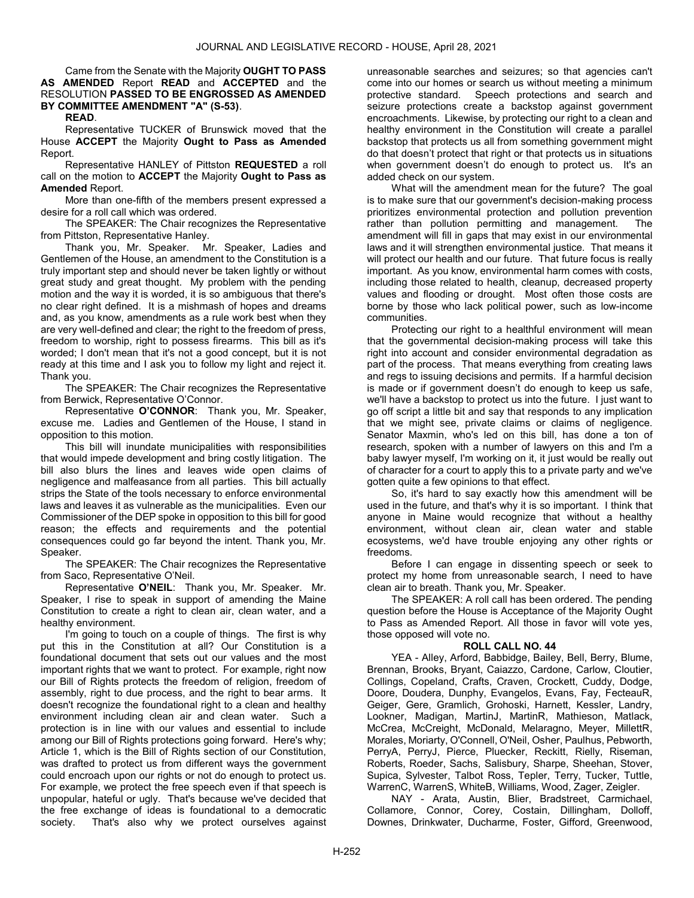Came from the Senate with the Majority OUGHT TO PASS AS AMENDED Report READ and ACCEPTED and the RESOLUTION PASSED TO BE ENGROSSED AS AMENDED BY COMMITTEE AMENDMENT "A" (S-53).

READ.

 Representative TUCKER of Brunswick moved that the House ACCEPT the Majority Ought to Pass as Amended Report.

 Representative HANLEY of Pittston REQUESTED a roll call on the motion to **ACCEPT** the Majority **Ought to Pass as** Amended Report.

 More than one-fifth of the members present expressed a desire for a roll call which was ordered.

 The SPEAKER: The Chair recognizes the Representative from Pittston, Representative Hanley.

 Thank you, Mr. Speaker. Mr. Speaker, Ladies and Gentlemen of the House, an amendment to the Constitution is a truly important step and should never be taken lightly or without great study and great thought. My problem with the pending motion and the way it is worded, it is so ambiguous that there's no clear right defined. It is a mishmash of hopes and dreams and, as you know, amendments as a rule work best when they are very well-defined and clear; the right to the freedom of press, freedom to worship, right to possess firearms. This bill as it's worded; I don't mean that it's not a good concept, but it is not ready at this time and I ask you to follow my light and reject it. Thank you.

 The SPEAKER: The Chair recognizes the Representative from Berwick, Representative O'Connor.

 Representative O'CONNOR: Thank you, Mr. Speaker, excuse me. Ladies and Gentlemen of the House, I stand in opposition to this motion.

 This bill will inundate municipalities with responsibilities that would impede development and bring costly litigation. The bill also blurs the lines and leaves wide open claims of negligence and malfeasance from all parties. This bill actually strips the State of the tools necessary to enforce environmental laws and leaves it as vulnerable as the municipalities. Even our Commissioner of the DEP spoke in opposition to this bill for good reason; the effects and requirements and the potential consequences could go far beyond the intent. Thank you, Mr. Speaker.

 The SPEAKER: The Chair recognizes the Representative from Saco, Representative O'Neil.

 Representative O'NEIL: Thank you, Mr. Speaker. Mr. Speaker, I rise to speak in support of amending the Maine Constitution to create a right to clean air, clean water, and a healthy environment.

I'm going to touch on a couple of things. The first is why put this in the Constitution at all? Our Constitution is a foundational document that sets out our values and the most important rights that we want to protect. For example, right now our Bill of Rights protects the freedom of religion, freedom of assembly, right to due process, and the right to bear arms. It doesn't recognize the foundational right to a clean and healthy environment including clean air and clean water. Such a protection is in line with our values and essential to include among our Bill of Rights protections going forward. Here's why; Article 1, which is the Bill of Rights section of our Constitution, was drafted to protect us from different ways the government could encroach upon our rights or not do enough to protect us. For example, we protect the free speech even if that speech is unpopular, hateful or ugly. That's because we've decided that the free exchange of ideas is foundational to a democratic society. That's also why we protect ourselves against

unreasonable searches and seizures; so that agencies can't come into our homes or search us without meeting a minimum protective standard. Speech protections and search and seizure protections create a backstop against government encroachments. Likewise, by protecting our right to a clean and healthy environment in the Constitution will create a parallel backstop that protects us all from something government might do that doesn't protect that right or that protects us in situations when government doesn't do enough to protect us. It's an added check on our system.

 What will the amendment mean for the future? The goal is to make sure that our government's decision-making process prioritizes environmental protection and pollution prevention rather than pollution permitting and management. The amendment will fill in gaps that may exist in our environmental laws and it will strengthen environmental justice. That means it will protect our health and our future. That future focus is really important. As you know, environmental harm comes with costs, including those related to health, cleanup, decreased property values and flooding or drought. Most often those costs are borne by those who lack political power, such as low-income communities.

 Protecting our right to a healthful environment will mean that the governmental decision-making process will take this right into account and consider environmental degradation as part of the process. That means everything from creating laws and regs to issuing decisions and permits. If a harmful decision is made or if government doesn't do enough to keep us safe, we'll have a backstop to protect us into the future. I just want to go off script a little bit and say that responds to any implication that we might see, private claims or claims of negligence. Senator Maxmin, who's led on this bill, has done a ton of research, spoken with a number of lawyers on this and I'm a baby lawyer myself, I'm working on it, it just would be really out of character for a court to apply this to a private party and we've gotten quite a few opinions to that effect.

 So, it's hard to say exactly how this amendment will be used in the future, and that's why it is so important. I think that anyone in Maine would recognize that without a healthy environment, without clean air, clean water and stable ecosystems, we'd have trouble enjoying any other rights or freedoms.

 Before I can engage in dissenting speech or seek to protect my home from unreasonable search, I need to have clean air to breath. Thank you, Mr. Speaker.

 The SPEAKER: A roll call has been ordered. The pending question before the House is Acceptance of the Majority Ought to Pass as Amended Report. All those in favor will vote yes, those opposed will vote no.

## ROLL CALL NO. 44

 YEA - Alley, Arford, Babbidge, Bailey, Bell, Berry, Blume, Brennan, Brooks, Bryant, Caiazzo, Cardone, Carlow, Cloutier, Collings, Copeland, Crafts, Craven, Crockett, Cuddy, Dodge, Doore, Doudera, Dunphy, Evangelos, Evans, Fay, FecteauR, Geiger, Gere, Gramlich, Grohoski, Harnett, Kessler, Landry, Lookner, Madigan, MartinJ, MartinR, Mathieson, Matlack, McCrea, McCreight, McDonald, Melaragno, Meyer, MillettR, Morales, Moriarty, O'Connell, O'Neil, Osher, Paulhus, Pebworth, PerryA, PerryJ, Pierce, Pluecker, Reckitt, Rielly, Riseman, Roberts, Roeder, Sachs, Salisbury, Sharpe, Sheehan, Stover, Supica, Sylvester, Talbot Ross, Tepler, Terry, Tucker, Tuttle, WarrenC, WarrenS, WhiteB, Williams, Wood, Zager, Zeigler.

 NAY - Arata, Austin, Blier, Bradstreet, Carmichael, Collamore, Connor, Corey, Costain, Dillingham, Dolloff, Downes, Drinkwater, Ducharme, Foster, Gifford, Greenwood,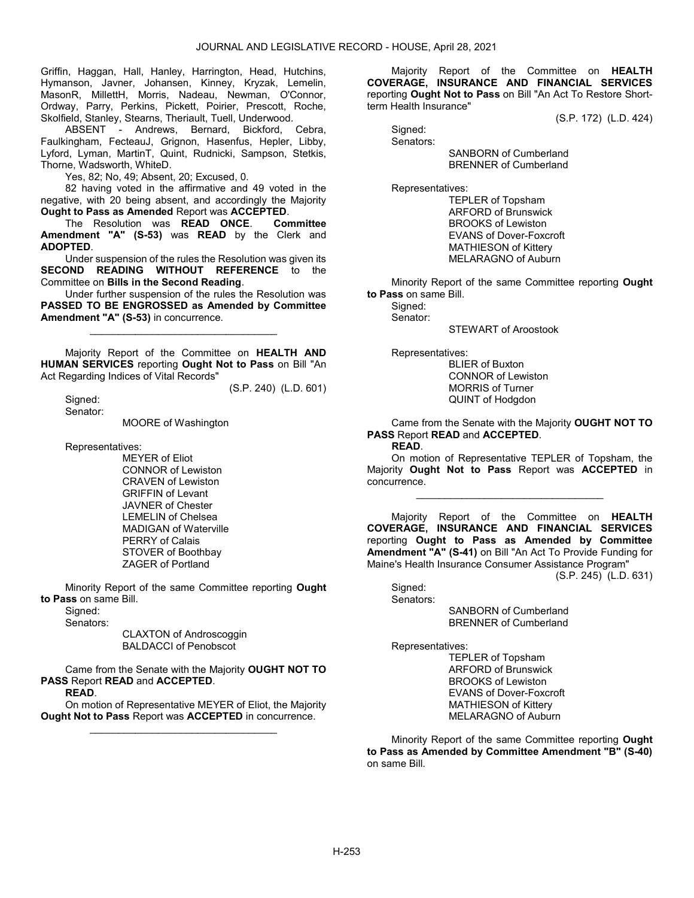Griffin, Haggan, Hall, Hanley, Harrington, Head, Hutchins, Hymanson, Javner, Johansen, Kinney, Kryzak, Lemelin, MasonR, MillettH, Morris, Nadeau, Newman, O'Connor, Ordway, Parry, Perkins, Pickett, Poirier, Prescott, Roche, Skolfield, Stanley, Stearns, Theriault, Tuell, Underwood.

 ABSENT - Andrews, Bernard, Bickford, Cebra, Faulkingham, FecteauJ, Grignon, Hasenfus, Hepler, Libby, Lyford, Lyman, MartinT, Quint, Rudnicki, Sampson, Stetkis, Thorne, Wadsworth, WhiteD.

Yes, 82; No, 49; Absent, 20; Excused, 0.

 82 having voted in the affirmative and 49 voted in the negative, with 20 being absent, and accordingly the Majority Ought to Pass as Amended Report was ACCEPTED.

 The Resolution was READ ONCE. Committee Amendment "A" (S-53) was READ by the Clerk and ADOPTED.

 Under suspension of the rules the Resolution was given its SECOND READING WITHOUT REFERENCE to the Committee on Bills in the Second Reading.

 Under further suspension of the rules the Resolution was PASSED TO BE ENGROSSED as Amended by Committee Amendment "A" (S-53) in concurrence.

\_\_\_\_\_\_\_\_\_\_\_\_\_\_\_\_\_\_\_\_\_\_\_\_\_\_\_\_\_\_\_\_\_

 Majority Report of the Committee on HEALTH AND HUMAN SERVICES reporting Ought Not to Pass on Bill "An Act Regarding Indices of Vital Records"

(S.P. 240) (L.D. 601)

 Signed: Senator:

MOORE of Washington

Representatives:

 MEYER of Eliot CONNOR of Lewiston CRAVEN of Lewiston GRIFFIN of Levant JAVNER of Chester LEMELIN of Chelsea MADIGAN of Waterville PERRY of Calais STOVER of Boothbay ZAGER of Portland

 Minority Report of the same Committee reporting Ought to Pass on same Bill.

 Signed: Senators:

 CLAXTON of Androscoggin BALDACCI of Penobscot

 Came from the Senate with the Majority OUGHT NOT TO PASS Report READ and ACCEPTED.

READ.

 On motion of Representative MEYER of Eliot, the Majority Ought Not to Pass Report was ACCEPTED in concurrence. \_\_\_\_\_\_\_\_\_\_\_\_\_\_\_\_\_\_\_\_\_\_\_\_\_\_\_\_\_\_\_\_\_

 Majority Report of the Committee on HEALTH COVERAGE, INSURANCE AND FINANCIAL SERVICES reporting Ought Not to Pass on Bill "An Act To Restore Shortterm Health Insurance"

(S.P. 172) (L.D. 424)

Signed: Senators:

 SANBORN of Cumberland BRENNER of Cumberland

Representatives:

 TEPLER of Topsham ARFORD of Brunswick BROOKS of Lewiston EVANS of Dover-Foxcroft MATHIESON of Kittery MELARAGNO of Auburn

 Minority Report of the same Committee reporting Ought to Pass on same Bill.

Signed:

Senator:

STEWART of Aroostook

Representatives:

 BLIER of Buxton CONNOR of Lewiston MORRIS of Turner QUINT of Hodgdon

 Came from the Senate with the Majority OUGHT NOT TO PASS Report READ and ACCEPTED.

READ.

 On motion of Representative TEPLER of Topsham, the Majority Ought Not to Pass Report was ACCEPTED in concurrence.

\_\_\_\_\_\_\_\_\_\_\_\_\_\_\_\_\_\_\_\_\_\_\_\_\_\_\_\_\_\_\_\_\_

 Majority Report of the Committee on HEALTH COVERAGE, INSURANCE AND FINANCIAL SERVICES reporting Ought to Pass as Amended by Committee Amendment "A" (S-41) on Bill "An Act To Provide Funding for Maine's Health Insurance Consumer Assistance Program"

(S.P. 245) (L.D. 631)

Sianed: Senators:

 SANBORN of Cumberland BRENNER of Cumberland

Representatives:

 TEPLER of Topsham ARFORD of Brunswick BROOKS of Lewiston EVANS of Dover-Foxcroft MATHIESON of Kittery MELARAGNO of Auburn

 Minority Report of the same Committee reporting Ought to Pass as Amended by Committee Amendment "B" (S-40) on same Bill.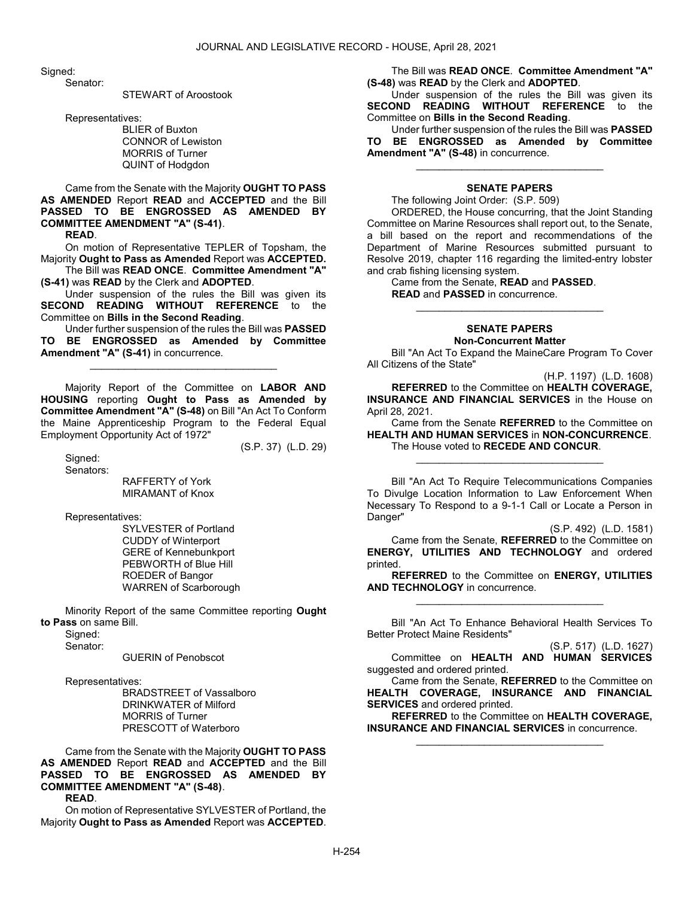Sianed:

Senator:

STEWART of Aroostook

Representatives:

 BLIER of Buxton CONNOR of Lewiston MORRIS of Turner QUINT of Hodgdon

 Came from the Senate with the Majority OUGHT TO PASS AS AMENDED Report READ and ACCEPTED and the Bill PASSED TO BE ENGROSSED AS AMENDED BY COMMITTEE AMENDMENT "A" (S-41).

READ.

 On motion of Representative TEPLER of Topsham, the Majority Ought to Pass as Amended Report was ACCEPTED. The Bill was READ ONCE. Committee Amendment "A"

(S-41) was READ by the Clerk and ADOPTED.

 Under suspension of the rules the Bill was given its SECOND READING WITHOUT REFERENCE to the Committee on Bills in the Second Reading.

 Under further suspension of the rules the Bill was PASSED TO BE ENGROSSED as Amended by Committee Amendment "A" (S-41) in concurrence.

\_\_\_\_\_\_\_\_\_\_\_\_\_\_\_\_\_\_\_\_\_\_\_\_\_\_\_\_\_\_\_\_\_

 Majority Report of the Committee on LABOR AND HOUSING reporting Ought to Pass as Amended by Committee Amendment "A" (S-48) on Bill "An Act To Conform the Maine Apprenticeship Program to the Federal Equal Employment Opportunity Act of 1972" (S.P. 37) (L.D. 29)

Signed:

Senators:

 RAFFERTY of York MIRAMANT of Knox

Representatives:

 SYLVESTER of Portland CUDDY of Winterport GERE of Kennebunkport PEBWORTH of Blue Hill ROEDER of Bangor WARREN of Scarborough

 Minority Report of the same Committee reporting Ought to Pass on same Bill.

Signed: Senator:

GUERIN of Penobscot

Representatives:

 BRADSTREET of Vassalboro DRINKWATER of Milford MORRIS of Turner PRESCOTT of Waterboro

 Came from the Senate with the Majority OUGHT TO PASS AS AMENDED Report READ and ACCEPTED and the Bill PASSED TO BE ENGROSSED AS AMENDED BY COMMITTEE AMENDMENT "A" (S-48). READ.

 On motion of Representative SYLVESTER of Portland, the Majority Ought to Pass as Amended Report was ACCEPTED.

 The Bill was READ ONCE. Committee Amendment "A" (S-48) was READ by the Clerk and ADOPTED.

 Under suspension of the rules the Bill was given its SECOND READING WITHOUT REFERENCE to the Committee on Bills in the Second Reading.

 Under further suspension of the rules the Bill was PASSED TO BE ENGROSSED as Amended by Committee Amendment "A" (S-48) in concurrence.

### SENATE PAPERS

\_\_\_\_\_\_\_\_\_\_\_\_\_\_\_\_\_\_\_\_\_\_\_\_\_\_\_\_\_\_\_\_\_

The following Joint Order: (S.P. 509)

 ORDERED, the House concurring, that the Joint Standing Committee on Marine Resources shall report out, to the Senate, a bill based on the report and recommendations of the Department of Marine Resources submitted pursuant to Resolve 2019, chapter 116 regarding the limited-entry lobster and crab fishing licensing system.

 Came from the Senate, READ and PASSED. READ and PASSED in concurrence.

#### SENATE PAPERS Non-Concurrent Matter

\_\_\_\_\_\_\_\_\_\_\_\_\_\_\_\_\_\_\_\_\_\_\_\_\_\_\_\_\_\_\_\_\_

 Bill "An Act To Expand the MaineCare Program To Cover All Citizens of the State"

(H.P. 1197) (L.D. 1608) REFERRED to the Committee on HEALTH COVERAGE, INSURANCE AND FINANCIAL SERVICES in the House on April 28, 2021.

 Came from the Senate REFERRED to the Committee on HEALTH AND HUMAN SERVICES in NON-CONCURRENCE. The House voted to RECEDE AND CONCUR.

\_\_\_\_\_\_\_\_\_\_\_\_\_\_\_\_\_\_\_\_\_\_\_\_\_\_\_\_\_\_\_\_\_

 Bill "An Act To Require Telecommunications Companies To Divulge Location Information to Law Enforcement When Necessary To Respond to a 9-1-1 Call or Locate a Person in Danger"

(S.P. 492) (L.D. 1581)

 Came from the Senate, REFERRED to the Committee on ENERGY, UTILITIES AND TECHNOLOGY and ordered printed.

REFERRED to the Committee on ENERGY, UTILITIES AND TECHNOLOGY in concurrence. \_\_\_\_\_\_\_\_\_\_\_\_\_\_\_\_\_\_\_\_\_\_\_\_\_\_\_\_\_\_\_\_\_

 Bill "An Act To Enhance Behavioral Health Services To Better Protect Maine Residents"

(S.P. 517) (L.D. 1627)

 Committee on HEALTH AND HUMAN SERVICES suggested and ordered printed.

 Came from the Senate, REFERRED to the Committee on HEALTH COVERAGE, INSURANCE AND FINANCIAL SERVICES and ordered printed.

REFERRED to the Committee on HEALTH COVERAGE, INSURANCE AND FINANCIAL SERVICES in concurrence. \_\_\_\_\_\_\_\_\_\_\_\_\_\_\_\_\_\_\_\_\_\_\_\_\_\_\_\_\_\_\_\_\_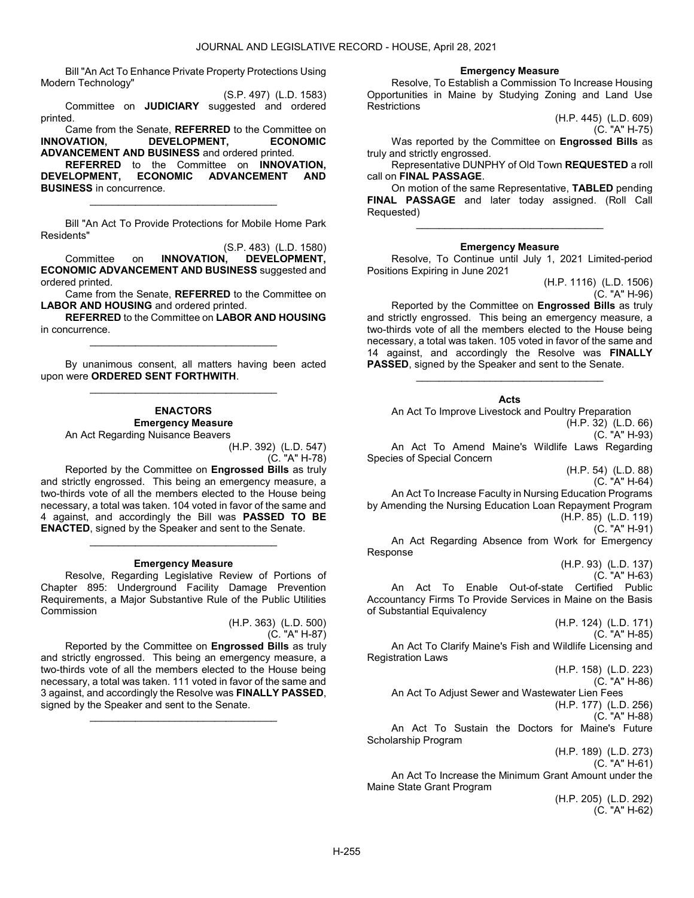Bill "An Act To Enhance Private Property Protections Using Modern Technology"

(S.P. 497) (L.D. 1583) Committee on JUDICIARY suggested and ordered printed.

 Came from the Senate, REFERRED to the Committee on INNOVATION, DEVELOPMENT, ECONOMIC ADVANCEMENT AND BUSINESS and ordered printed.

REFERRED to the Committee on INNOVATION, DEVELOPMENT, ECONOMIC ADVANCEMENT AND BUSINESS in concurrence.

\_\_\_\_\_\_\_\_\_\_\_\_\_\_\_\_\_\_\_\_\_\_\_\_\_\_\_\_\_\_\_\_\_

 Bill "An Act To Provide Protections for Mobile Home Park Residents"

(S.P. 483) (L.D. 1580)<br>INNOVATION. DEVELOPMENT. Committee on **INNOVATION, DEVELOPMENT**, ECONOMIC ADVANCEMENT AND BUSINESS suggested and ordered printed.

 Came from the Senate, REFERRED to the Committee on LABOR AND HOUSING and ordered printed.

REFERRED to the Committee on LABOR AND HOUSING in concurrence. \_\_\_\_\_\_\_\_\_\_\_\_\_\_\_\_\_\_\_\_\_\_\_\_\_\_\_\_\_\_\_\_\_

 By unanimous consent, all matters having been acted upon were ORDERED SENT FORTHWITH. \_\_\_\_\_\_\_\_\_\_\_\_\_\_\_\_\_\_\_\_\_\_\_\_\_\_\_\_\_\_\_\_\_

# ENACTORS Emergency Measure

An Act Regarding Nuisance Beavers

(H.P. 392) (L.D. 547) (C. "A" H-78)

 Reported by the Committee on Engrossed Bills as truly and strictly engrossed. This being an emergency measure, a two-thirds vote of all the members elected to the House being necessary, a total was taken. 104 voted in favor of the same and 4 against, and accordingly the Bill was PASSED TO BE ENACTED, signed by the Speaker and sent to the Senate.

#### Emergency Measure

\_\_\_\_\_\_\_\_\_\_\_\_\_\_\_\_\_\_\_\_\_\_\_\_\_\_\_\_\_\_\_\_\_

 Resolve, Regarding Legislative Review of Portions of Chapter 895: Underground Facility Damage Prevention Requirements, a Major Substantive Rule of the Public Utilities Commission

> (H.P. 363) (L.D. 500) (C. "A" H-87)

 Reported by the Committee on Engrossed Bills as truly and strictly engrossed. This being an emergency measure, a two-thirds vote of all the members elected to the House being necessary, a total was taken. 111 voted in favor of the same and 3 against, and accordingly the Resolve was FINALLY PASSED, signed by the Speaker and sent to the Senate.

\_\_\_\_\_\_\_\_\_\_\_\_\_\_\_\_\_\_\_\_\_\_\_\_\_\_\_\_\_\_\_\_\_

#### Emergency Measure

 Resolve, To Establish a Commission To Increase Housing Opportunities in Maine by Studying Zoning and Land Use **Restrictions** 

(H.P. 445) (L.D. 609) (C. "A" H-75)

Was reported by the Committee on **Engrossed Bills** as truly and strictly engrossed.

 Representative DUNPHY of Old Town REQUESTED a roll call on FINAL PASSAGE.

 On motion of the same Representative, TABLED pending FINAL PASSAGE and later today assigned. (Roll Call Requested)

\_\_\_\_\_\_\_\_\_\_\_\_\_\_\_\_\_\_\_\_\_\_\_\_\_\_\_\_\_\_\_\_\_

#### Emergency Measure

 Resolve, To Continue until July 1, 2021 Limited-period Positions Expiring in June 2021

(H.P. 1116) (L.D. 1506)

(C. "A" H-96) Reported by the Committee on Engrossed Bills as truly and strictly engrossed. This being an emergency measure, a two-thirds vote of all the members elected to the House being necessary, a total was taken. 105 voted in favor of the same and 14 against, and accordingly the Resolve was FINALLY PASSED, signed by the Speaker and sent to the Senate.

Acts

\_\_\_\_\_\_\_\_\_\_\_\_\_\_\_\_\_\_\_\_\_\_\_\_\_\_\_\_\_\_\_\_\_

An Act To Improve Livestock and Poultry Preparation

(H.P. 32) (L.D. 66) (C. "A" H-93)

 An Act To Amend Maine's Wildlife Laws Regarding Species of Special Concern

(H.P. 54) (L.D. 88)

(C. "A" H-64)

 An Act To Increase Faculty in Nursing Education Programs by Amending the Nursing Education Loan Repayment Program (H.P. 85) (L.D. 119) (C. "A" H-91)

 An Act Regarding Absence from Work for Emergency Response

> (H.P. 93) (L.D. 137) (C. "A" H-63)

 An Act To Enable Out-of-state Certified Public Accountancy Firms To Provide Services in Maine on the Basis of Substantial Equivalency

(H.P. 124) (L.D. 171) (C. "A" H-85) An Act To Clarify Maine's Fish and Wildlife Licensing and Registration Laws

(H.P. 158) (L.D. 223)

(C. "A" H-86)

An Act To Adjust Sewer and Wastewater Lien Fees

(H.P. 177) (L.D. 256) (C. "A" H-88)

 An Act To Sustain the Doctors for Maine's Future Scholarship Program

(H.P. 189) (L.D. 273) (C. "A" H-61)

 An Act To Increase the Minimum Grant Amount under the Maine State Grant Program

> (H.P. 205) (L.D. 292) (C. "A" H-62)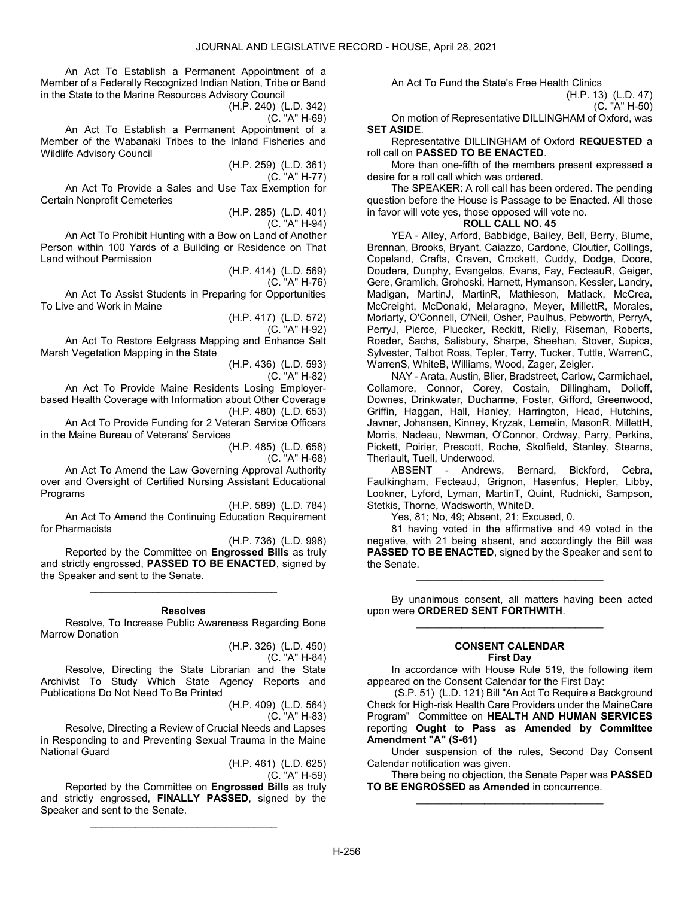An Act To Establish a Permanent Appointment of a Member of a Federally Recognized Indian Nation, Tribe or Band in the State to the Marine Resources Advisory Council

(H.P. 240) (L.D. 342)

(C. "A" H-69)

 An Act To Establish a Permanent Appointment of a Member of the Wabanaki Tribes to the Inland Fisheries and Wildlife Advisory Council

(H.P. 259) (L.D. 361)

(C. "A" H-77)

 An Act To Provide a Sales and Use Tax Exemption for Certain Nonprofit Cemeteries

> (H.P. 285) (L.D. 401) (C. "A" H-94)

 An Act To Prohibit Hunting with a Bow on Land of Another Person within 100 Yards of a Building or Residence on That Land without Permission

> (H.P. 414) (L.D. 569) (C. "A" H-76)

 An Act To Assist Students in Preparing for Opportunities To Live and Work in Maine

> (H.P. 417) (L.D. 572) (C. "A" H-92)

 An Act To Restore Eelgrass Mapping and Enhance Salt Marsh Vegetation Mapping in the State

(H.P. 436) (L.D. 593) (C. "A" H-82)

 An Act To Provide Maine Residents Losing Employerbased Health Coverage with Information about Other Coverage (H.P. 480) (L.D. 653)

 An Act To Provide Funding for 2 Veteran Service Officers in the Maine Bureau of Veterans' Services

(H.P. 485) (L.D. 658)

(C. "A" H-68)

 An Act To Amend the Law Governing Approval Authority over and Oversight of Certified Nursing Assistant Educational Programs

(H.P. 589) (L.D. 784) An Act To Amend the Continuing Education Requirement for Pharmacists

(H.P. 736) (L.D. 998) Reported by the Committee on Engrossed Bills as truly and strictly engrossed, PASSED TO BE ENACTED, signed by the Speaker and sent to the Senate.

\_\_\_\_\_\_\_\_\_\_\_\_\_\_\_\_\_\_\_\_\_\_\_\_\_\_\_\_\_\_\_\_\_

#### Resolves

 Resolve, To Increase Public Awareness Regarding Bone Marrow Donation

(H.P. 326) (L.D. 450)

(C. "A" H-84)

 Resolve, Directing the State Librarian and the State Archivist To Study Which State Agency Reports and Publications Do Not Need To Be Printed

(H.P. 409) (L.D. 564) (C. "A" H-83)

 Resolve, Directing a Review of Crucial Needs and Lapses in Responding to and Preventing Sexual Trauma in the Maine National Guard

(H.P. 461) (L.D. 625)

(C. "A" H-59)

 Reported by the Committee on Engrossed Bills as truly and strictly engrossed, FINALLY PASSED, signed by the Speaker and sent to the Senate.

\_\_\_\_\_\_\_\_\_\_\_\_\_\_\_\_\_\_\_\_\_\_\_\_\_\_\_\_\_\_\_\_\_

An Act To Fund the State's Free Health Clinics

(H.P. 13) (L.D. 47) (C. "A" H-50)

 On motion of Representative DILLINGHAM of Oxford, was SET ASIDE.

 Representative DILLINGHAM of Oxford REQUESTED a roll call on PASSED TO BE ENACTED.

 More than one-fifth of the members present expressed a desire for a roll call which was ordered.

 The SPEAKER: A roll call has been ordered. The pending question before the House is Passage to be Enacted. All those in favor will vote yes, those opposed will vote no.

# ROLL CALL NO. 45

 YEA - Alley, Arford, Babbidge, Bailey, Bell, Berry, Blume, Brennan, Brooks, Bryant, Caiazzo, Cardone, Cloutier, Collings, Copeland, Crafts, Craven, Crockett, Cuddy, Dodge, Doore, Doudera, Dunphy, Evangelos, Evans, Fay, FecteauR, Geiger, Gere, Gramlich, Grohoski, Harnett, Hymanson, Kessler, Landry, Madigan, MartinJ, MartinR, Mathieson, Matlack, McCrea, McCreight, McDonald, Melaragno, Meyer, MillettR, Morales, Moriarty, O'Connell, O'Neil, Osher, Paulhus, Pebworth, PerryA, PerryJ, Pierce, Pluecker, Reckitt, Rielly, Riseman, Roberts, Roeder, Sachs, Salisbury, Sharpe, Sheehan, Stover, Supica, Sylvester, Talbot Ross, Tepler, Terry, Tucker, Tuttle, WarrenC, WarrenS, WhiteB, Williams, Wood, Zager, Zeigler.

 NAY - Arata, Austin, Blier, Bradstreet, Carlow, Carmichael, Collamore, Connor, Corey, Costain, Dillingham, Dolloff, Downes, Drinkwater, Ducharme, Foster, Gifford, Greenwood, Griffin, Haggan, Hall, Hanley, Harrington, Head, Hutchins, Javner, Johansen, Kinney, Kryzak, Lemelin, MasonR, MillettH, Morris, Nadeau, Newman, O'Connor, Ordway, Parry, Perkins, Pickett, Poirier, Prescott, Roche, Skolfield, Stanley, Stearns, Theriault, Tuell, Underwood.

 ABSENT - Andrews, Bernard, Bickford, Cebra, Faulkingham, FecteauJ, Grignon, Hasenfus, Hepler, Libby, Lookner, Lyford, Lyman, MartinT, Quint, Rudnicki, Sampson, Stetkis, Thorne, Wadsworth, WhiteD.

Yes, 81; No, 49; Absent, 21; Excused, 0.

 81 having voted in the affirmative and 49 voted in the negative, with 21 being absent, and accordingly the Bill was PASSED TO BE ENACTED, signed by the Speaker and sent to the Senate.

\_\_\_\_\_\_\_\_\_\_\_\_\_\_\_\_\_\_\_\_\_\_\_\_\_\_\_\_\_\_\_\_\_

 By unanimous consent, all matters having been acted upon were ORDERED SENT FORTHWITH. \_\_\_\_\_\_\_\_\_\_\_\_\_\_\_\_\_\_\_\_\_\_\_\_\_\_\_\_\_\_\_\_\_

### CONSENT CALENDAR First Day

 In accordance with House Rule 519, the following item appeared on the Consent Calendar for the First Day:

 (S.P. 51) (L.D. 121) Bill "An Act To Require a Background Check for High-risk Health Care Providers under the MaineCare Program" Committee on HEALTH AND HUMAN SERVICES reporting Ought to Pass as Amended by Committee Amendment "A" (S-61)

 Under suspension of the rules, Second Day Consent Calendar notification was given.

There being no objection, the Senate Paper was **PASSED** TO BE ENGROSSED as Amended in concurrence. \_\_\_\_\_\_\_\_\_\_\_\_\_\_\_\_\_\_\_\_\_\_\_\_\_\_\_\_\_\_\_\_\_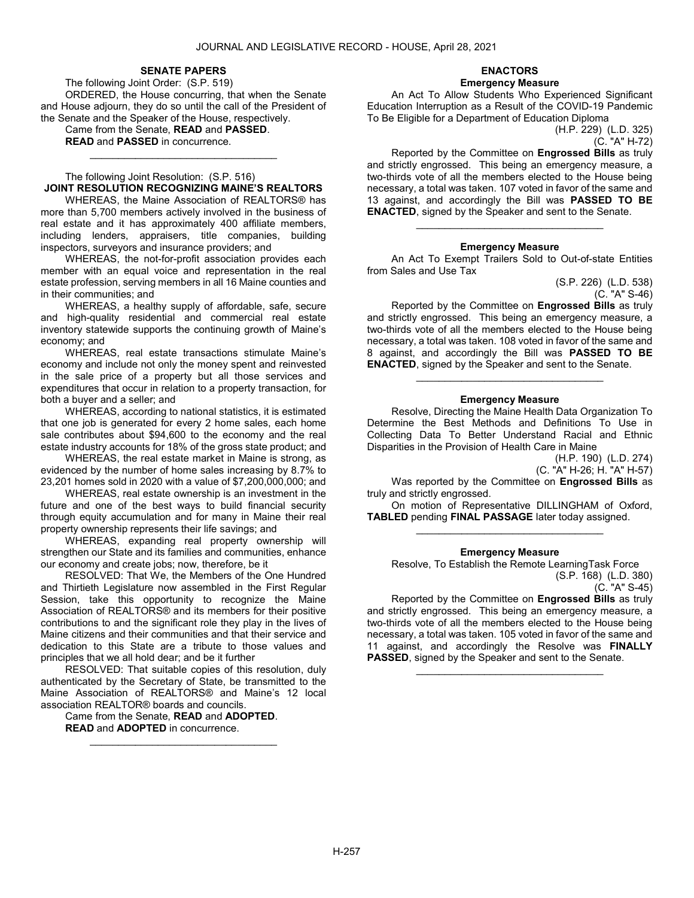#### SENATE PAPERS

 The following Joint Order: (S.P. 519) ORDERED, the House concurring, that when the Senate and House adjourn, they do so until the call of the President of the Senate and the Speaker of the House, respectively.

 Came from the Senate, READ and PASSED. READ and PASSED in concurrence.

### The following Joint Resolution: (S.P. 516) JOINT RESOLUTION RECOGNIZING MAINE'S REALTORS

\_\_\_\_\_\_\_\_\_\_\_\_\_\_\_\_\_\_\_\_\_\_\_\_\_\_\_\_\_\_\_\_\_

 WHEREAS, the Maine Association of REALTORS® has more than 5,700 members actively involved in the business of real estate and it has approximately 400 affiliate members, including lenders, appraisers, title companies, building inspectors, surveyors and insurance providers; and

 WHEREAS, the not-for-profit association provides each member with an equal voice and representation in the real estate profession, serving members in all 16 Maine counties and in their communities; and

 WHEREAS, a healthy supply of affordable, safe, secure and high-quality residential and commercial real estate inventory statewide supports the continuing growth of Maine's economy; and

 WHEREAS, real estate transactions stimulate Maine's economy and include not only the money spent and reinvested in the sale price of a property but all those services and expenditures that occur in relation to a property transaction, for both a buyer and a seller; and

 WHEREAS, according to national statistics, it is estimated that one job is generated for every 2 home sales, each home sale contributes about \$94,600 to the economy and the real estate industry accounts for 18% of the gross state product; and

 WHEREAS, the real estate market in Maine is strong, as evidenced by the number of home sales increasing by 8.7% to 23,201 homes sold in 2020 with a value of \$7,200,000,000; and

 WHEREAS, real estate ownership is an investment in the future and one of the best ways to build financial security through equity accumulation and for many in Maine their real property ownership represents their life savings; and

 WHEREAS, expanding real property ownership will strengthen our State and its families and communities, enhance our economy and create jobs; now, therefore, be it

 RESOLVED: That We, the Members of the One Hundred and Thirtieth Legislature now assembled in the First Regular Session, take this opportunity to recognize the Maine Association of REALTORS® and its members for their positive contributions to and the significant role they play in the lives of Maine citizens and their communities and that their service and dedication to this State are a tribute to those values and principles that we all hold dear; and be it further

 RESOLVED: That suitable copies of this resolution, duly authenticated by the Secretary of State, be transmitted to the Maine Association of REALTORS® and Maine's 12 local association REALTOR® boards and councils.

\_\_\_\_\_\_\_\_\_\_\_\_\_\_\_\_\_\_\_\_\_\_\_\_\_\_\_\_\_\_\_\_\_

 Came from the Senate, READ and ADOPTED. READ and ADOPTED in concurrence.

# ENACTORS

Emergency Measure

 An Act To Allow Students Who Experienced Significant Education Interruption as a Result of the COVID-19 Pandemic To Be Eligible for a Department of Education Diploma

(H.P. 229) (L.D. 325) (C. "A" H-72)

 Reported by the Committee on Engrossed Bills as truly and strictly engrossed. This being an emergency measure, a two-thirds vote of all the members elected to the House being necessary, a total was taken. 107 voted in favor of the same and 13 against, and accordingly the Bill was **PASSED TO BE** ENACTED, signed by the Speaker and sent to the Senate.

#### Emergency Measure

\_\_\_\_\_\_\_\_\_\_\_\_\_\_\_\_\_\_\_\_\_\_\_\_\_\_\_\_\_\_\_\_\_

 An Act To Exempt Trailers Sold to Out-of-state Entities from Sales and Use Tax

(S.P. 226) (L.D. 538)  $(C. "A" S-46)$ 

 Reported by the Committee on Engrossed Bills as truly and strictly engrossed. This being an emergency measure, a two-thirds vote of all the members elected to the House being necessary, a total was taken. 108 voted in favor of the same and 8 against, and accordingly the Bill was PASSED TO BE ENACTED, signed by the Speaker and sent to the Senate.

#### Emergency Measure

\_\_\_\_\_\_\_\_\_\_\_\_\_\_\_\_\_\_\_\_\_\_\_\_\_\_\_\_\_\_\_\_\_

 Resolve, Directing the Maine Health Data Organization To Determine the Best Methods and Definitions To Use in Collecting Data To Better Understand Racial and Ethnic Disparities in the Provision of Health Care in Maine

(H.P. 190) (L.D. 274) (C. "A" H-26; H. "A" H-57)

Was reported by the Committee on Engrossed Bills as truly and strictly engrossed.

 On motion of Representative DILLINGHAM of Oxford, TABLED pending FINAL PASSAGE later today assigned. \_\_\_\_\_\_\_\_\_\_\_\_\_\_\_\_\_\_\_\_\_\_\_\_\_\_\_\_\_\_\_\_\_

#### Emergency Measure

 Resolve, To Establish the Remote LearningTask Force (S.P. 168) (L.D. 380)

(C. "A" S-45)

 Reported by the Committee on Engrossed Bills as truly and strictly engrossed. This being an emergency measure, a two-thirds vote of all the members elected to the House being necessary, a total was taken. 105 voted in favor of the same and 11 against, and accordingly the Resolve was FINALLY PASSED, signed by the Speaker and sent to the Senate.

\_\_\_\_\_\_\_\_\_\_\_\_\_\_\_\_\_\_\_\_\_\_\_\_\_\_\_\_\_\_\_\_\_